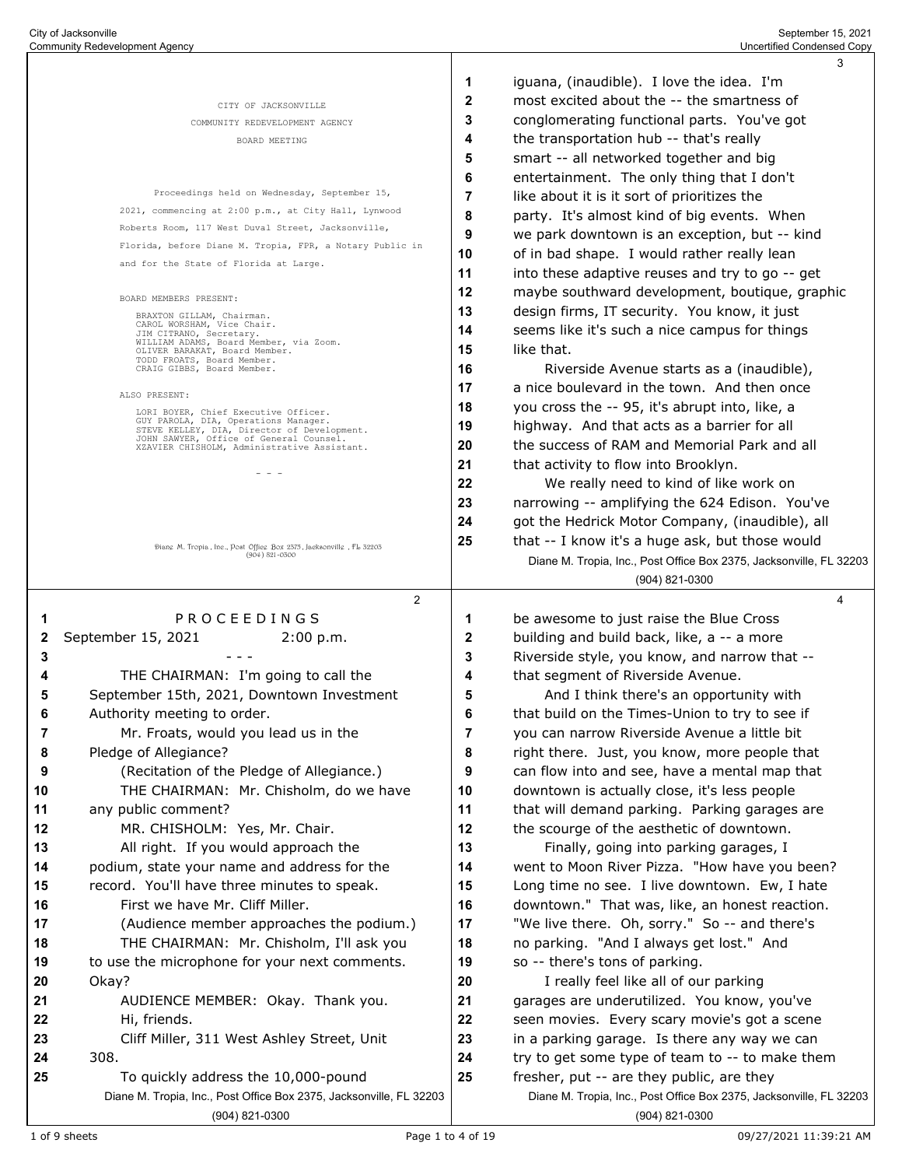|    |                                                                                        |    | 3                                                                                     |
|----|----------------------------------------------------------------------------------------|----|---------------------------------------------------------------------------------------|
|    |                                                                                        | 1  | iguana, (inaudible). I love the idea. I'm                                             |
|    | CITY OF JACKSONVILLE                                                                   | 2  | most excited about the -- the smartness of                                            |
|    | COMMUNITY REDEVELOPMENT AGENCY                                                         | 3  | conglomerating functional parts. You've got                                           |
|    | BOARD MEETING                                                                          | 4  | the transportation hub -- that's really                                               |
|    |                                                                                        | 5  | smart -- all networked together and big                                               |
|    |                                                                                        | 6  | entertainment. The only thing that I don't                                            |
|    | Proceedings held on Wednesday, September 15,                                           | 7  | like about it is it sort of prioritizes the                                           |
|    | 2021, commencing at 2:00 p.m., at City Hall, Lynwood                                   | 8  | party. It's almost kind of big events. When                                           |
|    | Roberts Room, 117 West Duval Street, Jacksonville,                                     | 9  | we park downtown is an exception, but -- kind                                         |
|    | Florida, before Diane M. Tropia, FPR, a Notary Public in                               | 10 | of in bad shape. I would rather really lean                                           |
|    | and for the State of Florida at Large.                                                 | 11 | into these adaptive reuses and try to go -- get                                       |
|    | BOARD MEMBERS PRESENT:                                                                 | 12 | maybe southward development, boutique, graphic                                        |
|    | BRAXTON GILLAM, Chairman.                                                              | 13 | design firms, IT security. You know, it just                                          |
|    | CAROL WORSHAM, Vice Chair.<br>JIM CITRANO, Secretary.                                  | 14 | seems like it's such a nice campus for things                                         |
|    | WILLIAM ADAMS, Board Member, via Zoom.<br>OLIVER BARAKAT, Board Member.                | 15 | like that.                                                                            |
|    | TODD FROATS, Board Member.<br>CRAIG GIBBS, Board Member.                               | 16 | Riverside Avenue starts as a (inaudible),                                             |
|    | ALSO PRESENT:                                                                          | 17 | a nice boulevard in the town. And then once                                           |
|    | LORI BOYER, Chief Executive Officer.                                                   | 18 | you cross the -- 95, it's abrupt into, like, a                                        |
|    | GUY PAROLA, DIA, Operations Manager.<br>STEVE KELLEY, DIA, Director of Development.    | 19 | highway. And that acts as a barrier for all                                           |
|    | JOHN SAWYER, Office of General Counsel.<br>XZAVIER CHISHOLM, Administrative Assistant. | 20 | the success of RAM and Memorial Park and all                                          |
|    | - - -                                                                                  | 21 | that activity to flow into Brooklyn.                                                  |
|    |                                                                                        | 22 | We really need to kind of like work on                                                |
|    |                                                                                        | 23 | narrowing -- amplifying the 624 Edison. You've                                        |
|    |                                                                                        | 24 | got the Hedrick Motor Company, (inaudible), all                                       |
|    | Diang M. Tropia, Ine., Post Offieg Box 2575, Jacksonvillg, FL 52205                    | 25 | that -- I know it's a huge ask, but those would                                       |
|    | $(904) 821 - 0300$                                                                     |    | Diane M. Tropia, Inc., Post Office Box 2375, Jacksonville, FL 32203                   |
|    |                                                                                        |    | (904) 821-0300                                                                        |
|    | $\overline{2}$                                                                         |    | 4                                                                                     |
| 1  | PROCEEDINGS                                                                            | 1  | be awesome to just raise the Blue Cross                                               |
| 2  | September 15, 2021<br>2:00 p.m.                                                        | 2  | building and build back, like, a -- a more                                            |
| 3  |                                                                                        | 3  | Riverside style, you know, and narrow that --                                         |
|    | THE CHAIRMAN: I'm going to call the                                                    | 4  | that segment of Riverside Avenue.                                                     |
| 5  | September 15th, 2021, Downtown Investment                                              | 5  | And I think there's an opportunity with                                               |
| 6  | Authority meeting to order.                                                            | 6  | that build on the Times-Union to try to see if                                        |
| 7  | Mr. Froats, would you lead us in the                                                   | 7  | you can narrow Riverside Avenue a little bit                                          |
| 8  | Pledge of Allegiance?                                                                  | 8  | right there. Just, you know, more people that                                         |
| 9  | (Recitation of the Pledge of Allegiance.)                                              | 9  | can flow into and see, have a mental map that                                         |
| 10 | THE CHAIRMAN: Mr. Chisholm, do we have                                                 | 10 | downtown is actually close, it's less people                                          |
| 11 | any public comment?                                                                    | 11 | that will demand parking. Parking garages are                                         |
| 12 | MR. CHISHOLM: Yes, Mr. Chair.                                                          | 12 | the scourge of the aesthetic of downtown.                                             |
| 13 | All right. If you would approach the                                                   | 13 | Finally, going into parking garages, I                                                |
| 14 | podium, state your name and address for the                                            | 14 | went to Moon River Pizza. "How have you been?                                         |
| 15 | record. You'll have three minutes to speak.                                            | 15 | Long time no see. I live downtown. Ew, I hate                                         |
| 16 | First we have Mr. Cliff Miller.                                                        | 16 | downtown." That was, like, an honest reaction.                                        |
| 17 | (Audience member approaches the podium.)                                               | 17 | "We live there. Oh, sorry." So -- and there's                                         |
| 18 | THE CHAIRMAN: Mr. Chisholm, I'll ask you                                               | 18 | no parking. "And I always get lost." And                                              |
| 19 | to use the microphone for your next comments.                                          | 19 | so -- there's tons of parking.                                                        |
| 20 | Okay?                                                                                  | 20 | I really feel like all of our parking                                                 |
| 21 | AUDIENCE MEMBER: Okay. Thank you.                                                      | 21 | garages are underutilized. You know, you've                                           |
| 22 | Hi, friends.<br>Cliff Miller, 311 West Ashley Street, Unit                             | 22 | seen movies. Every scary movie's got a scene                                          |
| 23 |                                                                                        | 23 | in a parking garage. Is there any way we can                                          |
|    |                                                                                        |    |                                                                                       |
| 24 | 308.                                                                                   | 24 | try to get some type of team to -- to make them                                       |
| 25 | To quickly address the 10,000-pound                                                    | 25 | fresher, put -- are they public, are they                                             |
|    | Diane M. Tropia, Inc., Post Office Box 2375, Jacksonville, FL 32203<br>(904) 821-0300  |    | Diane M. Tropia, Inc., Post Office Box 2375, Jacksonville, FL 32203<br>(904) 821-0300 |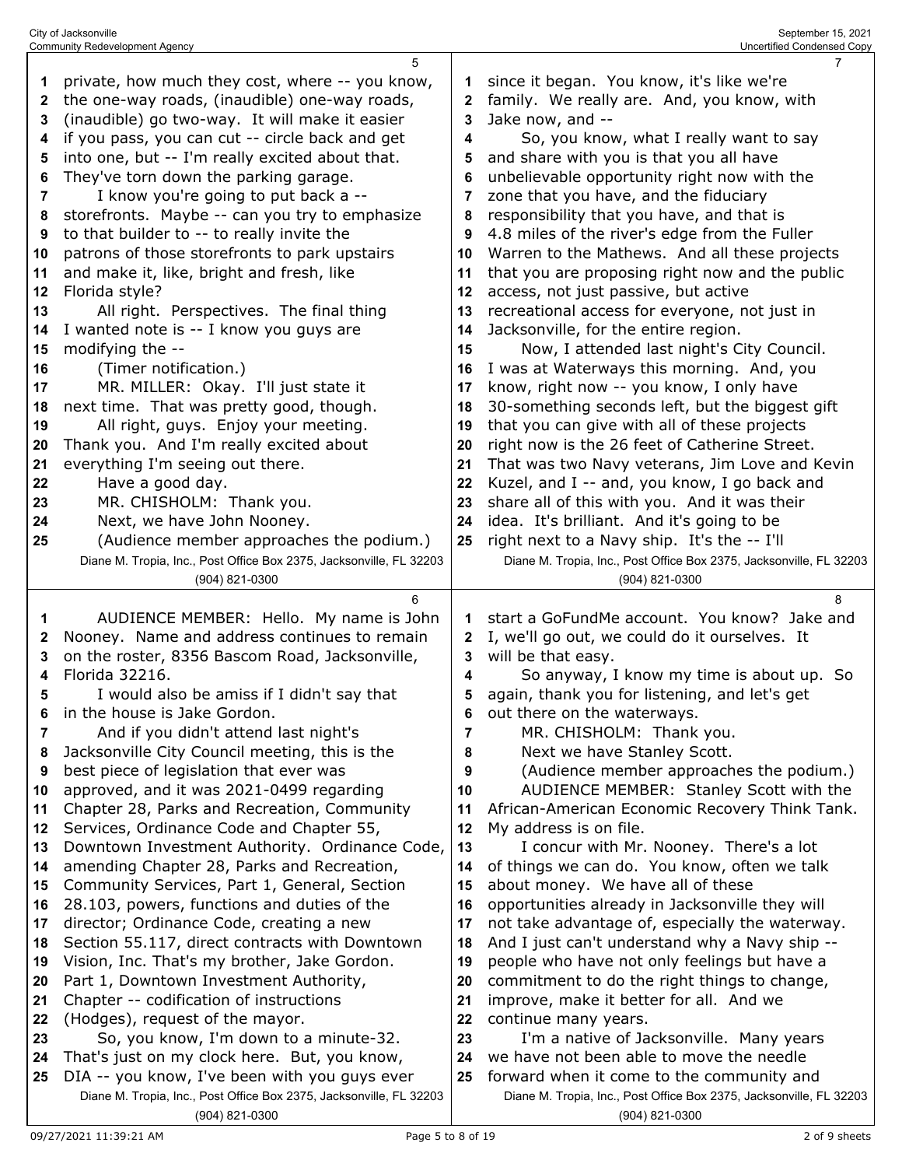| 1<br>2<br>3<br>4<br>5<br>6<br>7<br>8<br>9<br>10<br>11<br>12 | private, how much they cost, where -- you know,<br>the one-way roads, (inaudible) one-way roads,<br>(inaudible) go two-way. It will make it easier<br>if you pass, you can cut -- circle back and get<br>into one, but -- I'm really excited about that.<br>They've torn down the parking garage.<br>I know you're going to put back a --<br>storefronts. Maybe -- can you try to emphasize<br>to that builder to -- to really invite the<br>patrons of those storefronts to park upstairs<br>and make it, like, bright and fresh, like<br>Florida style? | 1<br>2<br>3<br>4<br>5<br>6<br>7<br>8<br>9<br>10<br>11<br>12 | since it began. You know, it's like we're<br>family. We really are. And, you know, with<br>Jake now, and --<br>So, you know, what I really want to say<br>and share with you is that you all have<br>unbelievable opportunity right now with the<br>zone that you have, and the fiduciary<br>responsibility that you have, and that is<br>4.8 miles of the river's edge from the Fuller<br>Warren to the Mathews. And all these projects<br>that you are proposing right now and the public<br>access, not just passive, but active |
|-------------------------------------------------------------|-----------------------------------------------------------------------------------------------------------------------------------------------------------------------------------------------------------------------------------------------------------------------------------------------------------------------------------------------------------------------------------------------------------------------------------------------------------------------------------------------------------------------------------------------------------|-------------------------------------------------------------|-------------------------------------------------------------------------------------------------------------------------------------------------------------------------------------------------------------------------------------------------------------------------------------------------------------------------------------------------------------------------------------------------------------------------------------------------------------------------------------------------------------------------------------|
|                                                             |                                                                                                                                                                                                                                                                                                                                                                                                                                                                                                                                                           |                                                             | recreational access for everyone, not just in                                                                                                                                                                                                                                                                                                                                                                                                                                                                                       |
| 13                                                          | All right. Perspectives. The final thing                                                                                                                                                                                                                                                                                                                                                                                                                                                                                                                  | 13                                                          |                                                                                                                                                                                                                                                                                                                                                                                                                                                                                                                                     |
| 14                                                          | I wanted note is -- I know you guys are                                                                                                                                                                                                                                                                                                                                                                                                                                                                                                                   | 14                                                          | Jacksonville, for the entire region.                                                                                                                                                                                                                                                                                                                                                                                                                                                                                                |
| 15                                                          | modifying the --                                                                                                                                                                                                                                                                                                                                                                                                                                                                                                                                          | 15                                                          | Now, I attended last night's City Council.                                                                                                                                                                                                                                                                                                                                                                                                                                                                                          |
| 16                                                          | (Timer notification.)                                                                                                                                                                                                                                                                                                                                                                                                                                                                                                                                     | 16                                                          | I was at Waterways this morning. And, you                                                                                                                                                                                                                                                                                                                                                                                                                                                                                           |
| 17                                                          | MR. MILLER: Okay. I'll just state it                                                                                                                                                                                                                                                                                                                                                                                                                                                                                                                      | 17                                                          | know, right now -- you know, I only have                                                                                                                                                                                                                                                                                                                                                                                                                                                                                            |
| 18                                                          | next time. That was pretty good, though.                                                                                                                                                                                                                                                                                                                                                                                                                                                                                                                  | 18                                                          | 30-something seconds left, but the biggest gift                                                                                                                                                                                                                                                                                                                                                                                                                                                                                     |
| 19                                                          | All right, guys. Enjoy your meeting.                                                                                                                                                                                                                                                                                                                                                                                                                                                                                                                      | 19                                                          | that you can give with all of these projects                                                                                                                                                                                                                                                                                                                                                                                                                                                                                        |
| 20                                                          | Thank you. And I'm really excited about                                                                                                                                                                                                                                                                                                                                                                                                                                                                                                                   | 20                                                          | right now is the 26 feet of Catherine Street.                                                                                                                                                                                                                                                                                                                                                                                                                                                                                       |
| 21                                                          | everything I'm seeing out there.                                                                                                                                                                                                                                                                                                                                                                                                                                                                                                                          | 21                                                          | That was two Navy veterans, Jim Love and Kevin                                                                                                                                                                                                                                                                                                                                                                                                                                                                                      |
| 22                                                          | Have a good day.                                                                                                                                                                                                                                                                                                                                                                                                                                                                                                                                          | 22                                                          | Kuzel, and I -- and, you know, I go back and                                                                                                                                                                                                                                                                                                                                                                                                                                                                                        |
| 23                                                          | MR. CHISHOLM: Thank you.                                                                                                                                                                                                                                                                                                                                                                                                                                                                                                                                  | 23                                                          | share all of this with you. And it was their                                                                                                                                                                                                                                                                                                                                                                                                                                                                                        |
| 24                                                          | Next, we have John Nooney.                                                                                                                                                                                                                                                                                                                                                                                                                                                                                                                                | 24                                                          | idea. It's brilliant. And it's going to be                                                                                                                                                                                                                                                                                                                                                                                                                                                                                          |
| 25                                                          | (Audience member approaches the podium.)                                                                                                                                                                                                                                                                                                                                                                                                                                                                                                                  | 25                                                          | right next to a Navy ship. It's the -- I'll                                                                                                                                                                                                                                                                                                                                                                                                                                                                                         |
|                                                             | Diane M. Tropia, Inc., Post Office Box 2375, Jacksonville, FL 32203                                                                                                                                                                                                                                                                                                                                                                                                                                                                                       |                                                             | Diane M. Tropia, Inc., Post Office Box 2375, Jacksonville, FL 32203                                                                                                                                                                                                                                                                                                                                                                                                                                                                 |
|                                                             | (904) 821-0300                                                                                                                                                                                                                                                                                                                                                                                                                                                                                                                                            |                                                             | (904) 821-0300                                                                                                                                                                                                                                                                                                                                                                                                                                                                                                                      |
|                                                             |                                                                                                                                                                                                                                                                                                                                                                                                                                                                                                                                                           |                                                             |                                                                                                                                                                                                                                                                                                                                                                                                                                                                                                                                     |
|                                                             | 6                                                                                                                                                                                                                                                                                                                                                                                                                                                                                                                                                         |                                                             | 8                                                                                                                                                                                                                                                                                                                                                                                                                                                                                                                                   |
| 1                                                           | AUDIENCE MEMBER: Hello. My name is John                                                                                                                                                                                                                                                                                                                                                                                                                                                                                                                   | 1                                                           | start a GoFundMe account. You know? Jake and                                                                                                                                                                                                                                                                                                                                                                                                                                                                                        |
| 2                                                           | Nooney. Name and address continues to remain                                                                                                                                                                                                                                                                                                                                                                                                                                                                                                              | 2                                                           | I, we'll go out, we could do it ourselves. It                                                                                                                                                                                                                                                                                                                                                                                                                                                                                       |
| 3                                                           | on the roster, 8356 Bascom Road, Jacksonville,                                                                                                                                                                                                                                                                                                                                                                                                                                                                                                            | 3                                                           | will be that easy.                                                                                                                                                                                                                                                                                                                                                                                                                                                                                                                  |
| 4                                                           | Florida 32216.                                                                                                                                                                                                                                                                                                                                                                                                                                                                                                                                            | 4                                                           | So anyway, I know my time is about up. So                                                                                                                                                                                                                                                                                                                                                                                                                                                                                           |
| 5                                                           | I would also be amiss if I didn't say that                                                                                                                                                                                                                                                                                                                                                                                                                                                                                                                | 5                                                           | again, thank you for listening, and let's get                                                                                                                                                                                                                                                                                                                                                                                                                                                                                       |
| 6                                                           | in the house is Jake Gordon.                                                                                                                                                                                                                                                                                                                                                                                                                                                                                                                              | 6                                                           | out there on the waterways.                                                                                                                                                                                                                                                                                                                                                                                                                                                                                                         |
|                                                             | And if you didn't attend last night's                                                                                                                                                                                                                                                                                                                                                                                                                                                                                                                     |                                                             | MR. CHISHOLM: Thank you.                                                                                                                                                                                                                                                                                                                                                                                                                                                                                                            |
| 8                                                           | Jacksonville City Council meeting, this is the                                                                                                                                                                                                                                                                                                                                                                                                                                                                                                            | 8                                                           | Next we have Stanley Scott.                                                                                                                                                                                                                                                                                                                                                                                                                                                                                                         |
| 9                                                           | best piece of legislation that ever was                                                                                                                                                                                                                                                                                                                                                                                                                                                                                                                   | 9                                                           | (Audience member approaches the podium.)                                                                                                                                                                                                                                                                                                                                                                                                                                                                                            |
| 10                                                          | approved, and it was 2021-0499 regarding                                                                                                                                                                                                                                                                                                                                                                                                                                                                                                                  | 10                                                          | AUDIENCE MEMBER: Stanley Scott with the                                                                                                                                                                                                                                                                                                                                                                                                                                                                                             |
| 11                                                          | Chapter 28, Parks and Recreation, Community                                                                                                                                                                                                                                                                                                                                                                                                                                                                                                               | 11                                                          | African-American Economic Recovery Think Tank.                                                                                                                                                                                                                                                                                                                                                                                                                                                                                      |
| 12                                                          | Services, Ordinance Code and Chapter 55,                                                                                                                                                                                                                                                                                                                                                                                                                                                                                                                  | 12                                                          | My address is on file.                                                                                                                                                                                                                                                                                                                                                                                                                                                                                                              |
| 13                                                          | Downtown Investment Authority. Ordinance Code,                                                                                                                                                                                                                                                                                                                                                                                                                                                                                                            | 13                                                          | I concur with Mr. Nooney. There's a lot                                                                                                                                                                                                                                                                                                                                                                                                                                                                                             |
| 14                                                          | amending Chapter 28, Parks and Recreation,                                                                                                                                                                                                                                                                                                                                                                                                                                                                                                                | 14                                                          | of things we can do. You know, often we talk                                                                                                                                                                                                                                                                                                                                                                                                                                                                                        |
| 15                                                          | Community Services, Part 1, General, Section                                                                                                                                                                                                                                                                                                                                                                                                                                                                                                              | 15                                                          | about money. We have all of these                                                                                                                                                                                                                                                                                                                                                                                                                                                                                                   |
| 16                                                          | 28.103, powers, functions and duties of the                                                                                                                                                                                                                                                                                                                                                                                                                                                                                                               | 16                                                          | opportunities already in Jacksonville they will                                                                                                                                                                                                                                                                                                                                                                                                                                                                                     |
| 17                                                          | director; Ordinance Code, creating a new                                                                                                                                                                                                                                                                                                                                                                                                                                                                                                                  | 17                                                          | not take advantage of, especially the waterway.                                                                                                                                                                                                                                                                                                                                                                                                                                                                                     |
| 18                                                          | Section 55.117, direct contracts with Downtown                                                                                                                                                                                                                                                                                                                                                                                                                                                                                                            | 18                                                          | And I just can't understand why a Navy ship --                                                                                                                                                                                                                                                                                                                                                                                                                                                                                      |
| 19                                                          | Vision, Inc. That's my brother, Jake Gordon.                                                                                                                                                                                                                                                                                                                                                                                                                                                                                                              | 19                                                          | people who have not only feelings but have a                                                                                                                                                                                                                                                                                                                                                                                                                                                                                        |
| 20                                                          | Part 1, Downtown Investment Authority,                                                                                                                                                                                                                                                                                                                                                                                                                                                                                                                    | 20                                                          | commitment to do the right things to change,                                                                                                                                                                                                                                                                                                                                                                                                                                                                                        |
| 21                                                          | Chapter -- codification of instructions                                                                                                                                                                                                                                                                                                                                                                                                                                                                                                                   | 21                                                          | improve, make it better for all. And we                                                                                                                                                                                                                                                                                                                                                                                                                                                                                             |
| 22                                                          | (Hodges), request of the mayor.                                                                                                                                                                                                                                                                                                                                                                                                                                                                                                                           | 22                                                          | continue many years.                                                                                                                                                                                                                                                                                                                                                                                                                                                                                                                |
| 23                                                          | So, you know, I'm down to a minute-32.                                                                                                                                                                                                                                                                                                                                                                                                                                                                                                                    | 23                                                          | I'm a native of Jacksonville. Many years                                                                                                                                                                                                                                                                                                                                                                                                                                                                                            |
| 24                                                          | That's just on my clock here. But, you know,                                                                                                                                                                                                                                                                                                                                                                                                                                                                                                              | 24                                                          | we have not been able to move the needle                                                                                                                                                                                                                                                                                                                                                                                                                                                                                            |
| 25                                                          | DIA -- you know, I've been with you guys ever                                                                                                                                                                                                                                                                                                                                                                                                                                                                                                             | 25                                                          | forward when it come to the community and                                                                                                                                                                                                                                                                                                                                                                                                                                                                                           |

City of Jacksonville September 15, 2021 Community Redevelopment Agency Uncertified Condensed Copy

(904) 821-0300

(904) 821-0300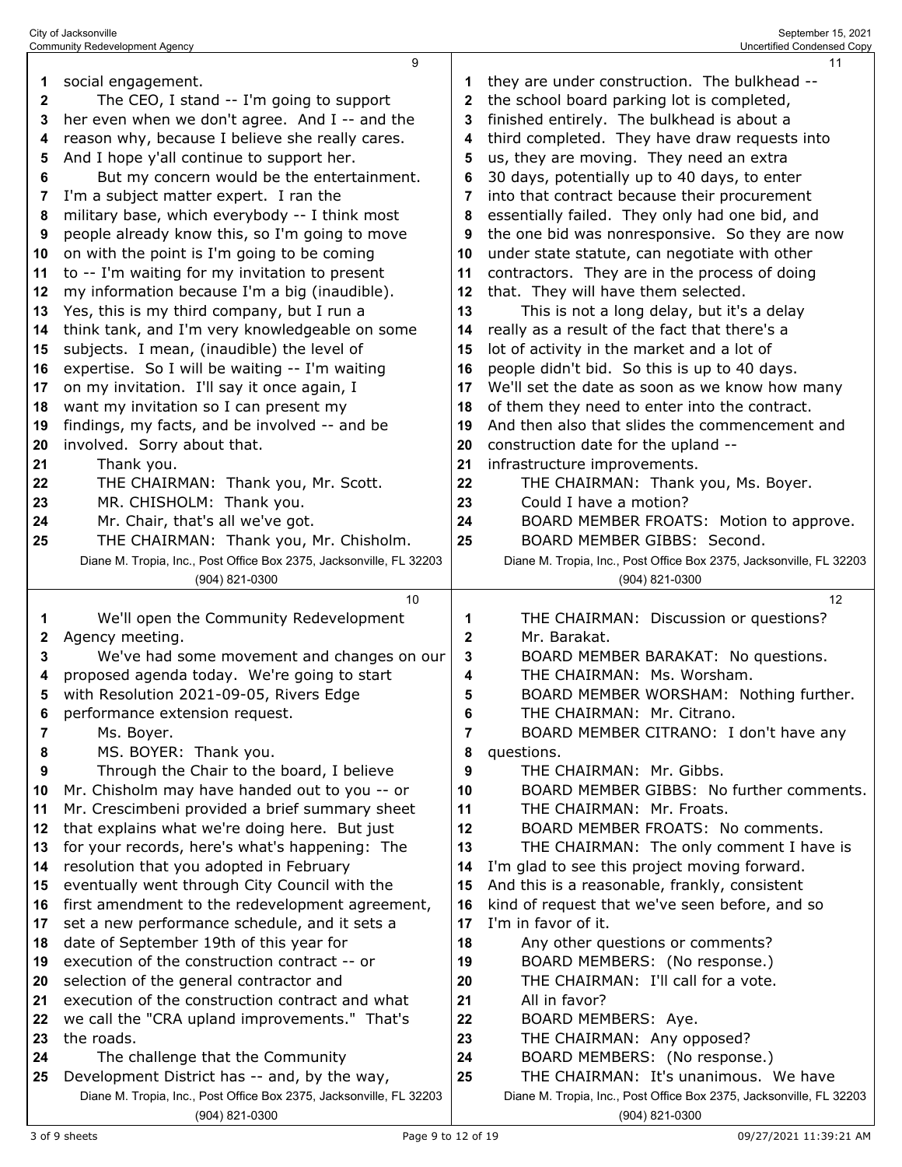|    | 9                                                                                     |              | 11                                                                                    |
|----|---------------------------------------------------------------------------------------|--------------|---------------------------------------------------------------------------------------|
| 1  | social engagement.                                                                    | 1            | they are under construction. The bulkhead --                                          |
| 2  | The CEO, I stand -- I'm going to support                                              | 2            | the school board parking lot is completed,                                            |
| 3  | her even when we don't agree. And I -- and the                                        | 3            | finished entirely. The bulkhead is about a                                            |
| 4  | reason why, because I believe she really cares.                                       | 4            | third completed. They have draw requests into                                         |
| 5  | And I hope y'all continue to support her.                                             | 5            | us, they are moving. They need an extra                                               |
| 6  | But my concern would be the entertainment.                                            | 6            | 30 days, potentially up to 40 days, to enter                                          |
| 7  | I'm a subject matter expert. I ran the                                                | 7            | into that contract because their procurement                                          |
| 8  | military base, which everybody -- I think most                                        | 8            | essentially failed. They only had one bid, and                                        |
| 9  | people already know this, so I'm going to move                                        | 9            | the one bid was nonresponsive. So they are now                                        |
| 10 | on with the point is I'm going to be coming                                           | 10           | under state statute, can negotiate with other                                         |
| 11 | to -- I'm waiting for my invitation to present                                        | 11           | contractors. They are in the process of doing                                         |
| 12 | my information because I'm a big (inaudible).                                         | 12           | that. They will have them selected.                                                   |
| 13 | Yes, this is my third company, but I run a                                            | 13           | This is not a long delay, but it's a delay                                            |
| 14 | think tank, and I'm very knowledgeable on some                                        | 14           | really as a result of the fact that there's a                                         |
| 15 | subjects. I mean, (inaudible) the level of                                            | 15           | lot of activity in the market and a lot of                                            |
| 16 | expertise. So I will be waiting -- I'm waiting                                        | 16           | people didn't bid. So this is up to 40 days.                                          |
| 17 | on my invitation. I'll say it once again, I                                           | 17           | We'll set the date as soon as we know how many                                        |
| 18 | want my invitation so I can present my                                                | 18           | of them they need to enter into the contract.                                         |
| 19 | findings, my facts, and be involved -- and be                                         | 19           | And then also that slides the commencement and                                        |
| 20 | involved. Sorry about that.                                                           | 20           | construction date for the upland --                                                   |
| 21 | Thank you.                                                                            | 21           | infrastructure improvements.                                                          |
| 22 | THE CHAIRMAN: Thank you, Mr. Scott.                                                   | 22           | THE CHAIRMAN: Thank you, Ms. Boyer.                                                   |
| 23 | MR. CHISHOLM: Thank you.                                                              | 23           | Could I have a motion?                                                                |
| 24 | Mr. Chair, that's all we've got.                                                      | 24           | BOARD MEMBER FROATS: Motion to approve.                                               |
| 25 | THE CHAIRMAN: Thank you, Mr. Chisholm.                                                | 25           | BOARD MEMBER GIBBS: Second.                                                           |
|    | Diane M. Tropia, Inc., Post Office Box 2375, Jacksonville, FL 32203                   |              | Diane M. Tropia, Inc., Post Office Box 2375, Jacksonville, FL 32203                   |
|    | (904) 821-0300                                                                        |              | (904) 821-0300                                                                        |
|    |                                                                                       |              |                                                                                       |
|    | 10                                                                                    |              | 12                                                                                    |
| 1  | We'll open the Community Redevelopment                                                | 1            | THE CHAIRMAN: Discussion or questions?                                                |
| 2  | Agency meeting.                                                                       | $\mathbf{2}$ | Mr. Barakat.                                                                          |
| 3  | We've had some movement and changes on our                                            | 3            | BOARD MEMBER BARAKAT: No questions.                                                   |
| 4  | proposed agenda today. We're going to start                                           | 4            | THE CHAIRMAN: Ms. Worsham.                                                            |
| 5  | with Resolution 2021-09-05, Rivers Edge                                               | 5            | BOARD MEMBER WORSHAM: Nothing further.                                                |
| 6  | performance extension request.                                                        | 6            | THE CHAIRMAN: Mr. Citrano.                                                            |
| 7  | Ms. Boyer.                                                                            | 7            | BOARD MEMBER CITRANO: I don't have any                                                |
| 8  | MS. BOYER: Thank you.                                                                 | 8            | questions.                                                                            |
| 9  | Through the Chair to the board, I believe                                             | 9            | THE CHAIRMAN: Mr. Gibbs.                                                              |
| 10 | Mr. Chisholm may have handed out to you -- or                                         | 10           | BOARD MEMBER GIBBS: No further comments.                                              |
| 11 | Mr. Crescimbeni provided a brief summary sheet                                        | 11           | THE CHAIRMAN: Mr. Froats.                                                             |
| 12 | that explains what we're doing here. But just                                         | 12           | BOARD MEMBER FROATS: No comments.                                                     |
| 13 | for your records, here's what's happening: The                                        | 13           | THE CHAIRMAN: The only comment I have is                                              |
| 14 | resolution that you adopted in February                                               | 14           | I'm glad to see this project moving forward.                                          |
| 15 | eventually went through City Council with the                                         | 15           | And this is a reasonable, frankly, consistent                                         |
| 16 | first amendment to the redevelopment agreement,                                       | 16           | kind of request that we've seen before, and so                                        |
| 17 | set a new performance schedule, and it sets a                                         | 17           | I'm in favor of it.                                                                   |
| 18 | date of September 19th of this year for                                               | 18           | Any other questions or comments?                                                      |
| 19 | execution of the construction contract -- or                                          | 19           | BOARD MEMBERS: (No response.)                                                         |
| 20 | selection of the general contractor and                                               | 20           | THE CHAIRMAN: I'll call for a vote.                                                   |
| 21 | execution of the construction contract and what                                       | 21           | All in favor?                                                                         |
| 22 | we call the "CRA upland improvements." That's                                         | 22           | BOARD MEMBERS: Aye.                                                                   |
| 23 | the roads.                                                                            | 23           | THE CHAIRMAN: Any opposed?                                                            |
| 24 | The challenge that the Community                                                      | 24           | BOARD MEMBERS: (No response.)                                                         |
| 25 | Development District has -- and, by the way,                                          | 25           | THE CHAIRMAN: It's unanimous. We have                                                 |
|    | Diane M. Tropia, Inc., Post Office Box 2375, Jacksonville, FL 32203<br>(904) 821-0300 |              | Diane M. Tropia, Inc., Post Office Box 2375, Jacksonville, FL 32203<br>(904) 821-0300 |

City of Jacksonville September 15, 2021 Community Redevelopment Agency Uncertified Condensed Copy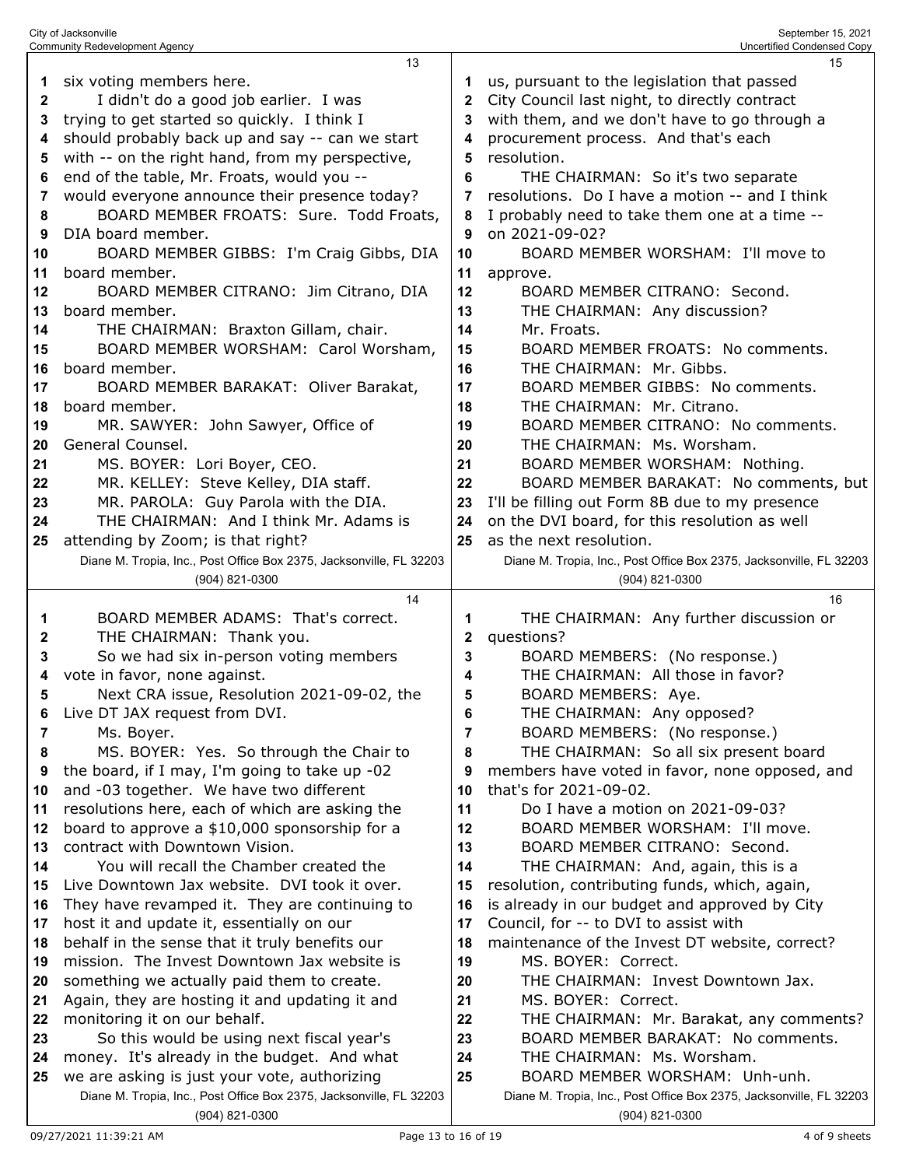|              | Community Redevelopment Agency                                                              |          | Uncertified Condensed Copy                                          |
|--------------|---------------------------------------------------------------------------------------------|----------|---------------------------------------------------------------------|
|              | 13                                                                                          |          | 15                                                                  |
| 1            | six voting members here.                                                                    | 1        | us, pursuant to the legislation that passed                         |
| $\mathbf{2}$ | I didn't do a good job earlier. I was                                                       | 2        | City Council last night, to directly contract                       |
| 3            | trying to get started so quickly. I think I                                                 | 3        | with them, and we don't have to go through a                        |
| 4            | should probably back up and say -- can we start                                             | 4        | procurement process. And that's each                                |
| 5            | with -- on the right hand, from my perspective,                                             | 5        | resolution.                                                         |
| 6            | end of the table, Mr. Froats, would you --                                                  | 6        | THE CHAIRMAN: So it's two separate                                  |
| 7            | would everyone announce their presence today?                                               |          | resolutions. Do I have a motion -- and I think                      |
| 8            | BOARD MEMBER FROATS: Sure. Todd Froats,                                                     | 8        | I probably need to take them one at a time --                       |
| 9            | DIA board member.                                                                           | 9        | on 2021-09-02?                                                      |
| 10           | BOARD MEMBER GIBBS: I'm Craig Gibbs, DIA                                                    | 10       | BOARD MEMBER WORSHAM: I'll move to                                  |
| 11           | board member.                                                                               | 11       | approve.                                                            |
| 12           | BOARD MEMBER CITRANO: Jim Citrano, DIA                                                      | 12       | BOARD MEMBER CITRANO: Second.                                       |
| 13           | board member.                                                                               | 13       | THE CHAIRMAN: Any discussion?                                       |
| 14           | THE CHAIRMAN: Braxton Gillam, chair.                                                        | 14       | Mr. Froats.                                                         |
| 15           | BOARD MEMBER WORSHAM: Carol Worsham,                                                        | 15       | BOARD MEMBER FROATS: No comments.                                   |
| 16           | board member.                                                                               | 16       | THE CHAIRMAN: Mr. Gibbs.                                            |
| 17           | BOARD MEMBER BARAKAT: Oliver Barakat,                                                       | 17       | BOARD MEMBER GIBBS: No comments.                                    |
| 18           | board member.                                                                               | 18       | THE CHAIRMAN: Mr. Citrano.                                          |
| 19           | MR. SAWYER: John Sawyer, Office of                                                          | 19       | BOARD MEMBER CITRANO: No comments.                                  |
| 20           | General Counsel.                                                                            | 20       | THE CHAIRMAN: Ms. Worsham.                                          |
| 21           | MS. BOYER: Lori Boyer, CEO.                                                                 | 21       | BOARD MEMBER WORSHAM: Nothing.                                      |
| 22           | MR. KELLEY: Steve Kelley, DIA staff.                                                        | 22       | BOARD MEMBER BARAKAT: No comments, but                              |
| 23           | MR. PAROLA: Guy Parola with the DIA.                                                        | 23       | I'll be filling out Form 8B due to my presence                      |
| 24           | THE CHAIRMAN: And I think Mr. Adams is                                                      | 24       | on the DVI board, for this resolution as well                       |
| 25           | attending by Zoom; is that right?                                                           | 25       | as the next resolution.                                             |
|              | Diane M. Tropia, Inc., Post Office Box 2375, Jacksonville, FL 32203                         |          | Diane M. Tropia, Inc., Post Office Box 2375, Jacksonville, FL 32203 |
|              | (904) 821-0300                                                                              |          | (904) 821-0300                                                      |
|              | 14                                                                                          |          | 16                                                                  |
| 1            | BOARD MEMBER ADAMS: That's correct.                                                         | 1        | THE CHAIRMAN: Any further discussion or                             |
| 2            | THE CHAIRMAN: Thank you.                                                                    | 2        | questions?                                                          |
| 3            | So we had six in-person voting members                                                      | 3        | BOARD MEMBERS: (No response.)                                       |
| 4            | vote in favor, none against.                                                                | 4        | THE CHAIRMAN: All those in favor?                                   |
| 5            | Next CRA issue, Resolution 2021-09-02, the                                                  | 5        | BOARD MEMBERS: Aye.                                                 |
| 6            | Live DT JAX request from DVI.                                                               | 6        | THE CHAIRMAN: Any opposed?                                          |
| 7            | Ms. Boyer.                                                                                  | 7        | BOARD MEMBERS: (No response.)                                       |
| 8            | MS. BOYER: Yes. So through the Chair to                                                     | 8        | THE CHAIRMAN: So all six present board                              |
| 9            | the board, if I may, I'm going to take up -02                                               | 9        | members have voted in favor, none opposed, and                      |
| 10           | and -03 together. We have two different                                                     | 10       | that's for 2021-09-02.                                              |
| 11           | resolutions here, each of which are asking the                                              | 11       | Do I have a motion on 2021-09-03?                                   |
| 12           | board to approve a \$10,000 sponsorship for a                                               | 12       | BOARD MEMBER WORSHAM: I'll move.                                    |
| 13           | contract with Downtown Vision.                                                              | 13       | BOARD MEMBER CITRANO: Second.                                       |
| 14           | You will recall the Chamber created the                                                     | 14       | THE CHAIRMAN: And, again, this is a                                 |
| 15           | Live Downtown Jax website. DVI took it over.                                                | 15       | resolution, contributing funds, which, again,                       |
| 16           | They have revamped it. They are continuing to                                               | 16       | is already in our budget and approved by City                       |
| 17           | host it and update it, essentially on our                                                   | 17       | Council, for -- to DVI to assist with                               |
| 18           | behalf in the sense that it truly benefits our                                              | 18       | maintenance of the Invest DT website, correct?                      |
| 19           | mission. The Invest Downtown Jax website is                                                 | 19       | MS. BOYER: Correct.                                                 |
|              | something we actually paid them to create.                                                  |          | THE CHAIRMAN: Invest Downtown Jax.                                  |
| 20<br>21     | Again, they are hosting it and updating it and                                              | 20<br>21 | MS. BOYER: Correct.                                                 |
|              | monitoring it on our behalf.                                                                | 22       | THE CHAIRMAN: Mr. Barakat, any comments?                            |
| 22<br>23     | So this would be using next fiscal year's                                                   | 23       | BOARD MEMBER BARAKAT: No comments.                                  |
|              |                                                                                             | 24       | THE CHAIRMAN: Ms. Worsham.                                          |
| 24<br>25     | money. It's already in the budget. And what<br>we are asking is just your vote, authorizing | 25       | BOARD MEMBER WORSHAM: Unh-unh.                                      |
|              | Diane M. Tropia, Inc., Post Office Box 2375, Jacksonville, FL 32203                         |          | Diane M. Tropia, Inc., Post Office Box 2375, Jacksonville, FL 32203 |
|              |                                                                                             |          | (904) 821-0300                                                      |
|              | (904) 821-0300                                                                              |          |                                                                     |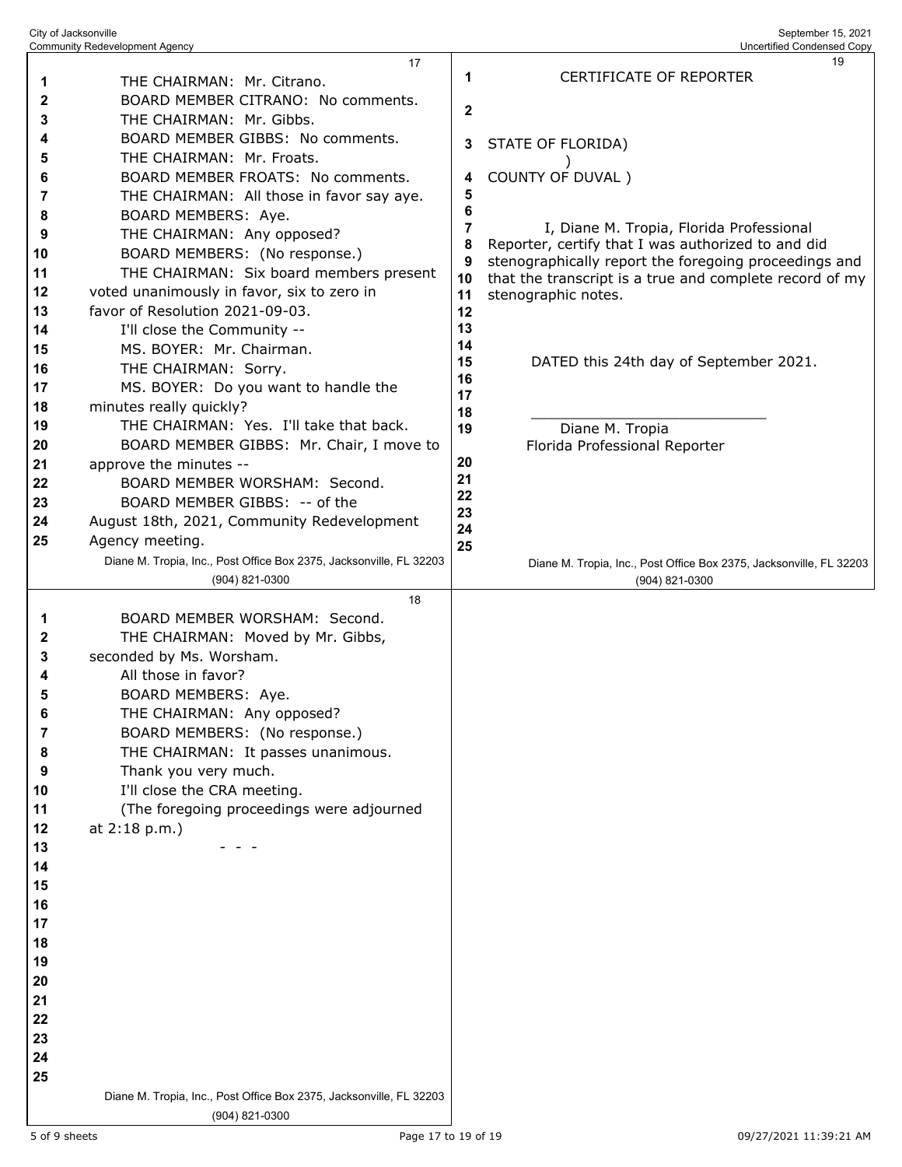|        | Community Redevelopment Agency                                                        |                | Uncertified Condensed Copy                                                                                       |
|--------|---------------------------------------------------------------------------------------|----------------|------------------------------------------------------------------------------------------------------------------|
|        | 17                                                                                    |                | 19                                                                                                               |
| 1      | THE CHAIRMAN: Mr. Citrano.                                                            | 1              | CERTIFICATE OF REPORTER                                                                                          |
| 2      | BOARD MEMBER CITRANO: No comments.                                                    | $\mathbf{2}$   |                                                                                                                  |
| 3      | THE CHAIRMAN: Mr. Gibbs.                                                              |                |                                                                                                                  |
| 4      | BOARD MEMBER GIBBS: No comments.                                                      | 3              | STATE OF FLORIDA)                                                                                                |
| 5      | THE CHAIRMAN: Mr. Froats.                                                             |                |                                                                                                                  |
| 6      | BOARD MEMBER FROATS: No comments.                                                     | 4              | COUNTY OF DUVAL)                                                                                                 |
| 7      | THE CHAIRMAN: All those in favor say aye.                                             | 5              |                                                                                                                  |
| 8      | BOARD MEMBERS: Aye.                                                                   | 6              |                                                                                                                  |
| 9      | THE CHAIRMAN: Any opposed?                                                            | $\overline{7}$ | I, Diane M. Tropia, Florida Professional                                                                         |
| 10     | BOARD MEMBERS: (No response.)                                                         | 8<br>9         | Reporter, certify that I was authorized to and did                                                               |
| 11     | THE CHAIRMAN: Six board members present                                               | 10             | stenographically report the foregoing proceedings and<br>that the transcript is a true and complete record of my |
| 12     | voted unanimously in favor, six to zero in                                            | 11             | stenographic notes.                                                                                              |
| 13     | favor of Resolution 2021-09-03.                                                       | 12             |                                                                                                                  |
| 14     | I'll close the Community --                                                           | 13             |                                                                                                                  |
| 15     | MS. BOYER: Mr. Chairman.                                                              | 14             |                                                                                                                  |
| 16     | THE CHAIRMAN: Sorry.                                                                  | 15             | DATED this 24th day of September 2021.                                                                           |
| 17     | MS. BOYER: Do you want to handle the                                                  | 16             |                                                                                                                  |
| 18     | minutes really quickly?                                                               | 17             |                                                                                                                  |
| 19     | THE CHAIRMAN: Yes. I'll take that back.                                               | 18<br>19       | Diane M. Tropia                                                                                                  |
| 20     | BOARD MEMBER GIBBS: Mr. Chair, I move to                                              |                | Florida Professional Reporter                                                                                    |
| 21     | approve the minutes --                                                                | 20             |                                                                                                                  |
| 22     | BOARD MEMBER WORSHAM: Second.                                                         | 21             |                                                                                                                  |
| 23     | BOARD MEMBER GIBBS: -- of the                                                         | 22             |                                                                                                                  |
| 24     | August 18th, 2021, Community Redevelopment                                            | 23             |                                                                                                                  |
| 25     | Agency meeting.                                                                       | 24             |                                                                                                                  |
|        |                                                                                       | 25             |                                                                                                                  |
|        | Diane M. Tropia, Inc., Post Office Box 2375, Jacksonville, FL 32203                   |                | Diane M. Tropia, Inc., Post Office Box 2375, Jacksonville, FL 32203                                              |
|        | (904) 821-0300<br>18                                                                  |                | (904) 821-0300                                                                                                   |
|        | BOARD MEMBER WORSHAM: Second.                                                         |                |                                                                                                                  |
| 1      |                                                                                       |                |                                                                                                                  |
| 2<br>3 | THE CHAIRMAN: Moved by Mr. Gibbs,<br>seconded by Ms. Worsham.                         |                |                                                                                                                  |
| 4      | All those in favor?                                                                   |                |                                                                                                                  |
|        |                                                                                       |                |                                                                                                                  |
| 5      | BOARD MEMBERS: Aye.                                                                   |                |                                                                                                                  |
| 6      | THE CHAIRMAN: Any opposed?                                                            |                |                                                                                                                  |
| 7      | BOARD MEMBERS: (No response.)                                                         |                |                                                                                                                  |
| 8      | THE CHAIRMAN: It passes unanimous.                                                    |                |                                                                                                                  |
| 9      | Thank you very much.                                                                  |                |                                                                                                                  |
| 10     | I'll close the CRA meeting.                                                           |                |                                                                                                                  |
| 11     | (The foregoing proceedings were adjourned                                             |                |                                                                                                                  |
| 12     | at 2:18 p.m.)                                                                         |                |                                                                                                                  |
| 13     |                                                                                       |                |                                                                                                                  |
| 14     |                                                                                       |                |                                                                                                                  |
| 15     |                                                                                       |                |                                                                                                                  |
| 16     |                                                                                       |                |                                                                                                                  |
| 17     |                                                                                       |                |                                                                                                                  |
| 18     |                                                                                       |                |                                                                                                                  |
| 19     |                                                                                       |                |                                                                                                                  |
| 20     |                                                                                       |                |                                                                                                                  |
| 21     |                                                                                       |                |                                                                                                                  |
| 22     |                                                                                       |                |                                                                                                                  |
| 23     |                                                                                       |                |                                                                                                                  |
| 24     |                                                                                       |                |                                                                                                                  |
| 25     |                                                                                       |                |                                                                                                                  |
|        | Diane M. Tropia, Inc., Post Office Box 2375, Jacksonville, FL 32203<br>(904) 821-0300 |                |                                                                                                                  |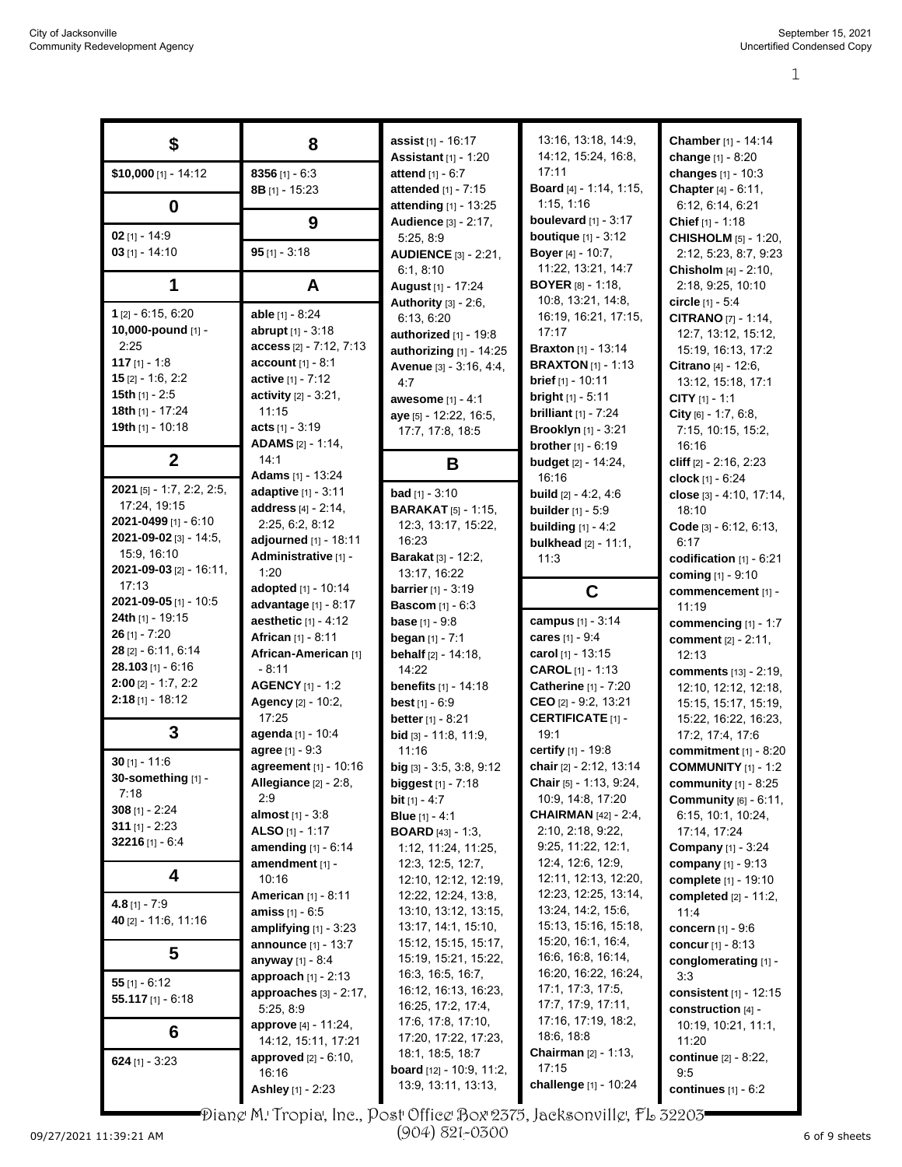|                                       |                                            | assist [1] - 16:17                | 13:16, 13:18, 14:9,                                      | Chamber [1] - 14:14             |
|---------------------------------------|--------------------------------------------|-----------------------------------|----------------------------------------------------------|---------------------------------|
| \$                                    | 8                                          | <b>Assistant</b> [1] - 1:20       | 14:12, 15:24, 16:8,                                      | change [1] - 8:20               |
| \$10,000 [1] - 14:12                  | 8356 $[1] - 6:3$                           | attend [1] - 6:7                  | 17:11                                                    | changes [1] - 10:3              |
|                                       |                                            | attended [1] - 7:15               | Board [4] - 1:14, 1:15,                                  | Chapter [4] - 6:11,             |
|                                       | $8B$ [1] - 15:23                           | attending [1] - 13:25             | 1:15, 1:16                                               |                                 |
| $\boldsymbol{0}$                      |                                            |                                   | boulevard $[1] - 3:17$                                   | 6:12, 6:14, 6:21                |
| 02 $[1] - 14:9$                       | 9                                          | Audience [3] - 2:17,              |                                                          | Chief [1] - 1:18                |
| $03$ [1] - 14:10                      | $95$ [1] - 3:18                            | 5:25, 8:9                         | <b>boutique</b> $[1] - 3:12$<br><b>Boyer</b> [4] - 10:7, | <b>CHISHOLM</b> [5] - 1:20,     |
|                                       |                                            | <b>AUDIENCE</b> [3] - 2:21,       | 11:22, 13:21, 14:7                                       | 2:12, 5:23, 8:7, 9:23           |
|                                       |                                            | 6:1, 8:10                         | <b>BOYER</b> $[8] - 1:18$                                | Chisholm [4] - 2:10,            |
| 1                                     | A                                          | August [1] - 17:24                |                                                          | 2:18, 9:25, 10:10               |
| $1$ [2] - 6:15, 6:20                  | able [1] - 8:24                            | Authority [3] - 2:6,              | 10.8, 13.21, 14.8,<br>16:19, 16:21, 17:15,               | circle $[1] - 5.4$              |
| 10,000-pound [1] -                    | <b>abrupt</b> $[1] - 3:18$                 | 6:13, 6:20                        | 17:17                                                    | <b>CITRANO [7] - 1:14,</b>      |
| 2:25                                  | access [2] - 7:12, 7:13                    | authorized [1] - 19:8             | <b>Braxton</b> [1] - 13:14                               | 12:7, 13:12, 15:12,             |
| 117 $[1] - 1.8$                       | <b>account</b> $[1] - 8:1$                 | authorizing $[1]$ - 14:25         | <b>BRAXTON</b> $[1]$ - 1:13                              | 15:19, 16:13, 17:2              |
| $15$ [2] - 1:6, 2:2                   | active [1] - 7:12                          | Avenue [3] - 3:16, 4:4,           | <b>brief</b> $[1] - 10:11$                               | Citrano [4] - 12:6,             |
| 15th $[1]$ - 2:5                      | <b>activity</b> $[2] - 3:21$ ,             | 4:7                               |                                                          | 13:12, 15:18, 17:1              |
| 18th [1] - 17:24                      | 11:15                                      | awesome [1] - 4:1                 | bright [1] - 5:11                                        | CITY $[1] - 1:1$                |
| 19th [1] - 10:18                      | <b>acts</b> $[1]$ - 3:19                   | aye [5] - 12:22, 16:5,            | <b>brilliant</b> $[1] - 7:24$                            | City $[6] - 1.7, 6.8,$          |
|                                       | <b>ADAMS</b> [2] - 1:14,                   | 17:7, 17:8, 18:5                  | <b>Brooklyn</b> [1] - 3:21                               | 7:15, 10:15, 15:2,              |
|                                       | 14:1                                       |                                   | <b>brother</b> $[1] - 6:19$                              | 16:16                           |
| $\boldsymbol{2}$                      | Adams [1] - 13:24                          | B                                 | <b>budget</b> [2] - 14:24,                               | cliff $[2] - 2.16, 2.23$        |
| 2021 [5] - 1:7, 2:2, 2:5,             |                                            |                                   | 16:16                                                    | clock $[1] - 6:24$              |
| 17:24, 19:15                          | adaptive [1] - 3:11<br>address [4] - 2:14, | <b>bad</b> [1] - $3:10$           | <b>build</b> $[2] - 4 \cdot 2, 4 \cdot 6$                | close $[3] - 4.10, 17.14,$      |
| 2021-0499 [1] - 6:10                  |                                            | <b>BARAKAT</b> [5] - 1:15,        | <b>builder</b> $[1] - 5.9$                               | 18:10                           |
| 2021-09-02 [3] - 14:5,                | 2:25, 6:2, 8:12                            | 12:3, 13:17, 15:22,               | <b>building</b> [1] - 4:2                                | Code [3] - 6:12, 6:13,          |
| 15:9, 16:10                           | adjourned [1] - 18:11                      | 16:23                             | <b>bulkhead</b> [2] - 11:1,                              | 6:17                            |
| 2021-09-03 [2] - 16:11,               | Administrative [1] -                       | <b>Barakat [3] - 12:2,</b>        | 11:3                                                     | codification $[1]$ - $6:21$     |
| 17:13                                 | 1:20                                       | 13:17, 16:22                      |                                                          | coming [1] - 9:10               |
| 2021-09-05 [1] - 10:5                 | adopted [1] - 10:14                        | <b>barrier</b> $[1] - 3:19$       | $\mathbf C$                                              | commencement [1] -              |
| <b>24th</b> $[1]$ - 19:15             | advantage [1] - 8:17                       | <b>Bascom</b> [1] - 6:3           |                                                          | 11:19                           |
| $26$ [1] - 7:20                       | <b>aesthetic</b> $[1] - 4.12$              | <b>base</b> $[1] - 9:8$           | campus [1] - 3:14                                        | commencing $[1] - 1:7$          |
|                                       | African [1] - 8:11                         | began $[1] - 7:1$                 | cares [1] - 9:4                                          | comment [2] - 2:11,             |
| 28 [2] - 6:11, 6:14                   | African-American [1]                       | <b>behalf</b> $[2] - 14:18$ ,     | carol [1] - 13:15                                        | 12:13                           |
| $28.103$ [1] - 6:16                   | $-8:11$                                    | 14:22                             | <b>CAROL</b> $[1]$ - 1:13                                | comments [13] - 2:19,           |
| $2:00$ [2] - 1:7, 2:2                 | <b>AGENCY</b> [1] - 1:2                    | <b>benefits</b> [1] - 14:18       | Catherine [1] - 7:20                                     | 12:10, 12:12, 12:18,            |
| $2:18$ [1] - 18:12                    | Agency [2] - 10:2,                         | <b>best</b> $[1] - 6:9$           | CEO [2] - 9:2, 13:21                                     | 15:15, 15:17, 15:19,            |
|                                       | 17:25                                      | <b>better</b> $[1] - 8:21$        | <b>CERTIFICATE [1] -</b>                                 | 15:22, 16:22, 16:23,            |
| 3                                     | agenda [1] - 10:4                          | $bid [3] - 11:8, 11:9,$           | 19:1                                                     | 17:2, 17:4, 17:6                |
|                                       | agree [1] - 9:3                            | 11:16                             | certify [1] - 19:8                                       | commitment [1] - 8:20           |
| $30$ [1] - 11:6<br>30-something [1] - | agreement [1] - 10:16                      | $big$ [3] - 3:5, 3:8, 9:12        | chair [2] - 2:12, 13:14                                  | <b>COMMUNITY</b> [1] - 1:2      |
| 7:18                                  | <b>Allegiance</b> [2] - 2:8,               | biggest [1] - 7:18                | Chair [5] - 1:13, 9:24,                                  | community $[1]$ - 8:25          |
| 308 $[1] - 2:24$                      | 2.9                                        | <b>bit</b> $[1] - 4:7$            | 10:9, 14:8, 17:20                                        | Community [6] - 6:11,           |
|                                       | almost [1] - 3:8                           | <b>Blue</b> $[1] - 4:1$           | <b>CHAIRMAN</b> [42] - 2:4,                              | 6:15, 10:1, 10:24,              |
| 311 [1] $- 2:23$                      | ALSO $[1] - 1:17$                          | <b>BOARD</b> [43] - 1:3,          | 2:10, 2:18, 9:22,                                        | 17:14, 17:24                    |
| 32216 $[1] - 6.4$                     | <b>amending</b> $[1] - 6:14$               | 1:12, 11:24, 11:25,               | 9.25, 11.22, 12.1,                                       | <b>Company</b> [1] - 3:24       |
|                                       | amendment [1] -                            | 12:3, 12:5, 12:7,                 | 12:4, 12:6, 12:9,                                        | company $[1] - 9:13$            |
| 4                                     | 10:16                                      | 12:10, 12:12, 12:19,              | 12:11, 12:13, 12:20,                                     | complete [1] - 19:10            |
| 4.8 $[1] - 7:9$                       | <b>American</b> [1] - 8:11                 | 12:22, 12:24, 13:8,               | 12:23, 12:25, 13:14,                                     | completed $[2] - 11:2$ ,        |
| 40 [2] - 11:6, 11:16                  | <b>amiss</b> $[1] - 6:5$                   | 13:10, 13:12, 13:15,              | 13:24, 14:2, 15:6,                                       | 11:4                            |
|                                       | amplifying $[1]$ - 3:23                    | 13:17, 14:1, 15:10,               | 15:13, 15:16, 15:18,                                     | concern [1] - 9:6               |
|                                       | <b>announce</b> [1] - 13:7                 | 15:12, 15:15, 15:17,              | 15:20, 16:1, 16:4,                                       | <b>concur</b> $[1] - 8:13$      |
| 5                                     | anyway [1] - 8:4                           | 15:19, 15:21, 15:22,              | 16.6, 16.8, 16.14,                                       | conglomerating [1] -            |
| $55$ [1] - 6:12                       | approach [1] - 2:13                        | 16:3, 16:5, 16:7,                 | 16:20, 16:22, 16:24,                                     | 3:3                             |
| 55.117 $[1] - 6:18$                   | approaches [3] - 2:17,                     | 16:12, 16:13, 16:23,              | 17:1, 17:3, 17:5,                                        | <b>consistent</b> $[1]$ - 12:15 |
|                                       | 5:25, 8:9                                  | 16:25, 17:2, 17:4,                | 17:7, 17:9, 17:11,                                       | construction [4] -              |
|                                       | <b>approve</b> [4] - 11:24,                | 17:6, 17:8, 17:10,                | 17:16, 17:19, 18:2,                                      | 10:19, 10:21, 11:1,             |
| 6                                     | 14:12, 15:11, 17:21                        | 17:20, 17:22, 17:23,              | 18:6, 18:8                                               | 11:20                           |
| 624 [1] - $3:23$                      | <b>approved</b> $[2] - 6:10$ ,             | 18:1, 18:5, 18:7                  | Chairman [2] - 1:13,                                     | continue [2] - 8:22,            |
|                                       | 16:16                                      | <b>board</b> $[12] - 10.9, 11.2,$ | 17:15                                                    | 9:5                             |
|                                       | Ashley [1] - 2:23                          | 13:9, 13:11, 13:13,               | challenge [1] - 10:24                                    | continues $[1] - 6:2$           |

Diane M. Tropia, Inc., Post Office Box 2375, Jacksonville, FL 32203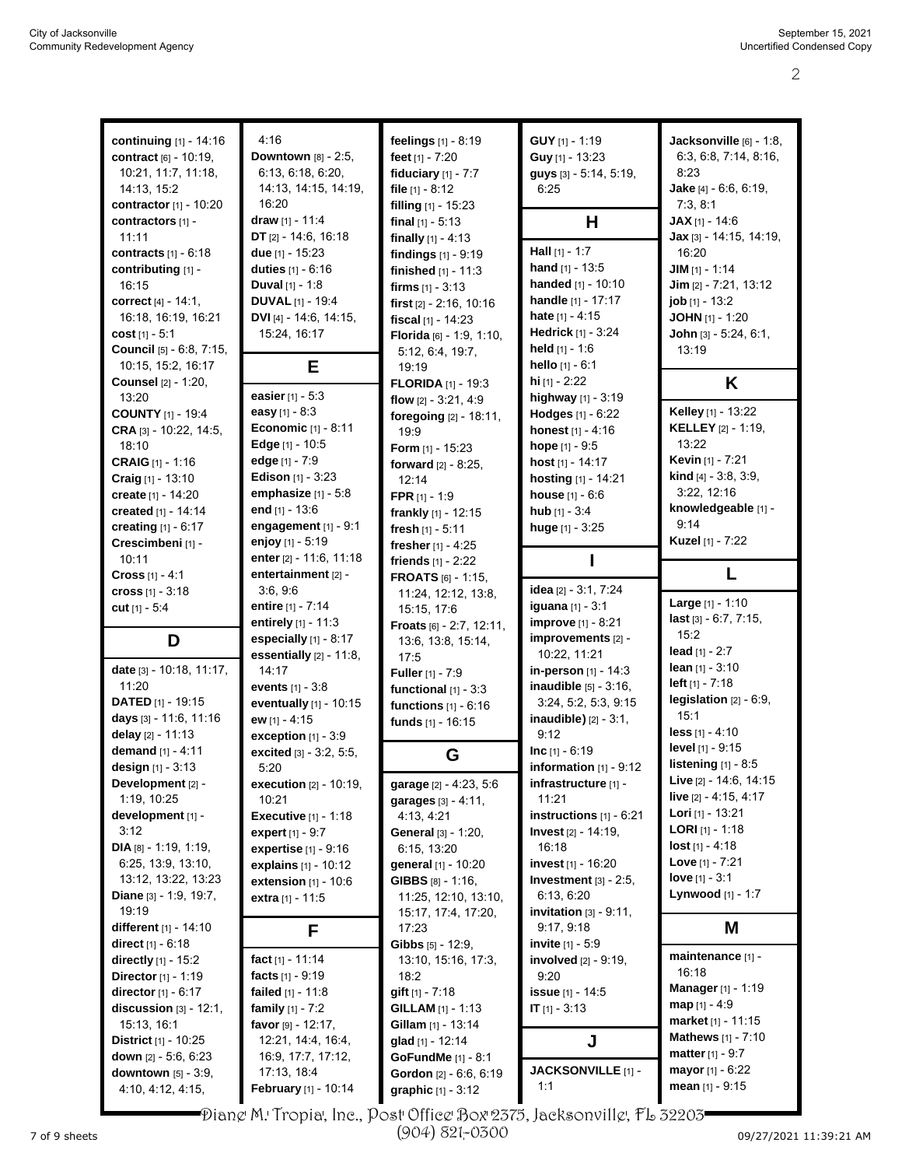| continuing [1] - 14:16          | 4:16                             | feelings [1] - 8:19                | GUY [1] - 1:19             | Jacksonville [6] - 1:8,           |
|---------------------------------|----------------------------------|------------------------------------|----------------------------|-----------------------------------|
|                                 |                                  |                                    |                            | 6:3, 6:8, 7:14, 8:16,             |
| contract [6] - 10:19,           | Downtown [8] - 2:5,              | feet [1] - 7:20                    | Guy [1] - 13:23            |                                   |
| 10:21, 11:7, 11:18,             | 6:13, 6:18, 6:20,                | fiduciary $[1]$ - $7:7$            | guys [3] - 5:14, 5:19,     | 8:23                              |
| 14:13, 15:2                     | 14:13, 14:15, 14:19,             | file $[1] - 8:12$                  | 6:25                       | <b>Jake</b> [4] $-6.6$ , $6.19$ , |
| <b>contractor</b> $[1] - 10:20$ | 16:20                            | filling [1] - 15:23                |                            | 7:3, 8:1                          |
| contractors [1] -               | draw [1] - 11:4                  | final $[1] - 5:13$                 | н                          | $JAX$ [1] - 14:6                  |
| 11:11                           | DT $[2] - 14.6, 16.18$           | finally $[1] - 4:13$               |                            | <b>Jax</b> [3] - 14:15, 14:19,    |
| contracts $[1] - 6:18$          | due $[1] - 15:23$                | findings $[1] - 9:19$              | Hall $[1] - 1:7$           | 16:20                             |
| contributing [1] -              | duties $[1] - 6:16$              | finished $[1] - 11:3$              | hand $[1] - 13:5$          | $JIM$ [1] - 1:14                  |
| 16:15                           | <b>Duval</b> $[1] - 1:8$         | firms $[1] - 3.13$                 | handed [1] - 10:10         | Jim [2] - 7:21, 13:12             |
| correct [4] - 14:1.             | <b>DUVAL</b> [1] - 19:4          | first [2] - 2:16, 10:16            | handle [1] - 17:17         | <b>job</b> [1] - 13:2             |
| 16:18, 16:19, 16:21             | DVI [4] - 14:6, 14:15,           | fiscal [1] - 14:23                 | hate $[1] - 4:15$          | <b>JOHN</b> $[1]$ - 1:20          |
| cost [1] - 5:1                  | 15:24, 16:17                     | Florida [6] - 1:9, 1:10,           | Hedrick [1] - 3:24         | John [3] - 5:24, 6:1,             |
| Council [5] - 6:8, 7:15,        |                                  | 5:12, 6:4, 19:7,                   | held $[1] - 1:6$           | 13:19                             |
| 10:15, 15:2, 16:17              | Е                                | 19:19                              | hello $[1] - 6:1$          |                                   |
| <b>Counsel</b> [2] - 1:20,      |                                  | <b>FLORIDA</b> [1] - 19:3          | hi $[1] - 2:22$            | K                                 |
| 13:20                           | easier [1] - 5:3                 | flow $[2] - 3.21, 4.9$             | highway [1] - 3:19         |                                   |
| <b>COUNTY</b> [1] - 19:4        | easy $[1] - 8:3$                 | foregoing [2] - 18:11,             | Hodges [1] - 6:22          | Kelley [1] - 13:22                |
| CRA [3] - 10:22, 14:5,          | <b>Economic</b> [1] - 8:11       | 19:9                               | honest [1] - 4:16          | <b>KELLEY</b> [2] - 1:19,         |
| 18:10                           | Edge [1] - 10:5                  | <b>Form</b> $[1]$ - 15:23          | hope $[1] - 9.5$           | 13:22                             |
| <b>CRAIG</b> [1] - 1:16         | edge [1] - 7:9                   | forward $[2] - 8:25$ ,             | host [1] - 14:17           | Kevin [1] - 7:21                  |
| Craig [1] - 13:10               | <b>Edison</b> [1] - 3:23         | 12:14                              | hosting [1] - 14:21        | <b>kind</b> $[4] - 3.8, 3.9,$     |
| create [1] - 14:20              | emphasize $[1] - 5.8$            | FPR $[1] - 1:9$                    | <b>house</b> $[1] - 6:6$   | 3:22, 12:16                       |
| created [1] - 14:14             | end [1] - 13:6                   | frankly [1] - 12:15                | hub $[1] - 3.4$            | knowledgeable [1] -               |
| creating $[1] - 6:17$           | engagement [1] - 9:1             | fresh [1] - 5:11                   | huge [1] - 3:25            | 9:14                              |
| Crescimbeni [1] -               | enjoy [1] - 5:19                 | fresher [1] - 4:25                 |                            | <b>Kuzel</b> [1] - 7:22           |
| 10:11                           | enter [2] - 11:6, 11:18          | friends $[1] - 2:22$               |                            |                                   |
| Cross [1] - 4:1                 | entertainment [2] -              | <b>FROATS</b> [6] - 1:15,          |                            | L                                 |
| cross [1] - 3:18                | 3.6, 9.6                         |                                    | idea [2] - 3:1, 7:24       |                                   |
| cut $[1] - 5.4$                 | entire [1] - 7:14                | 11:24, 12:12, 13:8,<br>15:15, 17:6 | iguana [1] - 3:1           | <b>Large</b> $[1] - 1:10$         |
|                                 |                                  |                                    |                            |                                   |
|                                 |                                  |                                    |                            |                                   |
|                                 | entirely [1] - 11:3              | Froats [6] - 2:7, 12:11,           | <b>improve</b> [1] - 8:21  | last [3] - 6:7, 7:15,<br>15:2     |
| D                               | especially [1] - 8:17            | 13.6, 13.8, 15.14,                 | improvements [2] -         |                                   |
|                                 | essentially [2] - 11:8,          | 17:5                               | 10:22, 11:21               | lead $[1] - 2:7$                  |
| date [3] - 10:18, 11:17,        | 14:17                            | <b>Fuller</b> $[1] - 7:9$          | in-person $[1]$ - 14:3     | lean $[1] - 3:10$                 |
| 11:20                           | <b>events</b> $[1] - 3:8$        | functional $[1] - 3:3$             | inaudible [5] - 3:16,      | $left [ 11 - 7:18 ]$              |
| <b>DATED</b> [1] - 19:15        | eventually [1] - 10:15           | functions $[1] - 6:16$             | 3:24, 5:2, 5:3, 9:15       | legislation $[2] - 6.9$ ,         |
| days [3] - 11:6, 11:16          | ew [1] - 4:15                    | funds [1] - 16:15                  | $inaudible$ ) [2] - 3:1,   | 15:1                              |
| delay [2] - 11:13               | exception [1] - 3:9              |                                    | 9:12                       | $less$ [1] - 4:10                 |
| demand [1] - 4:11               | excited [3] - 3:2, 5:5,          | G                                  | $Inc [1] - 6:19$           | level [1] - 9:15                  |
| design [1] - 3:13               | 5:20                             |                                    | information $[1]$ - $9:12$ | listening [1] - 8:5               |
| Development [2] -               | <b>execution</b> $[2] - 10:19$ , | garage [2] - 4:23, 5:6             | infrastructure [1] -       | Live [2] - 14:6, 14:15            |
| 1:19, 10:25                     | 10:21                            | garages [3] - 4:11,                | 11:21                      | live [2] - 4:15, 4:17             |
| development [1] -               | <b>Executive</b> [1] - 1:18      | 4:13, 4:21                         | instructions $[1] - 6:21$  | Lori [1] - 13:21                  |
| 3:12                            | expert $[1] - 9:7$               | General [3] - 1:20,                | Invest [2] - 14:19,        | <b>LORI</b> [1] - 1:18            |
| DIA $[8] - 1:19, 1:19,$         | expertise [1] - 9:16             | 6:15, 13:20                        | 16:18                      | <b>lost</b> $[1] - 4.18$          |
| 6:25, 13:9, 13:10,              | explains [1] - 10:12             | general [1] - 10:20                | invest [1] - 16:20         | <b>Love</b> [1] - $7:21$          |
| 13:12, 13:22, 13:23             | extension $[1]$ - 10:6           | <b>GIBBS</b> $[8] - 1:16$ ,        | Investment $[3] - 2:5$ ,   | love $[1] - 3:1$                  |
| <b>Diane</b> $[3] - 1.9, 19.7,$ | extra [1] - 11:5                 | 11:25, 12:10, 13:10,               | 6:13, 6:20                 | Lynwood [1] - 1:7                 |
| 19:19                           |                                  | 15:17, 17:4, 17:20,                | invitation $[3] - 9.11$ ,  |                                   |
| different $[1] - 14:10$         | F                                | 17:23                              | 9:17, 9:18                 | M                                 |
| <b>direct</b> [1] - 6:18        |                                  | <b>Gibbs</b> $[5]$ - 12:9,         | invite [1] - 5:9           |                                   |
| <b>directly</b> $[1]$ - 15:2    | fact [1] - 11:14                 | 13:10, 15:16, 17:3,                | involved [2] - 9:19,       | maintenance [1] -                 |
| <b>Director</b> [1] - 1:19      | facts $[1] - 9.19$               | 18:2                               | 9:20                       | 16:18                             |
| <b>director</b> $[1] - 6:17$    | failed $[1] - 11.8$              | <b>gift</b> $[1] - 7.18$           | issue [1] - 14:5           | Manager [1] - 1:19                |
| discussion $[3] - 12:1$ ,       | family $[1] - 7:2$               | <b>GILLAM</b> $[1] - 1:13$         | $IT$ [1] - 3:13            | <b>map</b> $[1] - 4.9$            |
| 15:13, 16:1                     | favor $[9] - 12:17$ ,            | <b>Gillam</b> $[1]$ - 13:14        |                            | market [1] - 11:15                |
| <b>District</b> $[1]$ - 10:25   | 12:21, 14:4, 16:4,               | glad [1] - 12:14                   | J                          | <b>Mathews</b> $[1] - 7:10$       |
| down $[2] - 5.6, 6.23$          | 16.9, 17.7, 17.12,               | GoFundMe [1] - 8:1                 |                            | <b>matter</b> $[1] - 9:7$         |
| downtown [5] - 3:9,             | 17:13, 18:4                      | Gordon [2] - 6:6, 6:19             | JACKSONVILLE [1] -         | <b>mayor</b> $[1] - 6:22$         |
| 4:10, 4:12, 4:15,               | <b>February</b> [1] - 10:14      | <b>graphic</b> $[1] - 3:12$        | 1:1                        | <b>mean</b> $[1]$ - 9:15          |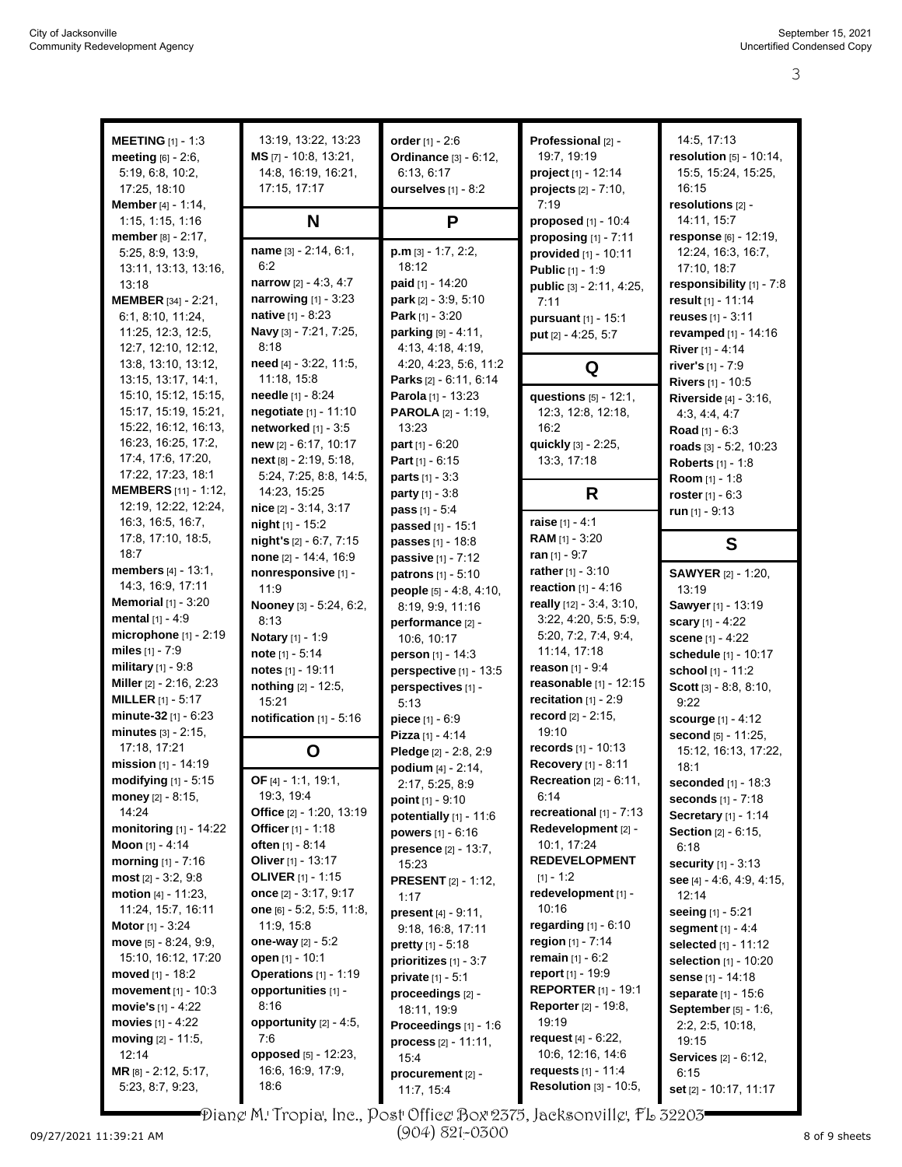| <b>MEETING</b> $[1] - 1.3$    | 13:19, 13:22, 13:23         | order $[1] - 2:6$             | Professional [2] -               | 14:5, 17:13                   |
|-------------------------------|-----------------------------|-------------------------------|----------------------------------|-------------------------------|
| <b>meeting</b> $[6] - 2:6$ ,  | MS [7] - 10:8, 13:21,       | <b>Ordinance</b> [3] - 6:12,  | 19:7, 19:19                      | resolution $[5] - 10.14$ ,    |
| 5:19, 6:8, 10:2,              | 14.8, 16.19, 16.21,         | 6:13, 6:17                    | project [1] - 12:14              | 15:5, 15:24, 15:25,           |
| 17:25, 18:10                  | 17:15, 17:17                | ourselves [1] - 8:2           | <b>projects</b> $[2] - 7:10$ ,   | 16:15                         |
| Member [4] - 1:14,            |                             |                               | 7:19                             | resolutions [2] -             |
| 1:15, 1:15, 1:16              | N                           | P                             | proposed [1] - 10:4              | 14:11, 15:7                   |
| <b>member</b> $[8] - 2:17$ ,  |                             |                               | proposing $[1]$ - $7:11$         | response [6] - 12:19,         |
| 5:25, 8:9, 13:9,              | name [3] - 2:14, 6:1,       | $p.m$ [3] - 1:7, 2:2,         | provided [1] - 10:11             | 12:24, 16:3, 16:7,            |
| 13:11, 13:13, 13:16,          | 6:2                         | 18:12                         | Public [1] - 1:9                 | 17:10, 18:7                   |
| 13:18                         | narrow $[2] - 4.3, 4.7$     | paid [1] - 14:20              |                                  | responsibility [1] - 7:8      |
| <b>MEMBER</b> [34] - 2:21,    | narrowing [1] - 3:23        | park [2] - 3:9, 5:10          | public [3] - 2:11, 4:25,         | result [1] - 11:14            |
| 6:1, 8:10, 11:24,             | native [1] - 8:23           | Park $[1] - 3:20$             | 7:11                             | reuses $[1] - 3:11$           |
| 11:25, 12:3, 12:5,            | Navy [3] - 7:21, 7:25,      | <b>parking</b> $[9] - 4:11$ , | pursuant [1] - 15:1              |                               |
|                               | 8:18                        |                               | put [2] - 4:25, 5:7              | <b>revamped</b> $[1]$ - 14:16 |
| 12:7, 12:10, 12:12,           |                             | 4:13, 4:18, 4:19,             |                                  | River [1] - 4:14              |
| 13.8, 13.10, 13.12,           | need [4] - 3:22, 11:5,      | 4:20, 4:23, 5:6, 11:2         | Q                                | river's [1] - 7:9             |
| 13:15, 13:17, 14:1,           | 11:18, 15:8                 | Parks [2] - 6:11, 6:14        |                                  | Rivers [1] - 10:5             |
| 15:10, 15:12, 15:15,          | needle [1] - 8:24           | Parola [1] - 13:23            | questions [5] - 12:1,            | <b>Riverside [4] - 3:16,</b>  |
| 15:17, 15:19, 15:21,          | negotiate [1] - 11:10       | <b>PAROLA</b> $[2] - 1:19$ ,  | 12:3, 12:8, 12:18,               | 4:3, 4:4, 4:7                 |
| 15:22, 16:12, 16:13,          | networked $[1] - 3:5$       | 13:23                         | 16:2                             | Road [1] - 6:3                |
| 16:23, 16:25, 17:2,           | new [2] - 6:17, 10:17       | <b>part</b> $[1] - 6:20$      | quickly [3] - 2:25,              | roads [3] - 5:2, 10:23        |
| 17:4, 17:6, 17:20,            | next [8] - 2:19, 5:18,      | <b>Part</b> $[1] - 6:15$      | 13:3, 17:18                      | <b>Roberts</b> [1] - 1:8      |
| 17:22, 17:23, 18:1            | 5:24, 7:25, 8:8, 14:5,      | <b>parts</b> $[1] - 3:3$      |                                  | Room [1] - 1:8                |
| <b>MEMBERS</b> [11] - 1:12,   | 14:23, 15:25                | <b>party</b> $[1] - 3:8$      | R                                | roster $[1] - 6:3$            |
| 12:19, 12:22, 12:24,          | $nice$ [2] $-3:14$ , $3:17$ | <b>pass</b> $[1] - 5.4$       |                                  | run $[1]$ - 9:13              |
| 16:3, 16:5, 16:7,             | night $[1]$ - 15:2          | passed [1] - 15:1             | raise $[1] - 4:1$                |                               |
| 17:8, 17:10, 18:5,            | night's [2] - 6:7, 7:15     | passes [1] - 18:8             | RAM [1] - 3:20                   | S                             |
| 18:7                          | none [2] - 14:4, 16:9       | passive [1] - 7:12            | ran $[1] - 9:7$                  |                               |
| members [4] - 13:1,           | nonresponsive [1] -         | patrons [1] - 5:10            | rather $[1] - 3:10$              | <b>SAWYER</b> [2] - 1:20,     |
| 14:3, 16:9, 17:11             | 11:9                        | people [5] - 4:8, 4:10,       | <b>reaction</b> $[1] - 4:16$     | 13:19                         |
| <b>Memorial</b> $[1]$ - 3:20  | Nooney [3] - 5:24, 6:2,     | 8:19, 9:9, 11:16              | really [12] - 3:4, 3:10,         | Sawyer [1] - 13:19            |
| mental $[1] - 4.9$            | 8:13                        | performance [2] -             | 3:22, 4:20, 5:5, 5:9,            | scary [1] - 4:22              |
| microphone [1] - 2:19         | <b>Notary</b> [1] - 1:9     | 10:6, 10:17                   | 5:20, 7:2, 7:4, 9:4,             | scene [1] - 4:22              |
| miles $[1] - 7:9$             | note $[1] - 5:14$           | person [1] - 14:3             | 11:14, 17:18                     | schedule [1] - 10:17          |
| <b>military</b> $[1] - 9.8$   | notes [1] - 19:11           | perspective [1] - 13:5        | <b>reason</b> $[1] - 9:4$        | school [1] - 11:2             |
| Miller [2] - 2:16, 2:23       | nothing [2] - 12:5,         | perspectives [1] -            | reasonable [1] - 12:15           | Scott [3] - 8:8, 8:10,        |
| <b>MILLER</b> $[1] - 5:17$    | 15:21                       | 5:13                          | recitation $[1] - 2.9$           | 9:22                          |
| minute-32 $[1] - 6.23$        | notification $[1]$ - 5:16   |                               | record [2] - 2:15,               |                               |
| minutes $[3] - 2:15$ ,        |                             | piece [1] - 6:9               | 19:10                            | <b>scourge</b> $[1] - 4:12$   |
| 17:18, 17:21                  |                             | Pizza [1] - 4:14              | records [1] - 10:13              | second [5] - 11:25,           |
| mission [1] - 14:19           | O                           | Pledge [2] - 2:8, 2:9         | Recovery [1] - 8:11              | 15:12, 16:13, 17:22,          |
|                               | OF [4] - 1:1, 19:1,         | podium [4] - 2:14,            |                                  | 18:1                          |
| modifying [1] - 5:15          |                             | 2:17, 5:25, 8:9               | <b>Recreation</b> $[2] - 6:11$ , | seconded [1] - 18:3           |
| money $[2] - 8:15$ ,          | 19:3, 19:4                  | point $[1] - 9:10$            | 6:14                             | seconds [1] - 7:18            |
| 14:24                         | Office [2] - 1:20, 13:19    | potentially [1] - 11:6        | recreational [1] - 7:13          | <b>Secretary</b> [1] - 1:14   |
| monitoring [1] - 14:22        | Officer [1] - 1:18          | powers $[1] - 6:16$           | Redevelopment [2] -              | <b>Section [2] - 6:15,</b>    |
| Moon [1] - 4:14               | <b>often</b> [1] - 8:14     | presence [2] - 13:7,          | 10:1, 17:24                      | 6:18                          |
| <b>morning</b> $[1] - 7:16$   | Oliver [1] - 13:17          | 15:23                         | <b>REDEVELOPMENT</b>             | <b>security</b> [1] - 3:13    |
| $most [2] - 3:2, 9:8$         | <b>OLIVER</b> [1] - 1:15    | <b>PRESENT</b> [2] - 1:12,    | $[1] - 1:2$                      | see [4] - 4:6, 4:9, 4:15,     |
| <b>motion</b> $[4] - 11:23$ , | once [2] - 3:17, 9:17       | 1:17                          | redevelopment [1] -              | 12:14                         |
| 11:24, 15:7, 16:11            | one [6] - 5:2, 5:5, 11:8,   | present [4] - 9:11,           | 10:16                            | seeing [1] - 5:21             |
| <b>Motor</b> [1] - $3:24$     | 11:9, 15:8                  | 9:18, 16:8, 17:11             | regarding $[1] - 6:10$           | segment $[1] - 4.4$           |
| move [5] - 8:24, 9:9,         | one-way $[2] - 5:2$         | <b>pretty</b> $[1] - 5:18$    | region [1] - 7:14                | selected [1] - 11:12          |
| 15:10, 16:12, 17:20           | open [1] - 10:1             | prioritizes [1] - 3:7         | <b>remain</b> $[1] - 6:2$        | selection [1] - 10:20         |
| <b>moved</b> $[1]$ - 18:2     | Operations [1] - 1:19       | <b>private</b> $[1] - 5:1$    | report [1] - 19:9                | sense [1] - 14:18             |
| <b>movement</b> $[1] - 10:3$  | opportunities [1] -         | proceedings [2] -             | <b>REPORTER</b> [1] - 19:1       | separate [1] - 15:6           |
| movie's [1] - 4:22            | 8:16                        | 18:11, 19:9                   | <b>Reporter</b> [2] - 19:8,      | <b>September</b> [5] - 1:6,   |
| movies $[1] - 4:22$           | opportunity $[2] - 4:5$ ,   | Proceedings [1] - 1:6         | 19:19                            | 2:2, 2:5, 10:18,              |
| moving $[2] - 11:5$ ,         | 7.6                         | process [2] - 11:11,          | request [4] - 6:22,              | 19:15                         |
| 12:14                         | opposed [5] - 12:23,        | 15:4                          | 10:6, 12:16, 14:6                | <b>Services</b> [2] - 6:12,   |
| MR [8] - 2:12, 5:17,          | 16.6, 16.9, 17:9,           | procurement [2] -             | requests [1] - 11:4              | 6:15                          |
| 5:23, 8:7, 9:23,              | 18:6                        | 11:7, 15:4                    | Resolution [3] - 10:5,           | set [2] - 10:17, 11:17        |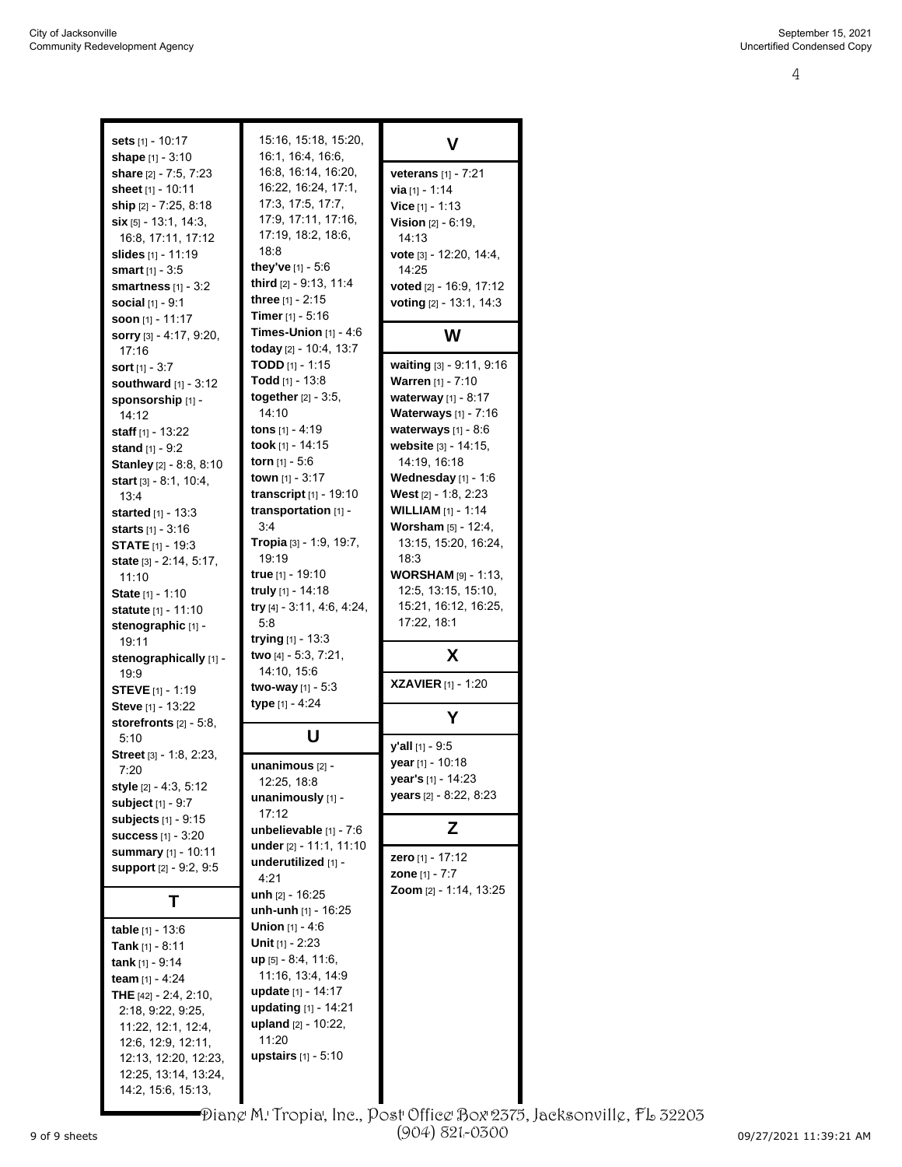| <b>sets</b> [1] - 10:17                    | 15:16, 15:18, 15:20,           |                                |
|--------------------------------------------|--------------------------------|--------------------------------|
|                                            |                                | v                              |
| <b>shape</b> $[1] - 3:10$                  | 16:1, 16:4, 16:6,              |                                |
| <b>share</b> [2] - 7:5, 7:23               | 16:8, 16:14, 16:20,            | <b>veterans</b> $[1]$ - 7:21   |
| <b>sheet</b> [1] - 10:11                   | 16:22, 16:24, 17:1,            | <b>via</b> [1] - 1:14          |
| <b>ship</b> [2] - 7:25, 8:18               | 17:3, 17:5, 17:7,              | Vice $[1] - 1:13$              |
| $\sin$ [5] - 13:1, 14:3,                   | 17:9, 17:11, 17:16,            | <b>Vision</b> $[2] - 6:19$ ,   |
| 16:8, 17:11, 17:12                         | 17:19, 18:2, 18:6,             | 14:13                          |
| <b>slides</b> [1] - 11:19                  | 18:8                           | vote $[3] - 12:20, 14:4,$      |
|                                            | they've [1] - 5:6              |                                |
| <b>smart</b> [1] - 3:5                     |                                | 14:25                          |
| smartness $[1] - 3:2$                      | third [2] - 9:13, 11:4         | voted [2] - 16:9, 17:12        |
| <b>social</b> $[1]$ - $9:1$                | three $[1] - 2:15$             | voting [2] - 13:1, 14:3        |
| <b>soon</b> [1] - 11:17                    | <b>Timer</b> $[1]$ - 5:16      |                                |
| sorry [3] - 4:17, 9:20,                    | <b>Times-Union</b> $[1]$ - 4:6 | W                              |
| 17:16                                      | today [2] - 10:4, 13:7         |                                |
| <b>sort</b> $[1]$ - 3:7                    | <b>TODD</b> [1] - 1:15         | waiting $[3] - 9.11$ , 9.16    |
|                                            | <b>Todd</b> [1] - 13:8         | Warren [1] - 7:10              |
| southward $[1]$ - 3:12                     |                                |                                |
| sponsorship [1] -                          | <b>together</b> $[2] - 3.5$ ,  | waterway [1] - 8:17            |
| 14:12                                      | 14:10                          | Waterways [1] - 7:16           |
| <b>staff</b> $[1]$ - 13:22                 | tons [1] - 4:19                | waterways $[1]$ - $8:6$        |
| <b>stand</b> $[1]$ - 9:2                   | took [1] - 14:15               | website $[3] - 14:15$ ,        |
| <b>Stanley</b> [2] - 8:8, 8:10             | torn [1] - 5:6                 | 14:19, 16:18                   |
| <b>start</b> $[3] - 8.1, 10.4,$            | town [1] - 3:17                | Wednesday $[1] - 1:6$          |
|                                            | transcript $[1]$ - 19:10       | <b>West</b> $[2] - 1.8$ , 2:23 |
| 13:4                                       |                                |                                |
| <b>started</b> [1] - 13:3                  | transportation [1] -           | <b>WILLIAM</b> $[1] - 1:14$    |
| <b>starts</b> [1] - 3:16                   | 3:4                            | <b>Worsham</b> $[5] - 12:4$ ,  |
| <b>STATE</b> $[1]$ - 19:3                  | Tropia [3] - 1:9, 19:7,        | 13:15, 15:20, 16:24,           |
| <b>state</b> $[3] - 2:14, 5:17,$           | 19:19                          | 18:3                           |
| 11:10                                      | <b>true</b> [1] - 19:10        | <b>WORSHAM</b> $[9] - 1:13$    |
| <b>State</b> [1] - 1:10                    | truly $[1]$ - 14:18            | 12:5, 13:15, 15:10,            |
|                                            | try $[4] - 3.11, 4.6, 4.24,$   | 15:21, 16:12, 16:25,           |
| <b>statute</b> [1] - 11:10                 | 5:8                            | 17:22, 18:1                    |
| stenographic [1] -                         |                                |                                |
| 19:11                                      | trying $[1] - 13.3$            |                                |
| stenographically [1] -                     | two [4] - 5:3, 7:21,           | X                              |
| 19.9                                       | 14:10, 15:6                    |                                |
| <b>STEVE</b> [1] - 1:19                    | <b>two-way</b> [1] - 5:3       | <b>XZAVIER</b> [1] - 1:20      |
| Steve [1] - 13:22                          | <b>type</b> [1] - 4:24         |                                |
| storefronts $[2] - 5.8$ ,                  |                                | Υ                              |
|                                            | U                              |                                |
| 5:10                                       |                                | $y'$ all $[1] - 9.5$           |
| <b>Street</b> $[3]$ - 1:8, 2:23,           | unanimous [2] -                | year [1] - 10:18               |
| 7:20                                       |                                | year's [1] - 14:23             |
| style [2] - 4:3, 5:12                      | 12:25, 18:8                    |                                |
| subject [1] - 9:7                          | unanimously [1] -              | years [2] - 8:22, 8:23         |
| subjects [1] - 9:15                        | 17:12                          |                                |
| <b>success</b> $[1] - 3:20$                | unbelievable $[1]$ - 7:6       | z                              |
|                                            | under [2] - 11:1, 11:10        |                                |
| summary [1] - 10:11                        | underutilized [1] -            | zero [1] - 17:12               |
| <b>support</b> [2] - 9:2, 9:5              |                                |                                |
|                                            |                                | <b>zone</b> $[1] - 7:7$        |
|                                            | 4:21                           |                                |
| т                                          | unh $[2] - 16:25$              | Zoom [2] - 1:14, 13:25         |
|                                            | unh-unh $[1]$ - 16:25          |                                |
| table $[1] - 13.6$                         | <b>Union</b> $[1] - 4:6$       |                                |
|                                            | <b>Unit</b> [1] - 2:23         |                                |
| <b>Tank</b> [1] - 8:11                     |                                |                                |
| tank $[1] - 9.14$                          | up [5] - 8:4, 11:6,            |                                |
| team $[1] - 4:24$                          | 11:16, 13:4, 14:9              |                                |
| <b>THE</b> $[42] - 2.4, 2.10,$             | update [1] - 14:17             |                                |
| 2:18, 9:22, 9:25,                          | updating [1] - 14:21           |                                |
| 11:22, 12:1, 12:4,                         | <b>upland</b> $[2] - 10:22$ ,  |                                |
| 12:6, 12:9, 12:11,                         | 11:20                          |                                |
|                                            | <b>upstairs</b> $[1] - 5:10$   |                                |
| 12:13, 12:20, 12:23,                       |                                |                                |
| 12:25, 13:14, 13:24,<br>14:2, 15:6, 15:13, |                                |                                |

9 of 9 sheets Page 4 to 4 of 4 09/27/2021 11:39:21 AM Diane M. Tropia, Inc., Post Office Box 2375, Jacksonville, FL 32203 (904) 821-0300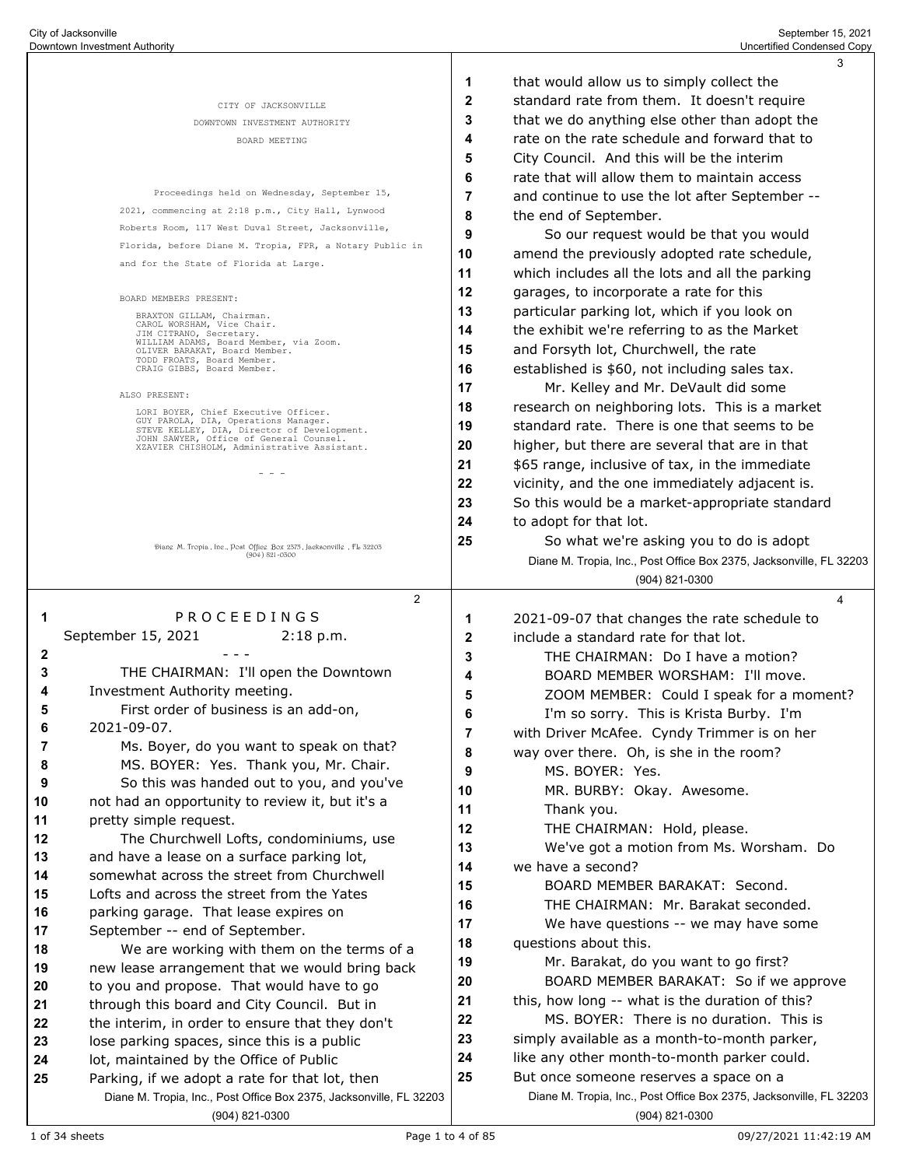|                                              |                                                                                                                                |              | 3                                                                                      |
|----------------------------------------------|--------------------------------------------------------------------------------------------------------------------------------|--------------|----------------------------------------------------------------------------------------|
|                                              |                                                                                                                                | 1            | that would allow us to simply collect the                                              |
|                                              | CITY OF JACKSONVILLE                                                                                                           | 2            | standard rate from them. It doesn't require                                            |
|                                              | DOWNTOWN INVESTMENT AUTHORITY                                                                                                  | 3            | that we do anything else other than adopt the                                          |
|                                              | BOARD MEETING                                                                                                                  | 4            | rate on the rate schedule and forward that to                                          |
|                                              |                                                                                                                                | 5            | City Council. And this will be the interim                                             |
|                                              |                                                                                                                                | 6            | rate that will allow them to maintain access                                           |
|                                              | Proceedings held on Wednesday, September 15,                                                                                   | 7            | and continue to use the lot after September --                                         |
|                                              | 2021, commencing at 2:18 p.m., City Hall, Lynwood                                                                              | 8            | the end of September.                                                                  |
|                                              | Roberts Room, 117 West Duval Street, Jacksonville,                                                                             | 9            | So our request would be that you would                                                 |
|                                              | Florida, before Diane M. Tropia, FPR, a Notary Public in                                                                       | 10           |                                                                                        |
|                                              | and for the State of Florida at Large.                                                                                         |              | amend the previously adopted rate schedule,                                            |
|                                              |                                                                                                                                | 11           | which includes all the lots and all the parking                                        |
|                                              | BOARD MEMBERS PRESENT:                                                                                                         | 12           | garages, to incorporate a rate for this                                                |
|                                              | BRAXTON GILLAM, Chairman.<br>CAROL WORSHAM, Vice Chair.                                                                        | 13           | particular parking lot, which if you look on                                           |
|                                              | JIM CITRANO, Secretary.<br>WILLIAM ADAMS, Board Member, via Zoom.                                                              | 14           | the exhibit we're referring to as the Market                                           |
|                                              | OLIVER BARAKAT, Board Member.<br>TODD FROATS, Board Member.                                                                    | 15           | and Forsyth lot, Churchwell, the rate                                                  |
|                                              | CRAIG GIBBS, Board Member.                                                                                                     | 16           | established is \$60, not including sales tax.                                          |
|                                              | ALSO PRESENT:                                                                                                                  | 17           | Mr. Kelley and Mr. DeVault did some                                                    |
|                                              | LORI BOYER, Chief Executive Officer.                                                                                           | 18           | research on neighboring lots. This is a market                                         |
|                                              | GUY PAROLA, DIA, Operations Manager.<br>STEVE KELLEY, DIA, Director of Development.<br>JOHN SAWYER, Office of General Counsel. | 19           | standard rate. There is one that seems to be                                           |
|                                              | XZAVIER CHISHOLM, Administrative Assistant.                                                                                    | 20           | higher, but there are several that are in that                                         |
|                                              | $  -$                                                                                                                          | 21           | \$65 range, inclusive of tax, in the immediate                                         |
|                                              |                                                                                                                                | 22           | vicinity, and the one immediately adjacent is.                                         |
|                                              |                                                                                                                                | 23           | So this would be a market-appropriate standard                                         |
|                                              |                                                                                                                                | 24           | to adopt for that lot.                                                                 |
|                                              | Diang M. Tropia, Ine., Post Offieg Box 2575, Jacksonvillg, FL 52205                                                            | 25           | So what we're asking you to do is adopt                                                |
|                                              | $(904) 821 - 0300$                                                                                                             |              | Diane M. Tropia, Inc., Post Office Box 2375, Jacksonville, FL 32203                    |
|                                              |                                                                                                                                |              | $(904)$ 821-0300                                                                       |
|                                              | $\overline{2}$                                                                                                                 |              | 4                                                                                      |
| -1                                           | PROCEEDINGS                                                                                                                    | 1            | 2021-09-07 that changes the rate schedule to                                           |
|                                              | September 15, 2021<br>$2:18$ p.m.                                                                                              | $\mathbf{2}$ | include a standard rate for that lot.                                                  |
| 2                                            |                                                                                                                                | 3            | THE CHAIRMAN: Do I have a motion?                                                      |
| 3                                            | THE CHAIRMAN: I'll open the Downtown                                                                                           | 4            | BOARD MEMBER WORSHAM: I'll move.                                                       |
| 4                                            | Investment Authority meeting.                                                                                                  | 5            | ZOOM MEMBER: Could I speak for a moment?                                               |
| 5                                            | First order of business is an add-on,                                                                                          | 6            | I'm so sorry. This is Krista Burby. I'm                                                |
| 6                                            |                                                                                                                                |              |                                                                                        |
|                                              | 2021-09-07.                                                                                                                    | 7            |                                                                                        |
| 7                                            | Ms. Boyer, do you want to speak on that?                                                                                       | 8            | with Driver McAfee. Cyndy Trimmer is on her<br>way over there. Oh, is she in the room? |
| 8                                            | MS. BOYER: Yes. Thank you, Mr. Chair.                                                                                          | 9            | MS. BOYER: Yes.                                                                        |
| 9                                            | So this was handed out to you, and you've                                                                                      | 10           |                                                                                        |
| 10                                           | not had an opportunity to review it, but it's a                                                                                | 11           | MR. BURBY: Okay. Awesome.<br>Thank you.                                                |
| 11                                           | pretty simple request.                                                                                                         |              |                                                                                        |
| 12                                           | The Churchwell Lofts, condominiums, use                                                                                        | 12           | THE CHAIRMAN: Hold, please.                                                            |
| 13                                           | and have a lease on a surface parking lot,                                                                                     | 13           | We've got a motion from Ms. Worsham. Do                                                |
|                                              | somewhat across the street from Churchwell                                                                                     | 14           | we have a second?                                                                      |
|                                              | Lofts and across the street from the Yates                                                                                     | 15           | BOARD MEMBER BARAKAT: Second.<br>THE CHAIRMAN: Mr. Barakat seconded.                   |
|                                              | parking garage. That lease expires on                                                                                          | 16           |                                                                                        |
| 14<br>15<br>16<br>17                         | September -- end of September.                                                                                                 | 17           | We have questions -- we may have some                                                  |
|                                              | We are working with them on the terms of a                                                                                     | 18           | questions about this.                                                                  |
|                                              | new lease arrangement that we would bring back                                                                                 | 19           | Mr. Barakat, do you want to go first?                                                  |
|                                              | to you and propose. That would have to go                                                                                      | 20           | BOARD MEMBER BARAKAT: So if we approve                                                 |
|                                              | through this board and City Council. But in                                                                                    | 21           | this, how long -- what is the duration of this?                                        |
|                                              | the interim, in order to ensure that they don't                                                                                | 22           | MS. BOYER: There is no duration. This is                                               |
|                                              | lose parking spaces, since this is a public                                                                                    | 23           | simply available as a month-to-month parker,                                           |
|                                              | lot, maintained by the Office of Public                                                                                        | 24           | like any other month-to-month parker could.                                            |
| 18<br>19<br>20<br>21<br>22<br>23<br>24<br>25 | Parking, if we adopt a rate for that lot, then                                                                                 | 25           | But once someone reserves a space on a                                                 |
|                                              | Diane M. Tropia, Inc., Post Office Box 2375, Jacksonville, FL 32203<br>(904) 821-0300                                          |              | Diane M. Tropia, Inc., Post Office Box 2375, Jacksonville, FL 32203<br>(904) 821-0300  |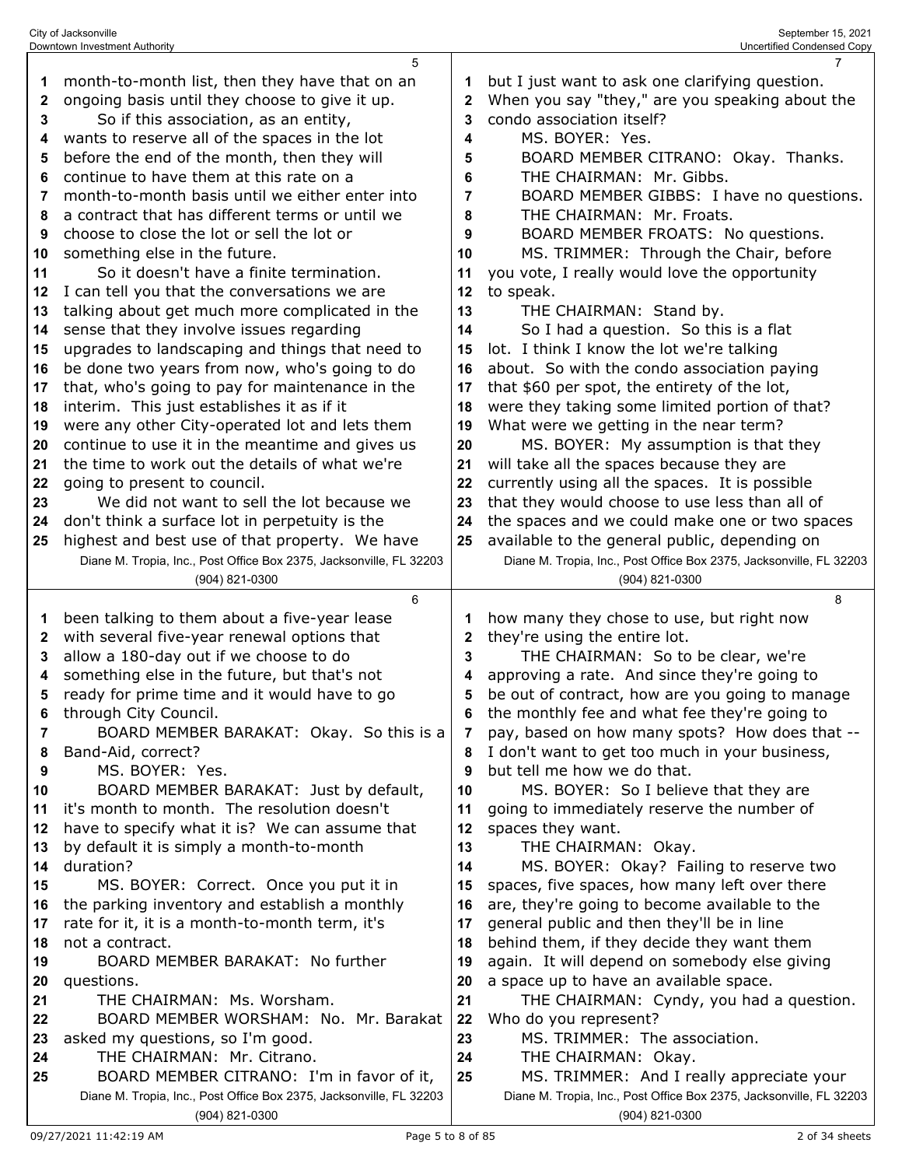| 5                                                                                                                        |                                                                                                                                                                                                                                                                                                                                                                                                                                                                                                                                                                                                                                                                                                                                                                                                                                                                                                                                                                      | $\overline{7}$                                                                         |
|--------------------------------------------------------------------------------------------------------------------------|----------------------------------------------------------------------------------------------------------------------------------------------------------------------------------------------------------------------------------------------------------------------------------------------------------------------------------------------------------------------------------------------------------------------------------------------------------------------------------------------------------------------------------------------------------------------------------------------------------------------------------------------------------------------------------------------------------------------------------------------------------------------------------------------------------------------------------------------------------------------------------------------------------------------------------------------------------------------|----------------------------------------------------------------------------------------|
| month-to-month list, then they have that on an                                                                           | 1                                                                                                                                                                                                                                                                                                                                                                                                                                                                                                                                                                                                                                                                                                                                                                                                                                                                                                                                                                    | but I just want to ask one clarifying question.                                        |
| ongoing basis until they choose to give it up.                                                                           | $\mathbf{2}$                                                                                                                                                                                                                                                                                                                                                                                                                                                                                                                                                                                                                                                                                                                                                                                                                                                                                                                                                         | When you say "they," are you speaking about the                                        |
| So if this association, as an entity,                                                                                    | 3                                                                                                                                                                                                                                                                                                                                                                                                                                                                                                                                                                                                                                                                                                                                                                                                                                                                                                                                                                    | condo association itself?                                                              |
| wants to reserve all of the spaces in the lot                                                                            | 4                                                                                                                                                                                                                                                                                                                                                                                                                                                                                                                                                                                                                                                                                                                                                                                                                                                                                                                                                                    | MS. BOYER: Yes.                                                                        |
| before the end of the month, then they will                                                                              | 5                                                                                                                                                                                                                                                                                                                                                                                                                                                                                                                                                                                                                                                                                                                                                                                                                                                                                                                                                                    | BOARD MEMBER CITRANO: Okay. Thanks.                                                    |
| continue to have them at this rate on a                                                                                  | 6                                                                                                                                                                                                                                                                                                                                                                                                                                                                                                                                                                                                                                                                                                                                                                                                                                                                                                                                                                    | THE CHAIRMAN: Mr. Gibbs.                                                               |
| month-to-month basis until we either enter into                                                                          | 7                                                                                                                                                                                                                                                                                                                                                                                                                                                                                                                                                                                                                                                                                                                                                                                                                                                                                                                                                                    | BOARD MEMBER GIBBS: I have no questions.                                               |
|                                                                                                                          | 8                                                                                                                                                                                                                                                                                                                                                                                                                                                                                                                                                                                                                                                                                                                                                                                                                                                                                                                                                                    | THE CHAIRMAN: Mr. Froats.                                                              |
|                                                                                                                          | 9                                                                                                                                                                                                                                                                                                                                                                                                                                                                                                                                                                                                                                                                                                                                                                                                                                                                                                                                                                    | BOARD MEMBER FROATS: No questions.                                                     |
|                                                                                                                          | 10                                                                                                                                                                                                                                                                                                                                                                                                                                                                                                                                                                                                                                                                                                                                                                                                                                                                                                                                                                   | MS. TRIMMER: Through the Chair, before                                                 |
|                                                                                                                          |                                                                                                                                                                                                                                                                                                                                                                                                                                                                                                                                                                                                                                                                                                                                                                                                                                                                                                                                                                      | you vote, I really would love the opportunity                                          |
|                                                                                                                          |                                                                                                                                                                                                                                                                                                                                                                                                                                                                                                                                                                                                                                                                                                                                                                                                                                                                                                                                                                      | to speak.                                                                              |
|                                                                                                                          |                                                                                                                                                                                                                                                                                                                                                                                                                                                                                                                                                                                                                                                                                                                                                                                                                                                                                                                                                                      | THE CHAIRMAN: Stand by.                                                                |
|                                                                                                                          |                                                                                                                                                                                                                                                                                                                                                                                                                                                                                                                                                                                                                                                                                                                                                                                                                                                                                                                                                                      | So I had a question. So this is a flat                                                 |
|                                                                                                                          |                                                                                                                                                                                                                                                                                                                                                                                                                                                                                                                                                                                                                                                                                                                                                                                                                                                                                                                                                                      | lot. I think I know the lot we're talking                                              |
|                                                                                                                          |                                                                                                                                                                                                                                                                                                                                                                                                                                                                                                                                                                                                                                                                                                                                                                                                                                                                                                                                                                      | about. So with the condo association paying                                            |
|                                                                                                                          |                                                                                                                                                                                                                                                                                                                                                                                                                                                                                                                                                                                                                                                                                                                                                                                                                                                                                                                                                                      | that \$60 per spot, the entirety of the lot,                                           |
|                                                                                                                          |                                                                                                                                                                                                                                                                                                                                                                                                                                                                                                                                                                                                                                                                                                                                                                                                                                                                                                                                                                      | were they taking some limited portion of that?                                         |
|                                                                                                                          |                                                                                                                                                                                                                                                                                                                                                                                                                                                                                                                                                                                                                                                                                                                                                                                                                                                                                                                                                                      | What were we getting in the near term?                                                 |
|                                                                                                                          |                                                                                                                                                                                                                                                                                                                                                                                                                                                                                                                                                                                                                                                                                                                                                                                                                                                                                                                                                                      | MS. BOYER: My assumption is that they                                                  |
|                                                                                                                          |                                                                                                                                                                                                                                                                                                                                                                                                                                                                                                                                                                                                                                                                                                                                                                                                                                                                                                                                                                      | will take all the spaces because they are                                              |
|                                                                                                                          |                                                                                                                                                                                                                                                                                                                                                                                                                                                                                                                                                                                                                                                                                                                                                                                                                                                                                                                                                                      | currently using all the spaces. It is possible                                         |
|                                                                                                                          |                                                                                                                                                                                                                                                                                                                                                                                                                                                                                                                                                                                                                                                                                                                                                                                                                                                                                                                                                                      | that they would choose to use less than all of                                         |
|                                                                                                                          |                                                                                                                                                                                                                                                                                                                                                                                                                                                                                                                                                                                                                                                                                                                                                                                                                                                                                                                                                                      | the spaces and we could make one or two spaces                                         |
|                                                                                                                          |                                                                                                                                                                                                                                                                                                                                                                                                                                                                                                                                                                                                                                                                                                                                                                                                                                                                                                                                                                      | available to the general public, depending on                                          |
|                                                                                                                          |                                                                                                                                                                                                                                                                                                                                                                                                                                                                                                                                                                                                                                                                                                                                                                                                                                                                                                                                                                      | Diane M. Tropia, Inc., Post Office Box 2375, Jacksonville, FL 32203                    |
|                                                                                                                          |                                                                                                                                                                                                                                                                                                                                                                                                                                                                                                                                                                                                                                                                                                                                                                                                                                                                                                                                                                      | (904) 821-0300                                                                         |
|                                                                                                                          |                                                                                                                                                                                                                                                                                                                                                                                                                                                                                                                                                                                                                                                                                                                                                                                                                                                                                                                                                                      |                                                                                        |
| (904) 821-0300<br>6                                                                                                      |                                                                                                                                                                                                                                                                                                                                                                                                                                                                                                                                                                                                                                                                                                                                                                                                                                                                                                                                                                      | 8                                                                                      |
|                                                                                                                          | 1                                                                                                                                                                                                                                                                                                                                                                                                                                                                                                                                                                                                                                                                                                                                                                                                                                                                                                                                                                    |                                                                                        |
| been talking to them about a five-year lease                                                                             | $\mathbf{2}$                                                                                                                                                                                                                                                                                                                                                                                                                                                                                                                                                                                                                                                                                                                                                                                                                                                                                                                                                         | how many they chose to use, but right now                                              |
| with several five-year renewal options that                                                                              | 3                                                                                                                                                                                                                                                                                                                                                                                                                                                                                                                                                                                                                                                                                                                                                                                                                                                                                                                                                                    | they're using the entire lot.                                                          |
| allow a 180-day out if we choose to do                                                                                   | 4                                                                                                                                                                                                                                                                                                                                                                                                                                                                                                                                                                                                                                                                                                                                                                                                                                                                                                                                                                    | THE CHAIRMAN: So to be clear, we're<br>approving a rate. And since they're going to    |
| something else in the future, but that's not                                                                             | 5                                                                                                                                                                                                                                                                                                                                                                                                                                                                                                                                                                                                                                                                                                                                                                                                                                                                                                                                                                    |                                                                                        |
| ready for prime time and it would have to go                                                                             | 6                                                                                                                                                                                                                                                                                                                                                                                                                                                                                                                                                                                                                                                                                                                                                                                                                                                                                                                                                                    | be out of contract, how are you going to manage                                        |
| through City Council.<br>$\overline{7}$                                                                                  | 7                                                                                                                                                                                                                                                                                                                                                                                                                                                                                                                                                                                                                                                                                                                                                                                                                                                                                                                                                                    | the monthly fee and what fee they're going to                                          |
| BOARD MEMBER BARAKAT: Okay. So this is a                                                                                 | 8                                                                                                                                                                                                                                                                                                                                                                                                                                                                                                                                                                                                                                                                                                                                                                                                                                                                                                                                                                    | pay, based on how many spots? How does that --                                         |
| Band-Aid, correct?<br>MS. BOYER: Yes.                                                                                    | 9                                                                                                                                                                                                                                                                                                                                                                                                                                                                                                                                                                                                                                                                                                                                                                                                                                                                                                                                                                    | I don't want to get too much in your business,<br>but tell me how we do that.          |
| BOARD MEMBER BARAKAT: Just by default,                                                                                   | 10                                                                                                                                                                                                                                                                                                                                                                                                                                                                                                                                                                                                                                                                                                                                                                                                                                                                                                                                                                   | MS. BOYER: So I believe that they are                                                  |
| it's month to month. The resolution doesn't                                                                              | 11                                                                                                                                                                                                                                                                                                                                                                                                                                                                                                                                                                                                                                                                                                                                                                                                                                                                                                                                                                   | going to immediately reserve the number of                                             |
| have to specify what it is? We can assume that                                                                           | 12                                                                                                                                                                                                                                                                                                                                                                                                                                                                                                                                                                                                                                                                                                                                                                                                                                                                                                                                                                   | spaces they want.                                                                      |
| by default it is simply a month-to-month                                                                                 | 13                                                                                                                                                                                                                                                                                                                                                                                                                                                                                                                                                                                                                                                                                                                                                                                                                                                                                                                                                                   | THE CHAIRMAN: Okay.                                                                    |
| duration?                                                                                                                | 14                                                                                                                                                                                                                                                                                                                                                                                                                                                                                                                                                                                                                                                                                                                                                                                                                                                                                                                                                                   | MS. BOYER: Okay? Failing to reserve two                                                |
| MS. BOYER: Correct. Once you put it in<br>15                                                                             | 15                                                                                                                                                                                                                                                                                                                                                                                                                                                                                                                                                                                                                                                                                                                                                                                                                                                                                                                                                                   | spaces, five spaces, how many left over there                                          |
| the parking inventory and establish a monthly<br>16                                                                      | 16                                                                                                                                                                                                                                                                                                                                                                                                                                                                                                                                                                                                                                                                                                                                                                                                                                                                                                                                                                   | are, they're going to become available to the                                          |
| rate for it, it is a month-to-month term, it's                                                                           | 17                                                                                                                                                                                                                                                                                                                                                                                                                                                                                                                                                                                                                                                                                                                                                                                                                                                                                                                                                                   | general public and then they'll be in line                                             |
| not a contract.                                                                                                          | 18                                                                                                                                                                                                                                                                                                                                                                                                                                                                                                                                                                                                                                                                                                                                                                                                                                                                                                                                                                   | behind them, if they decide they want them                                             |
| BOARD MEMBER BARAKAT: No further                                                                                         | 19                                                                                                                                                                                                                                                                                                                                                                                                                                                                                                                                                                                                                                                                                                                                                                                                                                                                                                                                                                   | again. It will depend on somebody else giving                                          |
| questions.                                                                                                               | 20                                                                                                                                                                                                                                                                                                                                                                                                                                                                                                                                                                                                                                                                                                                                                                                                                                                                                                                                                                   | a space up to have an available space.                                                 |
| THE CHAIRMAN: Ms. Worsham.                                                                                               | 21                                                                                                                                                                                                                                                                                                                                                                                                                                                                                                                                                                                                                                                                                                                                                                                                                                                                                                                                                                   | THE CHAIRMAN: Cyndy, you had a question.                                               |
| BOARD MEMBER WORSHAM: No. Mr. Barakat<br>22                                                                              | 22                                                                                                                                                                                                                                                                                                                                                                                                                                                                                                                                                                                                                                                                                                                                                                                                                                                                                                                                                                   | Who do you represent?                                                                  |
| asked my questions, so I'm good.                                                                                         | 23                                                                                                                                                                                                                                                                                                                                                                                                                                                                                                                                                                                                                                                                                                                                                                                                                                                                                                                                                                   | MS. TRIMMER: The association.                                                          |
| THE CHAIRMAN: Mr. Citrano.<br>24                                                                                         | 24                                                                                                                                                                                                                                                                                                                                                                                                                                                                                                                                                                                                                                                                                                                                                                                                                                                                                                                                                                   | THE CHAIRMAN: Okay.                                                                    |
| BOARD MEMBER CITRANO: I'm in favor of it,<br>25                                                                          | 25                                                                                                                                                                                                                                                                                                                                                                                                                                                                                                                                                                                                                                                                                                                                                                                                                                                                                                                                                                   | MS. TRIMMER: And I really appreciate your                                              |
| Diane M. Tropia, Inc., Post Office Box 2375, Jacksonville, FL 32203                                                      |                                                                                                                                                                                                                                                                                                                                                                                                                                                                                                                                                                                                                                                                                                                                                                                                                                                                                                                                                                      | Diane M. Tropia, Inc., Post Office Box 2375, Jacksonville, FL 32203                    |
| $\mathbf{2}$<br>4<br>5<br>6<br>7<br>8<br>9<br>10<br>11<br>12<br>13<br>14<br>16<br>17<br>18<br>19<br>20<br>21<br>22<br>24 | 3<br>a contract that has different terms or until we<br>choose to close the lot or sell the lot or<br>something else in the future.<br>So it doesn't have a finite termination.<br>I can tell you that the conversations we are<br>talking about get much more complicated in the<br>sense that they involve issues regarding<br>upgrades to landscaping and things that need to<br>15<br>be done two years from now, who's going to do<br>that, who's going to pay for maintenance in the<br>interim. This just establishes it as if it<br>were any other City-operated lot and lets them<br>continue to use it in the meantime and gives us<br>the time to work out the details of what we're<br>going to present to council.<br>We did not want to sell the lot because we<br>23<br>don't think a surface lot in perpetuity is the<br>highest and best use of that property. We have<br>25<br>Diane M. Tropia, Inc., Post Office Box 2375, Jacksonville, FL 32203 | 11<br>12<br>13<br>14<br>15<br>16<br>17<br>18<br>19<br>20<br>21<br>22<br>23<br>24<br>25 |

City of Jacksonville September 15, 2021 Downtown Investment Authority Uncertified Condensed Copy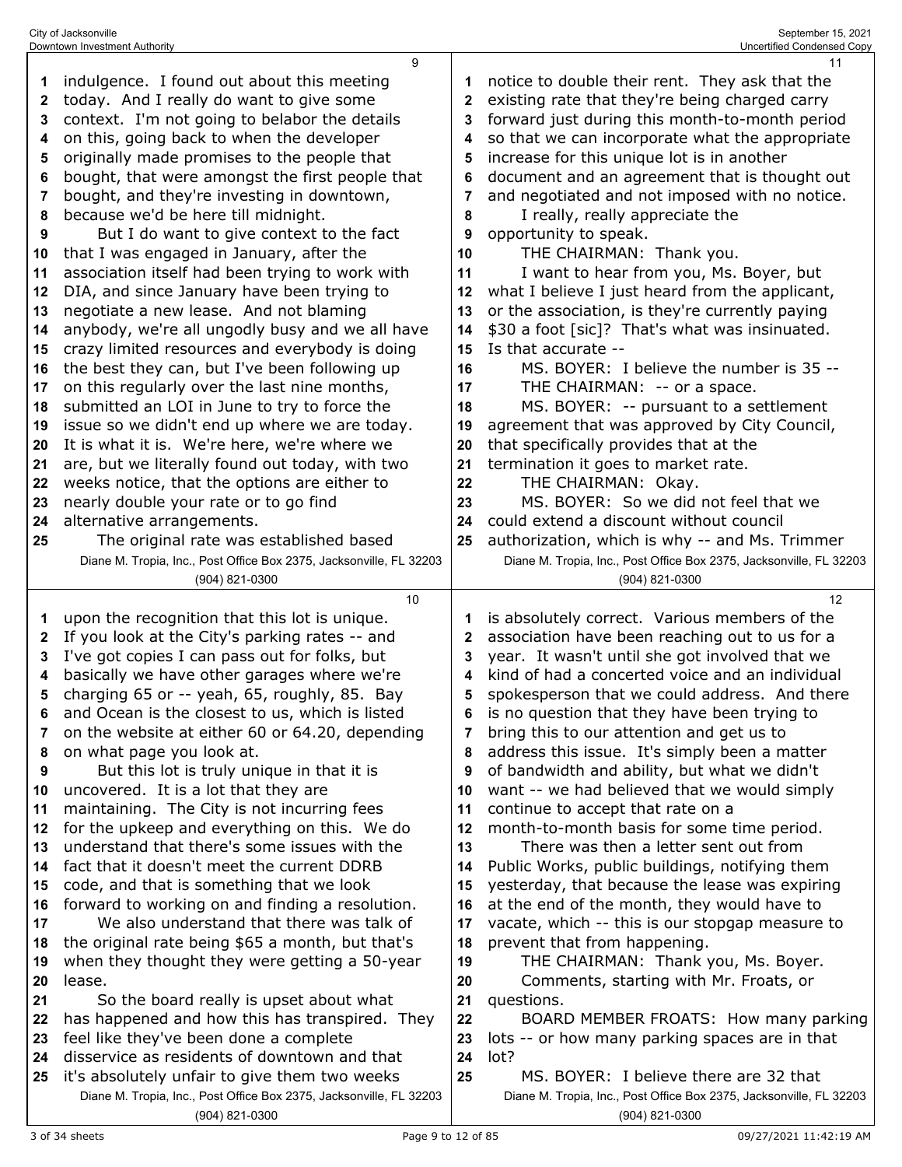| 1            | indulgence. I found out about this meeting                                          | 1                 | notice to double their rent. They ask that the                                    |
|--------------|-------------------------------------------------------------------------------------|-------------------|-----------------------------------------------------------------------------------|
| 2            | today. And I really do want to give some                                            | 2                 | existing rate that they're being charged carry                                    |
| 3            | context. I'm not going to belabor the details                                       | 3                 | forward just during this month-to-month period                                    |
| 4            | on this, going back to when the developer                                           | 4                 | so that we can incorporate what the appropriate                                   |
| 5            | originally made promises to the people that                                         | 5                 | increase for this unique lot is in another                                        |
| 6            | bought, that were amongst the first people that                                     | 6                 | document and an agreement that is thought out                                     |
| 7            | bought, and they're investing in downtown,                                          | 7                 | and negotiated and not imposed with no notice.                                    |
| 8            | because we'd be here till midnight.                                                 | 8                 | I really, really appreciate the                                                   |
| 9            | But I do want to give context to the fact                                           | 9                 | opportunity to speak.                                                             |
| 10           | that I was engaged in January, after the                                            | 10                | THE CHAIRMAN: Thank you.                                                          |
| 11           | association itself had been trying to work with                                     | 11                | I want to hear from you, Ms. Boyer, but                                           |
| 12           | DIA, and since January have been trying to                                          | 12                | what I believe I just heard from the applicant,                                   |
| 13           | negotiate a new lease. And not blaming                                              | 13                | or the association, is they're currently paying                                   |
| 14           | anybody, we're all ungodly busy and we all have                                     | 14                | \$30 a foot [sic]? That's what was insinuated.                                    |
| 15           | crazy limited resources and everybody is doing                                      | 15                | Is that accurate --                                                               |
| 16           | the best they can, but I've been following up                                       | 16                | MS. BOYER: I believe the number is 35 --                                          |
| 17           | on this regularly over the last nine months,                                        | 17                | THE CHAIRMAN: -- or a space.                                                      |
| 18           | submitted an LOI in June to try to force the                                        | 18                | MS. BOYER: -- pursuant to a settlement                                            |
| 19           | issue so we didn't end up where we are today.                                       | 19                | agreement that was approved by City Council,                                      |
| 20           | It is what it is. We're here, we're where we                                        | 20                | that specifically provides that at the                                            |
| 21           | are, but we literally found out today, with two                                     | 21                | termination it goes to market rate.                                               |
| 22           | weeks notice, that the options are either to                                        | 22                | THE CHAIRMAN: Okay.                                                               |
| 23           | nearly double your rate or to go find                                               | 23                | MS. BOYER: So we did not feel that we                                             |
| 24           | alternative arrangements.                                                           | 24                | could extend a discount without council                                           |
| 25           | The original rate was established based                                             | 25                | authorization, which is why -- and Ms. Trimmer                                    |
|              | Diane M. Tropia, Inc., Post Office Box 2375, Jacksonville, FL 32203                 |                   | Diane M. Tropia, Inc., Post Office Box 2375, Jacksonville, FL 32203               |
|              | (904) 821-0300                                                                      |                   | (904) 821-0300                                                                    |
|              |                                                                                     |                   |                                                                                   |
|              |                                                                                     |                   |                                                                                   |
|              | 10                                                                                  |                   | 12                                                                                |
| 1            | upon the recognition that this lot is unique.                                       | 1                 | is absolutely correct. Various members of the                                     |
| $\mathbf{2}$ | If you look at the City's parking rates -- and                                      | $\mathbf{2}$<br>3 | association have been reaching out to us for a                                    |
| 3<br>4       | I've got copies I can pass out for folks, but                                       | 4                 | year. It wasn't until she got involved that we                                    |
| 5            | basically we have other garages where we're                                         | 5                 | kind of had a concerted voice and an individual                                   |
|              | charging 65 or -- yeah, 65, roughly, 85. Bay                                        | 6                 | spokesperson that we could address. And there                                     |
| 6            | and Ocean is the closest to us, which is listed                                     | 7                 | is no question that they have been trying to                                      |
| 8            | on the website at either 60 or 64.20, depending                                     | 8                 | bring this to our attention and get us to                                         |
| 9            | on what page you look at.                                                           | 9                 | address this issue. It's simply been a matter                                     |
| 10           | But this lot is truly unique in that it is                                          | 10                | of bandwidth and ability, but what we didn't                                      |
| 11           | uncovered. It is a lot that they are<br>maintaining. The City is not incurring fees | 11                | want -- we had believed that we would simply<br>continue to accept that rate on a |
| 12           | for the upkeep and everything on this. We do                                        | 12                | month-to-month basis for some time period.                                        |
| 13           | understand that there's some issues with the                                        | 13                | There was then a letter sent out from                                             |
| 14           | fact that it doesn't meet the current DDRB                                          | 14                | Public Works, public buildings, notifying them                                    |
| 15           | code, and that is something that we look                                            | 15                | yesterday, that because the lease was expiring                                    |
| 16           | forward to working on and finding a resolution.                                     | 16                | at the end of the month, they would have to                                       |
| 17           | We also understand that there was talk of                                           | 17                | vacate, which -- this is our stopgap measure to                                   |
| 18           | the original rate being \$65 a month, but that's                                    | 18                | prevent that from happening.                                                      |
| 19           | when they thought they were getting a 50-year                                       | 19                | THE CHAIRMAN: Thank you, Ms. Boyer.                                               |
| 20           | lease.                                                                              | 20                | Comments, starting with Mr. Froats, or                                            |
| 21           | So the board really is upset about what                                             | 21                | questions.                                                                        |
| 22           | has happened and how this has transpired. They                                      | 22                | BOARD MEMBER FROATS: How many parking                                             |
| 23           | feel like they've been done a complete                                              | 23                | lots -- or how many parking spaces are in that                                    |
| 24           | disservice as residents of downtown and that                                        | 24                | lot?                                                                              |
| 25           | it's absolutely unfair to give them two weeks                                       | 25                | MS. BOYER: I believe there are 32 that                                            |
|              | Diane M. Tropia, Inc., Post Office Box 2375, Jacksonville, FL 32203                 |                   | Diane M. Tropia, Inc., Post Office Box 2375, Jacksonville, FL 32203               |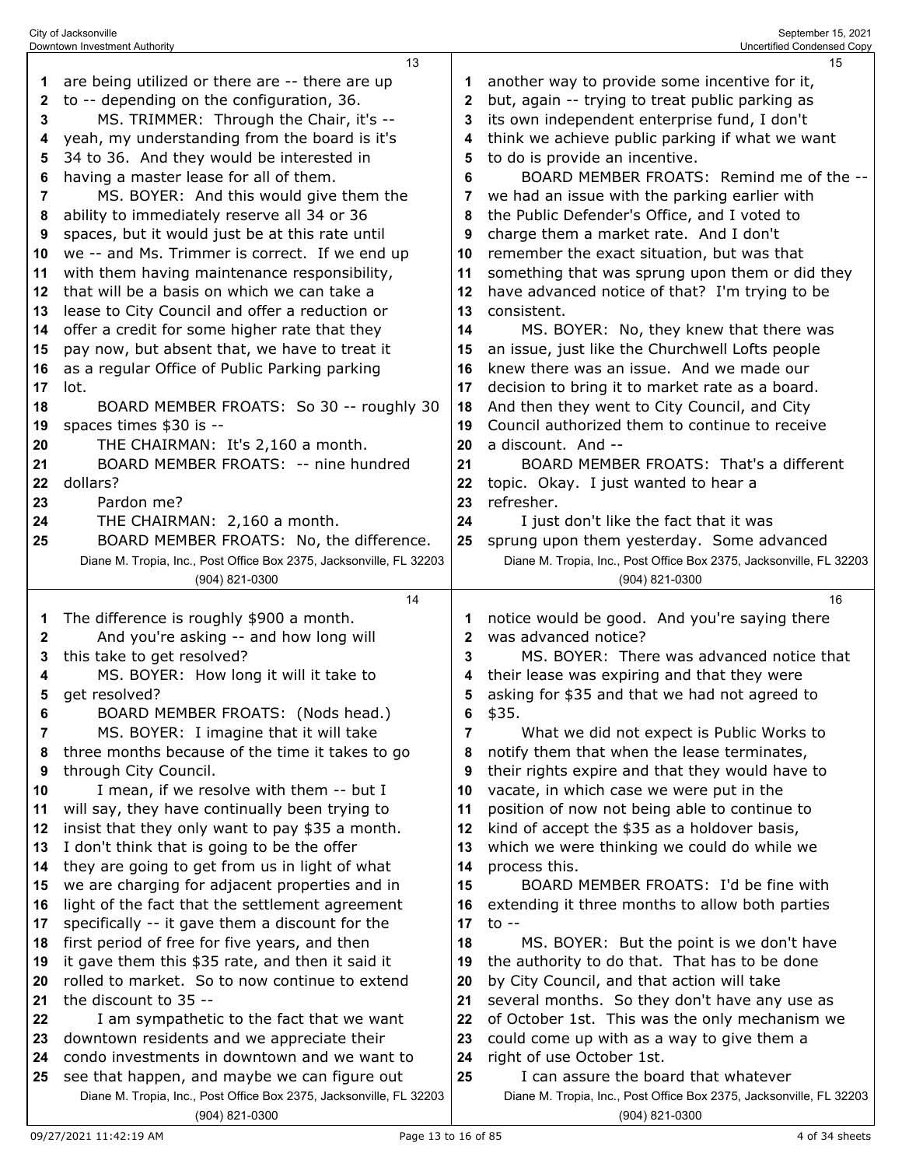|    | Downtown Investment Authority                                       |                | Uncertified Condensed Copy                                          |
|----|---------------------------------------------------------------------|----------------|---------------------------------------------------------------------|
|    | 13                                                                  |                | 15                                                                  |
| 1  | are being utilized or there are -- there are up                     |                | another way to provide some incentive for it,                       |
| 2  | to -- depending on the configuration, 36.                           | $\mathbf{2}$   | but, again -- trying to treat public parking as                     |
| 3  | MS. TRIMMER: Through the Chair, it's --                             | 3              | its own independent enterprise fund, I don't                        |
| 4  | yeah, my understanding from the board is it's                       | 4              | think we achieve public parking if what we want                     |
| 5  | 34 to 36. And they would be interested in                           | 5              | to do is provide an incentive.                                      |
| 6  | having a master lease for all of them.                              | 6              | BOARD MEMBER FROATS: Remind me of the --                            |
| 7  | MS. BOYER: And this would give them the                             | 7              | we had an issue with the parking earlier with                       |
| 8  | ability to immediately reserve all 34 or 36                         | 8              | the Public Defender's Office, and I voted to                        |
|    |                                                                     |                |                                                                     |
| 9  | spaces, but it would just be at this rate until                     | 9              | charge them a market rate. And I don't                              |
| 10 | we -- and Ms. Trimmer is correct. If we end up                      | 10             | remember the exact situation, but was that                          |
| 11 | with them having maintenance responsibility,                        | 11             | something that was sprung upon them or did they                     |
| 12 | that will be a basis on which we can take a                         | 12             | have advanced notice of that? I'm trying to be                      |
| 13 | lease to City Council and offer a reduction or                      | 13             | consistent.                                                         |
| 14 | offer a credit for some higher rate that they                       | 14             | MS. BOYER: No, they knew that there was                             |
| 15 | pay now, but absent that, we have to treat it                       | 15             | an issue, just like the Churchwell Lofts people                     |
| 16 | as a regular Office of Public Parking parking                       | 16             | knew there was an issue. And we made our                            |
| 17 | lot.                                                                | 17             | decision to bring it to market rate as a board.                     |
| 18 | BOARD MEMBER FROATS: So 30 -- roughly 30                            | 18             | And then they went to City Council, and City                        |
| 19 | spaces times \$30 is --                                             | 19             | Council authorized them to continue to receive                      |
| 20 | THE CHAIRMAN: It's 2,160 a month.                                   | 20             | a discount. And --                                                  |
| 21 | BOARD MEMBER FROATS: -- nine hundred                                | 21             | BOARD MEMBER FROATS: That's a different                             |
| 22 | dollars?                                                            | 22             | topic. Okay. I just wanted to hear a                                |
| 23 | Pardon me?                                                          | 23             | refresher.                                                          |
| 24 | THE CHAIRMAN: 2,160 a month.                                        | 24             | I just don't like the fact that it was                              |
| 25 | BOARD MEMBER FROATS: No, the difference.                            | 25             | sprung upon them yesterday. Some advanced                           |
|    | Diane M. Tropia, Inc., Post Office Box 2375, Jacksonville, FL 32203 |                | Diane M. Tropia, Inc., Post Office Box 2375, Jacksonville, FL 32203 |
|    | (904) 821-0300                                                      |                | (904) 821-0300                                                      |
|    |                                                                     |                |                                                                     |
|    |                                                                     |                |                                                                     |
|    | 14                                                                  |                | 16                                                                  |
| 1  | The difference is roughly \$900 a month.                            |                | notice would be good. And you're saying there                       |
| 2  | And you're asking -- and how long will                              | $\mathbf{2}$   | was advanced notice?                                                |
| 3  | this take to get resolved?                                          | 3              | MS, BOYER: There was advanced notice that                           |
| 4  | MS. BOYER: How long it will it take to                              | 4              | their lease was expiring and that they were                         |
| 5  | get resolved?                                                       | 5              | asking for \$35 and that we had not agreed to                       |
| 6  | BOARD MEMBER FROATS: (Nods head.)                                   | 6              | \$35.                                                               |
| 7  | MS. BOYER: I imagine that it will take                              | $\overline{7}$ | What we did not expect is Public Works to                           |
| 8  | three months because of the time it takes to go                     | 8              | notify them that when the lease terminates,                         |
| 9  | through City Council.                                               | 9              | their rights expire and that they would have to                     |
| 10 | I mean, if we resolve with them -- but I                            | 10             | vacate, in which case we were put in the                            |
| 11 | will say, they have continually been trying to                      | 11             | position of now not being able to continue to                       |
| 12 | insist that they only want to pay \$35 a month.                     | 12             | kind of accept the \$35 as a holdover basis,                        |
| 13 | I don't think that is going to be the offer                         | 13             | which we were thinking we could do while we                         |
| 14 | they are going to get from us in light of what                      | 14             | process this.                                                       |
| 15 | we are charging for adjacent properties and in                      | 15             | BOARD MEMBER FROATS: I'd be fine with                               |
| 16 | light of the fact that the settlement agreement                     | 16             | extending it three months to allow both parties                     |
| 17 | specifically -- it gave them a discount for the                     | 17             | $to --$                                                             |
| 18 | first period of free for five years, and then                       | 18             | MS. BOYER: But the point is we don't have                           |
| 19 | it gave them this \$35 rate, and then it said it                    | 19             | the authority to do that. That has to be done                       |
| 20 | rolled to market. So to now continue to extend                      | 20             | by City Council, and that action will take                          |
| 21 | the discount to 35 --                                               | 21             | several months. So they don't have any use as                       |
| 22 | I am sympathetic to the fact that we want                           | 22             | of October 1st. This was the only mechanism we                      |
| 23 | downtown residents and we appreciate their                          | 23             | could come up with as a way to give them a                          |
| 24 | condo investments in downtown and we want to                        | 24             | right of use October 1st.                                           |
| 25 | see that happen, and maybe we can figure out                        | 25             | I can assure the board that whatever                                |
|    | Diane M. Tropia, Inc., Post Office Box 2375, Jacksonville, FL 32203 |                | Diane M. Tropia, Inc., Post Office Box 2375, Jacksonville, FL 32203 |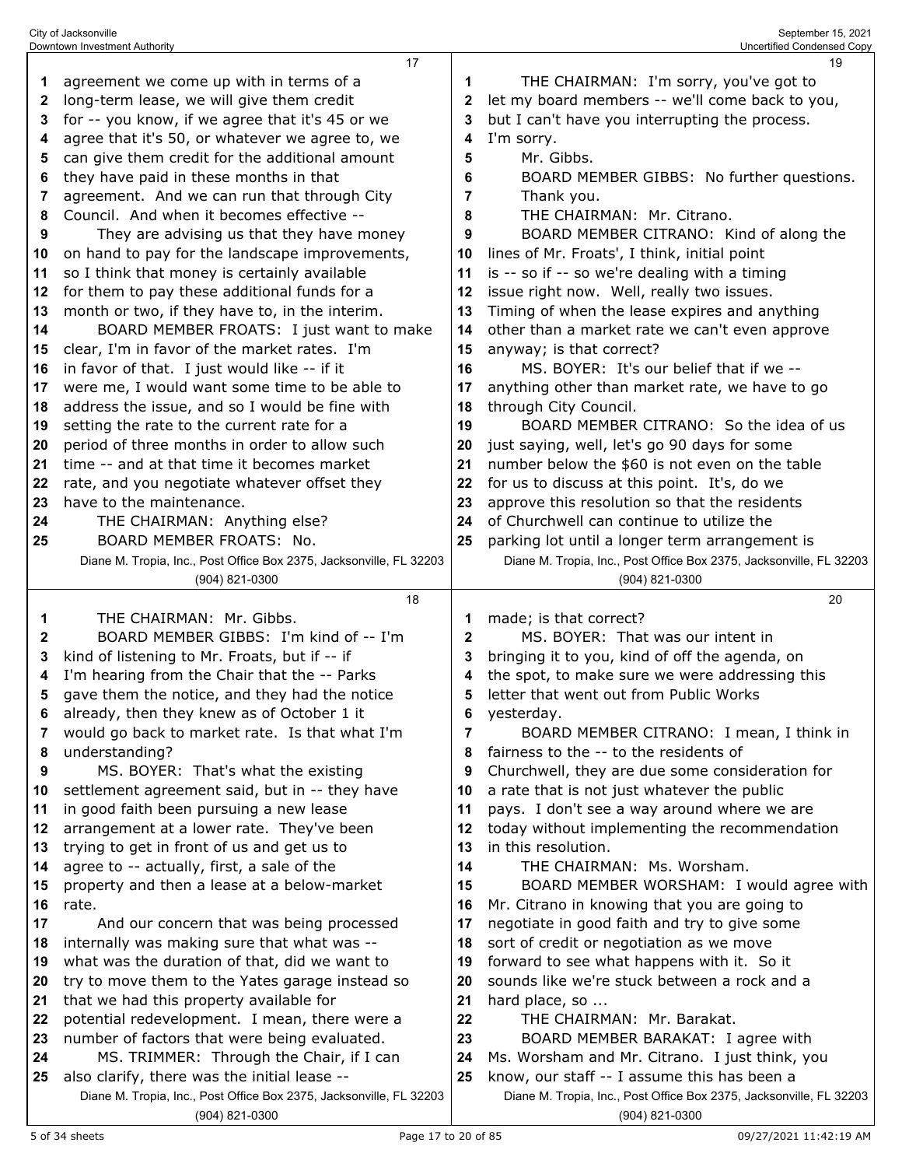| 1  | agreement we come up with in terms of a                                               | 1            | THE CHAIRMAN: I'm sorry, you've got to                                                |
|----|---------------------------------------------------------------------------------------|--------------|---------------------------------------------------------------------------------------|
| 2  | long-term lease, we will give them credit                                             | 2            | let my board members -- we'll come back to you,                                       |
| 3  | for -- you know, if we agree that it's 45 or we                                       | 3            | but I can't have you interrupting the process.                                        |
| 4  | agree that it's 50, or whatever we agree to, we                                       | 4            | I'm sorry.                                                                            |
| 5  | can give them credit for the additional amount                                        | 5            | Mr. Gibbs.                                                                            |
| 6  | they have paid in these months in that                                                | 6            | BOARD MEMBER GIBBS: No further questions.                                             |
| 7  | agreement. And we can run that through City                                           | 7            | Thank you.                                                                            |
| 8  | Council. And when it becomes effective --                                             | 8            | THE CHAIRMAN: Mr. Citrano.                                                            |
| 9  | They are advising us that they have money                                             | 9            | BOARD MEMBER CITRANO: Kind of along the                                               |
| 10 | on hand to pay for the landscape improvements,                                        | 10           | lines of Mr. Froats', I think, initial point                                          |
| 11 | so I think that money is certainly available                                          | 11           | is -- so if -- so we're dealing with a timing                                         |
| 12 | for them to pay these additional funds for a                                          | 12           | issue right now. Well, really two issues.                                             |
| 13 | month or two, if they have to, in the interim.                                        | 13           | Timing of when the lease expires and anything                                         |
| 14 | BOARD MEMBER FROATS: I just want to make                                              | 14           | other than a market rate we can't even approve                                        |
| 15 | clear, I'm in favor of the market rates. I'm                                          | 15           | anyway; is that correct?                                                              |
| 16 | in favor of that. I just would like -- if it                                          | 16           | MS. BOYER: It's our belief that if we --                                              |
| 17 | were me, I would want some time to be able to                                         | 17           | anything other than market rate, we have to go                                        |
| 18 | address the issue, and so I would be fine with                                        | 18           | through City Council.                                                                 |
| 19 | setting the rate to the current rate for a                                            | 19           | BOARD MEMBER CITRANO: So the idea of us                                               |
| 20 | period of three months in order to allow such                                         | 20           | just saying, well, let's go 90 days for some                                          |
| 21 | time -- and at that time it becomes market                                            | 21           | number below the \$60 is not even on the table                                        |
| 22 | rate, and you negotiate whatever offset they                                          | 22           | for us to discuss at this point. It's, do we                                          |
| 23 | have to the maintenance.                                                              | 23           | approve this resolution so that the residents                                         |
| 24 | THE CHAIRMAN: Anything else?                                                          | 24           | of Churchwell can continue to utilize the                                             |
| 25 | BOARD MEMBER FROATS: No.                                                              | 25           | parking lot until a longer term arrangement is                                        |
|    | Diane M. Tropia, Inc., Post Office Box 2375, Jacksonville, FL 32203                   |              | Diane M. Tropia, Inc., Post Office Box 2375, Jacksonville, FL 32203                   |
|    | (904) 821-0300                                                                        |              | (904) 821-0300                                                                        |
|    | 18                                                                                    |              | 20                                                                                    |
| 1  | THE CHAIRMAN: Mr. Gibbs.                                                              | 1            | made; is that correct?                                                                |
| 2  | BOARD MEMBER GIBBS: I'm kind of -- I'm                                                | $\mathbf{2}$ | MS. BOYER: That was our intent in                                                     |
| 3  | kind of listening to Mr. Froats, but if -- if                                         | 3            | bringing it to you, kind of off the agenda, on                                        |
| 4  | I'm hearing from the Chair that the -- Parks                                          | 4            | the spot, to make sure we were addressing this                                        |
|    | gave them the notice, and they had the notice                                         |              |                                                                                       |
| 5  |                                                                                       | 5            | letter that went out from Public Works                                                |
| 6  | already, then they knew as of October 1 it                                            | 6            | yesterday.                                                                            |
|    | would go back to market rate. Is that what I'm                                        | 7            | BOARD MEMBER CITRANO: I mean, I think in                                              |
| 8  | understanding?                                                                        | 8            | fairness to the -- to the residents of                                                |
| 9  | MS. BOYER: That's what the existing                                                   | 9            | Churchwell, they are due some consideration for                                       |
| 10 | settlement agreement said, but in -- they have                                        | 10           | a rate that is not just whatever the public                                           |
| 11 | in good faith been pursuing a new lease                                               | 11           | pays. I don't see a way around where we are                                           |
| 12 | arrangement at a lower rate. They've been                                             | 12           | today without implementing the recommendation                                         |
| 13 | trying to get in front of us and get us to                                            | 13           | in this resolution.                                                                   |
| 14 | agree to -- actually, first, a sale of the                                            | 14           | THE CHAIRMAN: Ms. Worsham.                                                            |
| 15 | property and then a lease at a below-market                                           | 15           | BOARD MEMBER WORSHAM: I would agree with                                              |
| 16 | rate.                                                                                 | 16           | Mr. Citrano in knowing that you are going to                                          |
| 17 | And our concern that was being processed                                              | 17           | negotiate in good faith and try to give some                                          |
| 18 | internally was making sure that what was --                                           | 18           | sort of credit or negotiation as we move                                              |
| 19 | what was the duration of that, did we want to                                         | 19           | forward to see what happens with it. So it                                            |
| 20 | try to move them to the Yates garage instead so                                       | 20           | sounds like we're stuck between a rock and a                                          |
| 21 | that we had this property available for                                               | 21           | hard place, so                                                                        |
| 22 | potential redevelopment. I mean, there were a                                         | 22           | THE CHAIRMAN: Mr. Barakat.                                                            |
| 23 | number of factors that were being evaluated.                                          | 23           | BOARD MEMBER BARAKAT: I agree with                                                    |
| 24 | MS. TRIMMER: Through the Chair, if I can                                              | 24           | Ms. Worsham and Mr. Citrano. I just think, you                                        |
| 25 | also clarify, there was the initial lease --                                          | 25           | know, our staff -- I assume this has been a                                           |
|    | Diane M. Tropia, Inc., Post Office Box 2375, Jacksonville, FL 32203<br>(904) 821-0300 |              | Diane M. Tropia, Inc., Post Office Box 2375, Jacksonville, FL 32203<br>(904) 821-0300 |

City of Jacksonville September 15, 2021 Downtown Investment Authority Uncertified Condensed Copy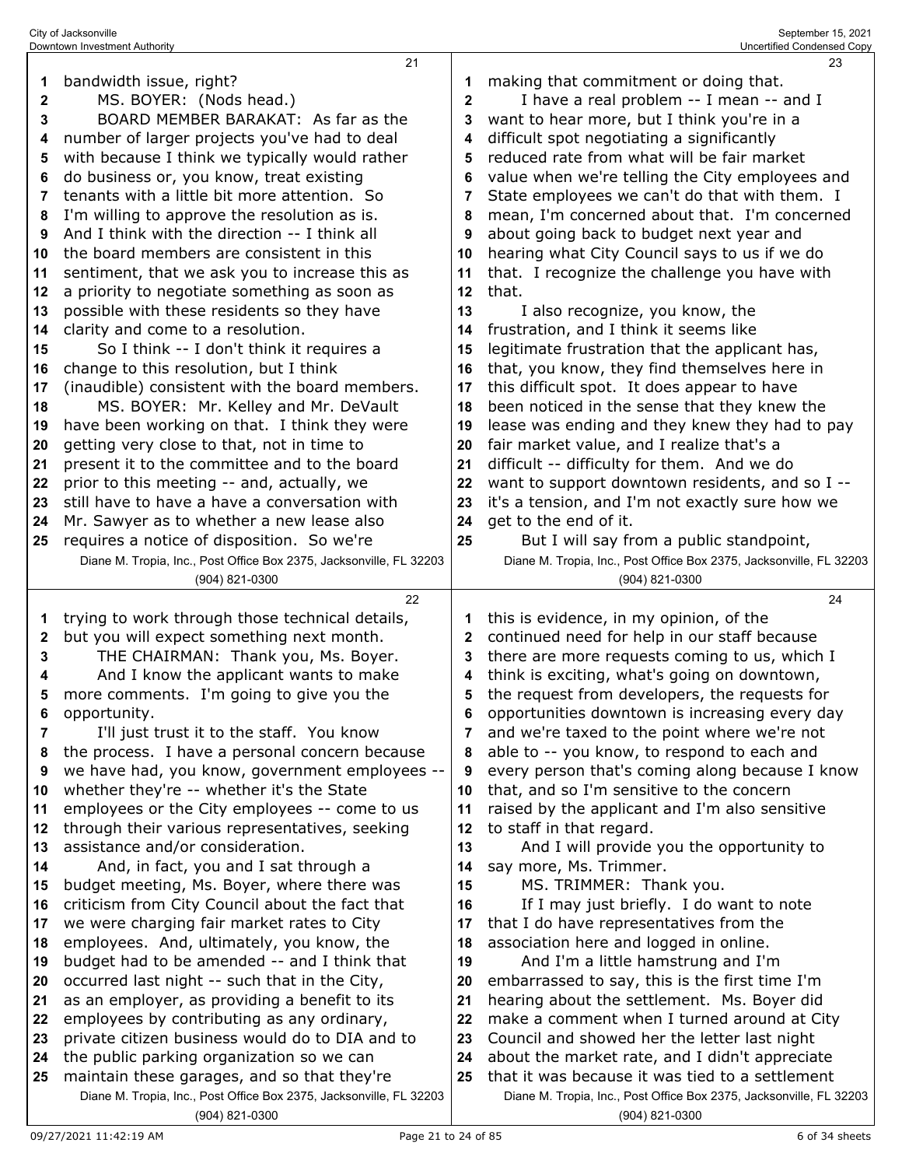|                            | Downtown Investment Authority                                                            |              | Uncertified Condensed Copy                                                                        |
|----------------------------|------------------------------------------------------------------------------------------|--------------|---------------------------------------------------------------------------------------------------|
|                            | 21                                                                                       |              | 23                                                                                                |
| 1                          | bandwidth issue, right?                                                                  | 1            | making that commitment or doing that.                                                             |
| 2                          | MS. BOYER: (Nods head.)                                                                  | $\mathbf 2$  | I have a real problem -- I mean -- and I                                                          |
| 3                          | BOARD MEMBER BARAKAT: As far as the                                                      | 3            | want to hear more, but I think you're in a                                                        |
| 4                          | number of larger projects you've had to deal                                             | 4            | difficult spot negotiating a significantly                                                        |
| 5                          | with because I think we typically would rather                                           | 5            | reduced rate from what will be fair market                                                        |
| 6                          | do business or, you know, treat existing                                                 | 6            | value when we're telling the City employees and                                                   |
| 7                          | tenants with a little bit more attention. So                                             | 7            | State employees we can't do that with them. I                                                     |
| 8                          | I'm willing to approve the resolution as is.                                             | 8            | mean, I'm concerned about that. I'm concerned                                                     |
| 9                          | And I think with the direction -- I think all                                            | 9            | about going back to budget next year and                                                          |
| 10                         | the board members are consistent in this                                                 | 10           | hearing what City Council says to us if we do                                                     |
| 11                         | sentiment, that we ask you to increase this as                                           | 11           | that. I recognize the challenge you have with                                                     |
| 12                         | a priority to negotiate something as soon as                                             | 12           | that.                                                                                             |
| 13                         | possible with these residents so they have                                               | 13           | I also recognize, you know, the                                                                   |
| 14                         | clarity and come to a resolution.                                                        | 14           | frustration, and I think it seems like                                                            |
| 15                         | So I think -- I don't think it requires a                                                | 15           | legitimate frustration that the applicant has,                                                    |
| 16                         | change to this resolution, but I think                                                   | 16           | that, you know, they find themselves here in                                                      |
| 17                         | (inaudible) consistent with the board members.                                           | 17<br>18     | this difficult spot. It does appear to have                                                       |
| 18<br>19                   | MS. BOYER: Mr. Kelley and Mr. DeVault<br>have been working on that. I think they were    | 19           | been noticed in the sense that they knew the<br>lease was ending and they knew they had to pay    |
| 20                         | getting very close to that, not in time to                                               | 20           | fair market value, and I realize that's a                                                         |
| 21                         | present it to the committee and to the board                                             | 21           | difficult -- difficulty for them. And we do                                                       |
| 22                         | prior to this meeting -- and, actually, we                                               | 22           | want to support downtown residents, and so I --                                                   |
| 23                         | still have to have a have a conversation with                                            | 23           | it's a tension, and I'm not exactly sure how we                                                   |
| 24                         | Mr. Sawyer as to whether a new lease also                                                | 24           | get to the end of it.                                                                             |
| 25                         | requires a notice of disposition. So we're                                               | 25           | But I will say from a public standpoint,                                                          |
|                            | Diane M. Tropia, Inc., Post Office Box 2375, Jacksonville, FL 32203                      |              | Diane M. Tropia, Inc., Post Office Box 2375, Jacksonville, FL 32203                               |
|                            |                                                                                          |              |                                                                                                   |
|                            | (904) 821-0300                                                                           |              | (904) 821-0300                                                                                    |
|                            | 22                                                                                       |              | 24                                                                                                |
| 1                          | trying to work through those technical details,                                          | 1            | this is evidence, in my opinion, of the                                                           |
| 2                          | but you will expect something next month.                                                | $\mathbf{2}$ | continued need for help in our staff because                                                      |
| 3                          | THE CHAIRMAN: Thank you, Ms. Boyer.                                                      | 3            | there are more requests coming to us, which I                                                     |
| 4                          | And I know the applicant wants to make                                                   | 4            | think is exciting, what's going on downtown,                                                      |
| 5                          | more comments. I'm going to give you the                                                 | 5            | the request from developers, the requests for                                                     |
| 6                          | opportunity.                                                                             | 6            | opportunities downtown is increasing every day                                                    |
| 7                          | I'll just trust it to the staff. You know                                                | 7            | and we're taxed to the point where we're not                                                      |
| 8                          | the process. I have a personal concern because                                           | 8            | able to -- you know, to respond to each and                                                       |
| 9                          | we have had, you know, government employees --                                           | 9            | every person that's coming along because I know                                                   |
|                            | whether they're -- whether it's the State                                                | 10           | that, and so I'm sensitive to the concern                                                         |
|                            | employees or the City employees -- come to us                                            | 11           | raised by the applicant and I'm also sensitive                                                    |
| 10<br>11<br>12             | through their various representatives, seeking                                           | 12           | to staff in that regard.                                                                          |
|                            | assistance and/or consideration.                                                         | 13           | And I will provide you the opportunity to                                                         |
|                            | And, in fact, you and I sat through a                                                    | 14           | say more, Ms. Trimmer.                                                                            |
| 13<br>14<br>15             | budget meeting, Ms. Boyer, where there was                                               | 15           | MS. TRIMMER: Thank you.                                                                           |
|                            | criticism from City Council about the fact that                                          | 16           | If I may just briefly. I do want to note                                                          |
|                            | we were charging fair market rates to City                                               | 17           | that I do have representatives from the                                                           |
| 18                         | employees. And, ultimately, you know, the                                                | 18           | association here and logged in online.                                                            |
|                            | budget had to be amended -- and I think that                                             | 19           | And I'm a little hamstrung and I'm                                                                |
|                            | occurred last night -- such that in the City,                                            | 20           | embarrassed to say, this is the first time I'm                                                    |
| 16<br>17<br>19<br>20<br>21 | as an employer, as providing a benefit to its                                            | 21           | hearing about the settlement. Ms. Boyer did                                                       |
| 23                         | employees by contributing as any ordinary,                                               | 22           | make a comment when I turned around at City                                                       |
| 22<br>24                   | private citizen business would do to DIA and to                                          | 23<br>24     | Council and showed her the letter last night                                                      |
| 25                         | the public parking organization so we can<br>maintain these garages, and so that they're | 25           | about the market rate, and I didn't appreciate<br>that it was because it was tied to a settlement |

(904) 821-0300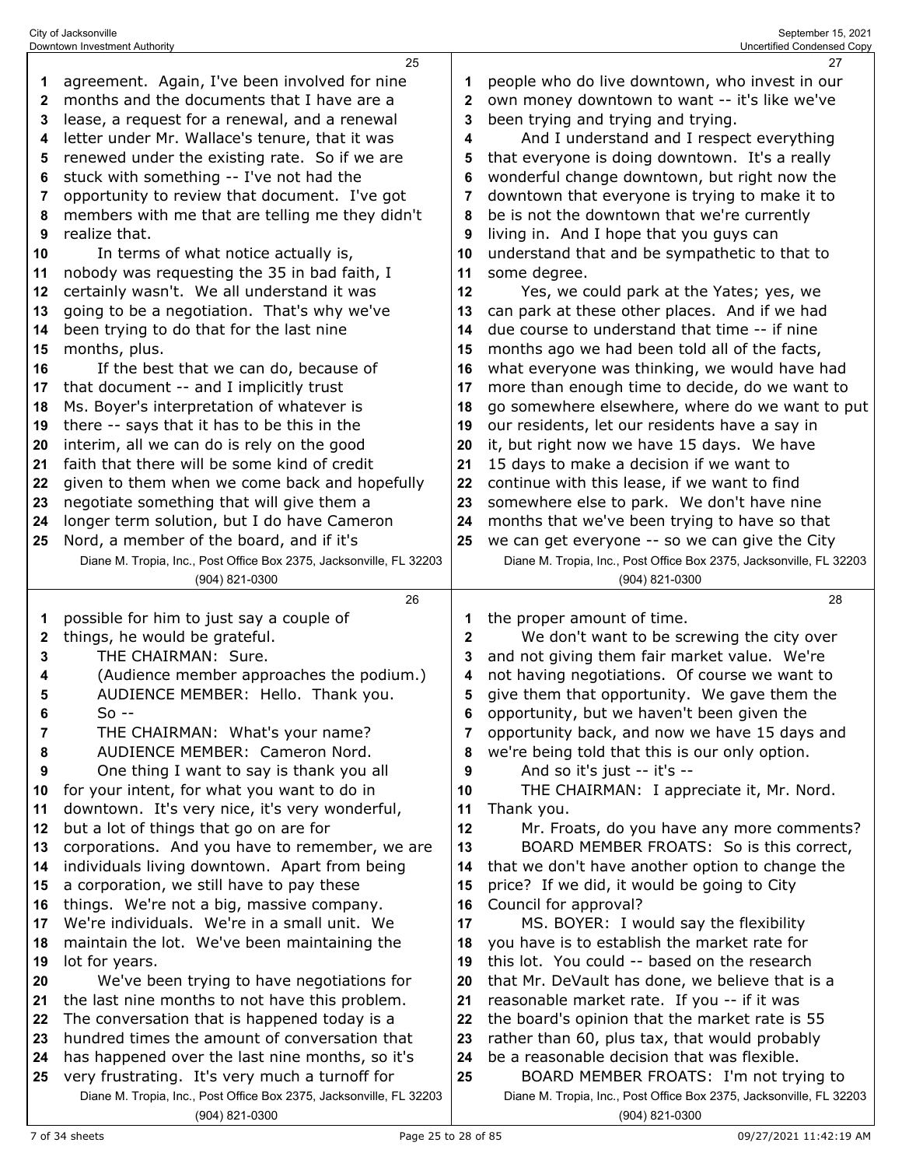|    | 25                                                                                                                    |              | 27                                                                                           |
|----|-----------------------------------------------------------------------------------------------------------------------|--------------|----------------------------------------------------------------------------------------------|
| 1  | agreement. Again, I've been involved for nine                                                                         |              | people who do live downtown, who invest in our                                               |
| 2  | months and the documents that I have are a                                                                            | 2            | own money downtown to want -- it's like we've                                                |
| 3  | lease, a request for a renewal, and a renewal                                                                         | 3            | been trying and trying and trying.                                                           |
| 4  | letter under Mr. Wallace's tenure, that it was                                                                        | 4            | And I understand and I respect everything                                                    |
| 5  | renewed under the existing rate. So if we are                                                                         | 5            | that everyone is doing downtown. It's a really                                               |
|    |                                                                                                                       |              |                                                                                              |
| 6  | stuck with something -- I've not had the                                                                              | 6            | wonderful change downtown, but right now the                                                 |
| 7  | opportunity to review that document. I've got                                                                         | 7            | downtown that everyone is trying to make it to                                               |
| 8  | members with me that are telling me they didn't                                                                       | 8            | be is not the downtown that we're currently                                                  |
| 9  | realize that.                                                                                                         | 9            | living in. And I hope that you guys can                                                      |
| 10 | In terms of what notice actually is,                                                                                  | 10           | understand that and be sympathetic to that to                                                |
| 11 | nobody was requesting the 35 in bad faith, I                                                                          | 11           | some degree.                                                                                 |
| 12 | certainly wasn't. We all understand it was                                                                            | 12           | Yes, we could park at the Yates; yes, we                                                     |
| 13 | going to be a negotiation. That's why we've                                                                           | 13           | can park at these other places. And if we had                                                |
| 14 | been trying to do that for the last nine                                                                              | 14           | due course to understand that time -- if nine                                                |
| 15 | months, plus.                                                                                                         | 15           | months ago we had been told all of the facts,                                                |
| 16 | If the best that we can do, because of                                                                                | 16           | what everyone was thinking, we would have had                                                |
| 17 | that document -- and I implicitly trust                                                                               | 17           | more than enough time to decide, do we want to                                               |
| 18 | Ms. Boyer's interpretation of whatever is                                                                             | 18           | go somewhere elsewhere, where do we want to put                                              |
| 19 | there -- says that it has to be this in the                                                                           | 19           | our residents, let our residents have a say in                                               |
| 20 | interim, all we can do is rely on the good                                                                            | 20           | it, but right now we have 15 days. We have                                                   |
| 21 | faith that there will be some kind of credit                                                                          | 21           | 15 days to make a decision if we want to                                                     |
| 22 | given to them when we come back and hopefully                                                                         | 22           | continue with this lease, if we want to find                                                 |
| 23 | negotiate something that will give them a                                                                             | 23           | somewhere else to park. We don't have nine                                                   |
| 24 | longer term solution, but I do have Cameron                                                                           | 24           | months that we've been trying to have so that                                                |
|    |                                                                                                                       |              |                                                                                              |
| 25 | Nord, a member of the board, and if it's                                                                              | 25           | we can get everyone -- so we can give the City                                               |
|    | Diane M. Tropia, Inc., Post Office Box 2375, Jacksonville, FL 32203                                                   |              | Diane M. Tropia, Inc., Post Office Box 2375, Jacksonville, FL 32203                          |
|    | (904) 821-0300                                                                                                        |              | (904) 821-0300                                                                               |
|    |                                                                                                                       |              |                                                                                              |
|    | 26                                                                                                                    |              | 28                                                                                           |
| 1  | possible for him to just say a couple of                                                                              | 1            | the proper amount of time.                                                                   |
| 2  | things, he would be grateful.                                                                                         | $\mathbf{2}$ | We don't want to be screwing the city over                                                   |
| 3  | THE CHAIRMAN: Sure.                                                                                                   | 3            | and not giving them fair market value. We're                                                 |
| 4  | (Audience member approaches the podium.)                                                                              | 4            | not having negotiations. Of course we want to                                                |
| 5  | AUDIENCE MEMBER: Hello. Thank you.                                                                                    | 5            | give them that opportunity. We gave them the                                                 |
| 6  | $So -$                                                                                                                | 6            | opportunity, but we haven't been given the                                                   |
| 7  | THE CHAIRMAN: What's your name?                                                                                       |              | opportunity back, and now we have 15 days and                                                |
| 8  | AUDIENCE MEMBER: Cameron Nord.                                                                                        | 8            | we're being told that this is our only option.                                               |
| 9  | One thing I want to say is thank you all                                                                              | 9            | And so it's just -- it's --                                                                  |
| 10 | for your intent, for what you want to do in                                                                           | 10           | THE CHAIRMAN: I appreciate it, Mr. Nord.                                                     |
| 11 | downtown. It's very nice, it's very wonderful,                                                                        | 11           | Thank you.                                                                                   |
| 12 | but a lot of things that go on are for                                                                                | 12           | Mr. Froats, do you have any more comments?                                                   |
| 13 | corporations. And you have to remember, we are                                                                        | 13           | BOARD MEMBER FROATS: So is this correct,                                                     |
| 14 | individuals living downtown. Apart from being                                                                         | 14           | that we don't have another option to change the                                              |
| 15 | a corporation, we still have to pay these                                                                             | 15           | price? If we did, it would be going to City                                                  |
| 16 | things. We're not a big, massive company.                                                                             | 16           | Council for approval?                                                                        |
| 17 | We're individuals. We're in a small unit. We                                                                          | 17           | MS. BOYER: I would say the flexibility                                                       |
| 18 | maintain the lot. We've been maintaining the                                                                          | 18           | you have is to establish the market rate for                                                 |
| 19 | lot for years.                                                                                                        | 19           | this lot. You could -- based on the research                                                 |
| 20 | We've been trying to have negotiations for                                                                            | 20           | that Mr. DeVault has done, we believe that is a                                              |
| 21 | the last nine months to not have this problem.                                                                        | 21           | reasonable market rate. If you -- if it was                                                  |
| 22 | The conversation that is happened today is a                                                                          | 22           | the board's opinion that the market rate is 55                                               |
| 23 | hundred times the amount of conversation that                                                                         | 23           |                                                                                              |
| 24 |                                                                                                                       | 24           | rather than 60, plus tax, that would probably<br>be a reasonable decision that was flexible. |
| 25 | has happened over the last nine months, so it's                                                                       | 25           | BOARD MEMBER FROATS: I'm not trying to                                                       |
|    | very frustrating. It's very much a turnoff for<br>Diane M. Tropia, Inc., Post Office Box 2375, Jacksonville, FL 32203 |              | Diane M. Tropia, Inc., Post Office Box 2375, Jacksonville, FL 32203                          |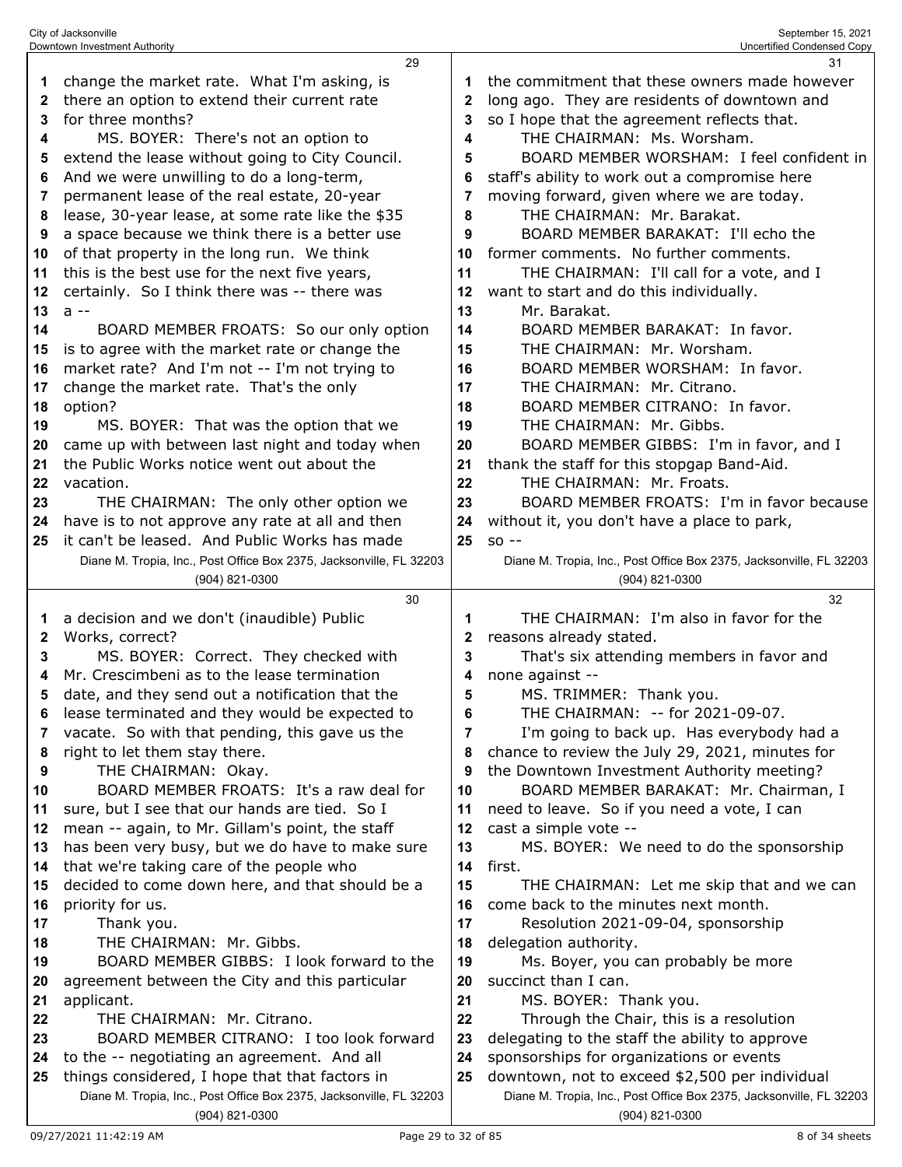|    | Downtown Investment Authority                                                         |    | Uncertified Condensed Copy                                                            |
|----|---------------------------------------------------------------------------------------|----|---------------------------------------------------------------------------------------|
|    | 29                                                                                    |    | 31                                                                                    |
|    | change the market rate. What I'm asking, is                                           | 1  | the commitment that these owners made however                                         |
| 2  | there an option to extend their current rate                                          | 2  | long ago. They are residents of downtown and                                          |
| 3  | for three months?                                                                     | 3  | so I hope that the agreement reflects that.                                           |
| 4  | MS. BOYER: There's not an option to                                                   | 4  | THE CHAIRMAN: Ms. Worsham.                                                            |
| 5  | extend the lease without going to City Council.                                       | 5  | BOARD MEMBER WORSHAM: I feel confident in                                             |
| 6  | And we were unwilling to do a long-term,                                              | 6  | staff's ability to work out a compromise here                                         |
| 7  | permanent lease of the real estate, 20-year                                           | 7  | moving forward, given where we are today.                                             |
| 8  | lease, 30-year lease, at some rate like the \$35                                      | 8  | THE CHAIRMAN: Mr. Barakat.                                                            |
| 9  | a space because we think there is a better use                                        | 9  | BOARD MEMBER BARAKAT: I'll echo the                                                   |
| 10 | of that property in the long run. We think                                            | 10 | former comments. No further comments.                                                 |
|    |                                                                                       |    |                                                                                       |
| 11 | this is the best use for the next five years,                                         | 11 | THE CHAIRMAN: I'll call for a vote, and I                                             |
| 12 | certainly. So I think there was -- there was                                          | 12 | want to start and do this individually.                                               |
| 13 | $a -$                                                                                 | 13 | Mr. Barakat.                                                                          |
| 14 | BOARD MEMBER FROATS: So our only option                                               | 14 | BOARD MEMBER BARAKAT: In favor.                                                       |
| 15 | is to agree with the market rate or change the                                        | 15 | THE CHAIRMAN: Mr. Worsham.                                                            |
| 16 | market rate? And I'm not -- I'm not trying to                                         | 16 | BOARD MEMBER WORSHAM: In favor.                                                       |
| 17 | change the market rate. That's the only                                               | 17 | THE CHAIRMAN: Mr. Citrano.                                                            |
| 18 | option?                                                                               | 18 | BOARD MEMBER CITRANO: In favor.                                                       |
| 19 | MS. BOYER: That was the option that we                                                | 19 | THE CHAIRMAN: Mr. Gibbs.                                                              |
| 20 | came up with between last night and today when                                        | 20 | BOARD MEMBER GIBBS: I'm in favor, and I                                               |
| 21 | the Public Works notice went out about the                                            | 21 | thank the staff for this stopgap Band-Aid.                                            |
| 22 | vacation.                                                                             | 22 | THE CHAIRMAN: Mr. Froats.                                                             |
| 23 | THE CHAIRMAN: The only other option we                                                | 23 | BOARD MEMBER FROATS: I'm in favor because                                             |
| 24 | have is to not approve any rate at all and then                                       | 24 | without it, you don't have a place to park,                                           |
| 25 | it can't be leased. And Public Works has made                                         | 25 | $SO -$                                                                                |
|    | Diane M. Tropia, Inc., Post Office Box 2375, Jacksonville, FL 32203                   |    | Diane M. Tropia, Inc., Post Office Box 2375, Jacksonville, FL 32203                   |
|    | (904) 821-0300                                                                        |    | (904) 821-0300                                                                        |
|    | 30                                                                                    |    | 32                                                                                    |
|    |                                                                                       |    |                                                                                       |
| 1  | a decision and we don't (inaudible) Public                                            | 1  | THE CHAIRMAN: I'm also in favor for the                                               |
| 2  | Works, correct?                                                                       | 2  | reasons already stated.                                                               |
| 3  | MS. BOYER: Correct. They checked with                                                 | 3  | That's six attending members in favor and                                             |
| 4  | Mr. Crescimbeni as to the lease termination                                           | 4  | none against --                                                                       |
| 5  |                                                                                       | 5  |                                                                                       |
| 6  | date, and they send out a notification that the                                       | 6  | MS. TRIMMER: Thank you.<br>THE CHAIRMAN: -- for 2021-09-07.                           |
| 7  | lease terminated and they would be expected to                                        | 7  |                                                                                       |
| 8  | vacate. So with that pending, this gave us the                                        | 8  | I'm going to back up. Has everybody had a                                             |
|    | right to let them stay there.                                                         |    | chance to review the July 29, 2021, minutes for                                       |
| 9  | THE CHAIRMAN: Okay.                                                                   | 9  | the Downtown Investment Authority meeting?                                            |
| 10 | BOARD MEMBER FROATS: It's a raw deal for                                              | 10 | BOARD MEMBER BARAKAT: Mr. Chairman, I                                                 |
| 11 | sure, but I see that our hands are tied. So I                                         | 11 | need to leave. So if you need a vote, I can                                           |
| 12 | mean -- again, to Mr. Gillam's point, the staff                                       | 12 | cast a simple vote --                                                                 |
| 13 | has been very busy, but we do have to make sure                                       | 13 | MS. BOYER: We need to do the sponsorship                                              |
| 14 | that we're taking care of the people who                                              | 14 | first.                                                                                |
| 15 | decided to come down here, and that should be a                                       | 15 | THE CHAIRMAN: Let me skip that and we can                                             |
| 16 | priority for us.                                                                      | 16 | come back to the minutes next month.                                                  |
| 17 | Thank you.                                                                            | 17 | Resolution 2021-09-04, sponsorship                                                    |
| 18 | THE CHAIRMAN: Mr. Gibbs.                                                              | 18 | delegation authority.                                                                 |
| 19 | BOARD MEMBER GIBBS: I look forward to the                                             | 19 | Ms. Boyer, you can probably be more                                                   |
| 20 | agreement between the City and this particular                                        | 20 | succinct than I can.                                                                  |
| 21 | applicant.                                                                            | 21 | MS. BOYER: Thank you.                                                                 |
| 22 | THE CHAIRMAN: Mr. Citrano.                                                            | 22 | Through the Chair, this is a resolution                                               |
| 23 | BOARD MEMBER CITRANO: I too look forward                                              | 23 | delegating to the staff the ability to approve                                        |
| 24 | to the -- negotiating an agreement. And all                                           | 24 | sponsorships for organizations or events                                              |
| 25 | things considered, I hope that that factors in                                        | 25 | downtown, not to exceed \$2,500 per individual                                        |
|    | Diane M. Tropia, Inc., Post Office Box 2375, Jacksonville, FL 32203<br>(904) 821-0300 |    | Diane M. Tropia, Inc., Post Office Box 2375, Jacksonville, FL 32203<br>(904) 821-0300 |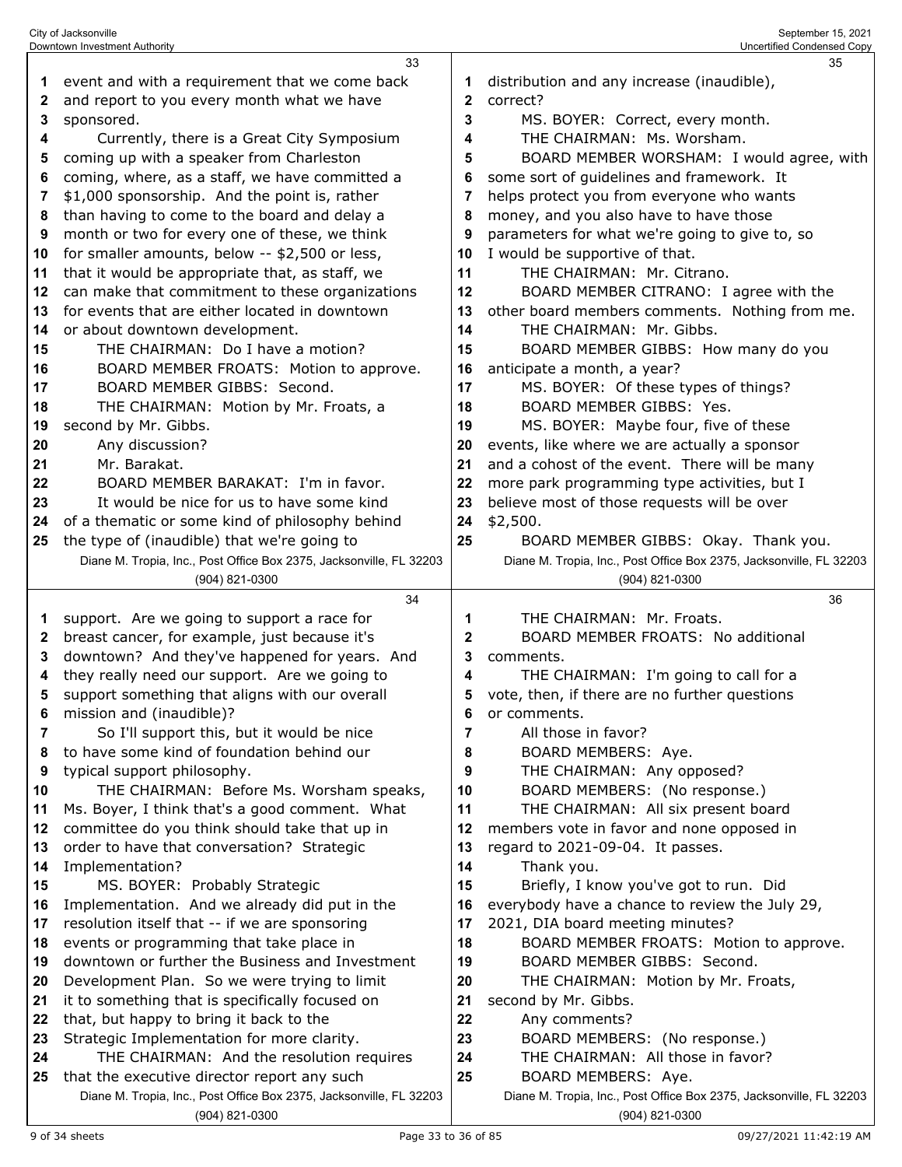|    | 33                                                                  |              | 35                                                                  |
|----|---------------------------------------------------------------------|--------------|---------------------------------------------------------------------|
| 1  | event and with a requirement that we come back                      | 1            | distribution and any increase (inaudible),                          |
| 2  | and report to you every month what we have                          | $\mathbf{2}$ | correct?                                                            |
|    |                                                                     | 3            |                                                                     |
| 3  | sponsored.                                                          |              | MS. BOYER: Correct, every month.                                    |
| 4  | Currently, there is a Great City Symposium                          | 4            | THE CHAIRMAN: Ms. Worsham.                                          |
| 5  | coming up with a speaker from Charleston                            | 5            | BOARD MEMBER WORSHAM: I would agree, with                           |
| 6  | coming, where, as a staff, we have committed a                      | 6            | some sort of guidelines and framework. It                           |
| 7  | \$1,000 sponsorship. And the point is, rather                       | 7            | helps protect you from everyone who wants                           |
| 8  | than having to come to the board and delay a                        | 8            | money, and you also have to have those                              |
| 9  | month or two for every one of these, we think                       | 9            | parameters for what we're going to give to, so                      |
| 10 | for smaller amounts, below -- \$2,500 or less,                      | 10           | I would be supportive of that.                                      |
| 11 | that it would be appropriate that, as staff, we                     | 11           | THE CHAIRMAN: Mr. Citrano.                                          |
| 12 | can make that commitment to these organizations                     | 12           | BOARD MEMBER CITRANO: I agree with the                              |
| 13 | for events that are either located in downtown                      | 13           | other board members comments. Nothing from me.                      |
| 14 | or about downtown development.                                      | 14           | THE CHAIRMAN: Mr. Gibbs.                                            |
| 15 | THE CHAIRMAN: Do I have a motion?                                   | 15           | BOARD MEMBER GIBBS: How many do you                                 |
|    |                                                                     |              |                                                                     |
| 16 | BOARD MEMBER FROATS: Motion to approve.                             | 16           | anticipate a month, a year?                                         |
| 17 | BOARD MEMBER GIBBS: Second.                                         | 17           | MS. BOYER: Of these types of things?                                |
| 18 | THE CHAIRMAN: Motion by Mr. Froats, a                               | 18           | BOARD MEMBER GIBBS: Yes.                                            |
| 19 | second by Mr. Gibbs.                                                | 19           | MS. BOYER: Maybe four, five of these                                |
| 20 | Any discussion?                                                     | 20           | events, like where we are actually a sponsor                        |
| 21 | Mr. Barakat.                                                        | 21           | and a cohost of the event. There will be many                       |
| 22 | BOARD MEMBER BARAKAT: I'm in favor.                                 | 22           | more park programming type activities, but I                        |
| 23 | It would be nice for us to have some kind                           | 23           | believe most of those requests will be over                         |
| 24 | of a thematic or some kind of philosophy behind                     | 24           | \$2,500.                                                            |
| 25 | the type of (inaudible) that we're going to                         | 25           | BOARD MEMBER GIBBS: Okay. Thank you.                                |
|    | Diane M. Tropia, Inc., Post Office Box 2375, Jacksonville, FL 32203 |              | Diane M. Tropia, Inc., Post Office Box 2375, Jacksonville, FL 32203 |
|    | (904) 821-0300                                                      |              | (904) 821-0300                                                      |
|    |                                                                     |              |                                                                     |
|    | 34                                                                  |              | 36                                                                  |
| 1  | support. Are we going to support a race for                         | 1            | THE CHAIRMAN: Mr. Froats.                                           |
| 2  | breast cancer, for example, just because it's                       | 2            | BOARD MEMBER FROATS: No additional                                  |
| 3  | downtown? And they've happened for years. And                       | 3            | comments.                                                           |
| 4  |                                                                     | 4            |                                                                     |
| 5  | they really need our support. Are we going to                       | 5            | THE CHAIRMAN: I'm going to call for a                               |
|    | support something that aligns with our overall                      |              | vote, then, if there are no further questions                       |
|    | mission and (inaudible)?                                            | 6            | or comments.                                                        |
| 7  | So I'll support this, but it would be nice                          | 7            | All those in favor?                                                 |
| 8  | to have some kind of foundation behind our                          | 8            | BOARD MEMBERS: Aye.                                                 |
| 9  | typical support philosophy.                                         | 9            | THE CHAIRMAN: Any opposed?                                          |
| 10 | THE CHAIRMAN: Before Ms. Worsham speaks,                            | 10           | BOARD MEMBERS: (No response.)                                       |
| 11 | Ms. Boyer, I think that's a good comment. What                      | 11           | THE CHAIRMAN: All six present board                                 |
| 12 | committee do you think should take that up in                       | 12           | members vote in favor and none opposed in                           |
| 13 | order to have that conversation? Strategic                          | 13           | regard to 2021-09-04. It passes.                                    |
| 14 | Implementation?                                                     | 14           | Thank you.                                                          |
| 15 | MS. BOYER: Probably Strategic                                       | 15           | Briefly, I know you've got to run. Did                              |
| 16 | Implementation. And we already did put in the                       | 16           | everybody have a chance to review the July 29,                      |
| 17 | resolution itself that -- if we are sponsoring                      | 17           | 2021, DIA board meeting minutes?                                    |
| 18 | events or programming that take place in                            | 18           | BOARD MEMBER FROATS: Motion to approve.                             |
| 19 | downtown or further the Business and Investment                     | 19           | BOARD MEMBER GIBBS: Second.                                         |
| 20 | Development Plan. So we were trying to limit                        | 20           | THE CHAIRMAN: Motion by Mr. Froats,                                 |
| 21 | it to something that is specifically focused on                     | 21           | second by Mr. Gibbs.                                                |
| 22 | that, but happy to bring it back to the                             | 22           | Any comments?                                                       |
| 23 | Strategic Implementation for more clarity.                          | 23           | BOARD MEMBERS: (No response.)                                       |
| 24 | THE CHAIRMAN: And the resolution requires                           | 24           | THE CHAIRMAN: All those in favor?                                   |
| 25 | that the executive director report any such                         | 25           | BOARD MEMBERS: Aye.                                                 |
|    | Diane M. Tropia, Inc., Post Office Box 2375, Jacksonville, FL 32203 |              | Diane M. Tropia, Inc., Post Office Box 2375, Jacksonville, FL 32203 |

City of Jacksonville September 15, 2021 Downtown Investment Authority Uncertified Condensed Copy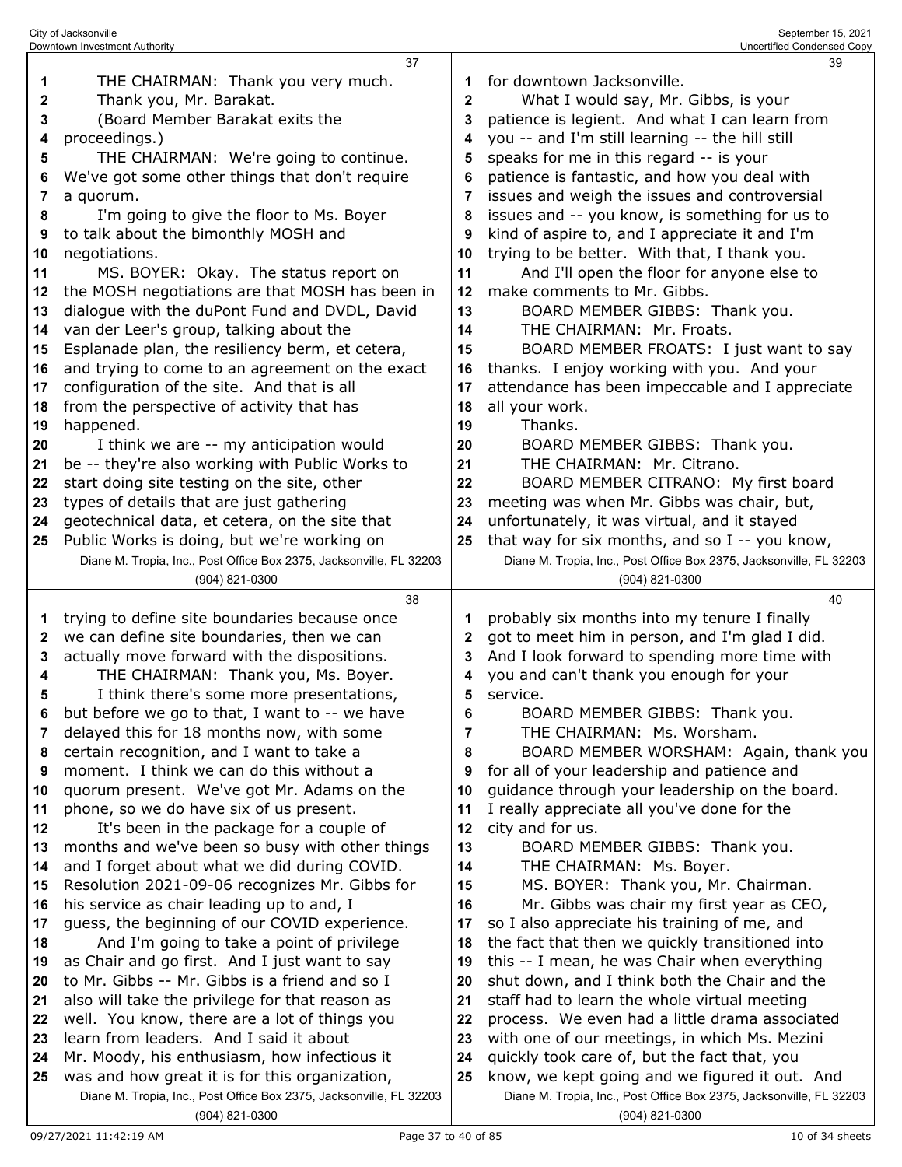|    | City of Jacksonville<br>Downtown Investment Authority               |                | September 15, 2021<br>Uncertified Condensed Copy                    |
|----|---------------------------------------------------------------------|----------------|---------------------------------------------------------------------|
|    | 37                                                                  |                | 39                                                                  |
| 1  | THE CHAIRMAN: Thank you very much.                                  | 1              | for downtown Jacksonville.                                          |
| 2  | Thank you, Mr. Barakat.                                             | $\mathbf{2}$   | What I would say, Mr. Gibbs, is your                                |
| 3  | (Board Member Barakat exits the                                     | 3              | patience is legient. And what I can learn from                      |
| 4  | proceedings.)                                                       | 4              | you -- and I'm still learning -- the hill still                     |
| 5  |                                                                     |                |                                                                     |
|    | THE CHAIRMAN: We're going to continue.                              | 5              | speaks for me in this regard -- is your                             |
| 6  | We've got some other things that don't require                      | 6              | patience is fantastic, and how you deal with                        |
| 7  | a quorum.                                                           | 7              | issues and weigh the issues and controversial                       |
| 8  | I'm going to give the floor to Ms. Boyer                            | 8              | issues and -- you know, is something for us to                      |
| 9  | to talk about the bimonthly MOSH and                                | 9              | kind of aspire to, and I appreciate it and I'm                      |
| 10 | negotiations.                                                       | 10             | trying to be better. With that, I thank you.                        |
| 11 | MS. BOYER: Okay. The status report on                               | 11             | And I'll open the floor for anyone else to                          |
| 12 | the MOSH negotiations are that MOSH has been in                     | 12             | make comments to Mr. Gibbs.                                         |
| 13 | dialogue with the duPont Fund and DVDL, David                       | 13             | BOARD MEMBER GIBBS: Thank you.                                      |
| 14 | van der Leer's group, talking about the                             | 14             | THE CHAIRMAN: Mr. Froats.                                           |
| 15 | Esplanade plan, the resiliency berm, et cetera,                     | 15             | BOARD MEMBER FROATS: I just want to say                             |
| 16 | and trying to come to an agreement on the exact                     | 16             | thanks. I enjoy working with you. And your                          |
| 17 | configuration of the site. And that is all                          | 17             | attendance has been impeccable and I appreciate                     |
| 18 | from the perspective of activity that has                           | 18             | all your work.                                                      |
| 19 | happened.                                                           | 19             | Thanks.                                                             |
| 20 | I think we are -- my anticipation would                             | 20             | BOARD MEMBER GIBBS: Thank you.                                      |
| 21 | be -- they're also working with Public Works to                     | 21             | THE CHAIRMAN: Mr. Citrano.                                          |
| 22 | start doing site testing on the site, other                         | 22             | BOARD MEMBER CITRANO: My first board                                |
| 23 | types of details that are just gathering                            | 23             | meeting was when Mr. Gibbs was chair, but,                          |
| 24 | geotechnical data, et cetera, on the site that                      | 24             | unfortunately, it was virtual, and it stayed                        |
| 25 | Public Works is doing, but we're working on                         | 25             | that way for six months, and so I -- you know,                      |
|    | Diane M. Tropia, Inc., Post Office Box 2375, Jacksonville, FL 32203 |                | Diane M. Tropia, Inc., Post Office Box 2375, Jacksonville, FL 32203 |
|    | (904) 821-0300                                                      |                | (904) 821-0300                                                      |
|    | 38                                                                  |                | 40                                                                  |
| 1  | trying to define site boundaries because once                       | 1              | probably six months into my tenure I finally                        |
| 2  | we can define site boundaries, then we can                          | 2              | got to meet him in person, and I'm glad I did.                      |
| 3  | actually move forward with the dispositions.                        | 3              | And I look forward to spending more time with                       |
| 4  | THE CHAIRMAN: Thank you, Ms. Boyer.                                 | 4              | you and can't thank you enough for your                             |
| 5  | I think there's some more presentations,                            | 5              | service.                                                            |
| 6  | but before we go to that, I want to -- we have                      | 6              | BOARD MEMBER GIBBS: Thank you.                                      |
| 7  | delayed this for 18 months now, with some                           | $\overline{7}$ | THE CHAIRMAN: Ms. Worsham.                                          |
| 8  | certain recognition, and I want to take a                           | 8              | BOARD MEMBER WORSHAM: Again, thank you                              |
| 9  | moment. I think we can do this without a                            | 9              | for all of your leadership and patience and                         |
| 10 | quorum present. We've got Mr. Adams on the                          | 10             | guidance through your leadership on the board.                      |
| 11 | phone, so we do have six of us present.                             | 11             | I really appreciate all you've done for the                         |
| 12 | It's been in the package for a couple of                            | 12             | city and for us.                                                    |
| 13 | months and we've been so busy with other things                     | 13             | BOARD MEMBER GIBBS: Thank you.                                      |
| 14 | and I forget about what we did during COVID.                        | 14             | THE CHAIRMAN: Ms. Boyer.                                            |
| 15 | Resolution 2021-09-06 recognizes Mr. Gibbs for                      | 15             | MS. BOYER: Thank you, Mr. Chairman.                                 |
| 16 | his service as chair leading up to and, I                           | 16             | Mr. Gibbs was chair my first year as CEO,                           |
| 17 | guess, the beginning of our COVID experience.                       | 17             | so I also appreciate his training of me, and                        |
| 18 | And I'm going to take a point of privilege                          | 18             | the fact that then we quickly transitioned into                     |
| 19 | as Chair and go first. And I just want to say                       | 19             | this -- I mean, he was Chair when everything                        |
| 20 | to Mr. Gibbs -- Mr. Gibbs is a friend and so I                      | 20             | shut down, and I think both the Chair and the                       |
| 21 | also will take the privilege for that reason as                     | 21             | staff had to learn the whole virtual meeting                        |
| 22 | well. You know, there are a lot of things you                       | 22             | process. We even had a little drama associated                      |
| 23 | learn from leaders. And I said it about                             | 23             | with one of our meetings, in which Ms. Mezini                       |
| 24 | Mr. Moody, his enthusiasm, how infectious it                        | 24             | quickly took care of, but the fact that, you                        |
| 25 | was and how great it is for this organization,                      | 25             | know, we kept going and we figured it out. And                      |
|    | Diane M. Tropia, Inc., Post Office Box 2375, Jacksonville, FL 32203 |                | Diane M. Tropia, Inc., Post Office Box 2375, Jacksonville, FL 32203 |
|    | (904) 821-0300                                                      |                | (904) 821-0300                                                      |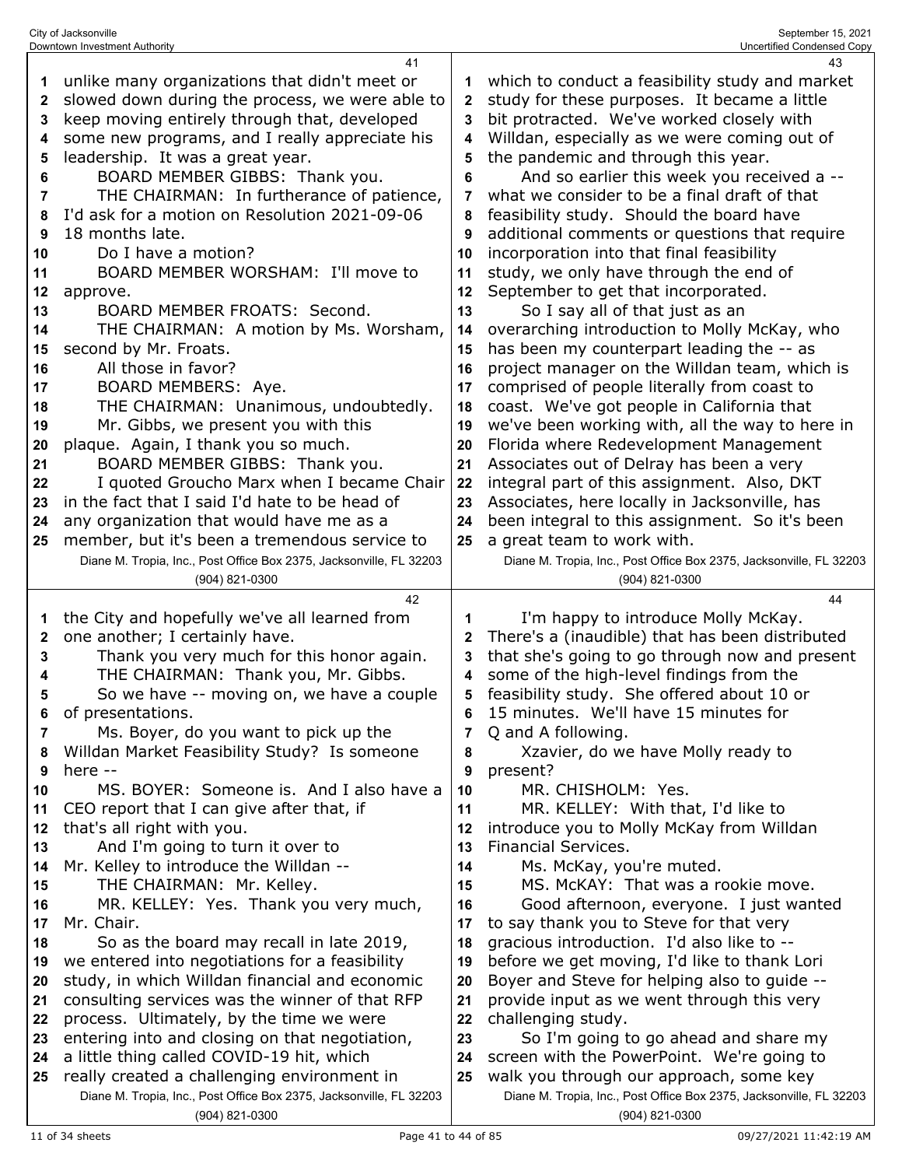| Downtown Investment Authority                                                                                                                                                                                                                                                                                                                                                                                                                                                                                                                                                                                                                                                                                                                                                                                                                                                                                                                                                                                                                                                                               |                                                                                                                                           | Uncertified Condensed Copy                                                                                                                                                                                                                                                                                                                                                                                                                                                                                                                                                                                                                                                                                                                                                                                                                                                                                                                                                                                                                                                                                                                                                                                                                                         |
|-------------------------------------------------------------------------------------------------------------------------------------------------------------------------------------------------------------------------------------------------------------------------------------------------------------------------------------------------------------------------------------------------------------------------------------------------------------------------------------------------------------------------------------------------------------------------------------------------------------------------------------------------------------------------------------------------------------------------------------------------------------------------------------------------------------------------------------------------------------------------------------------------------------------------------------------------------------------------------------------------------------------------------------------------------------------------------------------------------------|-------------------------------------------------------------------------------------------------------------------------------------------|--------------------------------------------------------------------------------------------------------------------------------------------------------------------------------------------------------------------------------------------------------------------------------------------------------------------------------------------------------------------------------------------------------------------------------------------------------------------------------------------------------------------------------------------------------------------------------------------------------------------------------------------------------------------------------------------------------------------------------------------------------------------------------------------------------------------------------------------------------------------------------------------------------------------------------------------------------------------------------------------------------------------------------------------------------------------------------------------------------------------------------------------------------------------------------------------------------------------------------------------------------------------|
| 41<br>unlike many organizations that didn't meet or<br>slowed down during the process, we were able to<br>keep moving entirely through that, developed<br>some new programs, and I really appreciate his<br>leadership. It was a great year.<br>BOARD MEMBER GIBBS: Thank you.<br>THE CHAIRMAN: In furtherance of patience,<br>I'd ask for a motion on Resolution 2021-09-06<br>18 months late.<br>Do I have a motion?<br>BOARD MEMBER WORSHAM: I'll move to<br>approve.<br>BOARD MEMBER FROATS: Second.<br>THE CHAIRMAN: A motion by Ms. Worsham,<br>second by Mr. Froats.<br>All those in favor?<br>BOARD MEMBERS: Aye.<br>THE CHAIRMAN: Unanimous, undoubtedly.<br>Mr. Gibbs, we present you with this<br>plaque. Again, I thank you so much.<br>BOARD MEMBER GIBBS: Thank you.<br>I quoted Groucho Marx when I became Chair<br>in the fact that I said I'd hate to be head of<br>any organization that would have me as a<br>member, but it's been a tremendous service to<br>Diane M. Tropia, Inc., Post Office Box 2375, Jacksonville, FL 32203                                                       | 1<br>2<br>3<br>4<br>5<br>6<br>7<br>8<br>9<br>10<br>11<br>12<br>13<br>14<br>15<br>16<br>17<br>18<br>19<br>20<br>21<br>22<br>23<br>24<br>25 | 43<br>which to conduct a feasibility study and market<br>study for these purposes. It became a little<br>bit protracted. We've worked closely with<br>Willdan, especially as we were coming out of<br>the pandemic and through this year.<br>And so earlier this week you received a --<br>what we consider to be a final draft of that<br>feasibility study. Should the board have<br>additional comments or questions that require<br>incorporation into that final feasibility<br>study, we only have through the end of<br>September to get that incorporated.<br>So I say all of that just as an<br>overarching introduction to Molly McKay, who<br>has been my counterpart leading the -- as<br>project manager on the Willdan team, which is<br>comprised of people literally from coast to<br>coast. We've got people in California that<br>we've been working with, all the way to here in<br>Florida where Redevelopment Management<br>Associates out of Delray has been a very<br>integral part of this assignment. Also, DKT<br>Associates, here locally in Jacksonville, has<br>been integral to this assignment. So it's been<br>a great team to work with.<br>Diane M. Tropia, Inc., Post Office Box 2375, Jacksonville, FL 32203<br>(904) 821-0300 |
| 42<br>the City and hopefully we've all learned from<br>one another; I certainly have.<br>Thank you very much for this honor again.<br>THE CHAIRMAN: Thank you, Mr. Gibbs.<br>So we have -- moving on, we have a couple<br>of presentations.<br>Ms. Boyer, do you want to pick up the<br>Willdan Market Feasibility Study? Is someone<br>here --<br>MS. BOYER: Someone is. And I also have a<br>CEO report that I can give after that, if<br>that's all right with you.<br>And I'm going to turn it over to<br>Mr. Kelley to introduce the Willdan --<br>THE CHAIRMAN: Mr. Kelley.<br>MR. KELLEY: Yes. Thank you very much,<br>Mr. Chair.<br>So as the board may recall in late 2019,<br>we entered into negotiations for a feasibility<br>study, in which Willdan financial and economic<br>consulting services was the winner of that RFP<br>process. Ultimately, by the time we were<br>entering into and closing on that negotiation,<br>a little thing called COVID-19 hit, which<br>really created a challenging environment in<br>Diane M. Tropia, Inc., Post Office Box 2375, Jacksonville, FL 32203 | 1<br>2<br>3<br>4<br>5<br>6<br>7<br>8<br>9<br>10<br>11<br>12<br>13<br>14<br>15<br>16<br>17<br>18<br>19<br>20<br>21<br>22<br>23<br>24<br>25 | 44<br>I'm happy to introduce Molly McKay.<br>There's a (inaudible) that has been distributed<br>that she's going to go through now and present<br>some of the high-level findings from the<br>feasibility study. She offered about 10 or<br>15 minutes. We'll have 15 minutes for<br>Q and A following.<br>Xzavier, do we have Molly ready to<br>present?<br>MR. CHISHOLM: Yes.<br>MR. KELLEY: With that, I'd like to<br>introduce you to Molly McKay from Willdan<br><b>Financial Services.</b><br>Ms. McKay, you're muted.<br>MS. McKAY: That was a rookie move.<br>Good afternoon, everyone. I just wanted<br>to say thank you to Steve for that very<br>gracious introduction. I'd also like to --<br>before we get moving, I'd like to thank Lori<br>Boyer and Steve for helping also to guide --<br>provide input as we went through this very<br>challenging study.<br>So I'm going to go ahead and share my<br>screen with the PowerPoint. We're going to<br>walk you through our approach, some key<br>Diane M. Tropia, Inc., Post Office Box 2375, Jacksonville, FL 32203                                                                                                                                                                                |
|                                                                                                                                                                                                                                                                                                                                                                                                                                                                                                                                                                                                                                                                                                                                                                                                                                                                                                                                                                                                                                                                                                             | (904) 821-0300<br>(904) 821-0300                                                                                                          |                                                                                                                                                                                                                                                                                                                                                                                                                                                                                                                                                                                                                                                                                                                                                                                                                                                                                                                                                                                                                                                                                                                                                                                                                                                                    |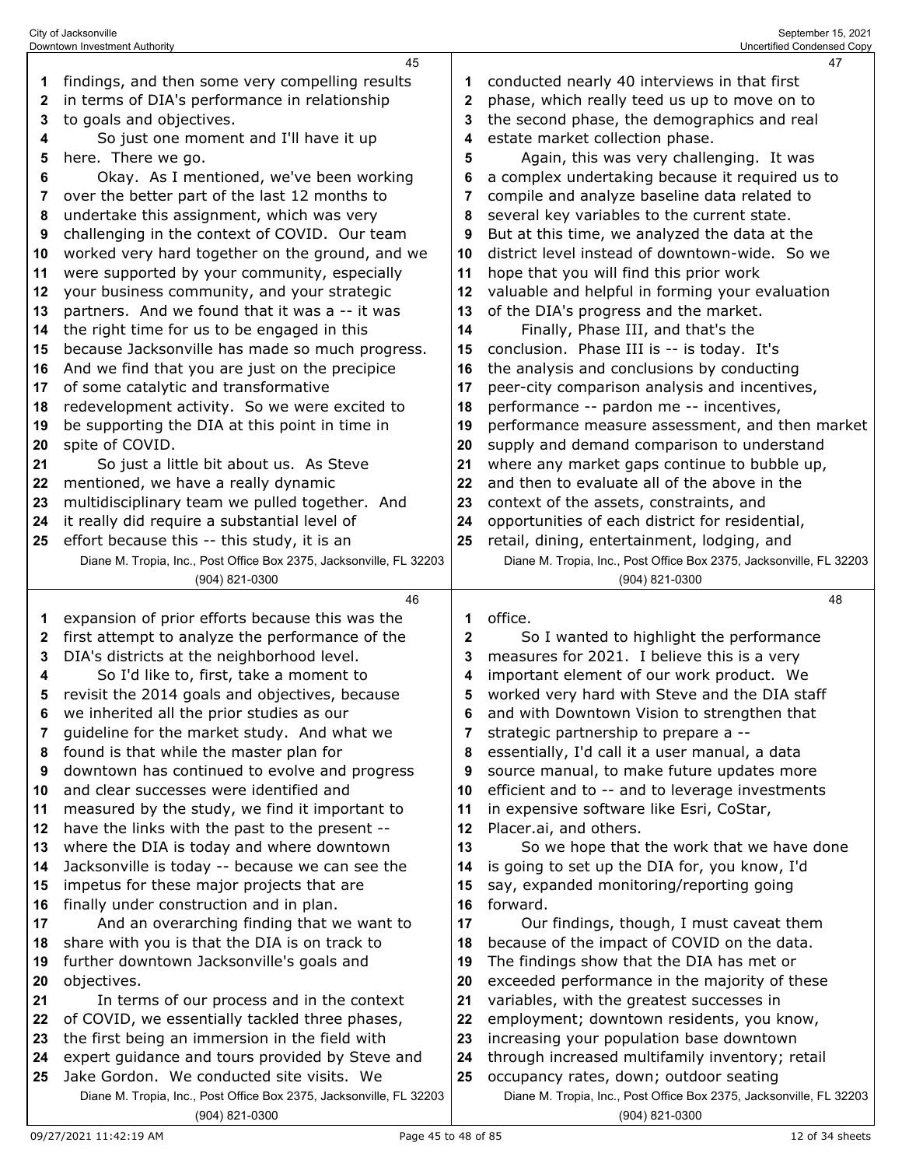| 2        | in terms of DIA's performance in relationship                                                | 2        | phase, which really teed us up to move on to                                              |
|----------|----------------------------------------------------------------------------------------------|----------|-------------------------------------------------------------------------------------------|
| 3        | to goals and objectives.                                                                     | 3        | the second phase, the demographics and real                                               |
| 4        | So just one moment and I'll have it up                                                       | 4        | estate market collection phase.                                                           |
| 5        | here. There we go.                                                                           | 5        | Again, this was very challenging. It was                                                  |
| 6        | Okay. As I mentioned, we've been working                                                     | 6        | a complex undertaking because it required us to                                           |
| 7        | over the better part of the last 12 months to                                                | 7        | compile and analyze baseline data related to                                              |
| 8        | undertake this assignment, which was very                                                    | 8        | several key variables to the current state.                                               |
| 9        | challenging in the context of COVID. Our team                                                | 9        | But at this time, we analyzed the data at the                                             |
| 10       | worked very hard together on the ground, and we                                              | 10       | district level instead of downtown-wide. So we                                            |
| 11       | were supported by your community, especially                                                 | 11       | hope that you will find this prior work                                                   |
| 12       | your business community, and your strategic                                                  | 12       | valuable and helpful in forming your evaluation                                           |
| 13       | partners. And we found that it was a -- it was                                               | 13       | of the DIA's progress and the market.                                                     |
| 14       | the right time for us to be engaged in this                                                  | 14       | Finally, Phase III, and that's the                                                        |
|          |                                                                                              |          |                                                                                           |
| 15       | because Jacksonville has made so much progress.                                              | 15       | conclusion. Phase III is -- is today. It's                                                |
| 16       | And we find that you are just on the precipice                                               | 16       | the analysis and conclusions by conducting                                                |
| 17       | of some catalytic and transformative                                                         | 17       | peer-city comparison analysis and incentives,                                             |
| 18       | redevelopment activity. So we were excited to                                                | 18       | performance -- pardon me -- incentives,                                                   |
| 19       | be supporting the DIA at this point in time in                                               | 19       | performance measure assessment, and then market                                           |
| 20       | spite of COVID.                                                                              | 20       | supply and demand comparison to understand                                                |
| 21       | So just a little bit about us. As Steve                                                      | 21       | where any market gaps continue to bubble up,                                              |
| 22       | mentioned, we have a really dynamic                                                          | 22       | and then to evaluate all of the above in the                                              |
| 23       | multidisciplinary team we pulled together. And                                               | 23       | context of the assets, constraints, and                                                   |
| 24       | it really did require a substantial level of                                                 | 24       | opportunities of each district for residential,                                           |
| 25       | effort because this -- this study, it is an                                                  | 25       | retail, dining, entertainment, lodging, and                                               |
|          | Diane M. Tropia, Inc., Post Office Box 2375, Jacksonville, FL 32203                          |          | Diane M. Tropia, Inc., Post Office Box 2375, Jacksonville, FL 32203                       |
|          | (904) 821-0300                                                                               |          | (904) 821-0300                                                                            |
|          |                                                                                              |          |                                                                                           |
|          | 46                                                                                           |          | 48                                                                                        |
| 1        | expansion of prior efforts because this was the                                              | 1        | office.                                                                                   |
| 2        | first attempt to analyze the performance of the                                              | 2        | So I wanted to highlight the performance                                                  |
| 3        | DIA's districts at the neighborhood level.                                                   | 3        | measures for 2021. I believe this is a very                                               |
| 4        | So I'd like to, first, take a moment to                                                      | 4        | important element of our work product. We                                                 |
| 5        | revisit the 2014 goals and objectives, because                                               | 5        | worked very hard with Steve and the DIA staff                                             |
| 6        | we inherited all the prior studies as our                                                    | 6        | and with Downtown Vision to strengthen that                                               |
| 7        | guideline for the market study. And what we                                                  | 7        | strategic partnership to prepare a --                                                     |
| 8        | found is that while the master plan for                                                      | 8        | essentially, I'd call it a user manual, a data                                            |
| 9        | downtown has continued to evolve and progress                                                | 9        | source manual, to make future updates more                                                |
| 10       | and clear successes were identified and                                                      | 10       | efficient and to -- and to leverage investments                                           |
| 11       | measured by the study, we find it important to                                               | 11       | in expensive software like Esri, CoStar,                                                  |
| 12       | have the links with the past to the present --                                               | 12       | Placer.ai, and others.                                                                    |
| 13       | where the DIA is today and where downtown                                                    | 13       | So we hope that the work that we have done                                                |
| 14       | Jacksonville is today -- because we can see the                                              | 14       | is going to set up the DIA for, you know, I'd                                             |
| 15       | impetus for these major projects that are                                                    | 15       | say, expanded monitoring/reporting going                                                  |
| 16       | finally under construction and in plan.                                                      | 16       | forward.                                                                                  |
| 17       | And an overarching finding that we want to                                                   | 17       |                                                                                           |
| 18       | share with you is that the DIA is on track to                                                | 18       | Our findings, though, I must caveat them<br>because of the impact of COVID on the data.   |
| 19       | further downtown Jacksonville's goals and                                                    | 19       | The findings show that the DIA has met or                                                 |
| 20       | objectives.                                                                                  | 20       |                                                                                           |
| 21       |                                                                                              | 21       | exceeded performance in the majority of these                                             |
| 22       | In terms of our process and in the context                                                   | 22       | variables, with the greatest successes in                                                 |
| 23       | of COVID, we essentially tackled three phases,                                               |          | employment; downtown residents, you know,                                                 |
|          | the first being an immersion in the field with                                               | 23       | increasing your population base downtown                                                  |
| 24<br>25 | expert guidance and tours provided by Steve and<br>Jake Gordon. We conducted site visits. We | 24<br>25 | through increased multifamily inventory; retail<br>occupancy rates, down; outdoor seating |

findings, and then some very compelling results

conducted nearly 40 interviews in that first

(904) 821-0300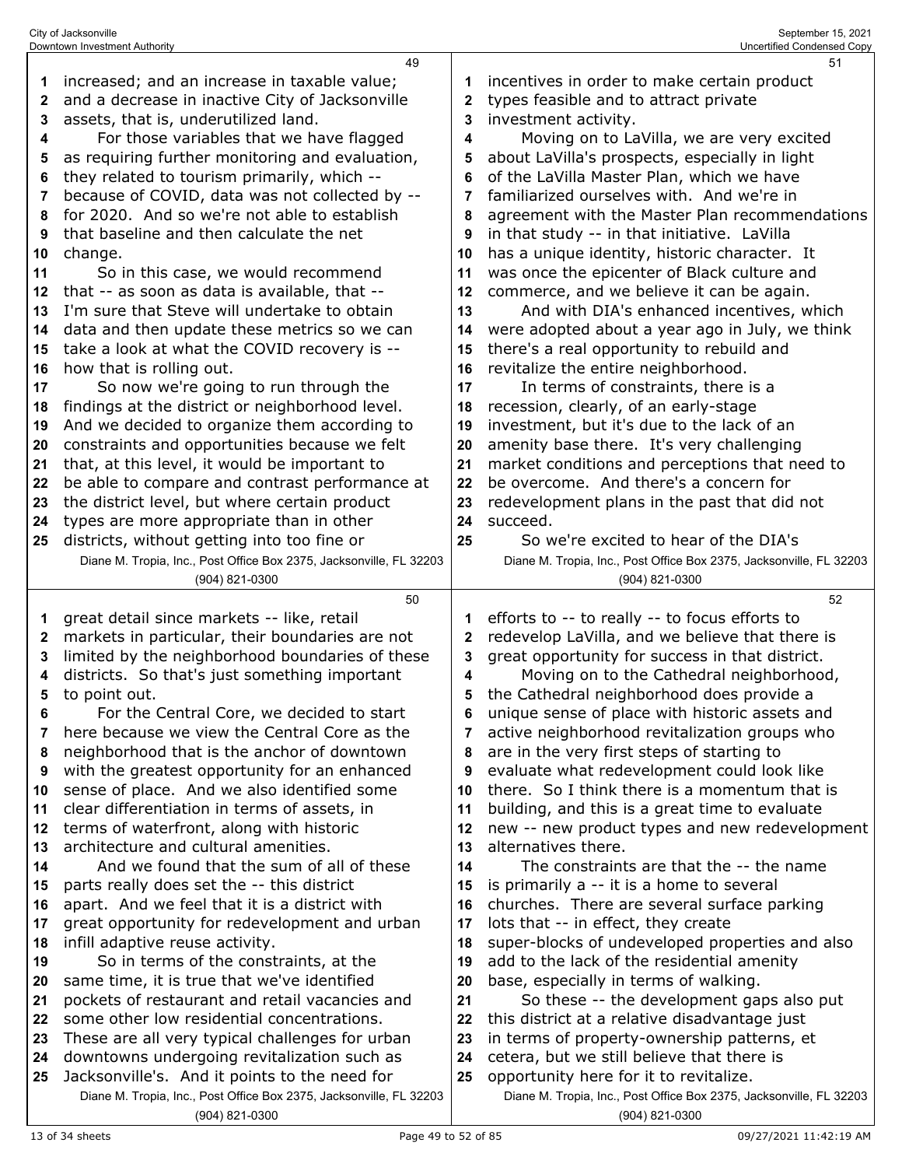|    | Downtown Investment Authority                                       |    | Uncertified Condensed Copy                                          |
|----|---------------------------------------------------------------------|----|---------------------------------------------------------------------|
|    | 49                                                                  |    | 51                                                                  |
| 1  | increased; and an increase in taxable value;                        |    | incentives in order to make certain product                         |
| 2  | and a decrease in inactive City of Jacksonville                     | 2  | types feasible and to attract private                               |
| 3  | assets, that is, underutilized land.                                | 3  | investment activity.                                                |
| 4  | For those variables that we have flagged                            | 4  | Moving on to LaVilla, we are very excited                           |
| 5  | as requiring further monitoring and evaluation,                     | 5  | about LaVilla's prospects, especially in light                      |
| 6  | they related to tourism primarily, which --                         | 6  | of the LaVilla Master Plan, which we have                           |
| 7  | because of COVID, data was not collected by --                      | 7  | familiarized ourselves with. And we're in                           |
| 8  | for 2020. And so we're not able to establish                        | 8  | agreement with the Master Plan recommendations                      |
| 9  | that baseline and then calculate the net                            | 9  | in that study -- in that initiative. LaVilla                        |
| 10 | change.                                                             | 10 | has a unique identity, historic character. It                       |
| 11 | So in this case, we would recommend                                 | 11 | was once the epicenter of Black culture and                         |
| 12 | that -- as soon as data is available, that --                       | 12 | commerce, and we believe it can be again.                           |
| 13 | I'm sure that Steve will undertake to obtain                        | 13 | And with DIA's enhanced incentives, which                           |
| 14 | data and then update these metrics so we can                        | 14 | were adopted about a year ago in July, we think                     |
| 15 | take a look at what the COVID recovery is --                        | 15 | there's a real opportunity to rebuild and                           |
| 16 | how that is rolling out.                                            | 16 | revitalize the entire neighborhood.                                 |
| 17 | So now we're going to run through the                               | 17 | In terms of constraints, there is a                                 |
| 18 | findings at the district or neighborhood level.                     | 18 | recession, clearly, of an early-stage                               |
| 19 | And we decided to organize them according to                        | 19 | investment, but it's due to the lack of an                          |
| 20 | constraints and opportunities because we felt                       | 20 | amenity base there. It's very challenging                           |
|    |                                                                     | 21 | market conditions and perceptions that need to                      |
| 21 | that, at this level, it would be important to                       |    | be overcome. And there's a concern for                              |
| 22 | be able to compare and contrast performance at                      | 22 |                                                                     |
| 23 | the district level, but where certain product                       | 23 | redevelopment plans in the past that did not                        |
| 24 | types are more appropriate than in other                            | 24 | succeed.                                                            |
| 25 | districts, without getting into too fine or                         | 25 | So we're excited to hear of the DIA's                               |
|    | Diane M. Tropia, Inc., Post Office Box 2375, Jacksonville, FL 32203 |    | Diane M. Tropia, Inc., Post Office Box 2375, Jacksonville, FL 32203 |
|    |                                                                     |    |                                                                     |
|    | (904) 821-0300                                                      |    | (904) 821-0300                                                      |
|    | 50                                                                  |    | 52                                                                  |
| 1  | great detail since markets -- like, retail                          | 1  | efforts to -- to really -- to focus efforts to                      |
| 2  | markets in particular, their boundaries are not                     | 2  | redevelop LaVilla, and we believe that there is                     |
| 3  | limited by the neighborhood boundaries of these                     | 3  | great opportunity for success in that district.                     |
| 4  | districts. So that's just something important                       | 4  | Moving on to the Cathedral neighborhood,                            |
| 5  | to point out.                                                       | 5  | the Cathedral neighborhood does provide a                           |
| 6  | For the Central Core, we decided to start                           | 6  | unique sense of place with historic assets and                      |
| 7  | here because we view the Central Core as the                        | 7  | active neighborhood revitalization groups who                       |
| 8  | neighborhood that is the anchor of downtown                         | 8  | are in the very first steps of starting to                          |
| 9  | with the greatest opportunity for an enhanced                       | 9  | evaluate what redevelopment could look like                         |
| 10 | sense of place. And we also identified some                         | 10 | there. So I think there is a momentum that is                       |
| 11 | clear differentiation in terms of assets, in                        | 11 | building, and this is a great time to evaluate                      |
| 12 | terms of waterfront, along with historic                            | 12 | new -- new product types and new redevelopment                      |
| 13 | architecture and cultural amenities.                                | 13 | alternatives there.                                                 |
| 14 | And we found that the sum of all of these                           | 14 | The constraints are that the -- the name                            |
| 15 | parts really does set the -- this district                          | 15 | is primarily a -- it is a home to several                           |
| 16 | apart. And we feel that it is a district with                       | 16 | churches. There are several surface parking                         |
| 17 | great opportunity for redevelopment and urban                       | 17 | lots that -- in effect, they create                                 |
| 18 | infill adaptive reuse activity.                                     | 18 | super-blocks of undeveloped properties and also                     |
| 19 | So in terms of the constraints, at the                              | 19 | add to the lack of the residential amenity                          |
| 20 | same time, it is true that we've identified                         | 20 | base, especially in terms of walking.                               |
| 21 | pockets of restaurant and retail vacancies and                      | 21 | So these -- the development gaps also put                           |
| 22 | some other low residential concentrations.                          | 22 | this district at a relative disadvantage just                       |
| 23 | These are all very typical challenges for urban                     | 23 | in terms of property-ownership patterns, et                         |
| 24 | downtowns undergoing revitalization such as                         | 24 | cetera, but we still believe that there is                          |
| 25 | Jacksonville's. And it points to the need for                       | 25 | opportunity here for it to revitalize.                              |
|    | Diane M. Tropia, Inc., Post Office Box 2375, Jacksonville, FL 32203 |    | Diane M. Tropia, Inc., Post Office Box 2375, Jacksonville, FL 32203 |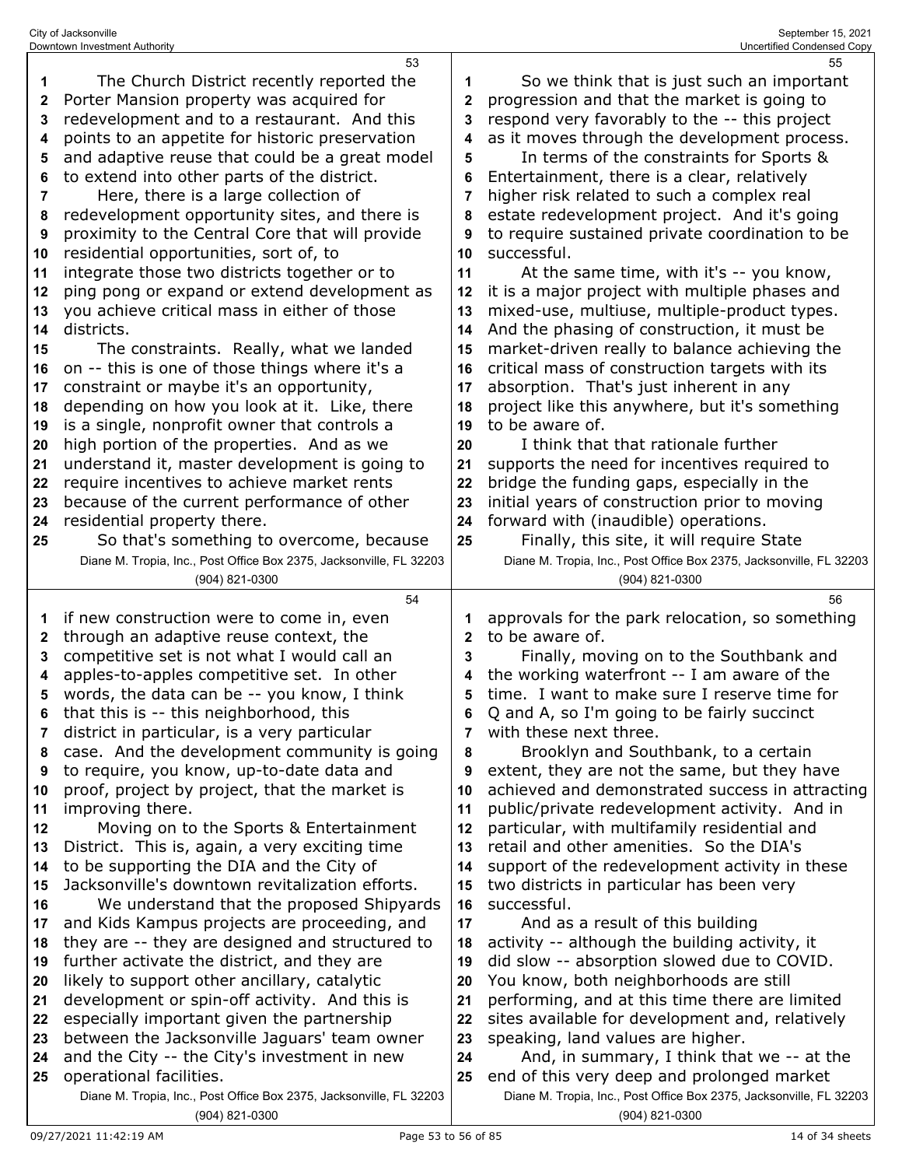| Uncertified Condensed Copy                                                                                                                                                                                                                                                                                                                                                                                                                                                                                                                                                                                                                                                                                                                                                                                                                                                                                                                                                                                                                                                                                                                                                                                                                                                                                                                                                                             |
|--------------------------------------------------------------------------------------------------------------------------------------------------------------------------------------------------------------------------------------------------------------------------------------------------------------------------------------------------------------------------------------------------------------------------------------------------------------------------------------------------------------------------------------------------------------------------------------------------------------------------------------------------------------------------------------------------------------------------------------------------------------------------------------------------------------------------------------------------------------------------------------------------------------------------------------------------------------------------------------------------------------------------------------------------------------------------------------------------------------------------------------------------------------------------------------------------------------------------------------------------------------------------------------------------------------------------------------------------------------------------------------------------------|
| 55<br>So we think that is just such an important<br>1<br>progression and that the market is going to<br>$\mathbf 2$<br>respond very favorably to the -- this project<br>3<br>as it moves through the development process.<br>4<br>In terms of the constraints for Sports &<br>5<br>Entertainment, there is a clear, relatively<br>6<br>higher risk related to such a complex real<br>7<br>estate redevelopment project. And it's going<br>8<br>to require sustained private coordination to be<br>9<br>successful.<br>10<br>At the same time, with it's -- you know,<br>11<br>it is a major project with multiple phases and<br>12<br>mixed-use, multiuse, multiple-product types.<br>13<br>And the phasing of construction, it must be<br>14<br>market-driven really to balance achieving the<br>15<br>critical mass of construction targets with its<br>16<br>absorption. That's just inherent in any<br>17<br>project like this anywhere, but it's something<br>18<br>to be aware of.<br>19<br>I think that that rationale further<br>20<br>supports the need for incentives required to<br>21<br>bridge the funding gaps, especially in the<br>22<br>initial years of construction prior to moving<br>23<br>forward with (inaudible) operations.<br>24<br>Finally, this site, it will require State<br>25<br>Diane M. Tropia, Inc., Post Office Box 2375, Jacksonville, FL 32203<br>(904) 821-0300 |
| 56<br>approvals for the park relocation, so something<br>to be aware of.<br>$\mathbf{2}$<br>Finally, moving on to the Southbank and<br>3<br>the working waterfront -- I am aware of the<br>4<br>time. I want to make sure I reserve time for<br>5<br>Q and A, so I'm going to be fairly succinct<br>6<br>with these next three.<br>7<br>Brooklyn and Southbank, to a certain<br>8<br>extent, they are not the same, but they have<br>9<br>achieved and demonstrated success in attracting<br>10<br>public/private redevelopment activity. And in<br>11<br>particular, with multifamily residential and<br>12<br>retail and other amenities. So the DIA's<br>13<br>support of the redevelopment activity in these<br>14<br>two districts in particular has been very<br>15<br>successful.<br>16<br>And as a result of this building<br>17<br>activity -- although the building activity, it<br>18<br>did slow -- absorption slowed due to COVID.<br>19<br>You know, both neighborhoods are still<br>20<br>performing, and at this time there are limited<br>21<br>sites available for development and, relatively<br>22<br>speaking, land values are higher.<br>23<br>And, in summary, I think that we -- at the<br>24<br>end of this very deep and prolonged market<br>25<br>Diane M. Tropia, Inc., Post Office Box 2375, Jacksonville, FL 32203<br>(904) 821-0300                                     |
|                                                                                                                                                                                                                                                                                                                                                                                                                                                                                                                                                                                                                                                                                                                                                                                                                                                                                                                                                                                                                                                                                                                                                                                                                                                                                                                                                                                                        |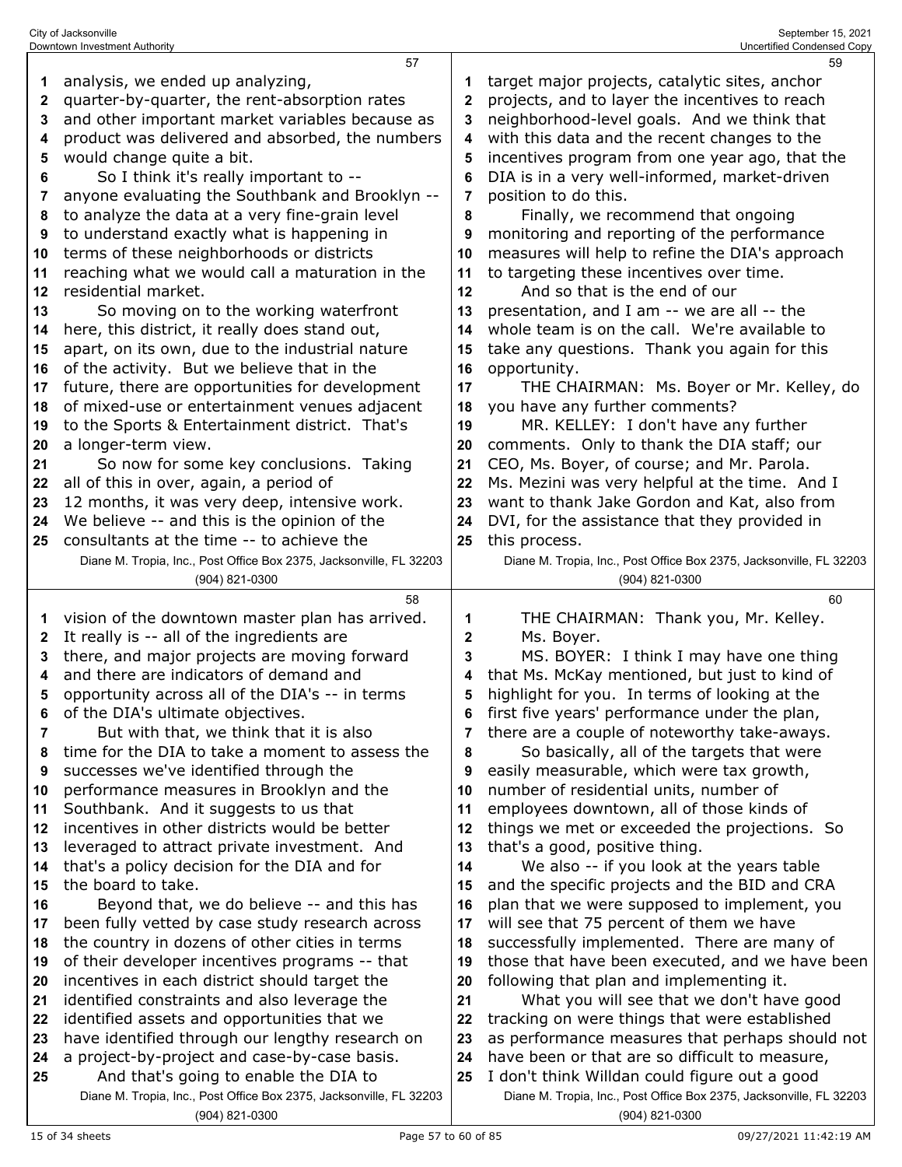|         | 57                                                                  |              | 59                                                                  |
|---------|---------------------------------------------------------------------|--------------|---------------------------------------------------------------------|
| 1       | analysis, we ended up analyzing,                                    |              | target major projects, catalytic sites, anchor                      |
| 2       | quarter-by-quarter, the rent-absorption rates                       | $\mathbf{2}$ | projects, and to layer the incentives to reach                      |
| 3       | and other important market variables because as                     | 3            | neighborhood-level goals. And we think that                         |
| 4       | product was delivered and absorbed, the numbers                     | 4            | with this data and the recent changes to the                        |
| 5       | would change quite a bit.                                           | 5            | incentives program from one year ago, that the                      |
| 6       | So I think it's really important to --                              | 6            | DIA is in a very well-informed, market-driven                       |
| 7       | anyone evaluating the Southbank and Brooklyn --                     |              | position to do this.                                                |
|         | to analyze the data at a very fine-grain level                      | 8            |                                                                     |
| 8       |                                                                     |              | Finally, we recommend that ongoing                                  |
| 9       | to understand exactly what is happening in                          | 9            | monitoring and reporting of the performance                         |
| 10      | terms of these neighborhoods or districts                           | 10           | measures will help to refine the DIA's approach                     |
| 11      | reaching what we would call a maturation in the                     | 11           | to targeting these incentives over time.                            |
| 12      | residential market.                                                 | 12           | And so that is the end of our                                       |
| 13      | So moving on to the working waterfront                              | 13           | presentation, and I am -- we are all -- the                         |
| 14      | here, this district, it really does stand out,                      | 14           | whole team is on the call. We're available to                       |
| 15      | apart, on its own, due to the industrial nature                     | 15           | take any questions. Thank you again for this                        |
| 16      | of the activity. But we believe that in the                         | 16           | opportunity.                                                        |
| 17      | future, there are opportunities for development                     | 17           | THE CHAIRMAN: Ms. Boyer or Mr. Kelley, do                           |
| 18      | of mixed-use or entertainment venues adjacent                       | 18           | you have any further comments?                                      |
| 19      | to the Sports & Entertainment district. That's                      | 19           | MR. KELLEY: I don't have any further                                |
| 20      | a longer-term view.                                                 | 20           | comments. Only to thank the DIA staff; our                          |
| 21      | So now for some key conclusions. Taking                             | 21           | CEO, Ms. Boyer, of course; and Mr. Parola.                          |
| 22      | all of this in over, again, a period of                             | 22           | Ms. Mezini was very helpful at the time. And I                      |
| 23      | 12 months, it was very deep, intensive work.                        | 23           | want to thank Jake Gordon and Kat, also from                        |
| 24      | We believe -- and this is the opinion of the                        | 24           | DVI, for the assistance that they provided in                       |
| 25      | consultants at the time -- to achieve the                           | 25           | this process.                                                       |
|         | Diane M. Tropia, Inc., Post Office Box 2375, Jacksonville, FL 32203 |              | Diane M. Tropia, Inc., Post Office Box 2375, Jacksonville, FL 32203 |
|         | (904) 821-0300                                                      |              | (904) 821-0300                                                      |
|         |                                                                     |              |                                                                     |
|         | 58                                                                  |              | 60                                                                  |
|         |                                                                     |              |                                                                     |
| 1       | vision of the downtown master plan has arrived.                     | 1            | THE CHAIRMAN: Thank you, Mr. Kelley.                                |
| 2       | It really is -- all of the ingredients are                          | 2<br>3       | Ms. Boyer.                                                          |
| 3       | there, and major projects are moving forward                        |              | MS. BOYER: I think I may have one thing                             |
| 4       | and there are indicators of demand and                              | 4            | that Ms. McKay mentioned, but just to kind of                       |
| 5       | opportunity across all of the DIA's -- in terms                     | 5            | highlight for you. In terms of looking at the                       |
|         | of the DIA's ultimate objectives.                                   |              | first five years' performance under the plan,                       |
| 7       | But with that, we think that it is also                             | 7            | there are a couple of noteworthy take-aways.                        |
| 8       | time for the DIA to take a moment to assess the                     | 8            | So basically, all of the targets that were                          |
| 9       | successes we've identified through the                              | 9            | easily measurable, which were tax growth,                           |
| 10      | performance measures in Brooklyn and the                            | 10           | number of residential units, number of                              |
| 11      | Southbank. And it suggests to us that                               | 11           | employees downtown, all of those kinds of                           |
| $12 \,$ | incentives in other districts would be better                       | 12           | things we met or exceeded the projections. So                       |
| 13      | leveraged to attract private investment. And                        | 13           | that's a good, positive thing.                                      |
| 14      | that's a policy decision for the DIA and for                        | 14           | We also -- if you look at the years table                           |
| 15      | the board to take.                                                  | 15           | and the specific projects and the BID and CRA                       |
| 16      | Beyond that, we do believe -- and this has                          | 16           | plan that we were supposed to implement, you                        |
| 17      | been fully vetted by case study research across                     | 17           | will see that 75 percent of them we have                            |
| 18      | the country in dozens of other cities in terms                      | 18           | successfully implemented. There are many of                         |
| 19      | of their developer incentives programs -- that                      | 19           | those that have been executed, and we have been                     |
| 20      | incentives in each district should target the                       | 20           | following that plan and implementing it.                            |
| 21      | identified constraints and also leverage the                        | 21           | What you will see that we don't have good                           |
| 22      | identified assets and opportunities that we                         | 22           | tracking on were things that were established                       |
| 23      | have identified through our lengthy research on                     | 23           | as performance measures that perhaps should not                     |
| 24      | a project-by-project and case-by-case basis.                        | 24           | have been or that are so difficult to measure,                      |
| 25      | And that's going to enable the DIA to                               | 25           | I don't think Willdan could figure out a good                       |
|         | Diane M. Tropia, Inc., Post Office Box 2375, Jacksonville, FL 32203 |              | Diane M. Tropia, Inc., Post Office Box 2375, Jacksonville, FL 32203 |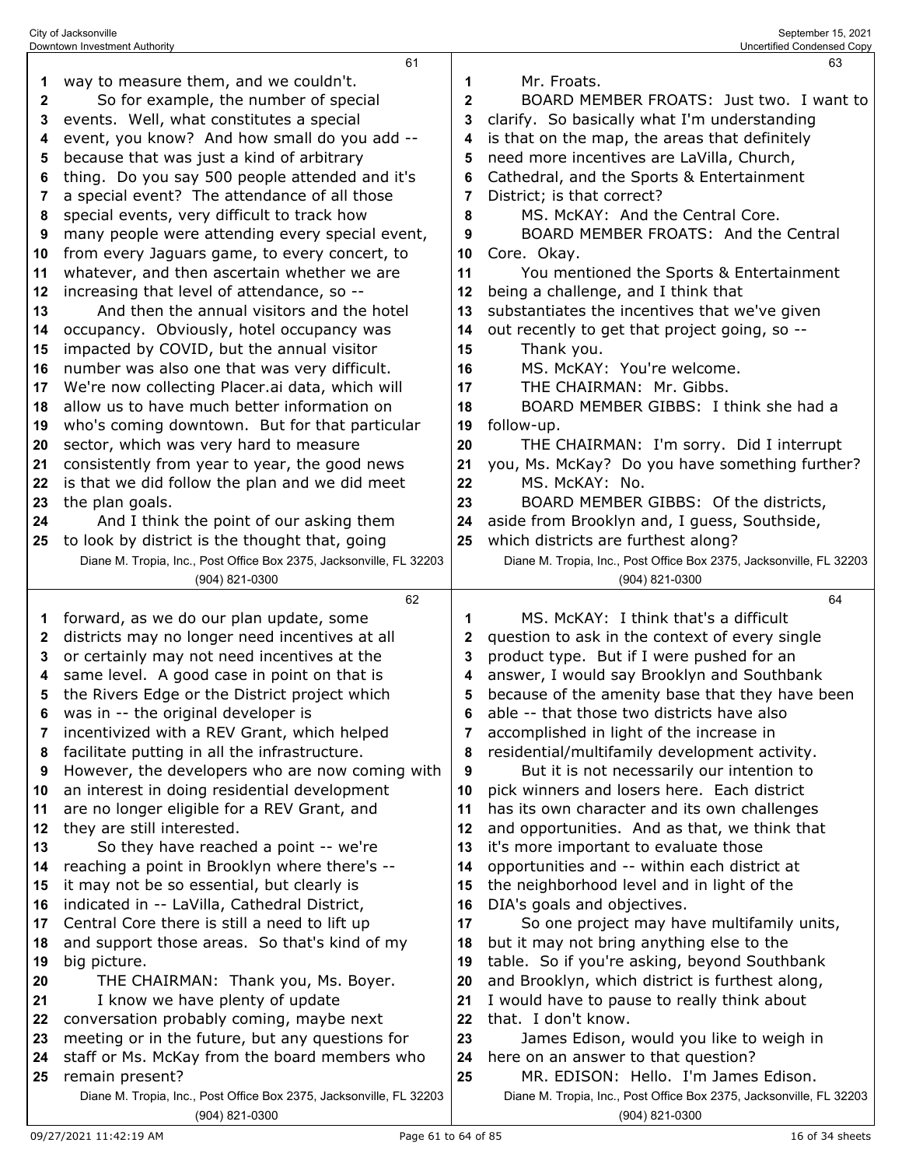|              | 61                                                                  |              | 63                                                                  |
|--------------|---------------------------------------------------------------------|--------------|---------------------------------------------------------------------|
| 1            | way to measure them, and we couldn't.                               | 1            | Mr. Froats.                                                         |
| $\mathbf{2}$ | So for example, the number of special                               | $\mathbf{2}$ | BOARD MEMBER FROATS: Just two. I want to                            |
| 3            | events. Well, what constitutes a special                            | 3            | clarify. So basically what I'm understanding                        |
| 4            | event, you know? And how small do you add --                        | 4            | is that on the map, the areas that definitely                       |
| 5            | because that was just a kind of arbitrary                           | 5            | need more incentives are LaVilla, Church,                           |
| 6            | thing. Do you say 500 people attended and it's                      | 6            | Cathedral, and the Sports & Entertainment                           |
| 7            | a special event? The attendance of all those                        | 7            | District; is that correct?                                          |
| 8            | special events, very difficult to track how                         | 8            | MS. McKAY: And the Central Core.                                    |
| 9            | many people were attending every special event,                     | 9            | BOARD MEMBER FROATS: And the Central                                |
| 10           | from every Jaguars game, to every concert, to                       | 10           | Core. Okay.                                                         |
| 11           | whatever, and then ascertain whether we are                         | 11           | You mentioned the Sports & Entertainment                            |
| 12           | increasing that level of attendance, so --                          | 12           | being a challenge, and I think that                                 |
| 13           | And then the annual visitors and the hotel                          | 13           | substantiates the incentives that we've given                       |
| 14           | occupancy. Obviously, hotel occupancy was                           | 14           | out recently to get that project going, so --                       |
| 15           | impacted by COVID, but the annual visitor                           | 15           | Thank you.                                                          |
| 16           | number was also one that was very difficult.                        | 16           | MS. McKAY: You're welcome.                                          |
| 17           | We're now collecting Placer.ai data, which will                     | 17           | THE CHAIRMAN: Mr. Gibbs.                                            |
| 18           | allow us to have much better information on                         | 18           | BOARD MEMBER GIBBS: I think she had a                               |
| 19           | who's coming downtown. But for that particular                      | 19           | follow-up.                                                          |
| 20           | sector, which was very hard to measure                              | 20           | THE CHAIRMAN: I'm sorry. Did I interrupt                            |
| 21           | consistently from year to year, the good news                       | 21           | you, Ms. McKay? Do you have something further?                      |
|              |                                                                     | 22           | MS. McKAY: No.                                                      |
| 22           | is that we did follow the plan and we did meet                      | 23           |                                                                     |
| 23           | the plan goals.                                                     |              | BOARD MEMBER GIBBS: Of the districts,                               |
| 24           | And I think the point of our asking them                            | 24           | aside from Brooklyn and, I guess, Southside,                        |
| 25           | to look by district is the thought that, going                      | 25           | which districts are furthest along?                                 |
|              | Diane M. Tropia, Inc., Post Office Box 2375, Jacksonville, FL 32203 |              | Diane M. Tropia, Inc., Post Office Box 2375, Jacksonville, FL 32203 |
|              | (904) 821-0300                                                      |              | (904) 821-0300                                                      |
|              | 62                                                                  |              | 64                                                                  |
| 1            | forward, as we do our plan update, some                             | 1            | MS. McKAY: I think that's a difficult                               |
| $\mathbf{2}$ | districts may no longer need incentives at all                      | 2            | question to ask in the context of every single                      |
| 3            | or certainly may not need incentives at the                         | 3            | product type. But if I were pushed for an                           |
| 4            | same level. A good case in point on that is                         | 4            | answer, I would say Brooklyn and Southbank                          |
| 5            | the Rivers Edge or the District project which                       | 5            | because of the amenity base that they have been                     |
| 6            | was in -- the original developer is                                 | 6            | able -- that those two districts have also                          |
| 7            | incentivized with a REV Grant, which helped                         | 7            | accomplished in light of the increase in                            |
| 8            | facilitate putting in all the infrastructure.                       | 8            | residential/multifamily development activity.                       |
| 9            | However, the developers who are now coming with                     | 9            | But it is not necessarily our intention to                          |
| 10           | an interest in doing residential development                        | 10           | pick winners and losers here. Each district                         |
|              |                                                                     | 11           | has its own character and its own challenges                        |
| 11           | are no longer eligible for a REV Grant, and                         |              |                                                                     |
| 12           | they are still interested.                                          | 12           | and opportunities. And as that, we think that                       |
| 13           | So they have reached a point -- we're                               | 13           | it's more important to evaluate those                               |
| 14           | reaching a point in Brooklyn where there's --                       | 14           | opportunities and -- within each district at                        |
| 15           | it may not be so essential, but clearly is                          | 15           | the neighborhood level and in light of the                          |
| 16           | indicated in -- LaVilla, Cathedral District,                        | 16           | DIA's goals and objectives.                                         |
| 17           | Central Core there is still a need to lift up                       | 17           | So one project may have multifamily units,                          |
| 18           | and support those areas. So that's kind of my                       | 18           | but it may not bring anything else to the                           |
| 19           | big picture.                                                        | 19           | table. So if you're asking, beyond Southbank                        |
| 20           | THE CHAIRMAN: Thank you, Ms. Boyer.                                 | 20           | and Brooklyn, which district is furthest along,                     |
| 21           | I know we have plenty of update                                     | 21           | I would have to pause to really think about                         |
| 22           | conversation probably coming, maybe next                            | 22           | that. I don't know.                                                 |
| 23           | meeting or in the future, but any questions for                     | 23           | James Edison, would you like to weigh in                            |
| 24           | staff or Ms. McKay from the board members who                       | 24           | here on an answer to that question?                                 |
| 25           | remain present?                                                     | 25           | MR. EDISON: Hello. I'm James Edison.                                |

(904) 821-0300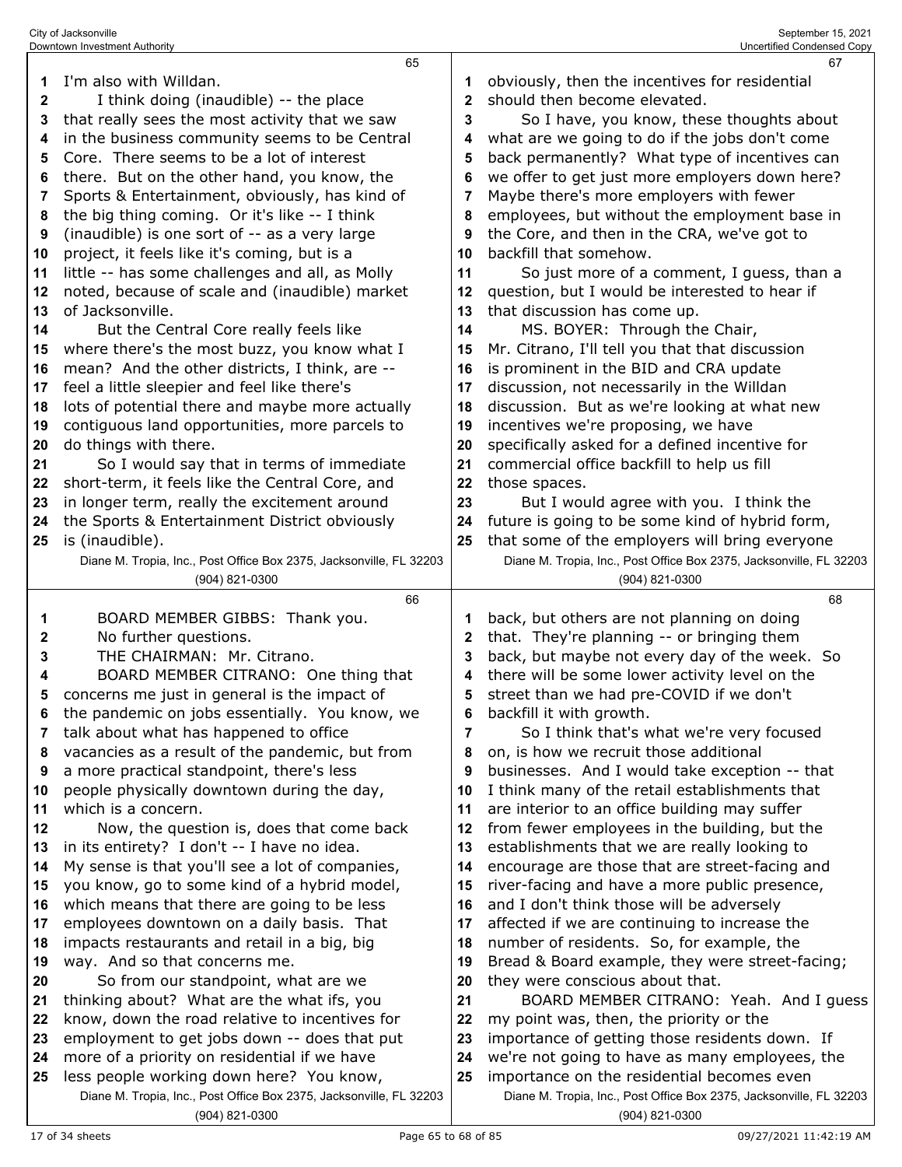|              | 65                                                                                                              |              | 67                                                                                                                |
|--------------|-----------------------------------------------------------------------------------------------------------------|--------------|-------------------------------------------------------------------------------------------------------------------|
| 1            | I'm also with Willdan.                                                                                          |              | obviously, then the incentives for residential                                                                    |
| $\mathbf{2}$ | I think doing (inaudible) -- the place                                                                          | $\mathbf{2}$ | should then become elevated.                                                                                      |
| 3            | that really sees the most activity that we saw                                                                  | 3            | So I have, you know, these thoughts about                                                                         |
| 4            | in the business community seems to be Central                                                                   | 4            | what are we going to do if the jobs don't come                                                                    |
| 5            | Core. There seems to be a lot of interest                                                                       | 5            | back permanently? What type of incentives can                                                                     |
| 6            | there. But on the other hand, you know, the                                                                     | 6            | we offer to get just more employers down here?                                                                    |
| 7            | Sports & Entertainment, obviously, has kind of                                                                  | 7            | Maybe there's more employers with fewer                                                                           |
| 8            | the big thing coming. Or it's like -- I think                                                                   | 8            | employees, but without the employment base in                                                                     |
| 9            | (inaudible) is one sort of -- as a very large                                                                   | 9            | the Core, and then in the CRA, we've got to                                                                       |
| 10           | project, it feels like it's coming, but is a                                                                    | 10           | backfill that somehow.                                                                                            |
| 11           | little -- has some challenges and all, as Molly                                                                 | 11           | So just more of a comment, I guess, than a                                                                        |
| 12           | noted, because of scale and (inaudible) market                                                                  | 12           | question, but I would be interested to hear if                                                                    |
| 13           | of Jacksonville.                                                                                                | 13           | that discussion has come up.                                                                                      |
| 14           | But the Central Core really feels like                                                                          | 14           | MS. BOYER: Through the Chair,                                                                                     |
| 15           | where there's the most buzz, you know what I                                                                    | 15           | Mr. Citrano, I'll tell you that that discussion                                                                   |
| 16           | mean? And the other districts, I think, are --                                                                  | 16           | is prominent in the BID and CRA update                                                                            |
| 17           | feel a little sleepier and feel like there's                                                                    | 17           | discussion, not necessarily in the Willdan                                                                        |
| 18           | lots of potential there and maybe more actually                                                                 | 18           | discussion. But as we're looking at what new                                                                      |
| 19           | contiguous land opportunities, more parcels to                                                                  | 19           | incentives we're proposing, we have                                                                               |
| 20           | do things with there.                                                                                           | 20           | specifically asked for a defined incentive for                                                                    |
| 21           | So I would say that in terms of immediate                                                                       | 21           | commercial office backfill to help us fill                                                                        |
| 22           | short-term, it feels like the Central Core, and                                                                 | 22           | those spaces.                                                                                                     |
| 23           | in longer term, really the excitement around                                                                    | 23           | But I would agree with you. I think the                                                                           |
| 24           | the Sports & Entertainment District obviously                                                                   | 24           | future is going to be some kind of hybrid form,                                                                   |
| 25           | is (inaudible).                                                                                                 | 25           | that some of the employers will bring everyone                                                                    |
|              | Diane M. Tropia, Inc., Post Office Box 2375, Jacksonville, FL 32203                                             |              | Diane M. Tropia, Inc., Post Office Box 2375, Jacksonville, FL 32203                                               |
|              | (904) 821-0300                                                                                                  |              | (904) 821-0300                                                                                                    |
|              |                                                                                                                 |              |                                                                                                                   |
|              |                                                                                                                 |              |                                                                                                                   |
|              | 66                                                                                                              |              | 68                                                                                                                |
| 1            | BOARD MEMBER GIBBS: Thank you.                                                                                  | 1            | back, but others are not planning on doing                                                                        |
| 2            | No further questions.                                                                                           | 2            | that. They're planning -- or bringing them                                                                        |
| 3            | THE CHAIRMAN: Mr. Citrano.                                                                                      | 3            | back, but maybe not every day of the week. So                                                                     |
| 4            | BOARD MEMBER CITRANO: One thing that                                                                            | 4            | there will be some lower activity level on the                                                                    |
| 5            | concerns me just in general is the impact of                                                                    | 5            | street than we had pre-COVID if we don't                                                                          |
|              | the pandemic on jobs essentially. You know, we                                                                  |              | backfill it with growth.                                                                                          |
| 7            | talk about what has happened to office                                                                          | 7            | So I think that's what we're very focused                                                                         |
| 8            | vacancies as a result of the pandemic, but from                                                                 | 8            | on, is how we recruit those additional                                                                            |
| 9            | a more practical standpoint, there's less                                                                       | 9            | businesses. And I would take exception -- that                                                                    |
| 10           | people physically downtown during the day,                                                                      | 10           | I think many of the retail establishments that                                                                    |
| 11           | which is a concern.                                                                                             | 11           | are interior to an office building may suffer                                                                     |
| 12           | Now, the question is, does that come back                                                                       | 12           | from fewer employees in the building, but the                                                                     |
| 13           | in its entirety? I don't -- I have no idea.                                                                     | 13           | establishments that we are really looking to                                                                      |
| 14           | My sense is that you'll see a lot of companies,                                                                 | 14           | encourage are those that are street-facing and                                                                    |
| 15           | you know, go to some kind of a hybrid model,                                                                    | 15           | river-facing and have a more public presence,                                                                     |
| 16           | which means that there are going to be less                                                                     | 16           | and I don't think those will be adversely                                                                         |
| 17           | employees downtown on a daily basis. That                                                                       | 17           | affected if we are continuing to increase the                                                                     |
| 18           | impacts restaurants and retail in a big, big                                                                    | 18           | number of residents. So, for example, the                                                                         |
| 19           | way. And so that concerns me.                                                                                   | 19           | Bread & Board example, they were street-facing;                                                                   |
| 20           | So from our standpoint, what are we                                                                             | 20           | they were conscious about that.                                                                                   |
| 21           | thinking about? What are the what ifs, you                                                                      | 21           | BOARD MEMBER CITRANO: Yeah. And I guess                                                                           |
| 22           | know, down the road relative to incentives for                                                                  | 22           | my point was, then, the priority or the                                                                           |
| 23           | employment to get jobs down -- does that put                                                                    | 23           | importance of getting those residents down. If                                                                    |
| 24           | more of a priority on residential if we have                                                                    | 24           | we're not going to have as many employees, the                                                                    |
| 25           | less people working down here? You know,<br>Diane M. Tropia, Inc., Post Office Box 2375, Jacksonville, FL 32203 | 25           | importance on the residential becomes even<br>Diane M. Tropia, Inc., Post Office Box 2375, Jacksonville, FL 32203 |

(904) 821-0300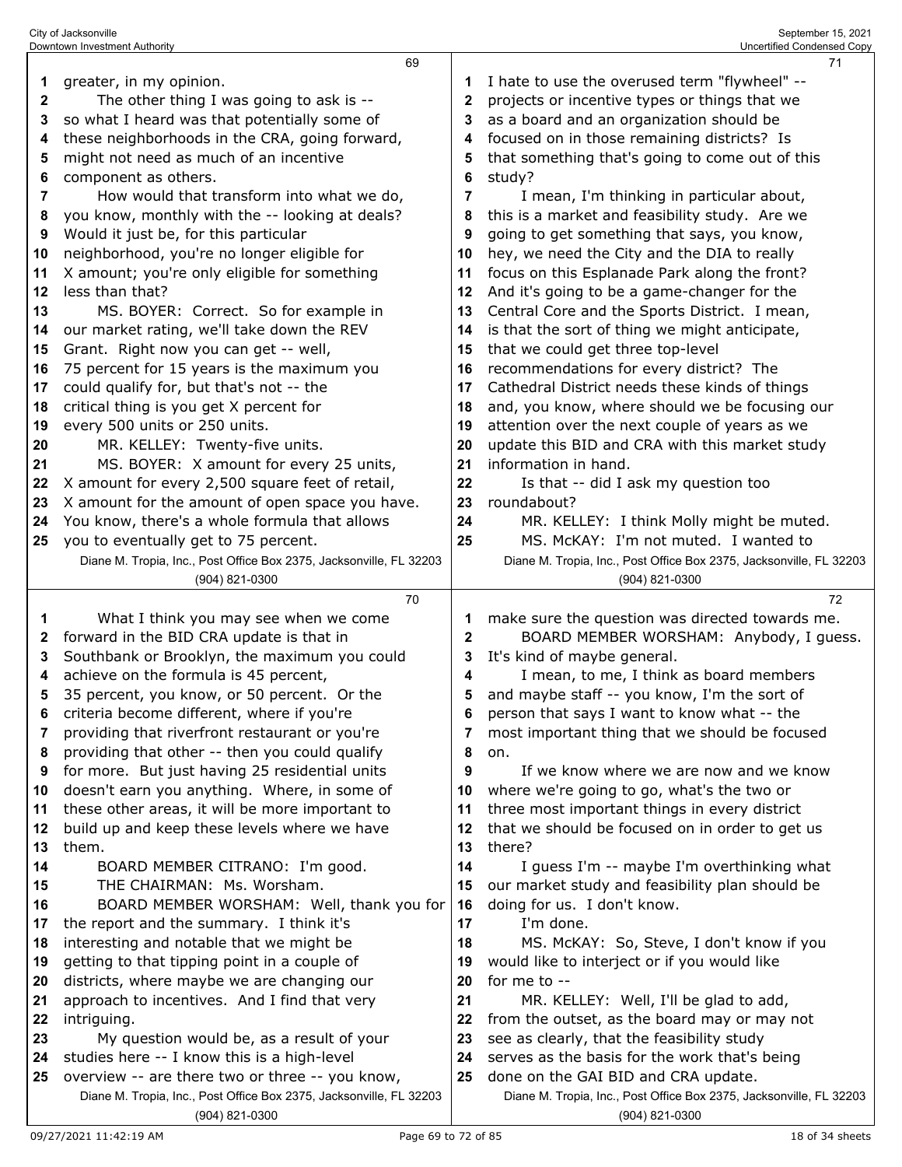|              | Downtown Investment Authority                                       |              | Uncertified Condensed Copy                                                     |
|--------------|---------------------------------------------------------------------|--------------|--------------------------------------------------------------------------------|
|              | 69                                                                  |              | 71                                                                             |
| 1            | greater, in my opinion.                                             | 1            | I hate to use the overused term "flywheel" --                                  |
| $\mathbf{2}$ | The other thing I was going to ask is --                            | 2            | projects or incentive types or things that we                                  |
| 3            | so what I heard was that potentially some of                        | 3            | as a board and an organization should be                                       |
| 4            | these neighborhoods in the CRA, going forward,                      | 4            | focused on in those remaining districts? Is                                    |
| 5            | might not need as much of an incentive                              | 5            | that something that's going to come out of this                                |
| 6            | component as others.                                                | 6            | study?                                                                         |
| 7            | How would that transform into what we do,                           | 7            | I mean, I'm thinking in particular about,                                      |
| 8            | you know, monthly with the -- looking at deals?                     | 8            | this is a market and feasibility study. Are we                                 |
| 9            | Would it just be, for this particular                               | 9            | going to get something that says, you know,                                    |
| 10           | neighborhood, you're no longer eligible for                         | 10           | hey, we need the City and the DIA to really                                    |
| 11           | X amount; you're only eligible for something                        | 11           | focus on this Esplanade Park along the front?                                  |
| 12           | less than that?                                                     | 12           | And it's going to be a game-changer for the                                    |
| 13           | MS. BOYER: Correct. So for example in                               | 13           | Central Core and the Sports District. I mean,                                  |
| 14           | our market rating, we'll take down the REV                          | 14           | is that the sort of thing we might anticipate,                                 |
| 15           | Grant. Right now you can get -- well,                               | 15           | that we could get three top-level                                              |
| 16           | 75 percent for 15 years is the maximum you                          | 16           | recommendations for every district? The                                        |
| 17           | could qualify for, but that's not -- the                            | 17           | Cathedral District needs these kinds of things                                 |
| 18           | critical thing is you get X percent for                             | 18           | and, you know, where should we be focusing our                                 |
| 19           | every 500 units or 250 units.                                       | 19           | attention over the next couple of years as we                                  |
| 20           | MR. KELLEY: Twenty-five units.                                      | 20           | update this BID and CRA with this market study                                 |
| 21           | MS. BOYER: X amount for every 25 units,                             | 21           | information in hand.                                                           |
| 22           | X amount for every 2,500 square feet of retail,                     | 22           | Is that -- did I ask my question too                                           |
| 23           | X amount for the amount of open space you have.                     | 23           | roundabout?                                                                    |
| 24           | You know, there's a whole formula that allows                       | 24           | MR. KELLEY: I think Molly might be muted.                                      |
| 25           | you to eventually get to 75 percent.                                | 25           | MS. McKAY: I'm not muted. I wanted to                                          |
|              | Diane M. Tropia, Inc., Post Office Box 2375, Jacksonville, FL 32203 |              | Diane M. Tropia, Inc., Post Office Box 2375, Jacksonville, FL 32203            |
|              | (904) 821-0300<br>70                                                |              | (904) 821-0300                                                                 |
|              |                                                                     |              |                                                                                |
|              |                                                                     |              | 72                                                                             |
| 1            | What I think you may see when we come                               |              | make sure the question was directed towards me.                                |
| 2            | forward in the BID CRA update is that in                            | $\mathbf{2}$ | BOARD MEMBER WORSHAM: Anybody, I guess.                                        |
| 3            | Southbank or Brooklyn, the maximum you could                        | 3            | It's kind of maybe general.                                                    |
| 4            | achieve on the formula is 45 percent,                               | 4            | I mean, to me, I think as board members                                        |
| 5            | 35 percent, you know, or 50 percent. Or the                         | 5            | and maybe staff -- you know, I'm the sort of                                   |
| 6            | criteria become different, where if you're                          | 6            | person that says I want to know what -- the                                    |
| 7            | providing that riverfront restaurant or you're                      | 7            | most important thing that we should be focused                                 |
| 8            | providing that other -- then you could qualify                      | 8            | on.                                                                            |
| 9            | for more. But just having 25 residential units                      | 9            | If we know where we are now and we know                                        |
| 10           | doesn't earn you anything. Where, in some of                        | 10           | where we're going to go, what's the two or                                     |
| 11           | these other areas, it will be more important to                     | 11           | three most important things in every district                                  |
| 12           | build up and keep these levels where we have                        | 12<br>13     | that we should be focused on in order to get us                                |
| 13<br>14     | them.                                                               | 14           | there?                                                                         |
| 15           | BOARD MEMBER CITRANO: I'm good.<br>THE CHAIRMAN: Ms. Worsham.       | 15           | I guess I'm -- maybe I'm overthinking what                                     |
| 16           | BOARD MEMBER WORSHAM: Well, thank you for                           | 16           | our market study and feasibility plan should be<br>doing for us. I don't know. |
| 17           | the report and the summary. I think it's                            | 17           | I'm done.                                                                      |
| 18           | interesting and notable that we might be                            | 18           | MS. McKAY: So, Steve, I don't know if you                                      |
| 19           | getting to that tipping point in a couple of                        | 19           | would like to interject or if you would like                                   |
| 20           | districts, where maybe we are changing our                          | 20           | for me to --                                                                   |
| 21           | approach to incentives. And I find that very                        | 21           | MR. KELLEY: Well, I'll be glad to add,                                         |
| 22           | intriguing.                                                         | 22           | from the outset, as the board may or may not                                   |
| 23           | My question would be, as a result of your                           | 23           | see as clearly, that the feasibility study                                     |
| 24           | studies here -- I know this is a high-level                         | 24           | serves as the basis for the work that's being                                  |
| 25           | overview -- are there two or three -- you know,                     | 25           | done on the GAI BID and CRA update.                                            |

(904) 821-0300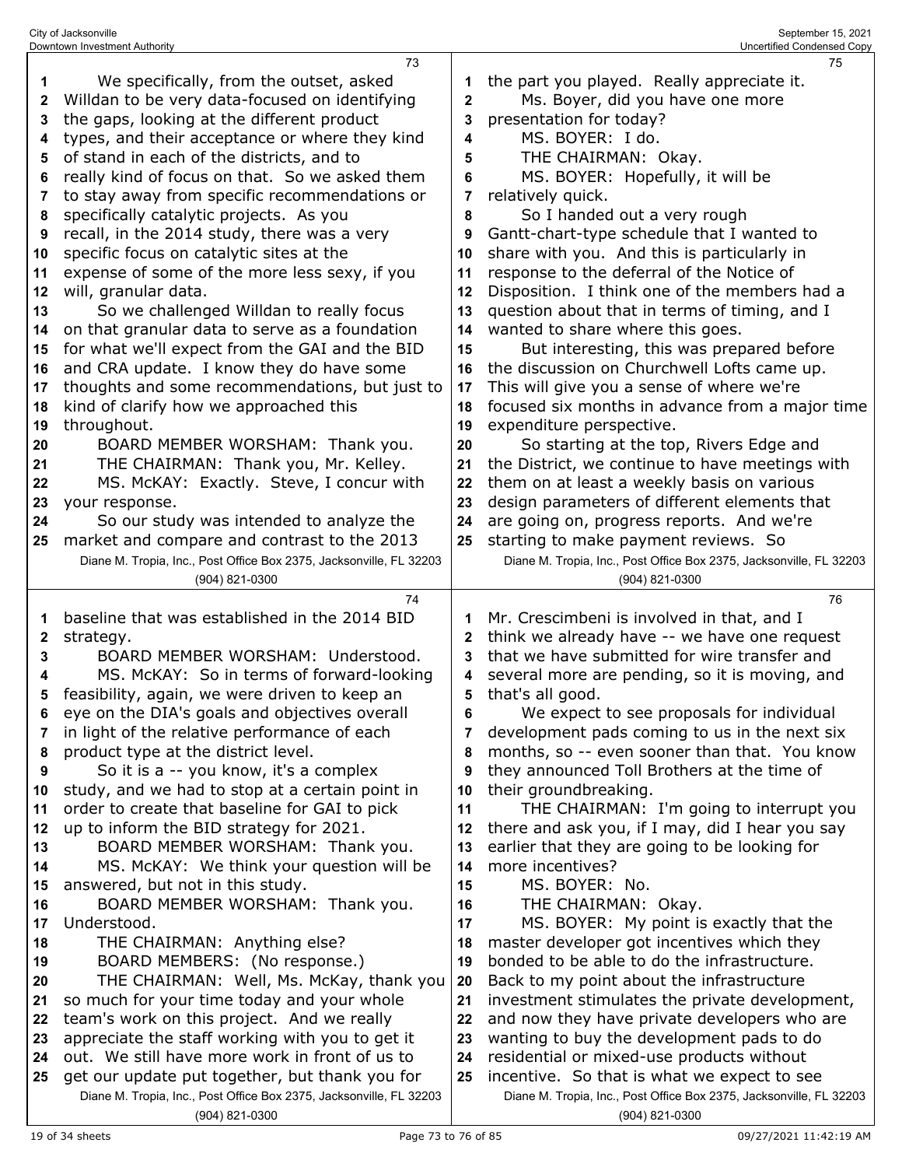| 1        | We specifically, from the outset, asked                                                                               | 1            | the part you played. Really appreciate it.                                                                         |
|----------|-----------------------------------------------------------------------------------------------------------------------|--------------|--------------------------------------------------------------------------------------------------------------------|
| 2        | Willdan to be very data-focused on identifying                                                                        | $\mathbf{2}$ | Ms. Boyer, did you have one more                                                                                   |
| 3        | the gaps, looking at the different product                                                                            | 3            | presentation for today?                                                                                            |
| 4        | types, and their acceptance or where they kind                                                                        | 4            | MS. BOYER: I do.                                                                                                   |
| 5        | of stand in each of the districts, and to                                                                             | 5            | THE CHAIRMAN: Okay.                                                                                                |
| 6        | really kind of focus on that. So we asked them                                                                        | 6            | MS. BOYER: Hopefully, it will be                                                                                   |
| 7        | to stay away from specific recommendations or                                                                         | 7            | relatively quick.                                                                                                  |
| 8        | specifically catalytic projects. As you                                                                               | 8            | So I handed out a very rough                                                                                       |
| 9        | recall, in the 2014 study, there was a very                                                                           | 9            | Gantt-chart-type schedule that I wanted to                                                                         |
| 10       | specific focus on catalytic sites at the                                                                              | 10           | share with you. And this is particularly in                                                                        |
| 11       | expense of some of the more less sexy, if you                                                                         | 11           | response to the deferral of the Notice of                                                                          |
| 12       | will, granular data.                                                                                                  | 12           | Disposition. I think one of the members had a                                                                      |
|          |                                                                                                                       |              |                                                                                                                    |
| 13       | So we challenged Willdan to really focus                                                                              | 13           | question about that in terms of timing, and I                                                                      |
| 14       | on that granular data to serve as a foundation                                                                        | 14           | wanted to share where this goes.                                                                                   |
| 15       | for what we'll expect from the GAI and the BID                                                                        | 15           | But interesting, this was prepared before                                                                          |
| 16       | and CRA update. I know they do have some                                                                              | 16           | the discussion on Churchwell Lofts came up.                                                                        |
| 17       | thoughts and some recommendations, but just to                                                                        | 17           | This will give you a sense of where we're                                                                          |
| 18       | kind of clarify how we approached this                                                                                | 18           | focused six months in advance from a major time                                                                    |
| 19       | throughout.                                                                                                           | 19           | expenditure perspective.                                                                                           |
| 20       | BOARD MEMBER WORSHAM: Thank you.                                                                                      | 20           | So starting at the top, Rivers Edge and                                                                            |
| 21       | THE CHAIRMAN: Thank you, Mr. Kelley.                                                                                  | 21           | the District, we continue to have meetings with                                                                    |
| 22       | MS. McKAY: Exactly. Steve, I concur with                                                                              | 22           | them on at least a weekly basis on various                                                                         |
| 23       | your response.                                                                                                        | 23           | design parameters of different elements that                                                                       |
| 24       | So our study was intended to analyze the                                                                              | 24           | are going on, progress reports. And we're                                                                          |
| 25       | market and compare and contrast to the 2013                                                                           | 25           | starting to make payment reviews. So                                                                               |
|          | Diane M. Tropia, Inc., Post Office Box 2375, Jacksonville, FL 32203                                                   |              | Diane M. Tropia, Inc., Post Office Box 2375, Jacksonville, FL 32203                                                |
|          | (904) 821-0300                                                                                                        |              | (904) 821-0300                                                                                                     |
|          | 74                                                                                                                    |              | 76                                                                                                                 |
| 1        | baseline that was established in the 2014 BID                                                                         | 1            | Mr. Crescimbeni is involved in that, and I                                                                         |
|          |                                                                                                                       |              |                                                                                                                    |
| 2        | strategy.                                                                                                             | $\mathbf{2}$ | think we already have -- we have one request                                                                       |
| 3        | BOARD MEMBER WORSHAM: Understood.                                                                                     | 3            | that we have submitted for wire transfer and                                                                       |
| 4        | MS. McKAY: So in terms of forward-looking                                                                             | 4            | several more are pending, so it is moving, and                                                                     |
| 5        | feasibility, again, we were driven to keep an                                                                         | 5            | that's all good.                                                                                                   |
| 6        | eye on the DIA's goals and objectives overall                                                                         | 6            | We expect to see proposals for individual                                                                          |
|          | in light of the relative performance of each                                                                          |              | development pads coming to us in the next six                                                                      |
| 8        | product type at the district level.                                                                                   | 8            | months, so -- even sooner than that. You know                                                                      |
| 9        | So it is a -- you know, it's a complex                                                                                | 9            | they announced Toll Brothers at the time of                                                                        |
| 10       | study, and we had to stop at a certain point in                                                                       | 10           | their groundbreaking.                                                                                              |
| 11       | order to create that baseline for GAI to pick                                                                         | 11           | THE CHAIRMAN: I'm going to interrupt you                                                                           |
| 12       | up to inform the BID strategy for 2021.                                                                               | 12           | there and ask you, if I may, did I hear you say                                                                    |
| 13       | BOARD MEMBER WORSHAM: Thank you.                                                                                      | 13           | earlier that they are going to be looking for                                                                      |
| 14       | MS. McKAY: We think your question will be                                                                             | 14           | more incentives?                                                                                                   |
| 15       | answered, but not in this study.                                                                                      | 15           | MS. BOYER: No.                                                                                                     |
| 16       | BOARD MEMBER WORSHAM: Thank you.                                                                                      | 16           | THE CHAIRMAN: Okay.                                                                                                |
| 17       | Understood.                                                                                                           | 17           | MS. BOYER: My point is exactly that the                                                                            |
| 18       |                                                                                                                       | 18           |                                                                                                                    |
| 19       | THE CHAIRMAN: Anything else?<br>BOARD MEMBERS: (No response.)                                                         | 19           | master developer got incentives which they<br>bonded to be able to do the infrastructure.                          |
| 20       | THE CHAIRMAN: Well, Ms. McKay, thank you                                                                              | 20           | Back to my point about the infrastructure                                                                          |
| 21       | so much for your time today and your whole                                                                            | 21           | investment stimulates the private development,                                                                     |
|          |                                                                                                                       | 22           |                                                                                                                    |
| 22       | team's work on this project. And we really                                                                            |              | and now they have private developers who are                                                                       |
| 23<br>24 | appreciate the staff working with you to get it<br>out. We still have more work in front of us to                     | 23           | wanting to buy the development pads to do                                                                          |
| 25       |                                                                                                                       | 24<br>25     | residential or mixed-use products without                                                                          |
|          | get our update put together, but thank you for<br>Diane M. Tropia, Inc., Post Office Box 2375, Jacksonville, FL 32203 |              | incentive. So that is what we expect to see<br>Diane M. Tropia, Inc., Post Office Box 2375, Jacksonville, FL 32203 |
|          | (904) 821-0300                                                                                                        |              | (904) 821-0300                                                                                                     |

City of Jacksonville September 15, 2021 Downtown Investment Authority Uncertified Condensed Copy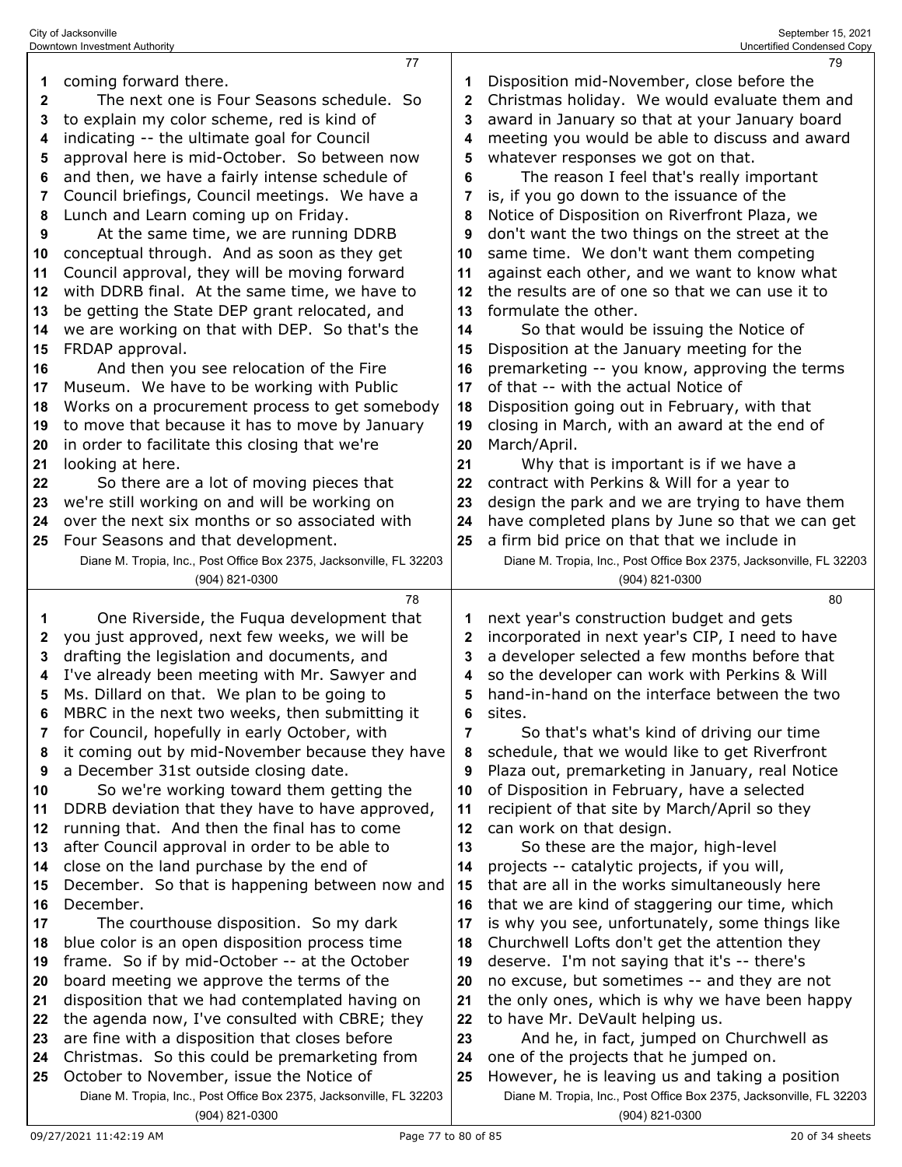|              | City of Jacksonville<br>September 15, 2021<br>Downtown Investment Authority<br>Uncertified Condensed Copy |                     |                                                                                             |  |  |  |
|--------------|-----------------------------------------------------------------------------------------------------------|---------------------|---------------------------------------------------------------------------------------------|--|--|--|
|              | 77                                                                                                        |                     | 79                                                                                          |  |  |  |
| 1            | coming forward there.                                                                                     | 1                   | Disposition mid-November, close before the                                                  |  |  |  |
| $\mathbf{2}$ | The next one is Four Seasons schedule. So                                                                 | 2                   | Christmas holiday. We would evaluate them and                                               |  |  |  |
| 3            | to explain my color scheme, red is kind of                                                                | 3                   | award in January so that at your January board                                              |  |  |  |
| 4            | indicating -- the ultimate goal for Council                                                               | 4                   | meeting you would be able to discuss and award                                              |  |  |  |
| 5            | approval here is mid-October. So between now                                                              | 5                   | whatever responses we got on that.                                                          |  |  |  |
| 6            | and then, we have a fairly intense schedule of                                                            | 6                   | The reason I feel that's really important                                                   |  |  |  |
| 7            | Council briefings, Council meetings. We have a                                                            | 7                   | is, if you go down to the issuance of the                                                   |  |  |  |
| 8            | Lunch and Learn coming up on Friday.                                                                      | 8                   | Notice of Disposition on Riverfront Plaza, we                                               |  |  |  |
| 9            | At the same time, we are running DDRB                                                                     | 9                   | don't want the two things on the street at the                                              |  |  |  |
| 10           | conceptual through. And as soon as they get                                                               | 10                  | same time. We don't want them competing                                                     |  |  |  |
| 11           | Council approval, they will be moving forward                                                             | 11                  | against each other, and we want to know what                                                |  |  |  |
| 12           | with DDRB final. At the same time, we have to                                                             | 12                  | the results are of one so that we can use it to                                             |  |  |  |
| 13           | be getting the State DEP grant relocated, and                                                             | 13                  | formulate the other.                                                                        |  |  |  |
| 14           | we are working on that with DEP. So that's the                                                            | 14                  | So that would be issuing the Notice of                                                      |  |  |  |
| 15           | FRDAP approval.                                                                                           | 15                  | Disposition at the January meeting for the                                                  |  |  |  |
| 16           | And then you see relocation of the Fire                                                                   | 16                  | premarketing -- you know, approving the terms                                               |  |  |  |
| 17           | Museum. We have to be working with Public                                                                 | 17                  | of that -- with the actual Notice of                                                        |  |  |  |
| 18           | Works on a procurement process to get somebody                                                            | 18                  | Disposition going out in February, with that                                                |  |  |  |
| 19           | to move that because it has to move by January                                                            | 19                  | closing in March, with an award at the end of                                               |  |  |  |
| 20           | in order to facilitate this closing that we're                                                            | 20                  | March/April.                                                                                |  |  |  |
| 21           | looking at here.                                                                                          | 21                  | Why that is important is if we have a                                                       |  |  |  |
| 22           | So there are a lot of moving pieces that                                                                  | 22                  | contract with Perkins & Will for a year to                                                  |  |  |  |
| 23           | we're still working on and will be working on                                                             | 23                  | design the park and we are trying to have them                                              |  |  |  |
| 24           | over the next six months or so associated with                                                            | 24                  | have completed plans by June so that we can get                                             |  |  |  |
| 25           | Four Seasons and that development.                                                                        | 25                  | a firm bid price on that that we include in                                                 |  |  |  |
|              | Diane M. Tropia, Inc., Post Office Box 2375, Jacksonville, FL 32203                                       |                     | Diane M. Tropia, Inc., Post Office Box 2375, Jacksonville, FL 32203                         |  |  |  |
|              | (904) 821-0300                                                                                            |                     | (904) 821-0300                                                                              |  |  |  |
|              | 78                                                                                                        |                     | 80                                                                                          |  |  |  |
| 1            | One Riverside, the Fuqua development that                                                                 | 1                   | next year's construction budget and gets                                                    |  |  |  |
| 2            | you just approved, next few weeks, we will be                                                             | 2                   | incorporated in next year's CIP, I need to have                                             |  |  |  |
| 3            | drafting the legislation and documents, and                                                               | 3                   | a developer selected a few months before that                                               |  |  |  |
| 4            | I've already been meeting with Mr. Sawyer and                                                             | 4                   | so the developer can work with Perkins & Will                                               |  |  |  |
| 5            | Ms. Dillard on that. We plan to be going to                                                               | 5                   | hand-in-hand on the interface between the two                                               |  |  |  |
| 6            | MBRC in the next two weeks, then submitting it<br>for Council, hopefully in early October, with           | 6<br>$\overline{7}$ | sites.                                                                                      |  |  |  |
| 7            | it coming out by mid-November because they have                                                           |                     | So that's what's kind of driving our time<br>schedule, that we would like to get Riverfront |  |  |  |
| 8<br>9       | a December 31st outside closing date.                                                                     | 8<br>9              | Plaza out, premarketing in January, real Notice                                             |  |  |  |
| 10           | So we're working toward them getting the                                                                  | 10                  | of Disposition in February, have a selected                                                 |  |  |  |
| 11           | DDRB deviation that they have to have approved,                                                           | 11                  | recipient of that site by March/April so they                                               |  |  |  |
| 12           | running that. And then the final has to come                                                              | 12                  | can work on that design.                                                                    |  |  |  |
| 13           | after Council approval in order to be able to                                                             | 13                  | So these are the major, high-level                                                          |  |  |  |
| 14           | close on the land purchase by the end of                                                                  | 14                  | projects -- catalytic projects, if you will,                                                |  |  |  |
| 15           | December. So that is happening between now and                                                            | 15                  | that are all in the works simultaneously here                                               |  |  |  |
| 16           | December.                                                                                                 | 16                  | that we are kind of staggering our time, which                                              |  |  |  |
| 17           | The courthouse disposition. So my dark                                                                    | 17                  | is why you see, unfortunately, some things like                                             |  |  |  |
| 18           | blue color is an open disposition process time                                                            | 18                  | Churchwell Lofts don't get the attention they                                               |  |  |  |
| 19           | frame. So if by mid-October -- at the October                                                             | 19                  | deserve. I'm not saying that it's -- there's                                                |  |  |  |
| 20           | board meeting we approve the terms of the                                                                 | 20                  | no excuse, but sometimes -- and they are not                                                |  |  |  |
| 21           | disposition that we had contemplated having on                                                            | 21                  | the only ones, which is why we have been happy                                              |  |  |  |
| 22           | the agenda now, I've consulted with CBRE; they                                                            | 22                  | to have Mr. DeVault helping us.                                                             |  |  |  |
| 23           | are fine with a disposition that closes before                                                            | 23                  | And he, in fact, jumped on Churchwell as                                                    |  |  |  |
| 24           | Christmas. So this could be premarketing from                                                             | 24                  | one of the projects that he jumped on.                                                      |  |  |  |
| 25           | October to November, issue the Notice of                                                                  | 25                  | However, he is leaving us and taking a position                                             |  |  |  |
|              | Diane M. Tropia, Inc., Post Office Box 2375, Jacksonville, FL 32203                                       |                     | Diane M. Tropia, Inc., Post Office Box 2375, Jacksonville, FL 32203                         |  |  |  |
|              | (904) 821-0300                                                                                            |                     | (904) 821-0300                                                                              |  |  |  |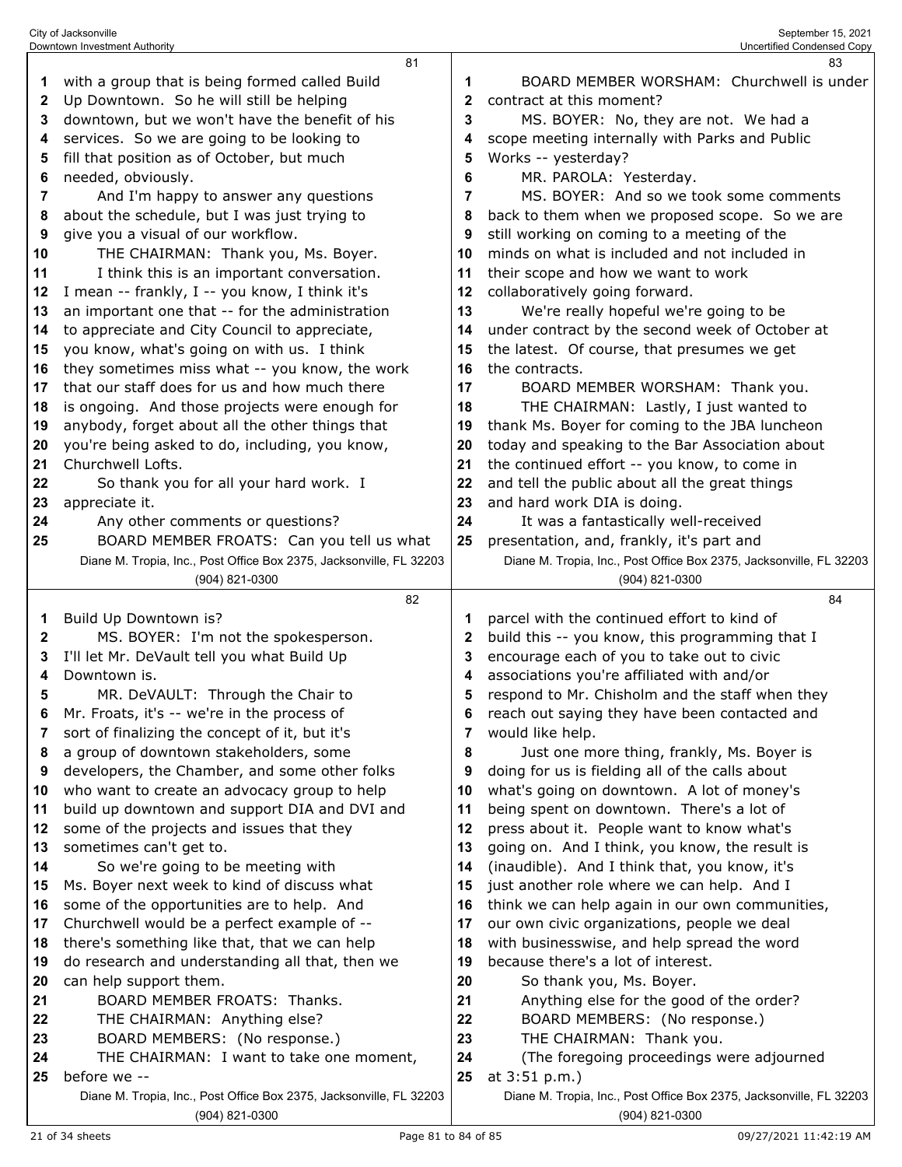|          | Downtown Investment Authority                                                         |              | Uncertified Condensed Copy                                                                                       |
|----------|---------------------------------------------------------------------------------------|--------------|------------------------------------------------------------------------------------------------------------------|
|          | 81                                                                                    |              | 83                                                                                                               |
| 1        | with a group that is being formed called Build                                        | 1            | BOARD MEMBER WORSHAM: Churchwell is under                                                                        |
| 2        | Up Downtown. So he will still be helping                                              | $\mathbf{2}$ | contract at this moment?                                                                                         |
| 3        | downtown, but we won't have the benefit of his                                        | 3            | MS. BOYER: No, they are not. We had a                                                                            |
| 4        | services. So we are going to be looking to                                            | 4            | scope meeting internally with Parks and Public                                                                   |
| 5        | fill that position as of October, but much                                            | 5            | Works -- yesterday?                                                                                              |
| 6        | needed, obviously.                                                                    | 6            | MR. PAROLA: Yesterday.                                                                                           |
| 7        | And I'm happy to answer any questions                                                 | 7            | MS. BOYER: And so we took some comments                                                                          |
| 8        | about the schedule, but I was just trying to                                          | 8            | back to them when we proposed scope. So we are                                                                   |
| 9        | give you a visual of our workflow.                                                    | 9            | still working on coming to a meeting of the                                                                      |
| 10       | THE CHAIRMAN: Thank you, Ms. Boyer.                                                   | 10           | minds on what is included and not included in                                                                    |
| 11       | I think this is an important conversation.                                            | 11           | their scope and how we want to work                                                                              |
| 12       | I mean -- frankly, I -- you know, I think it's                                        | 12           | collaboratively going forward.                                                                                   |
| 13       | an important one that -- for the administration                                       | 13           | We're really hopeful we're going to be                                                                           |
| 14       | to appreciate and City Council to appreciate,                                         | 14           | under contract by the second week of October at                                                                  |
| 15       | you know, what's going on with us. I think                                            | 15           | the latest. Of course, that presumes we get                                                                      |
| 16       | they sometimes miss what -- you know, the work                                        | 16           | the contracts.                                                                                                   |
| 17       | that our staff does for us and how much there                                         | 17           | BOARD MEMBER WORSHAM: Thank you.                                                                                 |
| 18       | is ongoing. And those projects were enough for                                        | 18           | THE CHAIRMAN: Lastly, I just wanted to                                                                           |
| 19       | anybody, forget about all the other things that                                       | 19           | thank Ms. Boyer for coming to the JBA luncheon                                                                   |
| 20       | you're being asked to do, including, you know,                                        | 20           | today and speaking to the Bar Association about                                                                  |
| 21       | Churchwell Lofts.                                                                     | 21           | the continued effort -- you know, to come in                                                                     |
| 22       | So thank you for all your hard work. I                                                | 22           | and tell the public about all the great things                                                                   |
| 23<br>24 | appreciate it.                                                                        | 23<br>24     | and hard work DIA is doing.                                                                                      |
|          | Any other comments or questions?<br>BOARD MEMBER FROATS: Can you tell us what         | 25           | It was a fantastically well-received                                                                             |
| 25       | Diane M. Tropia, Inc., Post Office Box 2375, Jacksonville, FL 32203                   |              | presentation, and, frankly, it's part and<br>Diane M. Tropia, Inc., Post Office Box 2375, Jacksonville, FL 32203 |
|          | (904) 821-0300                                                                        |              | (904) 821-0300                                                                                                   |
|          | 82                                                                                    |              | 84                                                                                                               |
| 1        | Build Up Downtown is?                                                                 | 1            | parcel with the continued effort to kind of                                                                      |
| 2        | MS. BOYER: I'm not the spokesperson.                                                  | 2            | build this -- you know, this programming that I                                                                  |
| 3        | I'll let Mr. DeVault tell you what Build Up                                           | 3            | encourage each of you to take out to civic                                                                       |
| 4        | Downtown is.                                                                          | 4            | associations you're affiliated with and/or                                                                       |
| 5        | MR. DeVAULT: Through the Chair to                                                     | 5            | respond to Mr. Chisholm and the staff when they                                                                  |
| 6        | Mr. Froats, it's -- we're in the process of                                           | 6            | reach out saying they have been contacted and                                                                    |
| 7        | sort of finalizing the concept of it, but it's                                        | 7            | would like help.                                                                                                 |
| 8        | a group of downtown stakeholders, some                                                | 8            | Just one more thing, frankly, Ms. Boyer is                                                                       |
| 9        | developers, the Chamber, and some other folks                                         | 9            | doing for us is fielding all of the calls about                                                                  |
| 10       | who want to create an advocacy group to help                                          | 10           | what's going on downtown. A lot of money's                                                                       |
| 11       | build up downtown and support DIA and DVI and                                         | 11           | being spent on downtown. There's a lot of                                                                        |
| 12       | some of the projects and issues that they                                             | 12           | press about it. People want to know what's                                                                       |
| 13       | sometimes can't get to.                                                               | 13           | going on. And I think, you know, the result is                                                                   |
| 14       | So we're going to be meeting with                                                     | 14           | (inaudible). And I think that, you know, it's                                                                    |
| 15       | Ms. Boyer next week to kind of discuss what                                           | 15           | just another role where we can help. And I                                                                       |
| 16       | some of the opportunities are to help. And                                            | 16           | think we can help again in our own communities,                                                                  |
| 17       | Churchwell would be a perfect example of --                                           | 17           | our own civic organizations, people we deal                                                                      |
| 18       | there's something like that, that we can help                                         | 18           | with businesswise, and help spread the word                                                                      |
| 19       | do research and understanding all that, then we                                       | 19           | because there's a lot of interest.                                                                               |
| 20       | can help support them.                                                                | 20           | So thank you, Ms. Boyer.                                                                                         |
| 21       | BOARD MEMBER FROATS: Thanks.                                                          | 21           | Anything else for the good of the order?                                                                         |
| 22       | THE CHAIRMAN: Anything else?                                                          | 22           | BOARD MEMBERS: (No response.)                                                                                    |
| 23       | BOARD MEMBERS: (No response.)                                                         | 23           | THE CHAIRMAN: Thank you.                                                                                         |
| 24       |                                                                                       |              |                                                                                                                  |
|          | THE CHAIRMAN: I want to take one moment,                                              | 24           | (The foregoing proceedings were adjourned                                                                        |
| 25       | before we --                                                                          | 25           | at 3:51 p.m.)                                                                                                    |
|          | Diane M. Tropia, Inc., Post Office Box 2375, Jacksonville, FL 32203<br>(904) 821-0300 |              | Diane M. Tropia, Inc., Post Office Box 2375, Jacksonville, FL 32203<br>(904) 821-0300                            |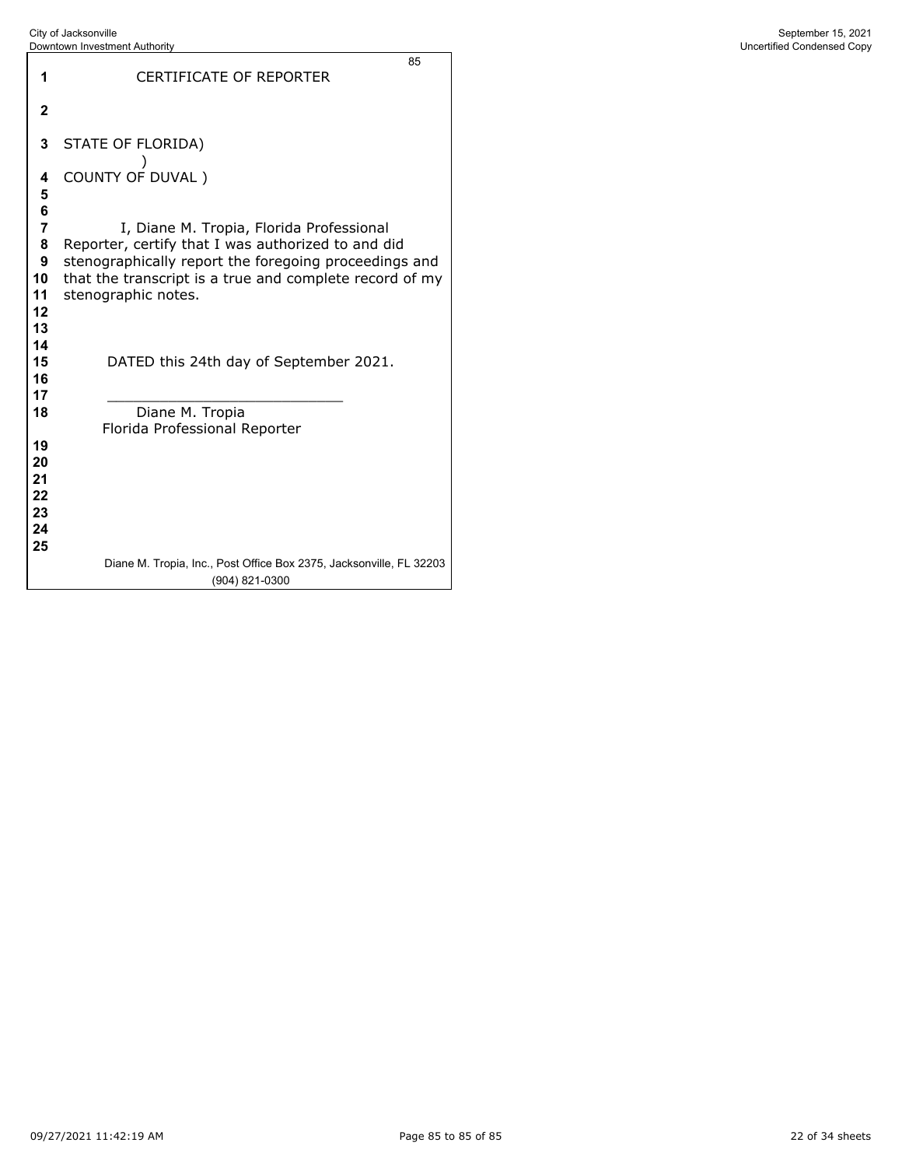|                                        | Downtown Investment Authority                                                                                                                                                                                                             | Uncertified Condensed Copy |
|----------------------------------------|-------------------------------------------------------------------------------------------------------------------------------------------------------------------------------------------------------------------------------------------|----------------------------|
| 1                                      | 85<br><b>CERTIFICATE OF REPORTER</b>                                                                                                                                                                                                      |                            |
| $\mathbf{2}$                           |                                                                                                                                                                                                                                           |                            |
| 3                                      | STATE OF FLORIDA)                                                                                                                                                                                                                         |                            |
| 4<br>5                                 | COUNTY OF DUVAL)                                                                                                                                                                                                                          |                            |
| 6<br>7<br>8<br>9<br>10<br>11<br>12     | I, Diane M. Tropia, Florida Professional<br>Reporter, certify that I was authorized to and did<br>stenographically report the foregoing proceedings and<br>that the transcript is a true and complete record of my<br>stenographic notes. |                            |
| 13<br>14<br>15<br>16<br>17             | DATED this 24th day of September 2021.                                                                                                                                                                                                    |                            |
| 18                                     | Diane M. Tropia<br>Florida Professional Reporter                                                                                                                                                                                          |                            |
| 19<br>20<br>21<br>22<br>23<br>24<br>25 |                                                                                                                                                                                                                                           |                            |
|                                        | Diane M. Tropia, Inc., Post Office Box 2375, Jacksonville, FL 32203<br>(904) 821-0300                                                                                                                                                     |                            |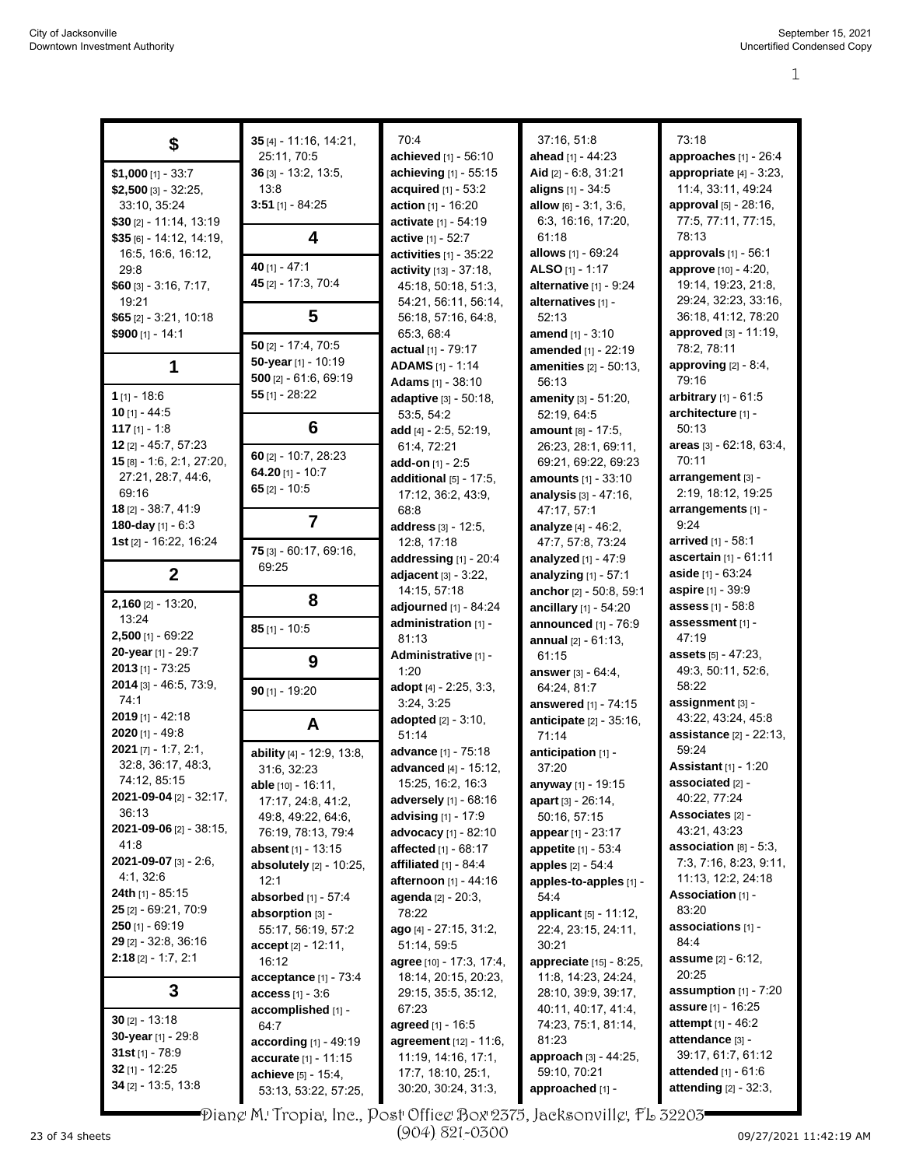|                                | 35 [4] - 11:16, 14:21,     | 70:4                             | 37:16, 51:8                   | 73:18                        |
|--------------------------------|----------------------------|----------------------------------|-------------------------------|------------------------------|
| \$                             | 25:11, 70:5                | achieved [1] - 56:10             | ahead [1] - 44:23             | approaches [1] - 26:4        |
| $$1,000$ [1] - 33:7            | $36$ [3] - 13:2, 13:5,     | achieving [1] - 55:15            | Aid [2] - 6:8, 31:21          | appropriate $[4]$ - 3:23,    |
| \$2,500 $[3] - 32:25$          | 13:8                       | acquired [1] - 53:2              | aligns [1] - 34:5             | 11:4, 33:11, 49:24           |
| 33:10, 35:24                   | $3:51$ [1] - 84:25         | action [1] - 16:20               | allow $[6] - 3:1, 3:6,$       | approval [5] - 28:16,        |
| $$30$ [2] - 11:14, 13:19       |                            | activate [1] - 54:19             | 6.3, 16.16, 17:20,            | 77:5, 77:11, 77:15,          |
| $$35$ [6] - 14:12, 14:19,      | 4                          | active [1] - 52:7                | 61:18                         | 78:13                        |
| 16:5, 16:6, 16:12,             |                            | activities $[1]$ - 35:22         | allows [1] - 69:24            | approvals $[1]$ - 56:1       |
| 29.8                           | 40 [1] - 47:1              | <b>activity</b> $[13] - 37:18$ , | <b>ALSO</b> [1] - 1:17        | approve [10] - 4:20,         |
| $$60$ [3] - 3:16, 7:17,        | 45 [2] - 17:3, 70:4        | 45:18, 50:18, 51:3,              | alternative [1] - 9:24        | 19:14, 19:23, 21:8,          |
| 19:21                          |                            | 54:21, 56:11, 56:14,             | alternatives [1] -            | 29:24, 32:23, 33:16,         |
| $$65$ [2] - 3:21, 10:18        | 5                          | 56:18, 57:16, 64:8,              | 52:13                         | 36:18, 41:12, 78:20          |
| $$900$ [1] - 14:1              |                            | 65:3, 68:4                       | <b>amend</b> $[1] - 3:10$     | approved [3] - 11:19,        |
|                                | $50$ [2] - 17:4, 70:5      | actual [1] - 79:17               | amended [1] - 22:19           | 78:2, 78:11                  |
|                                | 50-year [1] - 10:19        | <b>ADAMS</b> [1] - 1:14          | <b>amenities</b> [2] - 50:13, | approving $[2] - 8.4$ ,      |
| 1                              | 500 [2] - 61:6, 69:19      | Adams [1] - 38:10                | 56:13                         | 79:16                        |
| $1$ [1] - 18:6                 | $55$ [1] - 28:22           | adaptive [3] - 50:18,            | amenity [3] - 51:20,          | arbitrary $[1] - 61.5$       |
| $10$ [1] - 44:5                |                            | 53:5, 54:2                       | 52:19, 64:5                   | architecture [1] -           |
| 117 $[1] - 1.8$                | 6                          | add [4] - 2:5, 52:19,            | amount [8] - 17:5.            | 50:13                        |
| 12 [2] - 45:7, 57:23           |                            | 61:4, 72:21                      | 26:23, 28:1, 69:11,           | areas [3] - 62:18, 63:4,     |
| 15 [8] - 1.6, 2.1, 27:20,      | $60$ [2] - 10:7, 28:23     | add-on $[1]$ - 2:5               | 69:21, 69:22, 69:23           | 70:11                        |
| 27:21, 28:7, 44:6,             | 64.20 $[1]$ - 10:7         | additional $[5]$ - 17:5,         | <b>amounts</b> [1] - 33:10    | arrangement [3] -            |
| 69:16                          | 65 $[2] - 10:5$            | 17:12, 36:2, 43:9,               | analysis [3] - 47:16,         | 2:19, 18:12, 19:25           |
| 18 [2] - 38:7, 41:9            |                            | 68:8                             | 47:17, 57:1                   | arrangements [1] -           |
| 180-day [1] - 6:3              | $\overline{7}$             | address [3] - 12:5,              | analyze [4] - 46:2,           | 9:24                         |
| <b>1st</b> [2] - 16:22, 16:24  |                            | 12:8, 17:18                      | 47:7, 57:8, 73:24             | arrived [1] - 58:1           |
|                                | 75 [3] - 60:17, 69:16,     | addressing $[1]$ - 20:4          | analyzed $[1] - 47:9$         | ascertain [1] - 61:11        |
| $\mathbf{2}$                   | 69:25                      | adjacent $[3] - 3:22$ ,          | analyzing [1] - 57:1          | aside $[1] - 63:24$          |
|                                |                            | 14:15, 57:18                     | anchor [2] - 50:8, 59:1       | <b>aspire</b> [1] - 39:9     |
| $2,160$ [2] - 13:20,           | 8                          | adjourned [1] - 84:24            | ancillary [1] - 54:20         | assess [1] - 58:8            |
| 13:24                          |                            | administration [1] -             | announced [1] - 76:9          | assessment [1] -             |
| $2,500$ [1] - 69:22            | $85$ [1] - 10:5            | 81:13                            | <b>annual</b> $[2] - 61:13$ , | 47:19                        |
| 20-year [1] - 29:7             |                            | Administrative [1] -             | 61:15                         | <b>assets</b> [5] - 47:23,   |
| $2013$ [1] - 73:25             | 9                          | 1:20                             | <b>answer</b> $[3] - 64.4$ ,  | 49:3, 50:11, 52:6,           |
| 2014 [3] - 46:5, 73:9,         |                            | adopt [4] - 2:25, 3:3,           | 64:24, 81:7                   | 58:22                        |
| 74:1                           | $90$ [1] - 19:20           | 3:24, 3:25                       | answered [1] - 74:15          | assignment [3] -             |
| 2019 [1] - 42:18               |                            | <b>adopted</b> [2] - 3:10,       | anticipate [2] - 35:16,       | 43:22, 43:24, 45:8           |
| $2020$ [1] - 49:8              | A                          | 51:14                            | 71:14                         | assistance [2] - 22:13,      |
| $2021$ [7] - 1:7, 2:1,         | ability [4] - 12:9, 13:8,  | advance [1] - 75:18              | anticipation [1] -            | 59:24                        |
| 32:8, 36:17, 48:3,             | 31:6, 32:23                | <b>advanced</b> [4] - 15:12,     | 37:20                         | <b>Assistant</b> [1] - 1:20  |
| 74:12, 85:15                   | able [10] - 16:11,         | 15:25, 16:2, 16:3                | anyway [1] - 19:15            | associated [2] -             |
| 2021-09-04 [2] - 32:17,        | 17:17, 24:8, 41:2,         | adversely [1] - 68:16            | apart [3] - 26:14,            | 40:22, 77:24                 |
| 36:13                          | 49:8, 49:22, 64:6,         | advising [1] - 17:9              | 50:16, 57:15                  | <b>Associates [2] -</b>      |
| 2021-09-06 [2] - 38:15,        | 76:19, 78:13, 79:4         | <b>advocacy</b> [1] - 82:10      | appear [1] - 23:17            | 43:21, 43:23                 |
| 41:8                           | <b>absent</b> [1] - 13:15  | <b>affected</b> [1] - 68:17      | appetite [1] - 53:4           | association $[8] - 5.3$ ,    |
| <b>2021-09-07</b> [3] - 2:6,   | absolutely [2] - 10:25,    | affiliated [1] - 84.4            | apples [2] - 54:4             | 7:3, 7:16, 8:23, 9:11,       |
| 4:1, 32:6                      | 12:1                       | afternoon [1] - 44:16            | apples-to-apples [1] -        | 11:13, 12:2, 24:18           |
| <b>24th</b> [1] - 85:15        | <b>absorbed</b> [1] - 57:4 | agenda [2] - 20:3,               | 54:4                          | Association [1] -            |
| <b>25</b> $[2] - 69.21$ , 70.9 | absorption [3] -           | 78:22                            | applicant [5] - 11:12,        | 83:20                        |
| <b>250</b> [1] - 69:19         | 55:17, 56:19, 57:2         | ago [4] - 27:15, 31:2,           | 22:4, 23:15, 24:11,           | associations [1] -           |
| <b>29</b> $[2]$ - 32:8, 36:16  | $accept [2] - 12:11,$      | 51:14, 59:5                      | 30:21                         | 84:4                         |
| $2:18$ [2] - 1:7, 2:1          | 16:12                      | agree [10] - 17:3, 17:4,         | appreciate [15] - 8:25,       | <b>assume</b> $[2] - 6:12$ , |
|                                | $acceptance_{[1]} - 73.4$  | 18:14, 20:15, 20:23,             | 11:8, 14:23, 24:24,           | 20:25                        |
| 3                              | <b>access</b> $[1] - 3.6$  | 29:15, 35:5, 35:12,              | 28:10, 39:9, 39:17,           | assumption $[1]$ - $7:20$    |
|                                | accomplished [1] -         | 67:23                            | 40:11, 40:17, 41:4,           | <b>assure</b> [1] - 16:25    |
| $30$ [2] - 13:18               | 64:7                       | agreed [1] - 16:5                | 74:23, 75:1, 81:14,           | <b>attempt</b> [1] - 46:2    |
| 30-year [1] - 29:8             | according [1] - 49:19      | agreement [12] - 11:6,           | 81:23                         | attendance [3] -             |
| 31st $[1]$ - 78:9              | accurate [1] - 11:15       | 11:19, 14:16, 17:1,              | approach [3] - 44:25,         | 39:17, 61:7, 61:12           |
| 32 $[1] - 12:25$               | <b>achieve</b> [5] - 15:4, | 17:7, 18:10, 25:1,               | 59:10, 70:21                  | <b>attended</b> $[1] - 61.6$ |
| 34 $[2]$ - 13:5, 13:8          | 53:13, 53:22, 57:25,       | 30:20, 30:24, 31:3,              | approached [1] -              | attending [2] - 32:3,        |

Diane M. Tropia, Inc., Post Office Box 2375, Jacksonville, FL 32203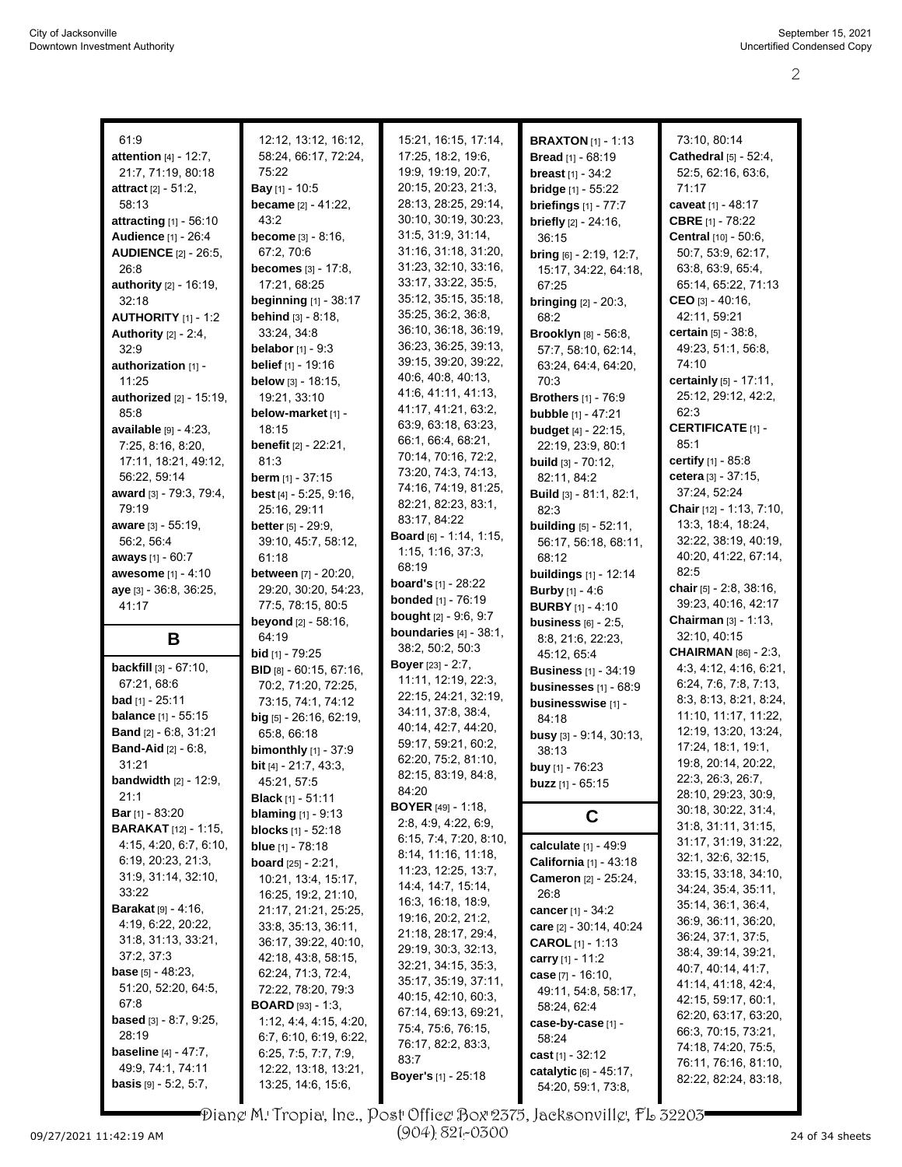| 61:9                                              |                                              |                                            |                                              |                                                |
|---------------------------------------------------|----------------------------------------------|--------------------------------------------|----------------------------------------------|------------------------------------------------|
|                                                   | 12:12, 13:12, 16:12,<br>58:24, 66:17, 72:24, | 15:21, 16:15, 17:14,<br>17:25, 18:2, 19:6, | <b>BRAXTON</b> [1] - 1:13                    | 73:10, 80:14<br>Cathedral [5] - 52:4,          |
| attention [4] - 12:7,                             |                                              |                                            | <b>Bread</b> [1] - 68:19                     |                                                |
| 21:7, 71:19, 80:18                                | 75:22                                        | 19:9, 19:19, 20:7,<br>20:15, 20:23, 21:3,  | <b>breast</b> $[1] - 34:2$                   | 52:5, 62:16, 63:6,                             |
| <b>attract</b> $[2] - 51:2$ ,                     | <b>Bay</b> $[1]$ - 10:5                      |                                            | bridge [1] - 55:22                           | 71:17                                          |
| 58:13                                             | became [2] - 41:22,                          | 28:13, 28:25, 29:14,                       | <b>briefings</b> [1] - 77:7                  | caveat [1] - 48:17                             |
| <b>attracting</b> [1] - 56:10                     | 43:2                                         | 30:10, 30:19, 30:23,                       | <b>briefly</b> $[2] - 24:16$ ,               | <b>CBRE</b> [1] - 78:22                        |
| <b>Audience</b> [1] - 26:4                        | <b>become</b> $[3] - 8:16$ ,                 | 31:5, 31:9, 31:14,                         | 36:15                                        | Central [10] - 50:6,                           |
| <b>AUDIENCE</b> [2] - 26:5,                       | 67:2, 70:6                                   | 31:16, 31:18, 31:20,                       | bring [6] - 2:19, 12:7,                      | 50:7, 53:9, 62:17,                             |
| 26:8                                              | becomes [3] - 17:8,                          | 31:23, 32:10, 33:16,                       | 15:17, 34:22, 64:18,                         | 63:8, 63:9, 65:4,                              |
| authority [2] - 16:19,                            | 17:21, 68:25                                 | 33:17, 33:22, 35:5,                        | 67:25                                        | 65:14, 65:22, 71:13                            |
| 32:18                                             | <b>beginning</b> [1] - 38:17                 | 35:12, 35:15, 35:18,                       | <b>bringing</b> $[2] - 20:3$ ,               | CEO [3] - $40:16$ ,                            |
| <b>AUTHORITY</b> $[1] - 1:2$                      | behind [3] - 8:18,                           | 35:25, 36:2, 36:8,                         | 68.2                                         | 42:11, 59:21                                   |
| Authority $[2] - 2.4$ ,                           | 33:24, 34:8                                  | 36:10, 36:18, 36:19,                       | Brooklyn [8] - 56:8,                         | certain [5] - 38:8,                            |
| 32:9                                              | <b>belabor</b> $[1] - 9.3$                   | 36:23, 36:25, 39:13,                       | 57:7, 58.10, 62:14,                          | 49:23, 51:1, 56:8,                             |
| authorization [1] -                               | <b>belief</b> $[1]$ - 19:16                  | 39:15, 39:20, 39:22,                       | 63:24, 64:4, 64:20,                          | 74:10                                          |
| 11:25                                             | <b>below</b> $[3] - 18:15$ ,                 | 40.6, 40.8, 40.13,                         | 70:3                                         | certainly [5] - 17:11,                         |
| authorized [2] - 15:19,                           | 19:21, 33:10                                 | 41.6, 41.11, 41.13,                        | <b>Brothers</b> [1] - 76:9                   | 25:12, 29:12, 42:2,                            |
| 85:8                                              | below-market [1] -                           | 41:17, 41:21, 63:2,                        | <b>bubble</b> [1] - 47:21                    | 62:3                                           |
| available [9] - 4:23,                             | 18:15                                        | 63.9, 63.18, 63.23,                        | <b>budget</b> [4] - 22:15,                   | <b>CERTIFICATE [1] -</b>                       |
| 7:25, 8:16, 8:20,                                 | benefit [2] - 22:21,                         | 66:1, 66:4, 68:21,                         | 22:19, 23:9, 80:1                            | 85:1                                           |
| 17:11, 18:21, 49:12,                              | 81:3                                         | 70:14, 70:16, 72:2,                        | <b>build</b> $[3] - 70:12$ ,                 | <b>certify</b> $[1]$ - 85:8                    |
| 56:22, 59:14                                      | berm [1] - 37:15                             | 73:20, 74:3, 74:13,                        | 82:11, 84:2                                  | cetera [3] - 37:15,                            |
| award [3] - 79:3, 79:4,                           | best [4] - 5:25, 9:16,                       | 74:16, 74:19, 81:25,                       | Build [3] - 81:1, 82:1,                      | 37:24, 52:24                                   |
| 79:19                                             | 25:16, 29:11                                 | 82:21, 82:23, 83:1,                        | 82:3                                         | Chair [12] - 1:13, 7:10,                       |
| <b>aware</b> $[3] - 55:19$ ,                      | <b>better</b> $[5] - 29.9$ ,                 | 83:17, 84:22                               | <b>building</b> [5] - 52:11,                 | 13:3, 18:4, 18:24,                             |
| 56:2, 56:4                                        | 39:10, 45:7, 58:12,                          | <b>Board</b> [6] - 1:14, 1:15,             | 56:17, 56:18, 68:11,                         | 32:22, 38:19, 40:19,                           |
| aways [1] - 60:7                                  | 61:18                                        | 1:15, 1:16, 37:3,                          | 68:12                                        | 40:20, 41:22, 67:14,                           |
| awesome [1] - 4:10                                | <b>between</b> [7] - 20:20,                  | 68:19                                      | <b>buildings</b> [1] - 12:14                 | 82:5                                           |
| aye [3] - 36:8, 36:25,                            | 29:20, 30:20, 54:23,                         | <b>board's</b> [1] - 28:22                 | <b>Burby</b> [1] - 4:6                       | chair [5] - 2:8, 38:16,                        |
| 41:17                                             | 77:5, 78:15, 80:5                            | <b>bonded</b> [1] - 76:19                  | <b>BURBY</b> $[1] - 4:10$                    | 39:23, 40:16, 42:17                            |
|                                                   |                                              |                                            |                                              |                                                |
|                                                   |                                              | <b>bought</b> $[2] - 9.6, 9.7$             |                                              |                                                |
|                                                   | <b>beyond</b> $[2] - 58:16$ ,                | boundaries $[4] - 38:1$ ,                  | business $[6] - 2.5$ ,                       | <b>Chairman</b> $[3] - 1:13$ ,<br>32:10, 40:15 |
| B                                                 | 64:19                                        | 38:2, 50:2, 50:3                           | 8.8, 21.6, 22.23,                            | <b>CHAIRMAN [86] - 2:3,</b>                    |
| <b>backfill</b> $[3] - 67:10$ ,                   | <b>bid</b> $[1]$ - 79:25                     | <b>Boyer</b> $[23] - 2:7$ ,                | 45:12, 65:4                                  | 4:3, 4:12, 4:16, 6:21,                         |
|                                                   | <b>BID</b> $[8] - 60:15, 67:16,$             | 11:11, 12:19, 22:3,                        | <b>Business</b> [1] - 34:19                  |                                                |
| 67:21, 68:6<br><b>bad</b> $[1]$ - 25:11           | 70:2, 71:20, 72:25,                          | 22:15, 24:21, 32:19,                       | <b>businesses</b> [1] - 68:9                 | 6:24, 7:6, 7:8, 7:13,                          |
|                                                   | 73:15, 74:1, 74:12                           | 34:11, 37:8, 38:4,                         | businesswise [1] -                           | 8:3, 8:13, 8:21, 8:24,                         |
| <b>balance</b> [1] - 55:15                        | big [5] - 26:16, 62:19,                      | 40:14, 42:7, 44:20,                        | 84:18                                        | 11:10, 11:17, 11:22,                           |
| Band [2] - 6:8, 31:21                             | 65:8, 66:18                                  | 59:17, 59:21, 60:2,                        | busy [3] - 9:14, 30:13,                      | 12:19, 13:20, 13:24,                           |
| <b>Band-Aid</b> [2] - 6:8,                        | <b>bimonthly</b> $[1] - 37:9$                | 62.20, 75:2, 81:10,                        | 38:13                                        | 17:24, 18:1, 19:1,                             |
| 31:21                                             | bit [4] - 21:7, 43:3,                        | 82:15, 83:19, 84:8,                        | buy [1] - 76:23                              | 19:8, 20:14, 20:22,                            |
| <b>bandwidth</b> $[2] - 12:9$ ,                   | 45:21, 57:5                                  | 84:20                                      | <b>buzz</b> $[1]$ - $65:15$                  | 22:3, 26:3, 26:7,                              |
| 21:1                                              | <b>Black</b> [1] - 51:11                     | <b>BOYER</b> [49] - 1:18,                  |                                              | 28:10, 29:23, 30:9,<br>30:18, 30:22, 31:4,     |
| <b>Bar</b> [1] - 83:20                            | <b>blaming</b> $[1] - 9.13$                  | 2:8, 4:9, 4:22, 6:9,                       | C                                            | 31:8, 31:11, 31:15,                            |
| <b>BARAKAT</b> [12] - 1:15,                       | <b>blocks</b> $[1] - 52:18$                  | 6:15, 7:4, 7:20, 8:10,                     |                                              | 31:17, 31:19, 31:22,                           |
| 4:15, 4:20, 6:7, 6:10,                            | <b>blue</b> $[1]$ - 78:18                    | 8:14, 11:16, 11:18,                        | calculate $[1] - 49.9$                       |                                                |
| 6:19, 20:23, 21:3,                                | <b>board</b> $[25]$ - 2:21,                  | 11:23, 12:25, 13:7,                        | California [1] - 43:18                       | 32:1, 32:6, 32:15,                             |
| 31:9, 31:14, 32:10,                               | 10:21, 13:4, 15:17,                          | 14:4, 14:7, 15:14,                         | Cameron [2] - 25:24,                         | 33:15, 33:18, 34:10,                           |
| 33:22                                             | 16:25, 19:2, 21:10,                          | 16:3, 16:18, 18:9,                         | 26:8                                         | 34:24, 35:4, 35:11,                            |
| <b>Barakat</b> [9] - 4:16,                        | 21:17, 21:21, 25:25,                         | 19:16, 20:2, 21:2,                         | cancer $[1]$ - 34:2                          | 35:14, 36:1, 36:4,                             |
| 4:19, 6:22, 20:22,                                | 33.8, 35.13, 36:11,                          | 21:18, 28:17, 29:4,                        | care [2] - 30:14, 40:24                      | 36.9, 36.11, 36.20,<br>36:24, 37:1, 37:5,      |
| 31:8, 31:13, 33:21,                               | 36:17, 39:22, 40:10,                         | 29:19, 30:3, 32:13,                        | <b>CAROL</b> [1] - 1:13                      | 38:4, 39:14, 39:21,                            |
| 37:2, 37:3                                        | 42:18, 43:8, 58:15,                          | 32:21, 34:15, 35:3,                        | carry [1] - 11:2                             | 40.7, 40.14, 41.7,                             |
| <b>base</b> $[5] - 48.23$ ,                       | 62:24, 71:3, 72:4,                           | 35:17, 35:19, 37:11,                       | case [7] - 16:10,                            | 41.14, 41.18, 42.4,                            |
| 51:20, 52:20, 64:5,                               | 72:22, 78:20, 79:3                           | 40:15, 42:10, 60:3,                        | 49:11, 54:8, 58:17,                          | 42:15, 59:17, 60:1,                            |
| 67:8                                              | <b>BOARD</b> [93] - 1:3,                     | 67:14, 69:13, 69:21,                       | 58:24, 62:4                                  | 62:20, 63:17, 63:20,                           |
| <b>based</b> $[3] - 8.7, 9.25,$                   | 1:12, 4:4, 4:15, 4:20,                       | 75.4, 75.6, 76.15,                         | case-by-case [1] -                           | 66:3, 70:15, 73:21,                            |
| 28:19                                             | 6.7, 6.10, 6.19, 6.22,                       | 76:17, 82:2, 83:3,                         | 58:24                                        | 74:18, 74:20, 75:5,                            |
| <b>baseline</b> $[4] - 47:7$ ,                    | 6:25, 7:5, 7:7, 7:9,                         | 83:7                                       | cast $[1] - 32:12$                           |                                                |
| 49.9, 74.1, 74.11<br><b>basis</b> [9] - 5:2, 5:7, | 12:22, 13:18, 13:21,<br>13:25, 14:6, 15:6,   | <b>Boyer's</b> [1] - 25:18                 | catalytic [6] - 45:17,<br>54:20, 59:1, 73:8, | 76:11, 76:16, 81:10,<br>82:22, 82:24, 83:18,   |

Diane M. Tropia, Inc., Post Office Box 2375, Jacksonville, FL 32203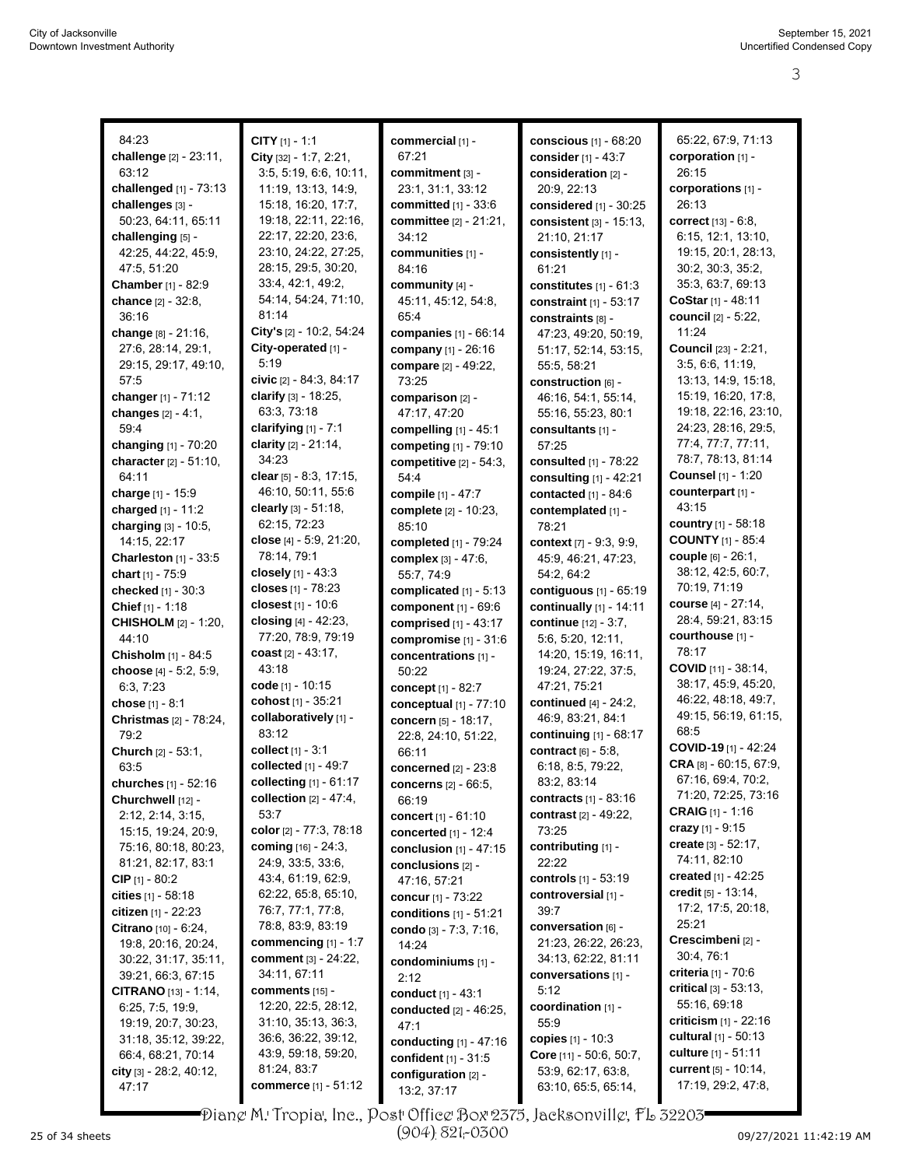| 84:23                                   | <b>CITY</b> $[1] - 1:1$                | commercial [1] -                            | conscious [1] - 68:20                      | 65.22, 67.9, 71.13                                   |
|-----------------------------------------|----------------------------------------|---------------------------------------------|--------------------------------------------|------------------------------------------------------|
| challenge [2] - 23:11,                  | City [32] - 1:7, 2:21,                 | 67:21                                       | consider [1] - 43:7                        | corporation [1] -                                    |
| 63:12                                   | 3:5, 5:19, 6:6, 10:11,                 | commitment [3] -                            | consideration [2] -                        | 26:15                                                |
| challenged [1] - 73:13                  | 11:19, 13:13, 14:9,                    | 23:1, 31:1, 33:12                           | 20:9, 22:13                                | corporations [1] -                                   |
| challenges [3] -                        | 15:18, 16:20, 17:7,                    | <b>committed</b> [1] - 33:6                 | considered [1] - 30:25                     | 26:13                                                |
| 50:23, 64:11, 65:11                     | 19:18, 22:11, 22:16,                   | <b>committee</b> [2] - 21:21,               | consistent [3] - 15:13,                    | correct [13] - 6:8,                                  |
| challenging [5] -                       | 22:17, 22:20, 23:6,                    | 34:12                                       | 21:10, 21:17                               | 6:15, 12:1, 13:10,                                   |
| 42:25, 44:22, 45:9,                     | 23:10, 24:22, 27:25,                   | communities [1] -                           | consistently [1] -                         | 19:15, 20:1, 28:13,                                  |
| 47:5, 51:20                             | 28:15, 29:5, 30:20,                    | 84:16                                       | 61:21                                      | 30.2, 30.3, 35.2,                                    |
| <b>Chamber</b> [1] - 82:9               | 33.4, 42.1, 49.2,                      | community [4] -                             | constitutes $[1] - 61:3$                   | 35:3, 63:7, 69:13                                    |
| <b>chance</b> [2] - 32:8,               | 54:14, 54:24, 71:10,                   | 45:11, 45:12, 54:8,                         | constraint [1] - 53:17                     | CoStar [1] - 48:11                                   |
| 36:16                                   | 81:14                                  | 65:4                                        | constraints [8] -                          | council [2] - 5:22,                                  |
| change [8] - 21:16,                     | City's [2] - 10:2, 54:24               | <b>companies</b> [1] - 66:14                | 47:23, 49:20, 50:19,                       | 11:24                                                |
| 27:6, 28:14, 29:1,                      | City-operated [1] -<br>5:19            | company [1] - 26:16                         | 51:17, 52:14, 53:15,                       | <b>Council</b> [23] - 2:21,                          |
| 29:15, 29:17, 49:10,<br>57:5            | civic [2] - 84:3, 84:17                | compare [2] - 49:22,                        | 55:5, 58:21                                | 3:5, 6:6, 11:19,<br>13:13, 14:9, 15:18,              |
| changer [1] - 71:12                     | clarify [3] - 18:25,                   | 73:25<br>comparison [2] -                   | construction [6] -<br>46:16, 54:1, 55:14,  | 15:19, 16:20, 17:8,                                  |
| changes [2] - 4:1,                      | 63:3, 73:18                            | 47:17, 47:20                                | 55:16, 55:23, 80:1                         | 19:18, 22:16, 23:10,                                 |
| 59:4                                    | clarifying $[1]$ - 7:1                 | compelling [1] - 45:1                       | consultants [1] -                          | 24:23, 28:16, 29:5,                                  |
| changing [1] - 70:20                    | clarity [2] - 21:14,                   | competing [1] - 79:10                       | 57:25                                      | 77:4, 77:7, 77:11,                                   |
| character [2] - 51:10,                  | 34:23                                  | competitive $[2] - 54:3$ ,                  | consulted [1] - 78:22                      | 78:7, 78:13, 81:14                                   |
| 64:11                                   | clear [5] - 8:3, 17:15,                | 54:4                                        | consulting [1] - 42:21                     | <b>Counsel</b> [1] - 1:20                            |
| charge [1] - 15:9                       | 46:10, 50:11, 55:6                     | compile [1] - 47:7                          | contacted $[1] - 84:6$                     | counterpart [1] -                                    |
| charged $[1] - 11.2$                    | clearly [3] - 51:18,                   | complete [2] - 10:23,                       | contemplated [1] -                         | 43:15                                                |
| charging [3] - 10:5,                    | 62:15, 72:23                           | 85:10                                       | 78:21                                      | country [1] - 58:18                                  |
| 14:15, 22:17                            | close [4] - 5:9, 21:20,                | completed $[1]$ - 79:24                     | context [7] - 9:3, 9:9,                    | <b>COUNTY</b> [1] - 85:4                             |
| <b>Charleston</b> $[1]$ - 33:5          | 78:14, 79:1                            | complex $[3] - 47:6$ ,                      | 45.9, 46.21, 47.23,                        | <b>couple</b> [6] - 26:1,                            |
| chart [1] - 75:9                        | closely $[1] - 43.3$                   | 55:7, 74:9                                  | 54:2, 64:2                                 | 38:12, 42:5, 60:7,                                   |
| checked [1] - 30:3                      | closes [1] - 78:23                     | complicated [1] - 5:13                      | contiguous [1] - 65:19                     | 70:19, 71:19                                         |
| Chief $[1] - 1:18$                      | closest [1] - 10:6                     | component [1] - 69:6                        | continually [1] - 14:11                    | <b>course</b> $[4] - 27:14$ ,                        |
| <b>CHISHOLM</b> [2] - 1:20,             | closing [4] - 42:23,                   | comprised $[1]$ - 43:17                     | <b>continue</b> [12] - 3:7,                | 28:4, 59:21, 83:15                                   |
| 44:10                                   | 77:20, 78:9, 79:19                     | compromise $[1] - 31:6$                     | 5:6, 5:20, 12:11,                          | courthouse [1] -                                     |
| Chisholm [1] - 84:5                     | coast $[2] - 43:17$ ,                  | concentrations [1] -                        | 14:20, 15:19, 16:11,                       | 78:17                                                |
| choose [4] - 5:2, 5:9,                  | 43:18                                  | 50:22                                       | 19:24, 27:22, 37:5,                        | <b>COVID</b> $[11] - 38:14$ ,<br>38:17, 45:9, 45:20, |
| 6:3, 7:23                               | code [1] - 10:15<br>cohost [1] - 35:21 | concept [1] - 82:7                          | 47:21, 75:21                               | 46:22, 48:18, 49:7,                                  |
| chose [1] - 8:1                         | collaboratively [1] -                  | conceptual $[1]$ - $77:10$                  | continued [4] - 24:2,<br>46.9, 83.21, 84.1 | 49:15, 56:19, 61:15,                                 |
| Christmas [2] - 78:24,<br>79.2          | 83:12                                  | concern [5] - 18:17,                        | continuing [1] - 68:17                     | 68:5                                                 |
| Church [2] - 53:1,                      | collect [1] - 3:1                      | 22:8, 24:10, 51:22,<br>66:11                | contract $[6] - 5.8$ ,                     | COVID-19 [1] - 42:24                                 |
| 63:5                                    | collected [1] - 49:7                   | concerned [2] - 23:8                        | 6:18, 8:5, 79:22,                          | CRA [8] - 60:15, 67:9,                               |
| <b>churches</b> $[1] - 52:16$           | collecting $[1] - 61:17$               | <b>concerns</b> [2] - 66:5,                 | 83:2, 83:14                                | 67:16, 69:4, 70:2,                                   |
| Churchwell [12] -                       | collection $[2] - 47:4,$               | 66:19                                       | contracts [1] - 83:16                      | 71:20, 72:25, 73:16                                  |
| 2:12, 2:14, 3:15,                       | 53:7                                   | concert [1] - 61:10                         | <b>contrast</b> [2] - 49:22,               | CRAIG [1] - 1:16                                     |
| 15:15, 19:24, 20:9,                     | color [2] - 77:3, 78:18                | concerted [1] - 12:4                        | 73:25                                      | <b>crazy</b> [1] - 9:15                              |
| 75:16, 80:18, 80:23,                    | coming $[16] - 24:3$ ,                 | conclusion $[1] - 47:15$                    | contributing [1] -                         | create $[3] - 52.17$ ,                               |
| 81:21, 82:17, 83:1                      | 24.9, 33.5, 33.6,                      | conclusions $[2]$ -                         | 22:22                                      | 74:11, 82:10                                         |
| CIP $[1] - 80:2$                        | 43:4, 61:19, 62:9,                     | 47:16, 57:21                                | controls [1] - 53:19                       | created $[1] - 42:25$                                |
| cities $[1] - 58.18$                    | 62:22, 65:8, 65:10,                    | concur [1] - 73:22                          | controversial [1] -                        | credit $[5] - 13.14$ ,                               |
| citizen $[1]$ - 22:23                   | 76:7, 77:1, 77:8,                      | conditions $[1] - 51:21$                    | 39:7                                       | 17:2, 17:5, 20:18,                                   |
| Citrano [10] - 6:24,                    | 78.8, 83.9, 83.19                      | condo [3] - 7:3, 7:16,                      | conversation [6] -                         | 25:21                                                |
| 19:8, 20:16, 20:24,                     | commencing [1] - 1:7                   | 14:24                                       | 21:23, 26:22, 26:23,                       | Crescimbeni [2] -<br>30:4, 76:1                      |
| 30:22, 31:17, 35:11,                    | <b>comment</b> [3] - 24:22,            | condominiums [1] -                          | 34:13, 62:22, 81:11                        | <b>criteria</b> [1] - 70:6                           |
| 39:21, 66:3, 67:15                      | 34:11, 67:11                           | 2:12                                        | conversations [1] -                        | critical $[3] - 53.13$ ,                             |
| <b>CITRANO</b> $[13] - 1:14$ ,          | comments [15] -<br>12:20, 22:5, 28:12, | conduct [1] - 43:1                          | 5:12<br>coordination [1] -                 | 55:16, 69:18                                         |
| 6:25, 7:5, 19:9,<br>19:19, 20:7, 30:23, | 31:10, 35:13, 36:3,                    | conducted [2] - 46:25,                      | 55:9                                       | criticism $[1]$ - 22:16                              |
| 31:18, 35:12, 39:22,                    | 36.6, 36.22, 39.12,                    | 47:1                                        | copies [1] - 10:3                          | <b>cultural</b> [1] - 50:13                          |
| 66:4, 68:21, 70:14                      | 43:9, 59:18, 59:20,                    | conducting [1] - 47:16                      | <b>Core</b> $[11] - 50.6, 50.7,$           | culture [1] - 51:11                                  |
| city [3] - 28:2, 40:12,                 | 81:24, 83:7                            | confident [1] - 31:5<br>configuration [2] - | 53.9, 62.17, 63.8,                         | <b>current</b> [5] - 10:14,                          |
| 47:17                                   | commerce [1] - 51:12                   | 13:2, 37:17                                 | 63:10, 65:5, 65:14,                        | 17:19, 29:2, 47:8,                                   |
|                                         |                                        |                                             |                                            |                                                      |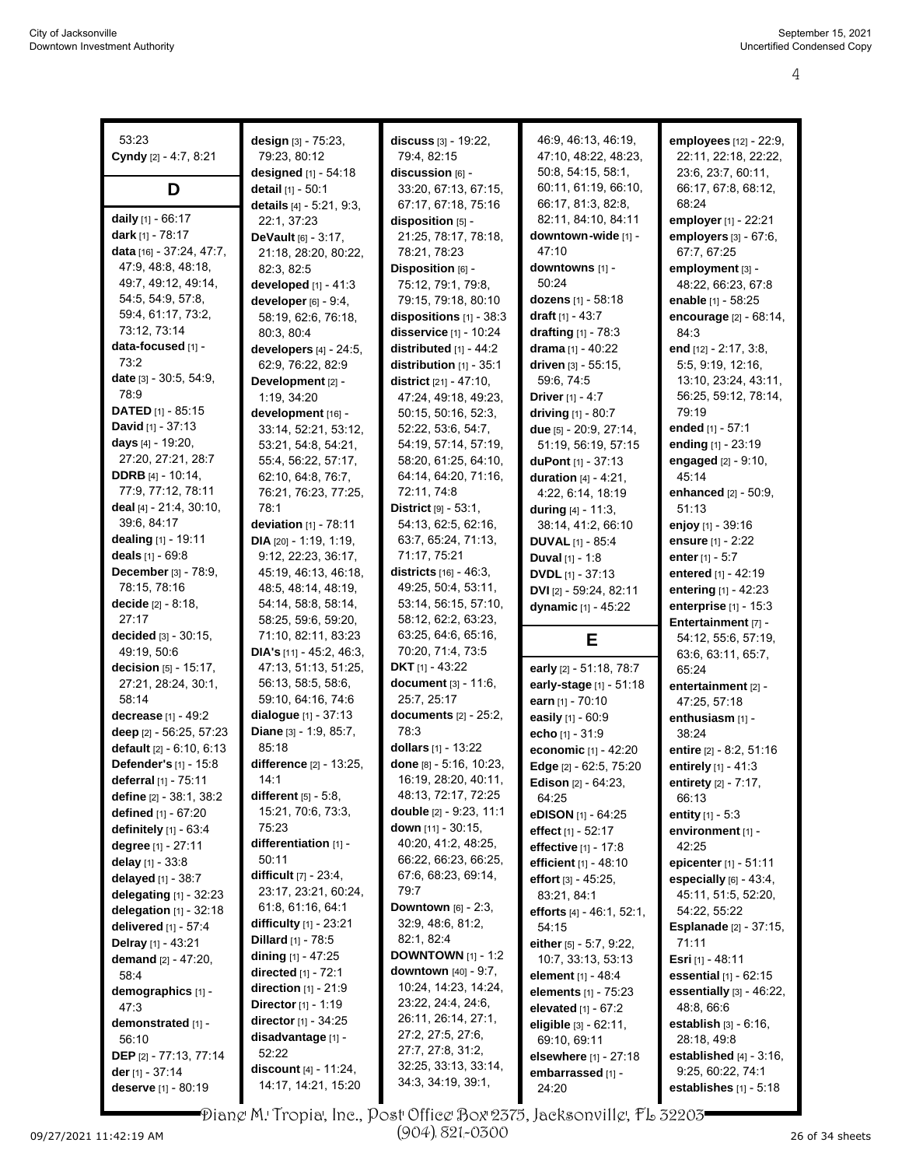| 53:23                           |                                   |                                              | 46.9, 46.13, 46:19,            | employees [12] - 22:9,                         |
|---------------------------------|-----------------------------------|----------------------------------------------|--------------------------------|------------------------------------------------|
|                                 | design [3] - 75:23,               | discuss [3] - 19:22,                         |                                |                                                |
| Cyndy [2] - 4:7, 8:21           | 79:23, 80:12                      | 79:4, 82:15                                  | 47:10, 48:22, 48:23,           | 22:11, 22:18, 22:22,                           |
|                                 | designed [1] - 54:18              | discussion [6] -                             | 50.8, 54:15, 58:1,             | 23:6, 23:7, 60:11,                             |
| D                               | detail [1] - 50:1                 | 33:20, 67:13, 67:15,                         | 60:11, 61:19, 66:10,           | 66:17, 67:8, 68:12,                            |
|                                 | details [4] - 5:21, 9:3,          | 67:17, 67:18, 75:16                          | 66:17, 81:3, 82:8,             | 68:24                                          |
| daily [1] - 66:17               | 22:1, 37:23                       | disposition [5] -                            | 82:11, 84:10, 84:11            | employer [1] - 22:21                           |
| <b>dark</b> [1] - 78:17         | <b>DeVault</b> $[6] - 3:17$ ,     | 21:25, 78:17, 78:18,                         | downtown-wide [1] -            | employers [3] - 67:6,                          |
| data [16] - 37:24, 47:7,        | 21:18, 28:20, 80:22,              | 78:21, 78:23                                 | 47:10                          | 67:7, 67:25                                    |
| 47:9, 48:8, 48:18,              | 82:3, 82:5                        | Disposition [6] -                            | downtowns [1] -                | employment [3] -                               |
| 49.7, 49.12, 49.14,             | developed $[1] - 41:3$            | 75:12, 79:1, 79:8,                           | 50:24                          | 48:22, 66:23, 67:8                             |
| 54:5, 54:9, 57:8,               | developer $[6]$ - $9:4$ ,         | 79:15, 79:18, 80:10                          | dozens [1] - 58:18             | enable [1] - 58:25                             |
| 59.4, 61:17, 73:2,              | 58:19, 62:6, 76:18,               | dispositions [1] - 38:3                      | draft [1] - 43:7               | encourage [2] - 68:14,                         |
| 73:12, 73:14                    | 80:3, 80:4                        | disservice [1] - 10:24                       | drafting $[1]$ - 78:3          | 84:3                                           |
| data-focused [1] -              | developers [4] - 24:5,            | distributed $[1] - 44.2$                     | drama $[1] - 40:22$            | end [12] - 2:17, 3:8,                          |
| 73:2                            | 62:9, 76:22, 82:9                 | distribution [1] - 35:1                      | driven [3] - 55:15,            | 5:5, 9:19, 12:16,                              |
| date [3] - 30:5, 54:9,          | Development [2] -                 | district $[21] - 47:10$ ,                    | 59.6, 74:5                     | 13:10, 23:24, 43:11,                           |
| 78:9                            | 1:19, 34:20                       | 47:24, 49:18, 49:23,                         | Driver $[1] - 4:7$             | 56:25, 59:12, 78:14,                           |
| <b>DATED</b> [1] - 85:15        | development [16] -                | 50:15, 50:16, 52:3,                          | driving [1] - 80:7             | 79:19                                          |
| <b>David</b> [1] - 37:13        | 33:14, 52:21, 53:12,              | 52:22, 53:6, 54:7,                           | due [5] - 20:9, 27:14,         | ended [1] - 57:1                               |
| days $[4] - 19.20$ ,            | 53:21, 54:8, 54:21,               | 54:19, 57:14, 57:19,                         | 51:19, 56:19, 57:15            | ending [1] - 23:19                             |
| 27:20, 27:21, 28:7              | 55:4, 56:22, 57:17,               | 58:20, 61:25, 64:10,                         | duPont [1] - 37:13             | engaged $[2] - 9:10$ ,                         |
| <b>DDRB</b> [4] - 10:14,        | 62:10, 64:8, 76:7,                | 64:14, 64:20, 71:16,                         | <b>duration</b> $[4] - 4:21$ , | 45:14                                          |
| 77:9, 77:12, 78:11              | 76:21, 76:23, 77:25,              | 72:11, 74:8                                  | 4:22, 6:14, 18:19              | enhanced [2] - 50:9,                           |
| deal [4] - 21:4, 30:10,         | 78:1                              | <b>District</b> $[9] - 53:1$ ,               | during [4] - 11:3,             | 51:13                                          |
| 39:6, 84:17                     | deviation $[1]$ - 78:11           | 54:13, 62:5, 62:16,                          | 38:14, 41:2, 66:10             | enjoy [1] - 39:16                              |
| dealing [1] - 19:11             | <b>DIA</b> $[20] - 1.19$ , 1:19,  | 63:7, 65:24, 71:13,                          | <b>DUVAL</b> $[1]$ - 85:4      | <b>ensure</b> $[1] - 2:22$                     |
| deals $[1] - 69.8$              | 9:12, 22:23, 36:17,               | 71:17, 75:21                                 | <b>Duval</b> $[1] - 1:8$       | enter $[1]$ - 5:7                              |
| December [3] - 78:9,            | 45:19, 46:13, 46:18,              | districts [16] - 46:3,                       | <b>DVDL</b> [1] - 37:13        | entered [1] - 42:19                            |
| 78:15, 78:16                    | 48:5, 48:14, 48:19,               | 49:25, 50:4, 53:11,                          | DVI [2] - 59:24, 82:11         | entering [1] - 42:23                           |
| <b>decide</b> $[2] - 8.18$ ,    | 54:14, 58:8, 58:14,               | 53:14, 56:15, 57:10,                         |                                |                                                |
| 27:17                           | 58:25, 59:6, 59:20,               | 58:12, 62:2, 63:23,                          | dynamic [1] - 45:22            | enterprise $[1]$ - 15:3<br>Entertainment [7] - |
| decided $[3] - 30:15$ ,         | 71:10, 82:11, 83:23               | 63:25, 64:6, 65:16,                          |                                |                                                |
| 49:19, 50:6                     | <b>DIA's</b> $[11] - 45.2, 46.3,$ | 70:20, 71:4, 73:5                            | Е                              | 54:12, 55:6, 57:19,                            |
| decision $[5] - 15:17$ ,        | 47:13, 51:13, 51:25,              | <b>DKT</b> $[1] - 43:22$                     | early [2] - 51:18, 78:7        | 63.6, 63.11, 65.7,<br>65:24                    |
| 27:21, 28:24, 30:1,             | 56:13, 58:5, 58:6,                | document [3] - 11:6,                         | early-stage [1] - 51:18        |                                                |
| 58:14                           | 59:10, 64:16, 74:6                | 25:7, 25:17                                  | earn [1] - 70:10               | entertainment [2] -                            |
| decrease $[1] - 49:2$           | dialogue [1] - 37:13              | documents $[2] - 25:2$ ,                     |                                | 47:25, 57:18                                   |
| deep [2] - 56:25, 57:23         | Diane [3] - 1:9, 85:7,            | 78:3                                         | easily [1] - 60:9              | enthusiasm [1] -                               |
| default [2] - 6:10, 6:13        | 85:18                             | dollars $[1] - 13:22$                        | echo [1] - 31:9                | 38:24                                          |
|                                 | difference [2] - 13:25,           | done [8] - 5:16, 10:23,                      | economic [1] - 42:20           | entire $[2] - 8:2, 51:16$                      |
| Defender's [1] - 15:8           | 14:1                              | 16:19, 28:20, 40:11,                         | Edge [2] - 62:5, 75:20         | entirely [1] - 41:3                            |
| deferral [1] - 75:11            | different $[5] - 5.8$ ,           | 48:13, 72:17, 72:25                          | <b>Edison</b> $[2] - 64:23$ ,  | entirety $[2] - 7:17$ ,                        |
| define $[2] - 38.1, 38.2$       | 15:21, 70:6, 73:3,                | double [2] - 9:23, 11:1                      | 64:25                          | 66:13                                          |
| defined [1] - 67:20             | 75:23                             |                                              | eDISON [1] - 64:25             | entity $[1] - 5:3$                             |
| definitely $[1]$ - $63:4$       | differentiation [1] -             | down $[11] - 30.15$ ,<br>40:20, 41:2, 48:25, | effect $[1] - 52:17$           | environment [1] -                              |
| degree [1] - 27:11              |                                   |                                              | effective [1] - 17:8           | 42:25                                          |
| delay $[1] - 33.8$              | 50:11<br>difficult $[7] - 23:4$ , | 66:22, 66:23, 66:25,<br>67.6, 68.23, 69.14,  | efficient [1] - 48:10          | epicenter [1] - 51:11                          |
| delayed [1] - 38:7              | 23:17, 23:21, 60:24,              | 79:7                                         | <b>effort</b> $[3] - 45:25$ ,  | especially $[6] - 43.4$ ,                      |
| delegating $[1]$ - 32:23        |                                   |                                              | 83:21, 84:1                    | 45:11, 51:5, 52:20,                            |
| <b>delegation</b> $[1] - 32:18$ | 61.8, 61.16, 64.1                 | <b>Downtown</b> $[6] - 2:3$ ,                | efforts $[4] - 46:1, 52:1,$    | 54:22, 55:22                                   |
| <b>delivered</b> [1] - 57:4     | difficulty $[1]$ - 23:21          | 32.9, 48.6, 81.2,                            | 54:15                          | <b>Esplanade</b> [2] - 37:15,                  |
| Delray [1] - 43:21              | <b>Dillard</b> $[1]$ - 78:5       | 82:1, 82:4                                   | either [5] - 5:7, 9:22,        | 71:11                                          |
| <b>demand</b> [2] - 47:20,      | dining $[1] - 47:25$              | <b>DOWNTOWN</b> $[1]$ - 1:2                  | 10:7, 33:13, 53:13             | Esri [1] - 48:11                               |
| 58:4                            | <b>directed</b> $[1] - 72:1$      | <b>downtown</b> $[40] - 9:7$ ,               | element $[1] - 48.4$           | essential [1] - 62:15                          |
| demographics [1] -              | direction [1] - 21:9              | 10:24, 14:23, 14:24,                         | elements $[1] - 75:23$         | essentially $[3] - 46.22$ ,                    |
| 47:3                            | <b>Director</b> [1] - 1:19        | 23:22, 24:4, 24:6,                           | elevated $[1] - 67:2$          | 48:8, 66:6                                     |
| demonstrated [1] -              | director [1] - 34:25              | 26:11, 26:14, 27:1,                          | eligible [3] - 62:11,          | <b>establish</b> [3] - 6:16,                   |
| 56:10                           | disadvantage [1] -                | 27:2, 27:5, 27:6,                            | 69:10, 69:11                   | 28:18, 49:8                                    |
| DEP [2] - 77:13, 77:14          | 52:22                             | 27:7, 27:8, 31:2,                            | elsewhere [1] - 27:18          | established $[4] - 3.16$ ,                     |
| der $[1] - 37:14$               | <b>discount</b> $[4] - 11:24$ ,   | 32:25, 33:13, 33:14,                         | embarrassed [1] -              | 9:25, 60:22, 74:1                              |
| deserve [1] - 80:19             | 14:17, 14:21, 15:20               | 34 3, 34 19, 39 1,                           |                                | establishes $[1] - 5:18$                       |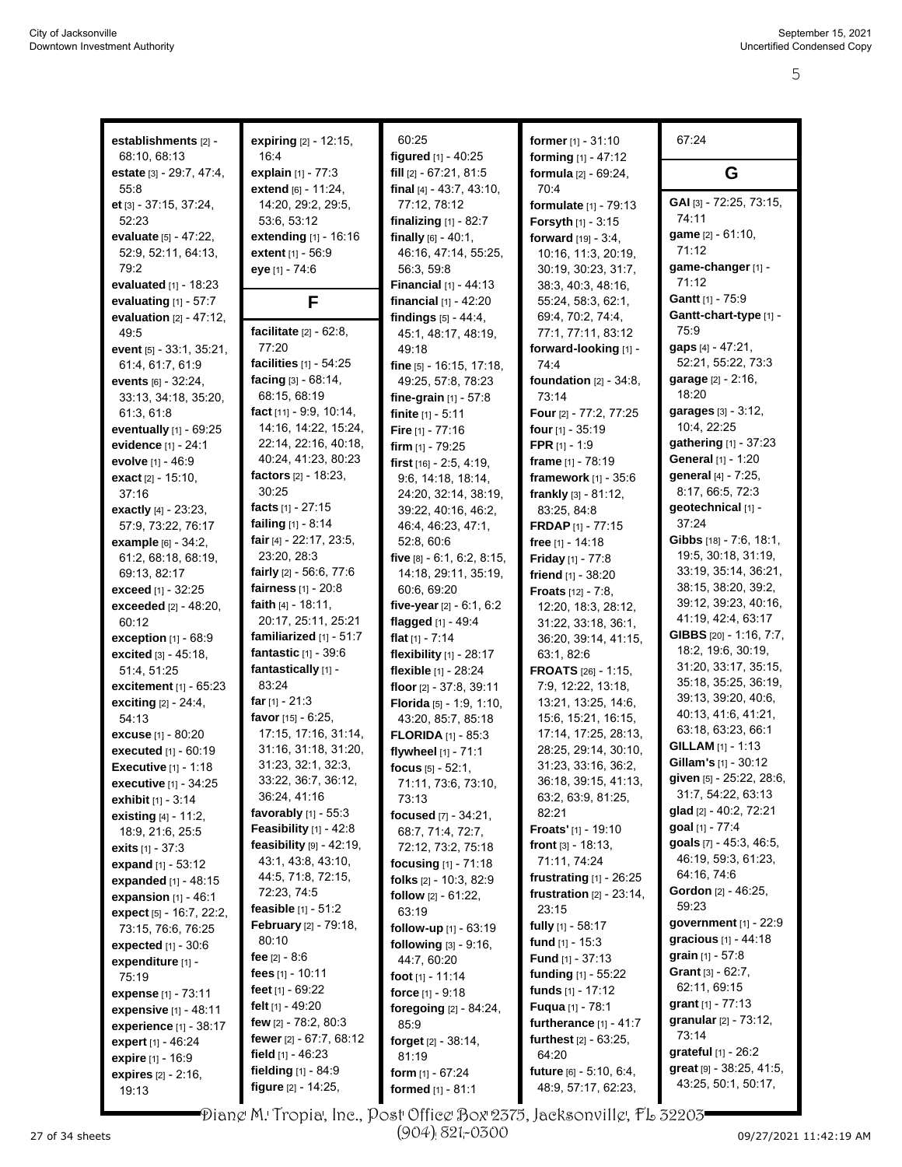| establishments [2] -            | expiring [2] - 12:15,           | 60:25                         | former $[1] - 31:10$          | 67:24                         |
|---------------------------------|---------------------------------|-------------------------------|-------------------------------|-------------------------------|
| 68:10, 68:13                    | 16:4                            | figured [1] - 40:25           | forming [1] - 47:12           |                               |
|                                 |                                 |                               |                               |                               |
| estate [3] - 29:7, 47:4,        | explain $[1] - 77:3$            | fill [2] - 67:21, 81:5        | formula [2] - 69:24,          | G                             |
| 55:8                            | extend [6] - 11:24,             | final $[4] - 43.7, 43.10,$    | 70:4                          | GAI [3] - 72:25, 73:15,       |
| et [3] - 37:15, 37:24,          | 14:20, 29:2, 29:5,              | 77:12, 78:12                  | formulate [1] - 79:13         | 74:11                         |
| 52:23                           | 53:6, 53:12                     | finalizing $[1] - 82:7$       | Forsyth [1] - 3:15            | game [2] - 61:10,             |
| evaluate [5] - 47:22,           | extending [1] - 16:16           | finally $[6] - 40:1$ ,        | forward [19] - 3:4,           | 71:12                         |
| 52:9, 52:11, 64:13,             | extent [1] - 56:9               | 46:16, 47:14, 55:25,          | 10:16, 11:3, 20:19,           | game-changer [1] -            |
| 79:2                            | eye [1] - 74:6                  | 56:3, 59:8                    | 30:19, 30:23, 31:7,           |                               |
| evaluated [1] - 18:23           |                                 | <b>Financial</b> [1] - 44:13  | 38:3, 40:3, 48:16,            | 71:12                         |
| evaluating $[1] - 57:7$         | F                               | financial [1] - 42:20         | 55:24, 58:3, 62:1,            | Gantt [1] - 75:9              |
| evaluation $[2] - 47:12$ ,      |                                 | findings $[5] - 44.4$ ,       | 69:4, 70:2, 74:4,             | Gantt-chart-type [1] -        |
| 49.5                            | facilitate $[2] - 62:8$ ,       | 45:1, 48:17, 48:19,           | 77:1, 77:11, 83:12            | 75:9                          |
| event [5] - 33:1, 35:21,        | 77:20                           | 49:18                         | forward-looking [1] -         | gaps [4] - 47:21,             |
| 61:4, 61:7, 61:9                | facilities [1] - 54:25          | fine $[5]$ - 16:15, 17:18,    | 74:4                          | 52:21, 55:22, 73:3            |
| <b>events</b> $[6] - 32:24$ ,   | facing [3] - 68:14,             | 49:25, 57:8, 78:23            | foundation $[2] - 34:8$ ,     | garage [2] - 2:16,            |
| 33:13, 34:18, 35:20,            | 68:15, 68:19                    | fine-grain $[1] - 57:8$       | 73:14                         | 18:20                         |
| 61.3, 61.8                      | fact $[11] - 9.9, 10.14,$       | finite $[1] - 5:11$           | <b>Four</b> [2] - 77:2, 77:25 | garages [3] - 3:12,           |
| eventually $[1]$ - 69:25        | 14:16, 14:22, 15:24,            | Fire [1] - 77:16              | four $[1]$ - 35:19            | 10:4, 22:25                   |
| evidence [1] - 24:1             | 22:14, 22:16, 40:18,            | firm $[1]$ - 79:25            | <b>FPR</b> $[1] - 1:9$        | gathering [1] - 37:23         |
| evolve [1] - 46:9               | 40:24, 41:23, 80:23             | first $[16] - 2.5, 4.19,$     | frame [1] - 78:19             | General [1] - 1:20            |
| exact $[2] - 15:10$ ,           | factors [2] - 18:23,            | 9:6, 14:18, 18:14,            | framework [1] - 35:6          | general [4] - 7:25,           |
| 37:16                           | 30:25                           | 24:20, 32:14, 38:19,          | frankly $[3] - 81:12$ ,       | 8:17, 66:5, 72:3              |
| exactly $[4] - 23:23$ ,         | facts $[1] - 27:15$             | 39:22, 40:16, 46:2,           | 83:25, 84:8                   | geotechnical [1] -            |
| 57:9, 73:22, 76:17              | failing [1] - 8:14              | 46:4, 46:23, 47:1,            | <b>FRDAP</b> $[1]$ - 77:15    | 37.24                         |
| <b>example</b> $[6] - 34:2$ ,   | fair [4] - 22:17, 23:5,         | 52:8, 60:6                    | free $[1] - 14.18$            | Gibbs [18] - 7:6, 18:1,       |
| 61:2, 68:18, 68:19,             | 23:20, 28:3                     | five $[8] - 6.1, 6.2, 8.15,$  | <b>Friday</b> $[1]$ - 77:8    | 19:5, 30:18, 31:19,           |
| 69:13, 82:17                    | fairly $[2] - 56.6, 77.6$       | 14:18, 29:11, 35:19,          | friend $[1] - 38:20$          | 33:19, 35:14, 36:21,          |
| exceed [1] - 32:25              | fairness [1] - 20:8             | 60:6, 69:20                   | <b>Froats</b> $[12] - 7:8$ ,  | 38:15, 38:20, 39:2,           |
| <b>exceeded</b> $[2] - 48:20$ , | faith $[4] - 18.11$ ,           | five-year [2] - 6:1, 6:2      | 12:20, 18:3, 28:12,           | 39:12, 39:23, 40:16,          |
| 60:12                           | 20:17, 25:11, 25:21             | flagged [1] - 49:4            | 31:22, 33:18, 36:1,           | 41:19, 42:4, 63:17            |
| exception [1] - 68:9            | familiarized [1] - 51:7         | flat $[1] - 7:14$             | 36:20, 39:14, 41:15,          | GIBBS [20] - 1:16, 7:7,       |
| excited [3] - 45:18,            | fantastic [1] - 39:6            | flexibility [1] - 28:17       | 63:1, 82:6                    | 18:2, 19:6, 30:19,            |
| 51:4, 51:25                     | fantastically [1] -             | flexible [1] - 28:24          | <b>FROATS</b> [26] - 1:15,    | 31:20, 33:17, 35:15,          |
| excitement [1] - 65:23          | 83:24                           | floor [2] - 37:8, 39:11       | 7:9, 12:22, 13:18,            | 35:18, 35:25, 36:19,          |
| <b>exciting</b> $[2] - 24.4$ ,  | far $[1] - 21:3$                | Florida [5] - 1:9, 1:10,      | 13:21, 13:25, 14:6,           | 39:13, 39:20, 40:6,           |
| 54:13                           | favor $[15] - 6.25$ ,           | 43:20, 85:7, 85:18            | 15:6, 15:21, 16:15,           | 40:13, 41:6, 41:21,           |
| <b>excuse</b> [1] - 80:20       | 17:15, 17:16, 31:14,            | <b>FLORIDA</b> $[1]$ - 85:3   | 17:14, 17:25, 28:13,          | 63:18, 63:23, 66:1            |
| executed [1] - 60:19            | 31:16, 31:18, 31:20,            | flywheel [1] - 71:1           | 28:25, 29:14, 30:10,          | <b>GILLAM</b> $[1] - 1:13$    |
| <b>Executive</b> [1] - 1:18     | 31:23, 32:1, 32:3,              | focus $[5] - 52:1$ ,          | 31:23, 33:16, 36:2,           | <b>Gillam's</b> $[1]$ - 30:12 |
| <b>executive</b> $[1] - 34:25$  | 33.22, 36.7, 36.12,             | 71:11, 73:6, 73:10,           | 36:18, 39:15, 41:13,          | given [5] - 25:22, 28:6,      |
| <b>exhibit</b> $[1]$ - 3:14     | 36:24, 41:16                    | 73:13                         | 63:2, 63:9, 81:25,            | 31:7, 54:22, 63:13            |
| <b>existing</b> $[4] - 11.2$ ,  | favorably $[1]$ - 55:3          | focused [7] - 34:21,          | 82:21                         | glad [2] - 40:2, 72:21        |
| 18:9, 21:6, 25:5                | <b>Feasibility</b> $[1] - 42:8$ | 68:7, 71:4, 72:7,             | Froats' [1] - 19:10           | goal [1] - 77:4               |
| <b>exits</b> $[1] - 37:3$       | feasibility $[9] - 42.19$ ,     | 72:12, 73:2, 75:18            | front $[3] - 18:13$ ,         | goals [7] - 45:3, 46:5,       |
| expand $[1] - 53:12$            | 43.1, 43.8, 43.10,              | focusing [1] - 71:18          | 71:11, 74:24                  | 46:19, 59:3, 61:23,           |
| <b>expanded</b> $[1] - 48:15$   | 44:5, 71:8, 72:15,              | folks $[2] - 10.3, 82.9$      | frustrating $[1]$ - 26:25     | 64:16, 74:6                   |
| expansion $[1]$ - 46:1          | 72:23, 74:5                     | follow [2] - 61:22,           | frustration $[2] - 23:14$ ,   | <b>Gordon</b> [2] - 46:25,    |
| expect [5] - 16:7, 22:2,        | <b>feasible</b> $[1] - 51:2$    | 63:19                         | 23:15                         | 59:23                         |
| 73:15, 76:6, 76:25              | <b>February</b> [2] - 79:18,    | follow-up [1] - 63:19         | fully [1] - 58:17             | government [1] - 22:9         |
| <b>expected</b> $[1] - 30.6$    | 80:10                           | following [3] - 9:16,         | fund $[1]$ - 15:3             | gracious [1] - 44:18          |
| expenditure [1] -               | fee $[2] - 8.6$                 | 44:7, 60:20                   | <b>Fund</b> $[1] - 37:13$     | <b>grain</b> $[1] - 57.8$     |
| 75:19                           | fees [1] - 10:11                | foot [1] - 11:14              | <b>funding</b> $[1]$ - 55:22  | Grant [3] - 62:7,             |
| expense [1] - 73:11             | feet $[1] - 69.22$              | force $[1] - 9.18$            | funds $[1] - 17:12$           | 62:11, 69:15                  |
| <b>expensive</b> $[1] - 48:11$  | felt $[1]$ - 49:20              | foregoing [2] - 84:24,        | Fuqua [1] - 78:1              | grant $[1] - 77:13$           |
| <b>experience</b> [1] - 38:17   | few $[2] - 78.2, 80.3$          | 85.9                          | furtherance $[1] - 41:7$      | granular [2] - 73:12,         |
| expert [1] - 46:24              | fewer [2] - 67:7, 68:12         | <b>forget</b> $[2] - 38.14$ , | furthest $[2] - 63:25$ ,      | 73:14                         |
| expire [1] - 16:9               | field $[1]$ - 46:23             | 81:19                         | 64:20                         | <b>grateful</b> $[1] - 26.2$  |
| expires [2] - 2:16,             | fielding [1] - 84:9             | form $[1] - 67:24$            | future [6] - 5:10, 6:4,       | great [9] - 38:25, 41:5,      |
| 19:13                           | figure [2] - 14:25,             | formed [1] - 81:1             | 48:9, 57:17, 62:23,           | 43:25, 50:1, 50:17,           |
|                                 |                                 |                               |                               |                               |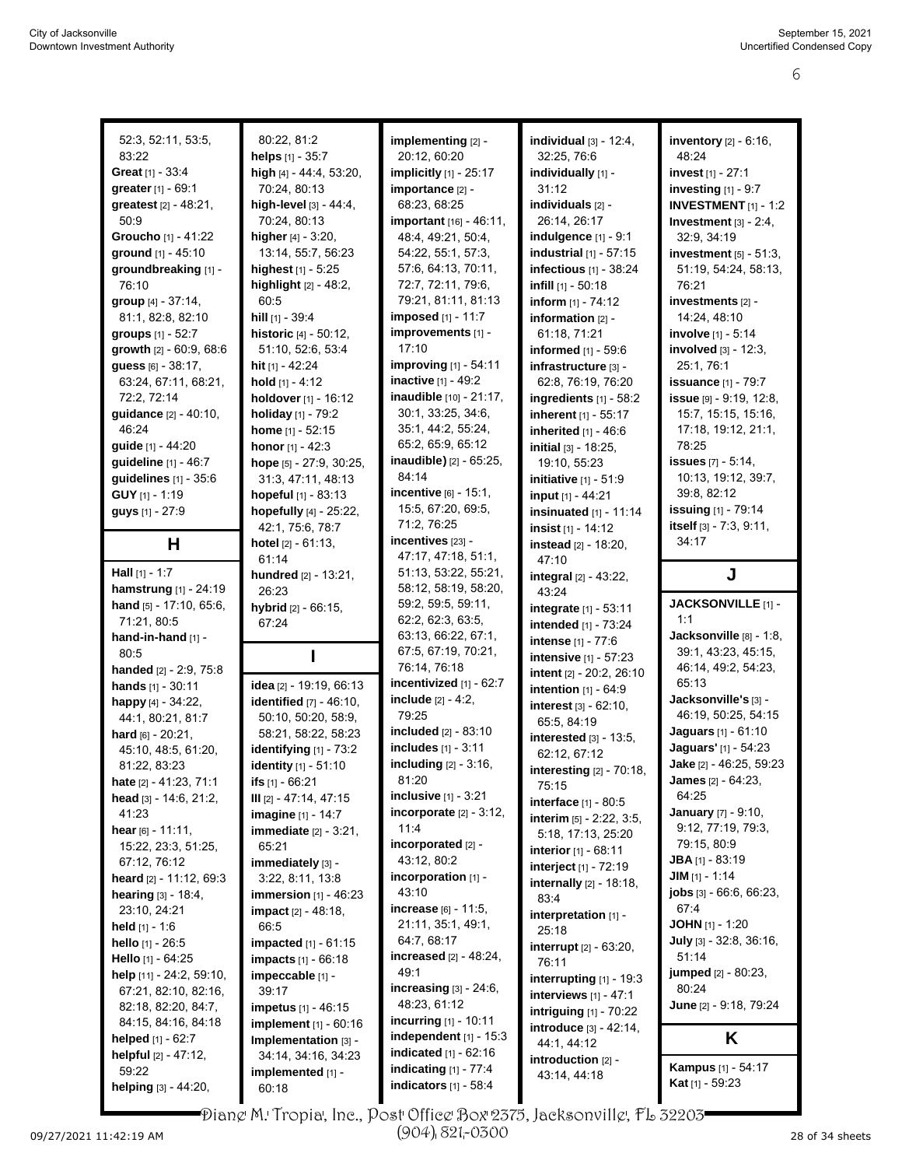| 52:3, 52:11, 53:5,                         | 80:22, 81:2                                   | implementing [2] -                                   | individual $[3]$ - 12:4,                         | inventory [2] - 6:16,                               |
|--------------------------------------------|-----------------------------------------------|------------------------------------------------------|--------------------------------------------------|-----------------------------------------------------|
| 83:22                                      | helps $[1] - 35:7$                            | 20:12, 60:20                                         | 32:25, 76:6                                      | 48:24                                               |
| Great [1] - 33:4                           | high [4] - 44:4, 53:20,                       | implicitly [1] - 25:17                               | individually [1] -                               | invest [1] - 27:1                                   |
| greater [1] - 69:1                         | 70:24, 80:13                                  | importance [2] -                                     | 31:12                                            | investing [1] - 9:7                                 |
| greatest [2] - 48:21,                      | high-level [3] - 44:4.                        | 68:23, 68:25                                         | individuals [2] -                                | <b>INVESTMENT</b> [1] - 1:2                         |
| 50:9                                       | 70:24, 80:13                                  | important [16] - 46:11,                              | 26:14, 26:17                                     | Investment $[3] - 2.4$ ,                            |
| Groucho [1] - 41:22                        | higher $[4] - 3:20$ ,<br>13:14, 55:7, 56:23   | 48:4, 49:21, 50:4,<br>54:22, 55:1, 57:3,             | <b>indulgence</b> [1] - 9:1                      | 32:9, 34:19                                         |
| ground [1] - 45:10<br>groundbreaking [1] - | highest $[1] - 5:25$                          | 57:6, 64:13, 70:11,                                  | industrial [1] - 57:15<br>infectious [1] - 38:24 | investment $[5] - 51:3$ ,<br>51:19, 54:24, 58:13,   |
| 76:10                                      | highlight [2] - 48:2,                         | 72:7, 72:11, 79:6,                                   | infill [1] - 50:18                               | 76:21                                               |
| group [4] - 37:14,                         | 60:5                                          | 79:21, 81:11, 81:13                                  | inform [1] - 74:12                               | investments [2] -                                   |
| 81:1, 82:8, 82:10                          | hill $[1]$ - 39:4                             | <b>imposed</b> [1] - 11:7                            | information $[2]$ -                              | 14:24, 48:10                                        |
| groups [1] - 52:7                          | historic [4] - 50:12,                         | improvements [1] -                                   | 61:18, 71:21                                     | <b>involve</b> [1] - 5:14                           |
| growth [2] - 60:9, 68:6                    | 51:10, 52:6, 53:4                             | 17:10                                                | informed [1] - 59:6                              | involved [3] - 12:3,                                |
| guess [6] - 38:17,                         | hit [1] - 42:24                               | improving [1] - 54:11                                | infrastructure [3] -                             | 25:1, 76:1                                          |
| 63:24, 67:11, 68:21,                       | hold $[1] - 4:12$                             | inactive [1] - 49:2                                  | 62:8, 76:19, 76:20                               | <b>issuance</b> [1] - 79:7                          |
| 72:2, 72:14                                | holdover [1] - 16:12                          | inaudible [10] - 21:17,                              | ingredients [1] - 58:2                           | issue $[9] - 9.19, 12.8$                            |
| guidance [2] - 40:10,                      | holiday [1] - 79:2                            | 30:1, 33:25, 34:6,                                   | inherent [1] - 55:17                             | 15:7, 15:15, 15:16,                                 |
| 46:24                                      | home $[1] - 52:15$                            | 35:1, 44:2, 55:24,                                   | inherited $[1] - 46.6$                           | 17:18, 19:12, 21:1,                                 |
| guide [1] - 44:20                          | honor $[1] - 42:3$                            | 65:2, 65:9, 65:12                                    | initial [3] - 18:25,                             | 78:25                                               |
| guideline [1] - 46:7                       | hope [5] - 27:9, 30:25,                       | inaudible) [2] - 65:25,                              | 19:10, 55:23                                     | <b>issues</b> [7] - 5:14,                           |
| guidelines [1] - 35:6                      | 31:3, 47:11, 48:13                            | 84:14                                                | initiative [1] - 51:9                            | 10:13, 19:12, 39:7,                                 |
| GUY [1] - 1:19                             | hopeful [1] - 83:13                           | incentive [6] - 15:1,                                | input [1] - 44:21                                | 39:8, 82:12                                         |
| guys [1] - 27:9                            | hopefully [4] - 25:22,                        | 15:5, 67:20, 69:5,                                   | insinuated $[1] - 11:14$                         | issuing [1] - 79:14                                 |
|                                            | 42:1, 75:6, 78:7                              | 71:2, 76:25                                          | insist $[1] - 14:12$                             | itself [3] - 7:3, 9:11,                             |
| н                                          | hotel [2] - 61:13,                            | incentives [23] -                                    | <b>instead</b> [2] - 18:20,                      | 34:17                                               |
|                                            | 61:14                                         | 47:17, 47:18, 51:1,                                  | 47:10                                            |                                                     |
| <b>Hall</b> $[1] - 1:7$                    | hundred [2] - 13:21,                          | 51:13, 53:22, 55:21,                                 | integral [2] - 43:22,                            | J                                                   |
| hamstrung [1] - 24:19                      | 26:23                                         | 58:12, 58:19, 58:20,                                 | 43:24                                            |                                                     |
| hand [5] - 17:10, 65:6,<br>71:21, 80:5     | hybrid [2] - 66:15,                           | 59:2, 59:5, 59:11,<br>62:2, 62:3, 63:5,              | integrate [1] - 53:11                            | JACKSONVILLE [1] -<br>1:1                           |
|                                            |                                               |                                                      |                                                  |                                                     |
|                                            | 67:24                                         |                                                      | intended [1] - 73:24                             |                                                     |
| hand-in-hand [1] -                         |                                               | 63:13, 66:22, 67:1,                                  | <b>intense</b> $[1] - 77:6$                      | Jacksonville [8] - 1:8,                             |
| 80.5                                       |                                               | 67:5, 67:19, 70:21,                                  | intensive [1] - 57:23                            | 39:1, 43:23, 45:15,                                 |
| handed [2] - 2:9, 75:8                     |                                               | 76:14, 76:18                                         | intent [2] - 20:2, 26:10                         | 46:14, 49:2, 54:23,                                 |
| hands [1] - 30:11                          | idea [2] - 19:19, 66:13                       | incentivized $[1]$ - $62:7$                          | intention $[1] - 64.9$                           | 65:13                                               |
| happy [4] - 34:22,                         | <b>identified</b> [7] - 46:10,                | include [2] - 4:2,                                   | interest $[3] - 62:10$ ,                         | Jacksonville's [3] -                                |
| 44:1, 80:21, 81:7                          | 50:10, 50:20, 58:9,                           | 79:25                                                | 65:5, 84:19                                      | 46:19, 50:25, 54:15                                 |
| hard $[6] - 20:21$ ,                       | 58:21, 58:22, 58:23                           | included [2] - 83:10                                 | interested [3] - 13:5,                           | Jaguars [1] - 61:10<br>Jaquars' [1] - 54:23         |
| 45:10, 48:5, 61:20,                        | identifying [1] - 73:2                        | includes [1] - 3:11                                  | 62:12, 67:12                                     |                                                     |
| 81:22, 83:23                               | identity [1] - 51:10                          | including [2] - 3:16,<br>81:20                       | interesting [2] - 70:18,                         | Jake [2] - 46:25, 59:23                             |
| <b>hate</b> $[2] - 41.23, 71.1$            | ifs $[1]$ - 66:21<br>$III$ [2] - 47:14, 47:15 | <b>inclusive</b> $[1] - 3:21$                        | 75:15                                            | James [2] - 64:23,<br>64:25                         |
| head $[3] - 14.6, 21.2,$<br>41:23          | imagine $[1] - 14.7$                          | incorporate $[2] - 3:12$ ,                           | interface [1] - 80:5                             | January [7] - 9:10,                                 |
| hear $[6] - 11.11$ ,                       | immediate $[2] - 3:21$ ,                      | 11:4                                                 | interim $[5] - 2.22, 3.5,$                       | 9:12, 77:19, 79:3,                                  |
| 15:22, 23:3, 51:25,                        | 65:21                                         | incorporated [2] -                                   | 5:18, 17:13, 25:20                               | 79:15, 80:9                                         |
| 67:12, 76:12                               | immediately [3] -                             | 43:12, 80:2                                          | interior [1] - 68:11                             | <b>JBA</b> [1] - 83:19                              |
| heard [2] - 11:12, 69:3                    | 3:22, 8:11, 13:8                              | incorporation [1] -                                  | interject [1] - 72:19                            | $JIM$ [1] - 1:14                                    |
| hearing [3] - 18:4,                        | <b>immersion</b> $[1] - 46:23$                | 43:10                                                | <b>internally</b> $[2] - 18:18$ ,<br>83:4        | <b>jobs</b> $[3] - 66.6, 66.23$                     |
| 23:10, 24:21                               | impact [2] - 48:18,                           | increase [6] - 11:5,                                 | interpretation [1] -                             | 67.4                                                |
| <b>held</b> $[1] - 1.6$                    | 66.5                                          | 21:11, 35:1, 49:1,                                   | 25:18                                            | <b>JOHN</b> $[1]$ - 1:20                            |
| <b>hello</b> $[1]$ - 26:5                  | <b>impacted</b> $[1] - 61:15$                 | 64:7, 68:17                                          | <b>interrupt</b> $[2] - 63:20$ ,                 | July $[3]$ - 32:8, 36:16,                           |
| Hello [1] - 64:25                          | <b>impacts</b> $[1] - 66:18$                  | increased $[2] - 48.24$ ,                            | 76:11                                            | 51:14                                               |
| help [11] - 24:2, 59:10,                   | impeccable [1] -                              | 49.1                                                 | interrupting [1] - 19:3                          | <b>jumped</b> [2] - 80:23,                          |
| 67:21, 82:10, 82:16,                       | 39:17                                         | increasing $[3]$ - $24:6$ ,                          | interviews [1] - 47:1                            | 80:24                                               |
| 82:18, 82:20, 84:7,                        | impetus [1] - 46:15                           | 48:23, 61:12                                         | <b>intriguing</b> [1] - 70:22                    | June [2] - 9:18, 79:24                              |
| 84:15, 84:16, 84:18                        | implement [1] - 60:16                         | <b>incurring</b> $[1] - 10:11$                       | introduce [3] - 42.14,                           |                                                     |
| helped [1] - 62:7                          | Implementation [3] -                          | independent $[1]$ - 15:3                             | 44:1, 44:12                                      | K                                                   |
| helpful [2] - 47:12,                       | 34:14, 34:16, 34:23                           | <b>indicated</b> $[1] - 62:16$                       | introduction [2] -                               |                                                     |
| 59:22<br>helping $[3] - 44:20$ ,           | implemented [1] -<br>60:18                    | indicating $[1]$ - $77:4$<br>indicators $[1] - 58:4$ | 43.14, 44.18                                     | <b>Kampus</b> [1] - 54:17<br><b>Kat</b> [1] - 59:23 |

Diane M. Tropia, Inc., Post Office Box 2375, Jacksonville, FL 32203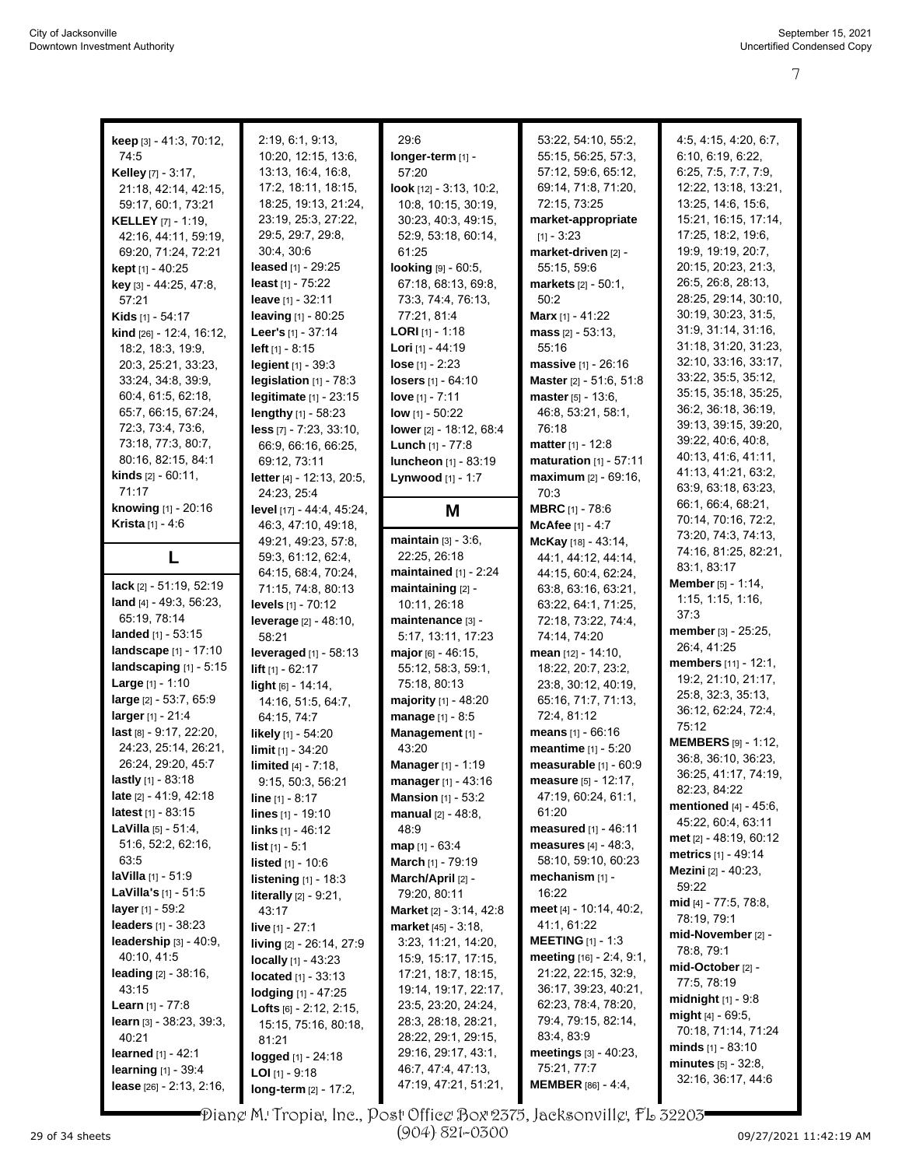| keep [3] - 41:3, 70:12,                                    | 2:19, 6:1, 9:13,                                     | 29:6                                       | 53:22, 54:10, 55:2,                         | 4:5, 4:15, 4:20, 6:7,                                                                       |
|------------------------------------------------------------|------------------------------------------------------|--------------------------------------------|---------------------------------------------|---------------------------------------------------------------------------------------------|
| 74:5                                                       | 10:20, 12:15, 13:6,                                  | longer-term [1] -                          | 55:15, 56:25, 57:3,                         | 6:10, 6:19, 6:22,                                                                           |
| Kelley [7] - 3:17,                                         | 13:13, 16:4, 16:8,                                   | 57:20                                      | 57:12, 59:6, 65:12,                         | 6:25, 7:5, 7:7, 7:9,                                                                        |
| 21:18, 42:14, 42:15,                                       | 17:2, 18:11, 18:15,                                  | look [12] - 3:13, 10:2,                    | 69:14, 71:8, 71:20,                         | 12:22, 13:18, 13:21,                                                                        |
| 59:17, 60:1, 73:21                                         | 18:25, 19:13, 21:24,                                 | 10:8, 10:15, 30:19,                        | 72:15, 73:25                                | 13:25, 14:6, 15:6,                                                                          |
| <b>KELLEY</b> [7] - 1:19,                                  | 23:19, 25:3, 27:22,                                  | 30:23, 40:3, 49:15,                        | market-appropriate                          | 15:21, 16:15, 17:14,                                                                        |
| 42:16, 44:11, 59:19,                                       | 29.5, 29.7, 29.8,                                    | 52:9, 53:18, 60:14,                        | $[1] - 3:23$                                | 17:25, 18:2, 19:6,                                                                          |
| 69:20, 71:24, 72:21                                        | 30:4, 30:6                                           | 61:25                                      | market-driven [2] -                         | 19:9, 19:19, 20:7,                                                                          |
| kept [1] - 40:25                                           | leased $[1]$ - 29:25                                 | looking [9] - 60:5,                        | 55:15, 59:6                                 | 20:15, 20:23, 21:3,                                                                         |
| key [3] - 44:25, 47:8,                                     | least $[1]$ - $75:22$                                | 67:18, 68:13, 69:8,                        | markets [2] - 50:1,                         | 26:5, 26:8, 28:13,                                                                          |
| 57:21                                                      | leave [1] - 32:11                                    | 73.3, 74.4, 76.13,                         | 50:2                                        | 28:25, 29:14, 30:10,                                                                        |
| Kids [1] - 54:17                                           | <b>leaving</b> $[1]$ - 80:25                         | 77:21, 81:4                                | <b>Marx</b> [1] - 41:22                     | 30:19, 30:23, 31:5,                                                                         |
| kind [26] - 12:4, 16:12,                                   | Leer's $[1] - 37:14$                                 | <b>LORI</b> [1] - 1:18                     | mass $[2] - 53:13$ ,                        | 31.9, 31.14, 31.16,                                                                         |
| 18:2, 18:3, 19:9,                                          | <b>left</b> $[1]$ - 8:15                             | Lori [1] - 44:19                           | 55:16                                       | 31:18, 31:20, 31:23,                                                                        |
| 20:3, 25:21, 33:23,                                        | legient [1] - 39:3                                   | $lose [1] - 2:23$                          | <b>massive</b> $[1]$ - 26:16                | 32:10, 33:16, 33:17,                                                                        |
| 33:24, 34:8, 39:9,                                         | legislation [1] - 78:3                               | <b>losers</b> $[1]$ - $64:10$              | Master [2] - 51:6, 51:8                     | 33:22, 35:5, 35:12,                                                                         |
| 60:4, 61:5, 62:18,                                         | <b>legitimate</b> $[1]$ - 23:15                      | love $[1] - 7:11$                          | master $[5] - 13:6$ ,                       | 35:15, 35:18, 35:25,                                                                        |
| 65:7, 66:15, 67:24,                                        | lengthy [1] - 58:23                                  | <b>low</b> $[1]$ - 50:22                   | 46:8, 53:21, 58:1,                          | 36.2, 36:18, 36:19,                                                                         |
| 72:3, 73:4, 73:6,                                          | less [7] - 7:23, 33:10,                              | lower [2] - 18:12, 68:4                    | 76:18                                       | 39:13, 39:15, 39:20,                                                                        |
| 73:18, 77:3, 80:7,                                         | 66:9, 66:16, 66:25,                                  | Lunch [1] - 77:8                           | <b>matter</b> $[1] - 12.8$                  | 39:22, 40:6, 40:8,                                                                          |
| 80:16, 82:15, 84:1                                         | 69:12, 73:11                                         | luncheon [1] - 83:19                       | maturation $[1]$ - 57:11                    | 40:13, 41:6, 41:11,                                                                         |
| <b>kinds</b> $[2] - 60:11$ ,                               | letter [4] - 12:13, 20:5,                            | Lynwood [1] - 1:7                          | maximum [2] - 69:16.                        | 41:13, 41:21, 63:2,                                                                         |
| 71:17                                                      | 24:23.25:4                                           |                                            | 70:3                                        | 63.9, 63.18, 63.23,                                                                         |
| knowing [1] - 20:16                                        | level [17] - 44:4, 45:24,                            |                                            | <b>MBRC</b> [1] - 78:6                      | 66:1, 66:4, 68:21,                                                                          |
| <b>Krista</b> [1] - 4:6                                    | 46.3, 47.10, 49.18,                                  | M                                          | McAfee [1] - 4:7                            | 70:14, 70:16, 72:2,                                                                         |
|                                                            | 49:21, 49:23, 57:8,                                  | <b>maintain</b> $[3] - 3:6$ ,              | McKay [18] - 43:14,                         | 73.20, 74:3, 74:13,                                                                         |
|                                                            | 59.3, 61.12, 62.4,                                   | 22:25, 26:18                               |                                             | 74:16, 81:25, 82:21,                                                                        |
| L                                                          | 64:15, 68:4, 70:24,                                  | maintained $[1]$ - 2:24                    | 44:1, 44:12, 44:14,                         | 83:1, 83:17                                                                                 |
| lack [2] - 51:19, 52:19                                    |                                                      | maintaining [2] -                          | 44:15, 60:4, 62:24,                         | <b>Member</b> $[5] - 1:14$ ,                                                                |
| land $[4] - 49:3, 56:23$ ,                                 | 71:15, 74:8, 80:13                                   |                                            | 63.8, 63.16, 63.21,                         | 1:15, 1:15, 1:16,                                                                           |
| 65:19, 78:14                                               | levels [1] - 70:12                                   | 10:11, 26:18                               | 63:22, 64:1, 71:25,                         | 37:3                                                                                        |
| landed [1] - 53:15                                         | leverage [2] - 48:10,                                | maintenance [3] -                          | 72:18, 73:22, 74:4,                         | member [3] - 25:25,                                                                         |
|                                                            | 58:21                                                | 5:17, 13:11, 17:23                         | 74:14, 74:20                                | 26:4, 41:25                                                                                 |
| landscape [1] - 17:10                                      | leveraged [1] - 58:13                                | <b>major</b> [6] - 46:15,                  | <b>mean</b> $[12] - 14:10$ ,                | members [11] - 12:1,                                                                        |
| landscaping $[1]$ - 5:15                                   | lift $[1] - 62:17$                                   | 55:12, 58:3, 59:1,                         | 18:22, 20:7, 23:2,                          | 19:2, 21:10, 21:17,                                                                         |
| <b>Large</b> $[1] - 1:10$                                  | $light$ [6] - 14:14,                                 | 75:18, 80:13                               | 23:8, 30:12, 40:19,                         | 25.8, 32.3, 35.13,                                                                          |
| large [2] - 53:7, 65:9                                     | 14:16, 51:5, 64:7,                                   | <b>majority</b> $[1] - 48:20$              | 65:16, 71:7, 71:13,                         | 36:12, 62:24, 72:4,                                                                         |
| larger [1] - 21:4                                          | 64:15, 74:7                                          | manage [1] - 8:5                           | 72:4, 81:12                                 |                                                                                             |
| last [8] - 9:17, 22:20,                                    | likely [1] - 54:20                                   |                                            |                                             |                                                                                             |
|                                                            |                                                      | Management [1] -                           | means $[1] - 66:16$                         | 75:12                                                                                       |
| 24:23, 25:14, 26:21,                                       | limit [1] - 34:20                                    | 43:20                                      | meantime [1] - 5:20                         | <b>MEMBERS</b> [9] - 1:12,                                                                  |
| 26:24, 29:20, 45:7                                         |                                                      | <b>Manager</b> [1] - 1:19                  | measurable [1] - 60:9                       | 36:8, 36:10, 36:23,                                                                         |
| <b>lastly</b> $[1]$ - 83:18                                | 9:15, 50:3, 56:21                                    | <b>manager</b> [1] - 43:16                 | measure [5] - 12:17,                        |                                                                                             |
| late [2] - 41:9, 42:18                                     | line [1] - 8:17                                      | <b>Mansion</b> $[1]$ - 53:2                | 47:19, 60:24, 61:1,                         | 82:23, 84:22                                                                                |
| <b>latest</b> $[1] - 83:15$                                | <b>lines</b> $[1]$ - 19:10                           | <b>manual</b> $[2] - 48.8$ ,               | 61:20                                       | <b>mentioned</b> $[4] - 45:6$ ,                                                             |
| <b>LaVilla</b> $[5] - 51.4$ ,                              | <b>links</b> $[1]$ - 46:12                           | 48.9                                       | measured [1] - 46:11                        | 45:22, 60:4, 63:11                                                                          |
| 51:6, 52:2, 62:16,                                         | <b>list</b> $[1] - 5.1$                              | <b>map</b> [1] - 63:4                      | <b>measures</b> $[4] - 48.3$ ,              |                                                                                             |
| 63.5                                                       | <b>listed</b> $[1] - 10.6$                           |                                            | 58:10, 59:10, 60:23                         | <b>metrics</b> [1] - 49:14                                                                  |
| laVilla [1] - 51:9                                         |                                                      | March [1] - 79:19<br>March/April [2] -     | mechanism [1] -                             | Mezini [2] - 40:23,                                                                         |
| <b>LaVilla's</b> $[1]$ - 51:5                              | listening [1] - 18:3                                 |                                            | 16:22                                       | 59:22                                                                                       |
| layer $[1]$ - 59:2                                         | literally $[2] - 9.21$ ,                             | 79:20, 80:11                               | meet [4] - 10:14, 40:2,                     | mid [4] - 77:5, 78:8,                                                                       |
| leaders [1] - 38:23                                        | 43:17                                                | Market [2] - 3:14, 42:8                    | 41:1, 61:22                                 | 78:19, 79:1                                                                                 |
|                                                            | <b>live</b> [1] - 27:1                               | <b>market</b> $[45] - 3:18$ ,              |                                             | mid-November [2] -                                                                          |
| leadership $[3] - 40.9$ ,                                  | living [2] - 26:14, 27:9                             | 3:23, 11:21, 14:20,                        | <b>MEETING</b> $[1]$ - 1:3                  | 78:8, 79:1                                                                                  |
| 40:10, 41:5                                                | <b>locally</b> [1] - 43:23                           | 15:9, 15:17, 17:15,                        | meeting [16] - 2:4, 9:1,                    | mid-October [2] -                                                                           |
| <b>leading</b> $[2] - 38:16$ ,                             | <b>located</b> $[1] - 33:13$                         | 17:21, 18:7, 18:15,                        | 21:22, 22:15, 32:9,                         | 77:5, 78:19                                                                                 |
| 43:15                                                      | lodging [1] - 47:25                                  | 19:14, 19:17, 22:17,                       | 36:17, 39:23, 40:21,                        | <b>midnight</b> $[1]$ - 9:8                                                                 |
| <b>Learn</b> [1] - 77:8                                    | <b>Lofts</b> $[6] - 2:12, 2:15,$                     | 23:5, 23:20, 24:24,                        | 62:23, 78.4, 78:20,                         | <b>might</b> $[4] - 69.5$ ,                                                                 |
| <b>learn</b> $[3] - 38.23, 39.3,$                          | 15:15, 75:16, 80:18,                                 | 28:3, 28:18, 28:21,                        | 79:4, 79:15, 82:14,                         |                                                                                             |
| 40:21                                                      | 81:21                                                | 28:22, 29:1, 29:15,                        | 83.4, 83.9                                  | <b>minds</b> $[1]$ - 83:10                                                                  |
| <b>learned</b> $[1] - 42.1$                                | <b>logged</b> [1] - 24:18                            | 29:16, 29:17, 43:1,                        | meetings $[3] - 40:23$ ,                    | minutes $[5] - 32.8$ ,                                                                      |
| <b>learning</b> $[1] - 39.4$<br>lease $[26] - 2:13, 2:16,$ | <b>LOI</b> $[1]$ - 9:18<br>$long-term$ $[2] - 17:2,$ | 46.7, 47.4, 47.13,<br>47:19, 47:21, 51:21, | 75:21, 77:7<br><b>MEMBER</b> $[86] - 4.4$ , | 36:25, 41:17, 74:19,<br>met [2] - 48:19, 60:12<br>70:18, 71:14, 71:24<br>32:16, 36:17, 44:6 |

Diane M. Tropia, Inc., Post Office Box 2375, Jacksonville, FL 32203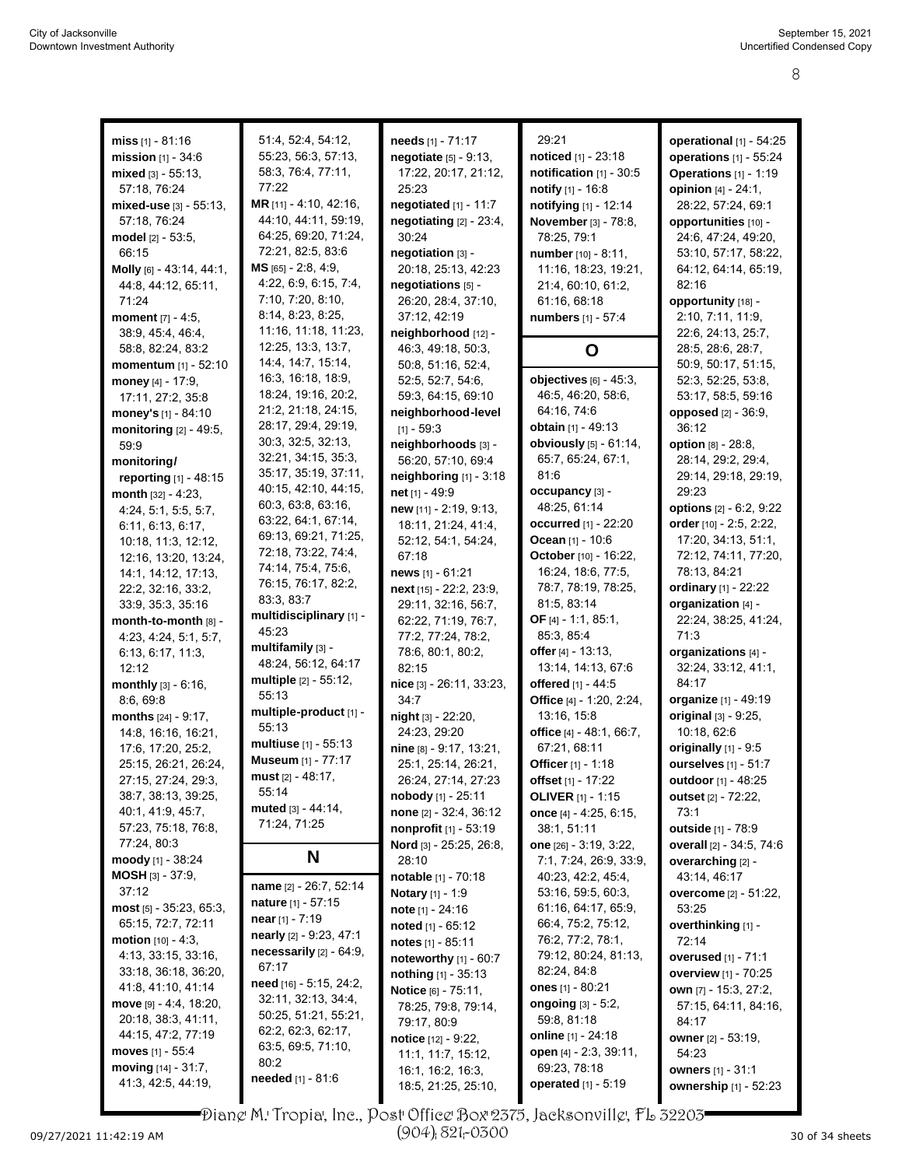| <b>miss</b> $[1] - 81:16$    | 51:4, 52:4, 54:12,           | needs [1] - 71:17             | 29:21                        | operational [1] - 54:25         |
|------------------------------|------------------------------|-------------------------------|------------------------------|---------------------------------|
| mission $[1] - 34.6$         | 55:23, 56:3, 57:13,          | negotiate [5] - 9:13,         | noticed [1] - 23:18          | operations [1] - 55:24          |
|                              | 58:3, 76:4, 77:11,           |                               |                              |                                 |
| mixed $[3] - 55:13$ ,        |                              | 17:22, 20:17, 21:12,          | notification $[1]$ - 30:5    | Operations [1] - 1:19           |
| 57:18, 76:24                 | 77:22                        | 25:23                         | notify [1] - 16:8            | opinion [4] - 24:1.             |
| mixed-use $[3]$ - 55:13,     | MR [11] - 4:10, 42:16,       | negotiated [1] - 11:7         | notifying [1] - 12:14        | 28:22, 57:24, 69:1              |
| 57:18, 76:24                 | 44:10, 44:11, 59:19,         | negotiating $[2] - 23:4$ ,    | November [3] - 78:8,         | opportunities [10] -            |
| model [2] - 53:5,            | 64:25, 69:20, 71:24,         | 30:24                         | 78:25, 79:1                  | 24:6, 47:24, 49:20,             |
| 66:15                        | 72:21, 82:5, 83:6            | negotiation [3] -             | number [10] - 8:11,          | 53:10, 57:17, 58:22,            |
| Molly [6] - 43:14, 44:1,     | $MS$ [65] - 2:8, 4:9,        | 20:18, 25:13, 42:23           | 11:16, 18:23, 19:21,         | 64:12, 64:14, 65:19,            |
| 44:8, 44:12, 65:11,          | 4:22, 6:9, 6:15, 7:4,        | negotiations [5] -            | 21:4, 60:10, 61:2,           | 82:16                           |
| 71:24                        | 7:10, 7:20, 8:10,            | 26:20, 28:4, 37:10,           | 61:16, 68:18                 | opportunity [18] -              |
| moment $[7] - 4.5$ ,         | 8:14, 8:23, 8:25,            | 37:12, 42:19                  | numbers [1] - 57:4           | 2:10, 7:11, 11:9,               |
| 38:9, 45:4, 46:4,            | 11:16, 11:18, 11:23,         | neighborhood [12] -           |                              | 22:6, 24:13, 25:7,              |
| 58:8, 82:24, 83:2            | 12:25, 13:3, 13:7,           | 46:3, 49:18, 50:3,            | O                            | 28:5, 28:6, 28:7,               |
| momentum [1] - 52:10         | 14.4, 14.7, 15.14,           | 50:8, 51:16, 52:4,            |                              | 50:9, 50:17, 51:15,             |
| money $[4] - 17:9$ ,         | 16:3, 16:18, 18:9,           | 52:5, 52:7, 54:6,             | objectives [6] - 45:3,       | 52:3, 52:25, 53:8,              |
|                              | 18:24, 19:16, 20:2,          | 59:3, 64:15, 69:10            | 46:5, 46:20, 58:6,           | 53:17, 58:5, 59:16              |
| 17:11, 27:2, 35:8            | 21:2, 21:18, 24:15,          |                               | 64:16, 74:6                  |                                 |
| money's [1] - 84:10          | 28:17, 29:4, 29:19,          | neighborhood-level            |                              | <b>opposed</b> [2] - 36:9,      |
| monitoring $[2] - 49:5$ ,    | 30:3, 32:5, 32:13,           | $[11 - 59:3]$                 | obtain [1] - 49:13           | 36:12                           |
| 59.9                         |                              | neighborhoods [3] -           | obviously [5] - 61:14,       | option [8] - 28:8,              |
| monitoring/                  | 32:21, 34:15, 35:3,          | 56:20, 57:10, 69:4            | 65:7, 65:24, 67:1,           | 28:14, 29:2, 29:4,              |
| reporting [1] - 48:15        | 35:17, 35:19, 37:11,         | neighboring [1] - 3:18        | 81:6                         | 29:14, 29:18, 29:19,            |
| month $[32] - 4:23$ ,        | 40:15, 42:10, 44:15,         | net [1] - 49:9                | occupancy [3] -              | 29:23                           |
| 4:24, 5:1, 5:5, 5:7,         | 60.3, 63.8, 63.16,           | new [11] - 2:19, 9:13,        | 48:25, 61:14                 | options [2] - 6:2, 9:22         |
| 6.11, 6.13, 6.17,            | 63:22, 64:1, 67:14,          | 18:11, 21:24, 41:4,           | <b>occurred</b> [1] - 22:20  | order [10] - 2.5, 2.22,         |
| 10:18, 11:3, 12:12,          | 69:13, 69:21, 71:25,         | 52:12, 54:1, 54:24,           | Ocean [1] - 10:6             | 17:20, 34:13, 51:1,             |
| 12:16, 13:20, 13:24,         | 72:18, 73:22, 74:4,          | 67:18                         | October [10] - 16:22,        | 72:12, 74:11, 77:20,            |
| 14:1, 14:12, 17:13,          | 74:14, 75:4, 75:6,           | news [1] - 61:21              | 16:24, 18:6, 77:5,           | 78:13, 84:21                    |
| 22:2, 32:16, 33:2,           | 76:15, 76:17, 82:2,          | next [15] - 22:2, 23:9,       | 78:7, 78:19, 78:25,          | ordinary [1] - 22:22            |
| 33.9, 35.3, 35.16            | 83:3, 83:7                   | 29:11, 32:16, 56:7,           | 81:5, 83:14                  | organization [4] -              |
| month-to-month [8] -         | multidisciplinary [1] -      | 62:22, 71:19, 76:7,           | <b>OF</b> [4] $- 1:1, 85:1,$ | 22:24, 38:25, 41:24,            |
|                              | 45:23                        |                               | 85:3, 85:4                   | 71:3                            |
| 4:23, 4:24, 5:1, 5:7,        | multifamily [3] -            | 77:2, 77:24, 78:2,            |                              |                                 |
| 6.13, 6.17, 11.3,            | 48:24, 56:12, 64:17          | 78:6, 80:1, 80:2,             | offer [4] - 13:13,           | organizations [4] -             |
| 12:12                        | <b>multiple</b> [2] - 55:12, | 82:15                         | 13:14, 14:13, 67:6           | 32:24, 33:12, 41:1,             |
| monthly [3] - 6:16,          | 55:13                        | nice [3] - 26:11, 33:23,      | offered [1] - 44:5           | 84:17                           |
| 8:6, 69:8                    | multiple-product [1] -       | 34:7                          | Office [4] - 1:20, 2:24,     | organize [1] - 49:19            |
| months $[24] - 9:17$ ,       | 55:13                        | night [3] - 22:20,            | 13:16, 15:8                  | original [3] - 9:25,            |
| 14:8, 16:16, 16:21,          |                              | 24:23, 29:20                  | office [4] - 48:1, 66:7,     | 10:18, 62:6                     |
| 17:6, 17:20, 25:2,           | multiuse [1] - 55:13         | nine [8] - 9:17, 13:21,       | 67:21, 68:11                 | originally [1] - 9:5            |
| 25:15, 26:21, 26:24,         | <b>Museum</b> [1] - 77:17    | 25:1, 25:14, 26:21,           | Officer [1] - 1:18           | ourselves [1] - 51:7            |
| 27:15, 27:24, 29:3,          | must [2] - 48:17,            | 26:24, 27:14, 27:23           | offset [1] - 17:22           | outdoor [1] - 48:25             |
| 38:7, 38:13, 39:25,          | 55:14                        | nobody [1] - 25:11            | <b>OLIVER</b> [1] - 1:15     | <b>outset</b> [2] - 72:22,      |
| 40:1, 41:9, 45:7,            | muted [3] - 44:14,           | none [2] - 32:4, 36:12        | once [4] - 4:25, 6:15,       | 73:1                            |
| 57:23, 75:18, 76:8,          | 71:24, 71:25                 | nonprofit [1] - 53:19         | 38:1, 51:11                  | outside [1] - 78:9              |
| 77:24, 80:3                  |                              | Nord [3] - 25:25, 26:8,       | one [26] - 3:19, 3:22,       | overall [2] - 34:5, 74:6        |
| moody $[1] - 38:24$          | N                            | 28:10                         | 7:1, 7:24, 26:9, 33:9,       | overarching [2] -               |
| <b>MOSH</b> [3] - 37:9,      |                              | notable [1] - 70:18           | 40.23, 42.2, 45.4,           | 43:14, 46:17                    |
| 37:12                        | name [2] - 26:7, 52:14       | <b>Notary</b> [1] - 1:9       | 53:16, 59:5, 60:3,           | <b>overcome</b> $[2] - 51:22$ , |
| $most$ [5] - 35:23, 65:3,    | <b>nature</b> $[1] - 57:15$  |                               | 61:16, 64:17, 65:9,          | 53:25                           |
| 65:15, 72:7, 72:11           | near $[1] - 7:19$            | <b>note</b> $[1]$ - 24:16     |                              |                                 |
| <b>motion</b> $[10] - 4:3$ , | nearly [2] - 9:23, 47:1      | noted [1] - 65:12             | 66.4, 75.2, 75.12,           | overthinking [1] -              |
|                              | necessarily $[2] - 64.9$ ,   | notes $[1] - 85.11$           | 76:2, 77:2, 78:1,            | 72:14                           |
| 4:13, 33:15, 33:16,          | 67:17                        | noteworthy [1] - 60:7         | 79:12, 80:24, 81:13,         | <b>overused</b> [1] - 71:1      |
| 33:18, 36:18, 36:20,         | need [16] - 5:15, 24:2,      | nothing [1] - 35:13           | 82:24, 84.8                  | overview [1] - 70:25            |
| 41.8, 41.10, 41.14           |                              | Notice [6] - 75:11,           | ones $[1] - 80.21$           | own [7] - 15:3, 27:2,           |
| move $[9] - 4.4, 18.20,$     | 32:11, 32:13, 34:4,          | 78:25, 79:8, 79:14,           | ongoing $[3] - 5.2$ ,        | 57:15, 64:11, 84:16,            |
| 20:18, 38:3, 41:11,          | 50:25, 51:21, 55:21,         | 79:17, 80:9                   | 59:8, 81:18                  | 84:17                           |
| 44:15, 47:2, 77:19           | 62.2, 62.3, 62.17,           | <b>notice</b> $[12] - 9.22$ , | <b>online</b> [1] - 24:18    | <b>owner</b> [2] - 53:19,       |
| moves [1] - 55:4             | 63.5, 69.5, 71.10,           | 11:1, 11:7, 15:12,            | open [4] - 2:3, 39:11,       | 54:23                           |
| moving $[14] - 31:7$ ,       | 80:2                         | 16:1, 16:2, 16:3,             | 69:23, 78:18                 | owners [1] - 31:1               |
| 41:3, 42:5, 44:19,           | needed [1] - 81:6            | 18:5, 21:25, 25:10,           | <b>operated</b> $[1] - 5:19$ | ownership [1] - 52:23           |
|                              |                              |                               |                              |                                 |

Diane M. Tropia, Inc., Post Office Box 2375, Jacksonville, FL 32203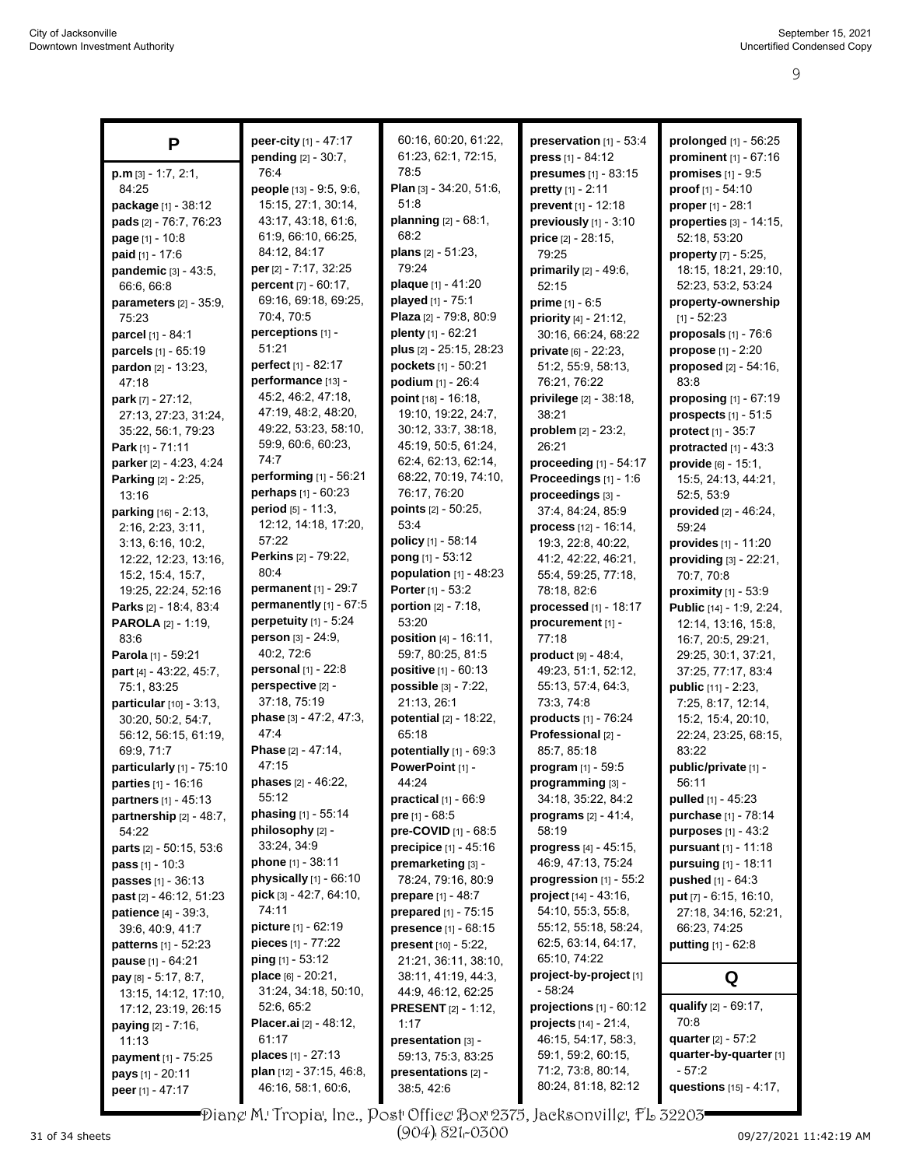| P                                                  | peer-city [1] - 47:17                       | 60:16, 60:20, 61:22,                       | preservation [1] - 53:4                         | prolonged [1] - 56:25             |
|----------------------------------------------------|---------------------------------------------|--------------------------------------------|-------------------------------------------------|-----------------------------------|
|                                                    | pending [2] - 30:7,                         | 61:23, 62:1, 72:15,                        | press $[1] - 84:12$                             | prominent [1] - 67:16             |
| $p.m$ [3] - 1:7, 2:1,                              | 76.4                                        | 78:5                                       | presumes [1] - 83:15                            | promises $[1] - 9.5$              |
| 84:25                                              | people [13] - 9:5, 9:6,                     | Plan [3] - 34:20, 51:6,                    | pretty [1] - 2:11                               | proof [1] - 54:10                 |
| package [1] - 38:12                                | 15:15, 27:1, 30:14,                         | 51:8                                       | prevent [1] - 12:18                             | proper [1] - 28:1                 |
| pads [2] - 76:7, 76:23                             | 43.17, 43.18, 61.6,                         | planning [2] - 68:1,                       | previously [1] - 3:10                           | properties [3] - 14:15,           |
| page [1] - 10:8                                    | 61:9, 66:10, 66:25,                         | 68.2                                       | price $[2] - 28:15$ ,                           | 52:18, 53:20                      |
| <b>paid</b> $[1] - 17:6$                           | 84.12, 84.17                                | plans [2] - 51:23,                         | 79:25                                           | property [7] - 5:25,              |
| pandemic [3] - 43:5,                               | per [2] - 7:17, 32:25                       | 79:24                                      | primarily [2] - 49:6,                           | 18:15, 18:21, 29:10,              |
| 66.6, 66.8                                         | percent [7] - 60:17,                        | plaque [1] - 41:20                         | 52:15                                           | 52:23, 53:2, 53:24                |
| parameters [2] - 35:9,                             | 69:16, 69:18, 69:25,                        | played [1] - 75:1                          | prime $[1] - 6.5$                               | property-ownership                |
| 75:23                                              | 70:4, 70:5                                  | Plaza [2] - 79:8, 80:9                     | priority [4] - 21:12,                           | $[1] - 52:23$                     |
| parcel [1] - 84:1                                  | perceptions [1] -                           | plenty [1] - 62:21                         | 30:16, 66:24, 68:22                             | proposals $[1]$ - $76:6$          |
| parcels [1] - 65:19                                | 51:21                                       | plus [2] - 25:15, 28:23                    | private [6] - 22:23,                            | propose [1] - 2:20                |
| pardon [2] - 13:23,                                | perfect [1] - 82:17                         | pockets [1] - 50:21                        | 51:2, 55:9, 58:13,                              | proposed [2] - 54:16,             |
| 47:18                                              | performance [13] -                          | podium [1] - 26:4                          | 76:21, 76:22                                    | 83:8                              |
| park [7] - 27:12,                                  | 45:2, 46:2, 47:18,                          | point [18] - 16:18,                        | privilege [2] - 38:18,                          | proposing [1] - 67:19             |
| 27:13, 27:23, 31:24,                               | 47:19, 48:2, 48:20,<br>49:22, 53:23, 58:10, | 19:10, 19:22, 24:7,                        | 38:21                                           | prospects $[1] - 51.5$            |
| 35:22, 56:1, 79:23                                 | 59.9, 60.6, 60.23,                          | 30:12, 33:7, 38:18,                        | problem [2] - 23:2,                             | protect $[1] - 35:7$              |
| Park [1] - $71:11$                                 | 74:7                                        | 45:19, 50:5, 61:24,<br>62:4, 62:13, 62:14, | 26:21                                           | protracted $[1] - 43:3$           |
| parker [2] - 4:23, 4:24                            | performing [1] - 56:21                      | 68:22, 70:19, 74:10,                       | proceeding [1] - 54:17<br>Proceedings [1] - 1:6 | provide [6] - 15:1,               |
| Parking [2] - 2:25,<br>13:16                       | perhaps [1] - 60:23                         | 76:17, 76:20                               | proceedings [3] -                               | 15:5, 24:13, 44:21,<br>52:5, 53:9 |
| parking [16] - 2:13,                               | period [5] - 11:3,                          | points [2] - 50:25,                        | 37:4, 84:24, 85:9                               | provided $[2] - 46.24$ ,          |
| 2:16, 2:23, 3:11,                                  | 12:12, 14:18, 17:20,                        | 53:4                                       | process [12] - 16:14,                           | 59:24                             |
| 3:13, 6:16, 10:2,                                  | 57:22                                       | <b>policy</b> $[1]$ - 58:14                | 19:3, 22:8, 40:22,                              | provides [1] - 11:20              |
| 12:22, 12:23, 13:16,                               | <b>Perkins</b> [2] - 79:22,                 | pong [1] - 53:12                           | 41.2, 42.22, 46.21,                             | providing [3] - 22:21,            |
| 15:2, 15:4, 15:7,                                  | 80:4                                        | population $[1] - 48:23$                   | 55:4, 59:25, 77:18,                             | 70:7, 70:8                        |
| 19:25, 22:24, 52:16                                | permanent [1] - 29:7                        | Porter [1] - 53:2                          | 78:18, 82:6                                     | proximity [1] - 53:9              |
| Parks [2] - 18:4, 83:4                             | permanently [1] - 67:5                      | <b>portion</b> $[2] - 7:18$ ,              | processed [1] - 18:17                           | Public [14] - 1:9, 2:24,          |
| <b>PAROLA</b> [2] - 1:19,                          | perpetuity [1] - 5:24                       | 53:20                                      | procurement [1] -                               | 12:14, 13:16, 15:8,               |
| 83.6                                               | person [3] - 24:9,                          | <b>position</b> $[4] - 16:11$ ,            | 77:18                                           | 16:7, 20:5, 29:21,                |
| Parola [1] - 59:21                                 | 40:2, 72:6                                  | 59:7, 80:25, 81:5                          | product $[9] - 48.4$ ,                          | 29:25, 30:1, 37:21,               |
| part [4] - 43:22, 45:7,                            | personal [1] - 22:8                         | <b>positive</b> $[1] - 60:13$              | 49:23, 51:1, 52:12,                             | 37:25, 77:17, 83:4                |
| 75:1, 83:25                                        | perspective [2] -                           | possible [3] - 7:22,                       | 55:13, 57:4, 64:3,                              | public [11] - 2:23,               |
| particular [10] - 3:13,                            | 37:18, 75:19                                | 21:13, 26:1                                | 73:3, 74:8                                      | 7:25, 8:17, 12:14,                |
| 30:20, 50:2, 54:7,                                 | phase [3] - 47:2, 47:3,                     | potential [2] - 18:22,                     | products [1] - 76:24                            | 15:2, 15:4, 20:10,                |
| 56:12, 56:15, 61:19,                               | 47.4                                        | 65:18                                      | Professional [2] -                              | 22:24, 23:25, 68:15,              |
| 69:9, 71:7                                         | Phase [2] - 47:14,<br>47:15                 | potentially [1] - 69:3                     | 85:7, 85:18                                     | 83:22                             |
| particularly [1] - 75:10                           | <b>phases</b> $[2] - 46:22$ ,               | PowerPoint [1] -<br>44:24                  | program [1] - 59:5                              | public/private [1] -<br>56:11     |
| <b>parties</b> [1] - 16:16<br>partners [1] - 45:13 | 55:12                                       | practical $[1]$ - $66:9$                   | programming [3] -<br>34:18, 35:22, 84:2         | <b>pulled</b> $[1] - 45.23$       |
| partnership [2] - 48:7,                            | phasing [1] - 55:14                         | pre $[1] - 68.5$                           | <b>programs</b> $[2] - 41.4$ ,                  | purchase [1] - 78:14              |
| 54:22                                              | philosophy [2] -                            | pre-COVID [1] - 68:5                       | 58:19                                           | <b>purposes</b> $[1] - 43:2$      |
| parts [2] - 50:15, 53:6                            | 33:24, 34:9                                 | precipice [1] - 45:16                      | <b>progress</b> $[4] - 45:15$ ,                 | pursuant [1] - 11:18              |
| <b>pass</b> $[1] - 10:3$                           | <b>phone</b> $[1]$ - 38:11                  | premarketing [3] -                         | 46:9, 47:13, 75:24                              | <b>pursuing</b> $[1] - 18.11$     |
| passes [1] - 36:13                                 | physically $[1]$ - $66:10$                  | 78:24, 79:16, 80:9                         | progression $[1]$ - 55:2                        | pushed [1] - 64:3                 |
| <b>past</b> $[2] - 46:12, 51:23$                   | pick [3] - 42:7, 64:10,                     | prepare [1] - 48:7                         | project [14] - 43:16,                           | put $[7] - 6.15, 16.10,$          |
| patience [4] - 39:3,                               | 74:11                                       | prepared [1] - 75:15                       | 54:10, 55:3, 55:8,                              | 27:18, 34:16, 52:21,              |
| 39:6, 40:9, 41:7                                   | picture [1] - 62:19                         | presence [1] - 68:15                       | 55:12, 55:18, 58:24,                            | 66:23, 74:25                      |
| <b>patterns</b> [1] - 52:23                        | pieces $[1] - 77.22$                        | present [10] - 5:22,                       | 62:5, 63:14, 64:17,                             | <b>putting</b> $[1] - 62.8$       |
| pause [1] - 64:21                                  | ping [1] - 53:12                            | 21:21, 36:11, 38:10,                       | 65:10, 74:22                                    |                                   |
| <b>pay</b> $[8] - 5.17, 8.7,$                      | place [6] - 20:21,                          | 38:11, 41:19, 44:3,                        | project-by-project [1]                          | Q                                 |
| 13:15, 14:12, 17:10,                               | 31:24, 34:18, 50:10,                        | 44.9, 46.12, 62.25                         | $-58:24$                                        |                                   |
| 17:12, 23:19, 26:15                                | 52:6, 65:2                                  | <b>PRESENT</b> [2] - 1:12,                 | projections $[1]$ - $60:12$                     | qualify [2] - 69:17,              |
| <b>paying</b> $[2] - 7:16$ ,                       | <b>Placer.ai</b> [2] - 48:12,               | 1:17                                       | <b>projects</b> $[14] - 21.4$ ,                 | 70:8                              |
| 11:13                                              | 61:17                                       | presentation [3] -                         | 46:15, 54:17, 58:3,                             | quarter $[2] - 57:2$              |
| payment [1] - 75:25                                | <b>places</b> $[1] - 27:13$                 | 59:13, 75:3, 83:25                         | 59:1, 59:2, 60:15,                              | quarter-by-quarter [1]            |
| pays [1] - 20:11                                   | plan [12] - 37:15, 46:8,                    | presentations [2] -                        | 71:2, 73:8, 80:14,                              | - 57:2                            |
| peer [1] - 47:17                                   | 46:16, 58:1, 60:6,                          | 38:5, 42:6                                 | 80:24, 81:18, 82:12                             | questions [15] - 4:17,            |

Diane M. Tropia, Inc., Post Office Box 2375, Jacksonville, FL 32203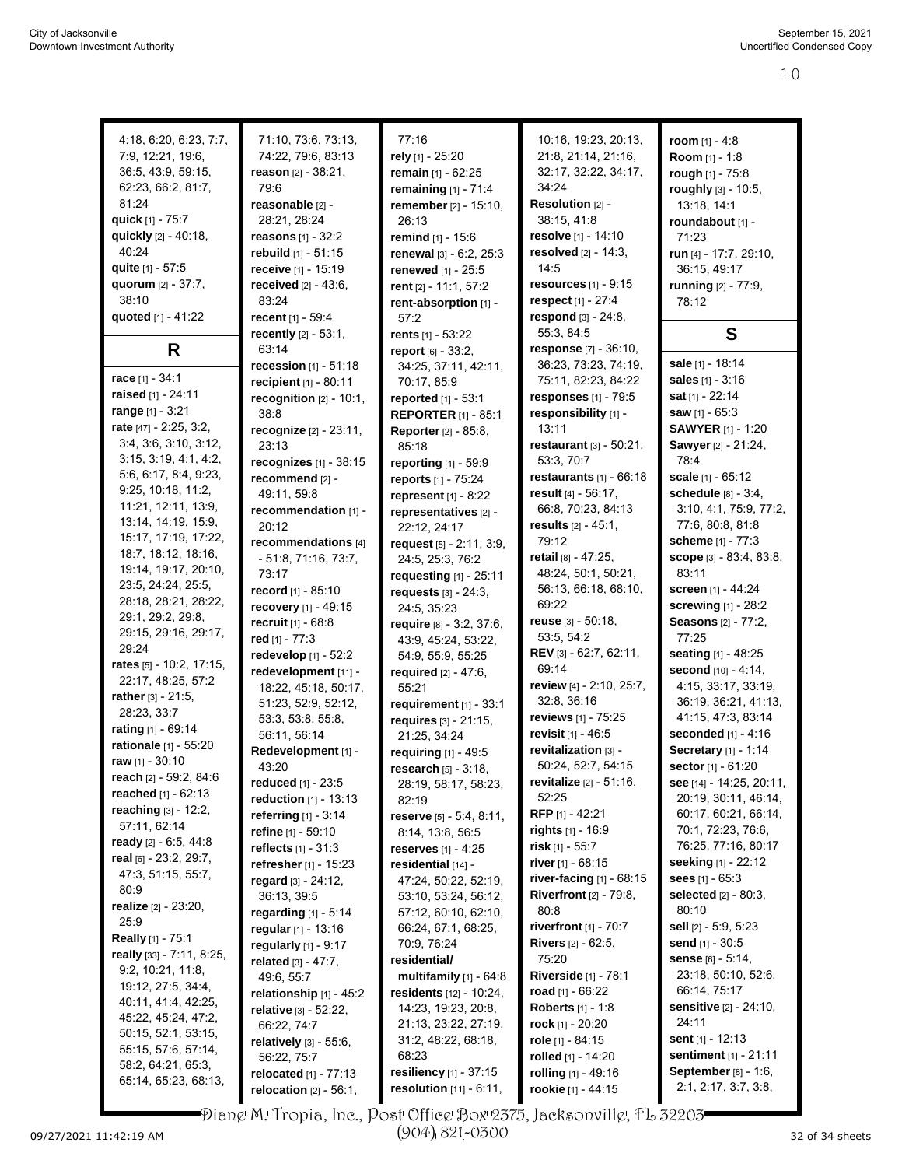| 4:18, 6:20, 6:23, 7:7,         | 71:10, 73:6, 73:13,            | 77:16                       | 10:16, 19:23, 20:13,           | room $[1] - 4:8$              |
|--------------------------------|--------------------------------|-----------------------------|--------------------------------|-------------------------------|
|                                |                                |                             |                                |                               |
| 7.9, 12.21, 19.6,              | 74:22, 79.6, 83:13             | rely [1] - 25:20            | 21:8, 21:14, 21:16,            | Room [1] - 1:8                |
| 36:5, 43:9, 59:15,             | reason $[2] - 38:21$ ,         | remain [1] - 62:25          | 32:17, 32:22, 34:17,           | rough [1] - 75:8              |
| 62:23, 66:2, 81:7,             | 79.6                           | remaining $[1]$ - 71:4      | 34.24                          | roughly [3] - 10:5,           |
| 81:24                          | reasonable [2] -               | remember [2] - 15:10,       | Resolution [2] -               | 13:18, 14:1                   |
| quick [1] - 75:7               | 28.21, 28.24                   | 26:13                       | 38:15, 41:8                    | roundabout [1] -              |
| quickly [2] - 40:18,           | <b>reasons</b> $[1] - 32:2$    | remind [1] - 15:6           | resolve [1] - 14:10            | 71:23                         |
| 40:24                          | rebuild [1] - 51:15            | renewal [3] - 6:2, 25:3     | resolved $[2] - 14:3$ ,        | run [4] - 17:7, 29:10,        |
| quite [1] - 57:5               | receive [1] - 15:19            | renewed [1] - 25:5          | 14:5                           | 36:15, 49:17                  |
| quorum [2] - 37:7,             | <b>received</b> $[2] - 43.6$ , | rent [2] - 11:1, 57:2       | <b>resources</b> $[1] - 9:15$  | running [2] - 77:9,           |
| 38:10                          | 83:24                          | rent-absorption [1] -       | respect [1] - 27:4             | 78:12                         |
| quoted [1] - 41:22             | recent [1] - 59:4              | 57:2                        | respond [3] - 24:8,            |                               |
|                                | recently [2] - 53:1,           | rents $[1] - 53:22$         | 55:3, 84:5                     | S                             |
| R                              | 63:14                          | report [6] - 33:2,          | response [7] - 36:10,          |                               |
|                                | <b>recession</b> $[1] - 51:18$ | 34:25, 37:11, 42:11,        | 36:23, 73:23, 74:19,           | sale [1] - 18:14              |
| race $[1] - 34:1$              | recipient $[1] - 80:11$        | 70:17, 85:9                 | 75:11, 82:23, 84:22            | <b>sales</b> $[1] - 3:16$     |
| raised [1] - 24:11             | recognition $[2] - 10:1$ ,     | reported [1] - 53:1         | responses [1] - 79:5           | sat $[1] - 22:14$             |
| range [1] - 3:21               | 38.8                           | <b>REPORTER</b> [1] - 85:1  | responsibility [1] -           | saw [1] - 65:3                |
| rate [47] - 2:25, 3:2,         | recognize [2] - 23:11,         | <b>Reporter</b> [2] - 85:8, | 13:11                          | <b>SAWYER</b> [1] - 1:20      |
| 3.4, 3.6, 3.10, 3.12,          | 23:13                          | 85:18                       | restaurant [3] - 50:21,        | Sawyer [2] - 21:24,           |
| 3:15, 3:19, 4:1, 4:2,          | recognizes $[1]$ - 38:15       | reporting [1] - 59:9        | 53.3, 70.7                     | 78:4                          |
| 5:6, 6:17, 8:4, 9:23,          | recommend [2] -                | reports [1] - 75:24         | restaurants $[1]$ - $66:18$    | scale [1] - 65:12             |
| 9:25, 10:18, 11:2,             | 49:11, 59:8                    | represent $[1] - 8:22$      | result [4] - 56:17,            | schedule [8] - 3:4,           |
| 11:21, 12:11, 13:9,            | recommendation [1] -           | representatives [2] -       | 66.8, 70.23, 84:13             | 3:10, 4:1, 75:9, 77:2,        |
| 13:14, 14:19, 15:9,            | 20:12                          |                             | results [2] - 45:1,            | 77:6, 80:8, 81:8              |
| 15:17, 17:19, 17:22,           | recommendations [4]            | 22:12, 24:17                | 79:12                          | scheme [1] - 77:3             |
| 18:7, 18:12, 18:16,            |                                | request [5] - 2:11, 3:9,    | retail [8] - 47:25,            | scope [3] - 83:4, 83:8,       |
| 19:14, 19:17, 20:10,           | - 51:8, 71:16, 73:7,           | 24:5, 25:3, 76:2            | 48:24, 50:1, 50:21,            | 83:11                         |
| 23.5, 24.24, 25.5,             | 73:17                          | requesting [1] - 25:11      |                                |                               |
| 28:18, 28:21, 28:22,           | record [1] - 85:10             | requests [3] - 24:3,        | 56:13, 66:18, 68:10,           | screen [1] - 44:24            |
| 29:1, 29:2, 29:8,              | recovery [1] - 49:15           | 24:5, 35:23                 | 69:22                          | screwing [1] - 28:2           |
| 29:15, 29:16, 29:17,           | <b>recruit</b> [1] - 68:8      | require [8] - 3:2, 37:6,    | reuse $[3] - 50.18$ ,          | <b>Seasons</b> [2] - 77:2,    |
| 29:24                          | red [1] - 77:3                 | 43.9, 45.24, 53:22,         | 53:5, 54:2                     | 77:25                         |
| rates [5] - 10:2, 17:15,       | redevelop [1] - 52:2           | 54:9, 55:9, 55:25           | REV [3] - 62:7, 62:11,         | seating [1] - 48:25           |
| 22:17, 48:25, 57:2             | redevelopment [11] -           | required [2] - 47:6,        | 69:14                          | second [10] - 4:14,           |
| rather $[3] - 21:5$ ,          | 18:22, 45:18, 50:17,           | 55:21                       | review [4] - 2:10, 25:7,       | 4:15, 33:17, 33:19,           |
| 28:23, 33:7                    | 51:23, 52:9, 52:12,            | requirement $[1]$ - 33:1    | 32:8, 36:16                    | 36:19, 36:21, 41:13,          |
|                                | 53:3, 53:8, 55:8,              | requires [3] - 21:15,       | reviews [1] - 75:25            | 41:15, 47:3, 83:14            |
| rating [1] - 69:14             | 56:11, 56:14                   | 21:25, 34:24                | revisit $[1] - 46.5$           | seconded [1] - 4:16           |
| rationale [1] - 55:20          | Redevelopment [1] -            | requiring [1] - 49:5        | revitalization [3] -           | Secretary [1] - 1:14          |
| raw $[1] - 30:10$              | 43:20                          | research $[5] - 3:18$ ,     | 50:24, 52:7, 54:15             | <b>sector</b> $[1] - 61:20$   |
| reach [2] - 59:2, 84:6         | reduced [1] - 23:5             | 28:19, 58:17, 58:23,        | <b>revitalize</b> [2] - 51:16, | see [14] - 14:25, 20:11,      |
| <b>reached</b> $[1] - 62:13$   | <b>reduction</b> $[1] - 13:13$ | 82:19                       | 52:25                          | 20:19, 30:11, 46:14,          |
| reaching [3] - 12:2,           | referring [1] - 3:14           | reserve $[5] - 5.4, 8.11,$  | <b>RFP</b> [1] - 42:21         | 60:17, 60:21, 66:14,          |
| 57:11, 62:14                   | refine $[1] - 59:10$           | 8:14, 13:8, 56:5            | <b>rights</b> $[1]$ - 16:9     | 70:1, 72:23, 76:6,            |
| ready [2] - 6:5, 44:8          | <b>reflects</b> $[1] - 31:3$   | reserves [1] - 4:25         | risk $[1]$ - 55:7              | 76:25, 77:16, 80:17           |
| real [6] - 23:2, 29:7,         | refresher [1] - 15:23          | residential [14] -          | river $[1] - 68:15$            | seeking [1] - 22:12           |
| 47:3, 51:15, 55:7,             | regard [3] - 24:12,            | 47:24, 50:22, 52:19,        | river-facing $[1]$ - 68:15     | <b>sees</b> $[1] - 65.3$      |
| 80.9                           | 36:13, 39.5                    | 53:10, 53:24, 56:12,        | <b>Riverfront</b> [2] - 79:8,  | selected [2] - 80:3,          |
| <b>realize</b> $[2] - 23.20$ , | regarding $[1]$ - 5:14         | 57:12, 60:10, 62:10,        | 80:8                           | 80:10                         |
| 25.9                           | regular $[1] - 13:16$          | 66:24, 67:1, 68:25,         | riverfront $[1]$ - $70:7$      | sell $[2] - 5.9, 5.23$        |
| <b>Really</b> [1] - 75:1       | regularly [1] - 9:17           | 70:9, 76:24                 | <b>Rivers</b> [2] - 62:5,      | send $[1] - 30.5$             |
| really [33] - 7:11, 8:25,      | related [3] - 47:7,            | residential/                | 75:20                          | sense [6] - 5:14,             |
| 9:2, 10:21, 11:8,              | 49.6, 55.7                     | multifamily $[1]$ - 64:8    | Riverside [1] - 78:1           | 23:18, 50:10, 52:6,           |
| 19:12, 27:5, 34:4,             | relationship [1] - 45:2        | residents [12] - 10.24,     | road $[1]$ - 66:22             | 66:14, 75:17                  |
| 40:11, 41:4, 42:25,            |                                | 14:23, 19:23, 20:8,         | <b>Roberts</b> [1] - 1:8       | <b>sensitive</b> [2] - 24:10, |
| 45:22, 45:24, 47:2,            | relative $[3] - 52:22$ ,       | 21:13, 23:22, 27:19,        | rock [1] - 20:20               | 24:11                         |
| 50:15, 52:1, 53:15,            | 66:22, 74:7                    |                             |                                | <b>sent</b> [1] - 12:13       |
| 55:15, 57:6, 57:14,            | relatively [3] - 55:6,         | 31:2, 48:22, 68:18,         | role $[1]$ - 84:15             | sentiment [1] - 21:11         |
| 58:2, 64:21, 65:3,             | 56:22, 75:7                    | 68:23                       | rolled $[1]$ - 14:20           |                               |
| 65:14, 65:23, 68:13,           | <b>relocated</b> $[1] - 77:13$ | resiliency [1] - 37:15      | rolling [1] - 49:16            | September [8] - 1:6,          |
|                                | relocation $[2] - 56:1$ ,      | resolution [11] - 6:11,     | rookie [1] - 44:15             | 2:1, 2:17, 3:7, 3:8,          |

Diane M. Tropia, Inc., Post Office Box 2375, Jacksonville, FL 32203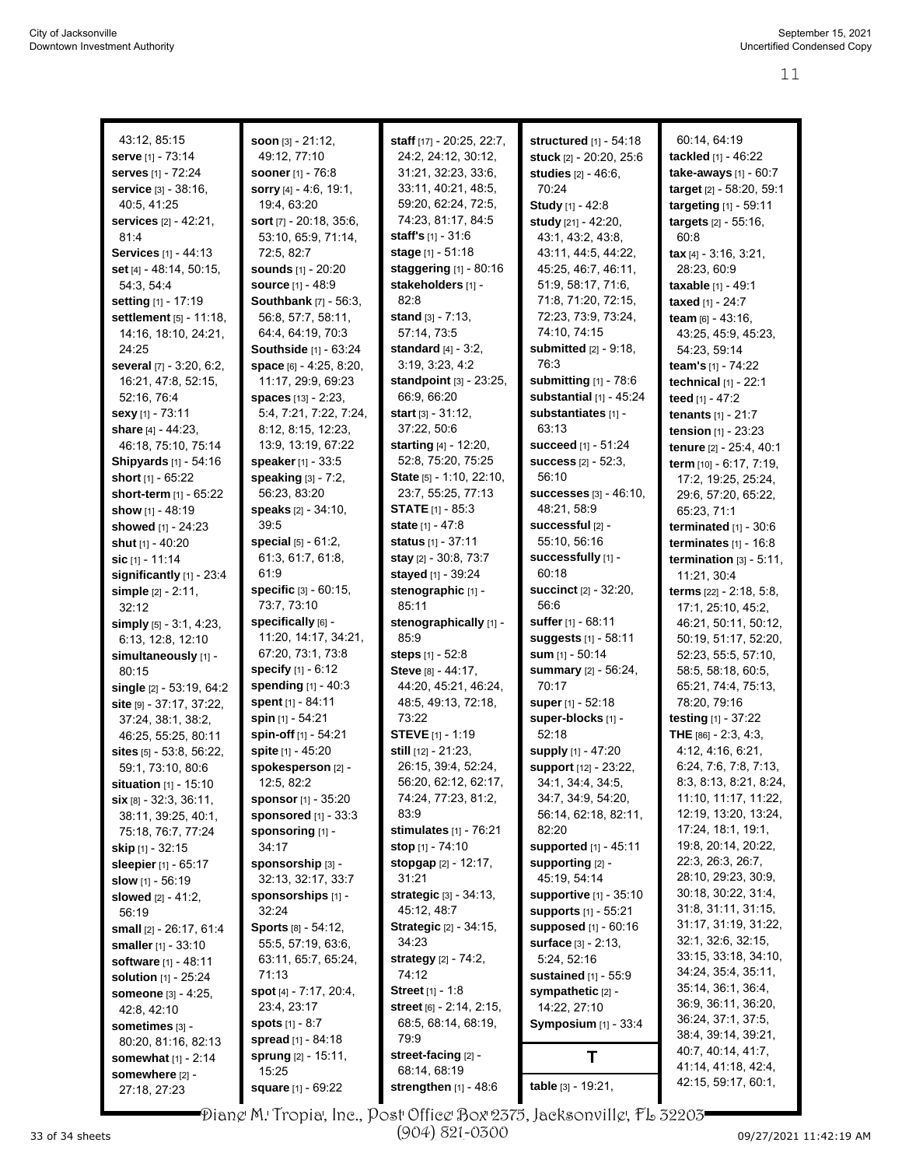| 43:12, 85:15                   | soon $[3] - 21:12$ ,            | staff [17] - 20:25, 22:7,                    | structured [1] - 54:18                           | 60:14, 64:19                               |
|--------------------------------|---------------------------------|----------------------------------------------|--------------------------------------------------|--------------------------------------------|
| serve [1] - 73:14              | 49:12, 77:10                    | 24:2, 24:12, 30:12,                          | stuck [2] - 20:20, 25:6                          | tackled [1] - 46:22                        |
| serves [1] - 72:24             | <b>sooner</b> [1] - 76:8        | 31:21, 32:23, 33:6,                          | studies [2] - 46:6,                              | take-aways [1] - 60:7                      |
| service [3] - 38:16,           | sorry [4] - 4:6, 19:1,          | 33:11, 40:21, 48:5,                          | 70:24                                            | target [2] - 58:20, 59:1                   |
| 40:5, 41:25                    | 19:4, 63:20                     | 59:20, 62:24, 72:5,                          | Study [1] - 42:8                                 | targeting [1] - 59:11                      |
| services [2] - 42:21,          | sort $[7] - 20.18, 35.6,$       | 74:23, 81:17, 84:5                           | study [21] - 42:20,                              | targets [2] - 55:16,                       |
| 81.4                           | 53:10, 65:9, 71:14,             | <b>staff's</b> $[1] - 31.6$                  | 43:1, 43:2, 43:8,                                | 60:8                                       |
| Services [1] - 44:13           | 72.5, 82.7                      | stage [1] - 51:18                            | 43.11, 44:5, 44:22,                              | tax $[4] - 3:16, 3:21,$                    |
| set [4] - 48:14, 50:15,        | sounds [1] - 20:20              | staggering [1] - 80:16                       | 45:25, 46:7, 46:11,                              | 28:23, 60:9                                |
| 54:3, 54:4                     | <b>source</b> [1] - 48:9        | stakeholders [1] -                           | 51:9, 58:17, 71:6,                               | taxable [1] - 49:1                         |
| setting [1] - 17:19            | <b>Southbank</b> [7] - 56:3,    | 82:8                                         | 71:8, 71:20, 72:15,                              | taxed [1] - 24:7                           |
| settlement [5] - 11:18,        | 56.8, 57.7, 58.11,              | stand $[3] - 7:13$ .                         | 72:23, 73:9, 73:24,                              | team [6] - 43:16,                          |
| 14:16, 18:10, 24:21,           | 64:4, 64:19, 70:3               | 57:14, 73:5                                  | 74:10, 74:15                                     | 43:25, 45:9, 45:23,                        |
| 24:25                          | Southside [1] - 63:24           | standard $[4] - 3:2$ ,                       | <b>submitted</b> [2] - 9:18,                     | 54:23, 59:14                               |
| several [7] - 3:20, 6:2,       | space [6] - 4:25, 8:20,         | 3:19, 3:23, 4:2                              | 76:3                                             | team's [1] - 74:22                         |
| 16:21, 47:8, 52:15,            | 11:17, 29:9, 69:23              | standpoint [3] - 23:25,                      | submitting $[1]$ - 78:6                          | technical [1] - 22:1                       |
| 52:16, 76:4                    | spaces [13] - 2:23,             | 66:9, 66:20                                  | substantial $[1]$ - 45:24                        | teed [1] - 47:2                            |
| sexy [1] - 73:11               | 5:4, 7:21, 7:22, 7:24,          | start [3] - 31:12,                           | substantiates [1] -                              | tenants [1] - 21:7                         |
| share [4] - 44:23,             | 8:12, 8:15, 12:23,              | 37:22, 50:6                                  | 63:13                                            | tension [1] - 23:23                        |
| 46:18, 75:10, 75:14            | 13:9, 13:19, 67:22              | starting [4] - 12:20,                        | <b>succeed</b> [1] - 51:24                       | tenure [2] - 25:4, 40:1                    |
| <b>Shipyards</b> [1] - 54:16   | speaker $[1] - 33.5$            | 52:8, 75:20, 75:25                           | <b>success</b> $[2] - 52:3$ ,                    | term $[10] - 6.17, 7.19$ ,                 |
| short [1] - 65:22              | speaking [3] - 7:2,             | State [5] - 1:10, 22:10,                     | 56:10                                            | 17:2, 19:25, 25:24,                        |
| short-term $[1]$ - $65:22$     | 56:23, 83:20                    | 23:7, 55:25, 77:13                           | <b>successes</b> [3] - 46:10,                    | 29:6, 57:20, 65:22,                        |
| show $[1] - 48:19$             | speaks [2] - 34:10,             | <b>STATE</b> $[1]$ - 85:3                    | 48:21, 58:9                                      | 65:23, 71:1                                |
| <b>showed</b> [1] - 24:23      | 39:5                            | state [1] - 47:8                             | successful [2] -                                 | terminated $[1]$ - 30:6                    |
| shut [1] - 40:20               | special [5] - 61:2,             | <b>status</b> [1] - 37:11                    | 55:10, 56:16                                     | terminates $[1]$ - 16:8                    |
| sic $[1] - 11:14$              | 61:3, 61:7, 61:8,               | stay [2] - 30:8, 73:7                        | successfully [1] -                               | termination $[3] - 5:11$ ,                 |
| significantly [1] - 23:4       | 61.9                            | stayed [1] - 39:24                           | 60:18                                            | 11:21, 30:4                                |
| simple $[2] - 2:11$ ,          | <b>specific</b> $[3] - 60:15$ , | stenographic [1] -                           | <b>succinct</b> [2] - 32:20,                     | terms [22] - 2:18, 5:8,                    |
| 32:12                          | 73:7, 73:10                     | 85:11                                        | 56:6                                             | 17:1, 25:10, 45:2,                         |
| simply $[5] - 3.1, 4.23$ ,     | specifically [6] -              | stenographically [1] -                       | suffer [1] - 68:11                               | 46.21, 50.11, 50.12,                       |
| 6:13, 12:8, 12:10              | 11:20, 14:17, 34:21,            | 85.9                                         | suggests [1] - 58:11                             | 50:19, 51:17, 52:20,                       |
| simultaneously [1] -           | 67:20, 73:1, 73:8               | steps [1] - 52:8                             | sum [1] - 50:14                                  | 52:23, 55:5, 57:10,                        |
| 80:15                          | specify [1] - 6:12              | Steve [8] - 44:17,                           | summary [2] - 56:24,                             | 58:5, 58:18, 60:5,                         |
| single [2] - 53:19, 64:2       | spending [1] - 40:3             | 44:20, 45:21, 46:24,                         | 70:17                                            | 65:21, 74:4, 75:13,                        |
| site [9] - 37:17, 37:22,       | spent [1] - 84:11               | 48:5, 49:13, 72:18,                          | super $[1] - 52:18$                              | 78:20, 79:16                               |
| 37:24, 38:1, 38:2,             | spin [1] - 54:21                | 73:22                                        | super-blocks [1] -                               | testing $[1] - 37:22$                      |
| 46:25, 55:25, 80:11            | spin-off [1] - 54:21            | <b>STEVE</b> [1] - 1:19                      | 52:18                                            | THE [86] - 2:3, 4:3,                       |
| sites $[5] - 53.8, 56.22,$     | spite [1] - 45:20               | still [12] - 21:23,                          | supply [1] - 47:20                               | 4:12, 4:16, 6:21,                          |
| 59:1, 73:10, 80:6              | spokesperson [2] -              | 26:15, 39:4, 52:24,                          | support [12] - 23:22                             | 6:24, 7:6, 7:8, 7:13,                      |
| <b>situation</b> $[1]$ - 15:10 | 12:5, 82:2                      | 56:20, 62:12, 62:17,                         | 34:1, 34:4, 34:5,                                | 8:3, 8:13, 8:21, 8:24,                     |
| $\sin$ [8] - 32:3, 36:11,      | <b>sponsor</b> [1] - 35:20      | 74:24, 77:23, 81:2,                          | 34:7, 34:9, 54:20,                               | 11:10, 11:17, 11:22,                       |
| 38:11, 39:25, 40:1,            | sponsored [1] - 33:3            | 83.9                                         | 56:14, 62:18, 82:11,                             | 12:19, 13:20, 13:24,                       |
| 75:18, 76:7, 77:24             | sponsoring [1] -                | <b>stimulates</b> $[1] - 76:21$              | 82:20                                            | 17:24, 18:1, 19:1,                         |
| <b>skip</b> [1] - 32:15        | 34:17                           | stop [1] - 74:10                             | supported [1] - 45:11                            | 19:8, 20:14, 20:22,                        |
| <b>sleepier</b> [1] - 65:17    | sponsorship [3] -               | stopgap [2] - 12:17,                         | <b>supporting [2] -</b>                          | 22:3, 26:3, 26:7,                          |
| slow $[1]$ - 56:19             | 32:13, 32:17, 33:7              | 31:21                                        | 45.19, 54.14                                     | 28:10, 29:23, 30:9,                        |
| <b>slowed</b> $[2] - 41:2$ ,   | sponsorships [1] -              | strategic [3] - 34:13,                       | supportive [1] - 35:10                           | 30:18, 30:22, 31:4,<br>31.8, 31.11, 31.15, |
| 56:19                          | 32:24                           | 45:12, 48:7<br><b>Strategic [2] - 34:15,</b> | <b>supports</b> [1] - 55:21                      | 31:17, 31:19, 31:22,                       |
| <b>small</b> [2] - 26:17, 61:4 | Sports [8] - 54:12,             |                                              | <b>supposed</b> [1] - 60:16                      | 32:1, 32:6, 32:15,                         |
| <b>smaller</b> $[1] - 33:10$   | 55:5, 57:19, 63:6,              | 34:23                                        | surface [3] - 2:13,                              | 33:15, 33:18, 34:10,                       |
| <b>software</b> [1] - 48:11    | 63:11, 65:7, 65:24,<br>71:13    | <b>strategy</b> $[2] - 74:2$ ,<br>74:12      | 5:24, 52:16                                      | 34:24, 35:4, 35:11,                        |
| <b>solution</b> $[1]$ - 25:24  | spot [4] - 7:17, 20:4,          | <b>Street</b> $[1] - 1.8$                    | <b>sustained</b> [1] - 55:9<br>sympathetic [2] - | 35:14, 36:1, 36:4,                         |
| someone [3] - 4:25,            | 23:4, 23:17                     | street [6] - 2:14, 2:15,                     | 14:22, 27:10                                     | 36.9, 36.11, 36.20,                        |
| 42:8, 42:10                    | <b>spots</b> $[1] - 8:7$        | 68:5, 68:14, 68:19,                          | <b>Symposium</b> [1] - 33:4                      | 36:24, 37:1, 37:5,                         |
| sometimes [3] -                | <b>spread</b> [1] - 84:18       | 79:9                                         |                                                  | 38:4, 39:14, 39:21,                        |
| 80:20, 81:16, 82:13            | <b>sprung</b> [2] - 15:11,      | street-facing [2] -                          | Τ                                                | 40:7, 40:14, 41:7,                         |
| <b>somewhat</b> $[1] - 2:14$   | 15:25                           | 68:14, 68:19                                 |                                                  | 41:14, 41:18, 42:4,                        |
| somewhere [2] -<br>27:18.27:23 | <b>square</b> $[1] - 69:22$     | strengthen $[1]$ - 48:6                      | table [3] - 19:21,                               | 42:15, 59:17, 60:1,                        |
|                                |                                 |                                              |                                                  |                                            |

Diane M. Tropia, Inc., Post Office Box 2375, Jacksonville, FL 32203